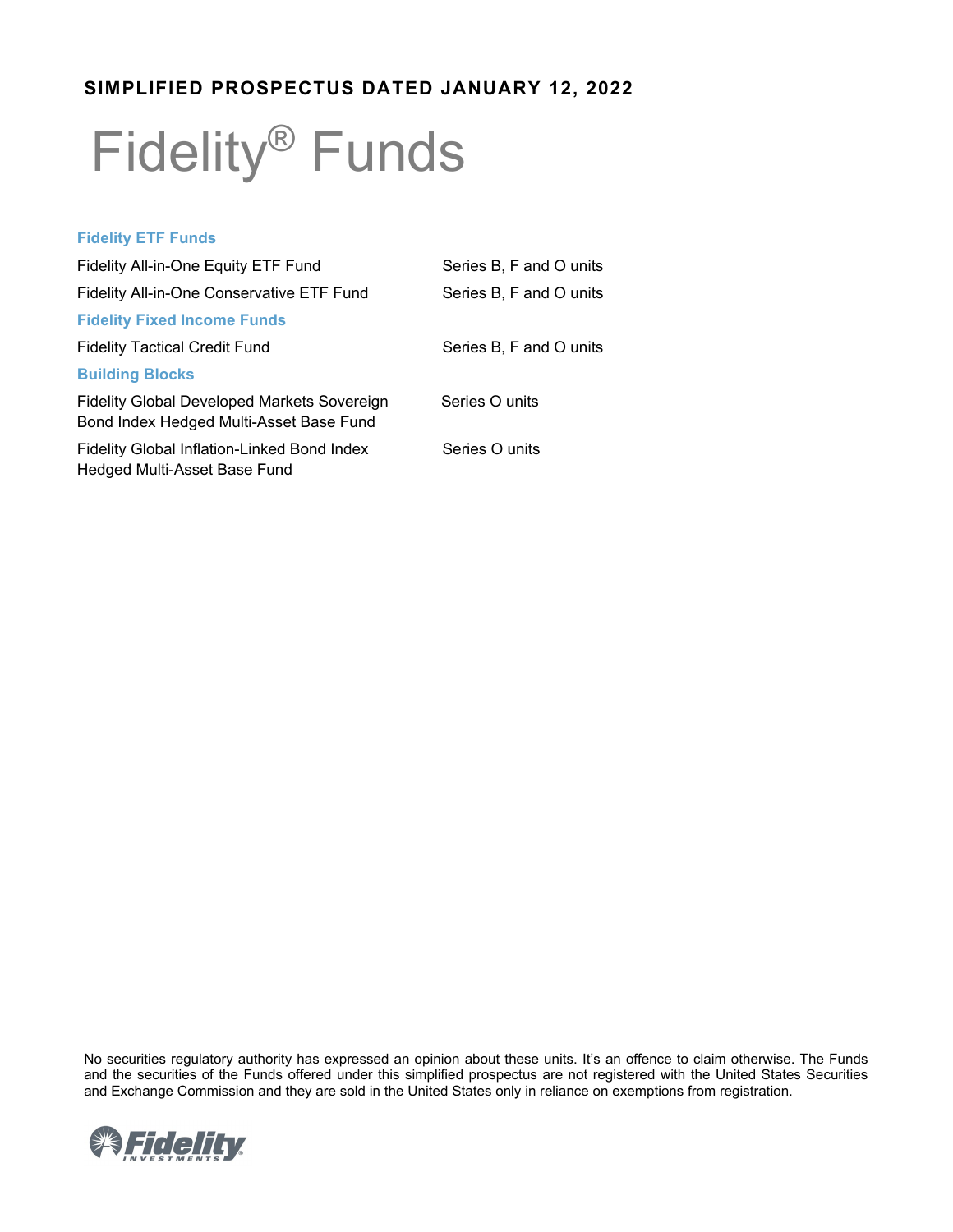# **SIMPLIFIED PROSPECTUS DATED JANUARY 12, 2022**

# Fidelity® Funds

| <b>Fidelity ETF Funds</b>                                                              |                         |
|----------------------------------------------------------------------------------------|-------------------------|
| Fidelity All-in-One Equity ETF Fund                                                    | Series B, F and O units |
| Fidelity All-in-One Conservative ETF Fund                                              | Series B. F and O units |
| <b>Fidelity Fixed Income Funds</b>                                                     |                         |
| <b>Fidelity Tactical Credit Fund</b>                                                   | Series B, F and O units |
| <b>Building Blocks</b>                                                                 |                         |
| Fidelity Global Developed Markets Sovereign<br>Bond Index Hedged Multi-Asset Base Fund | Series O units          |
| Fidelity Global Inflation-Linked Bond Index<br>Hedged Multi-Asset Base Fund            | Series O units          |

No securities regulatory authority has expressed an opinion about these units. It's an offence to claim otherwise. The Funds and the securities of the Funds offered under this simplified prospectus are not registered with the United States Securities and Exchange Commission and they are sold in the United States only in reliance on exemptions from registration.

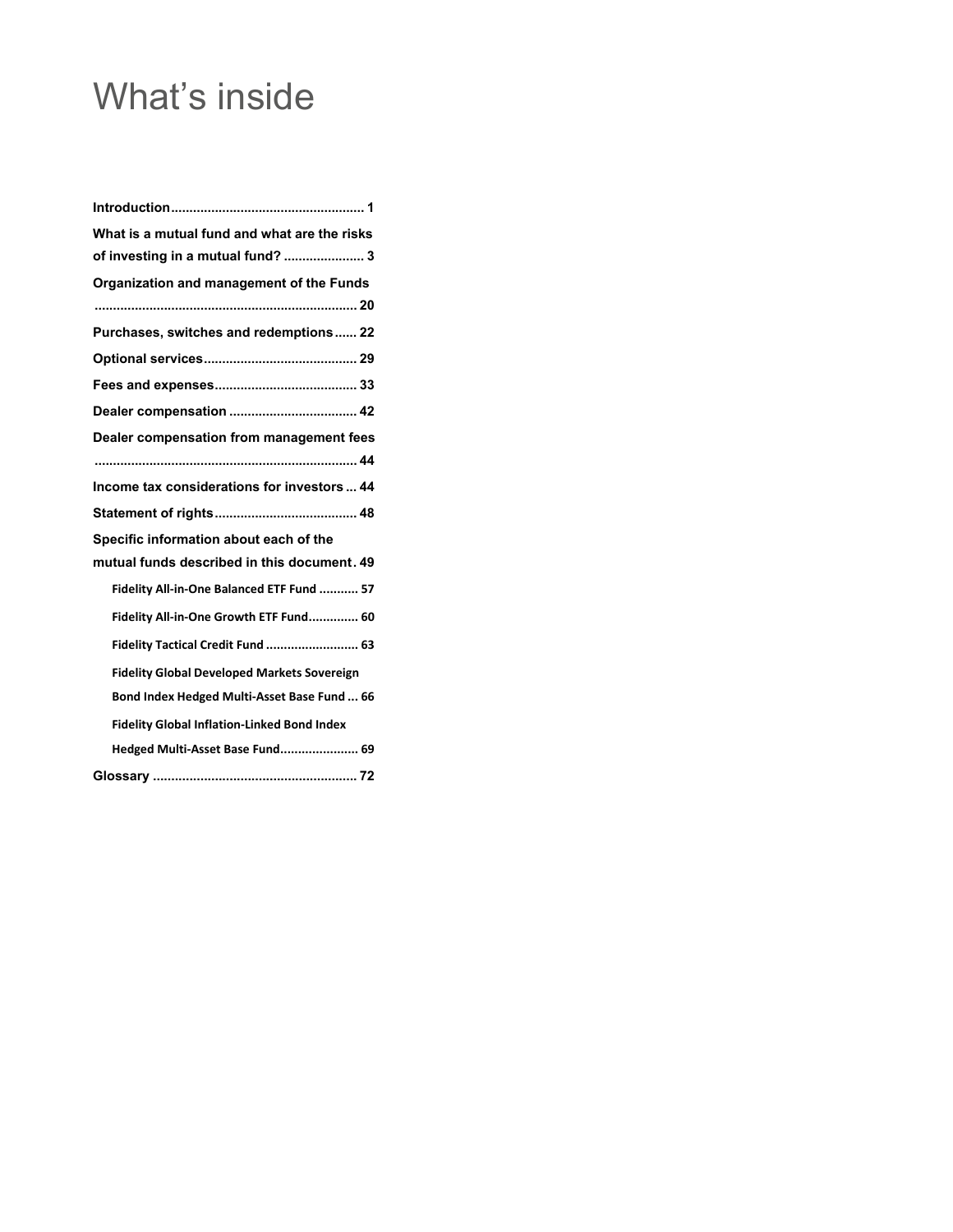# What's inside

| What is a mutual fund and what are the risks       |
|----------------------------------------------------|
| of investing in a mutual fund?  3                  |
| Organization and management of the Funds           |
|                                                    |
| Purchases, switches and redemptions 22             |
|                                                    |
|                                                    |
|                                                    |
| Dealer compensation from management fees           |
|                                                    |
| Income tax considerations for investors  44        |
|                                                    |
| Specific information about each of the             |
| mutual funds described in this document. 49        |
| Fidelity All-in-One Balanced ETF Fund  57          |
| Fidelity All-in-One Growth ETF Fund 60             |
| Fidelity Tactical Credit Fund  63                  |
| <b>Fidelity Global Developed Markets Sovereign</b> |
| Bond Index Hedged Multi-Asset Base Fund  66        |
| <b>Fidelity Global Inflation-Linked Bond Index</b> |
| Hedged Multi-Asset Base Fund 69                    |
|                                                    |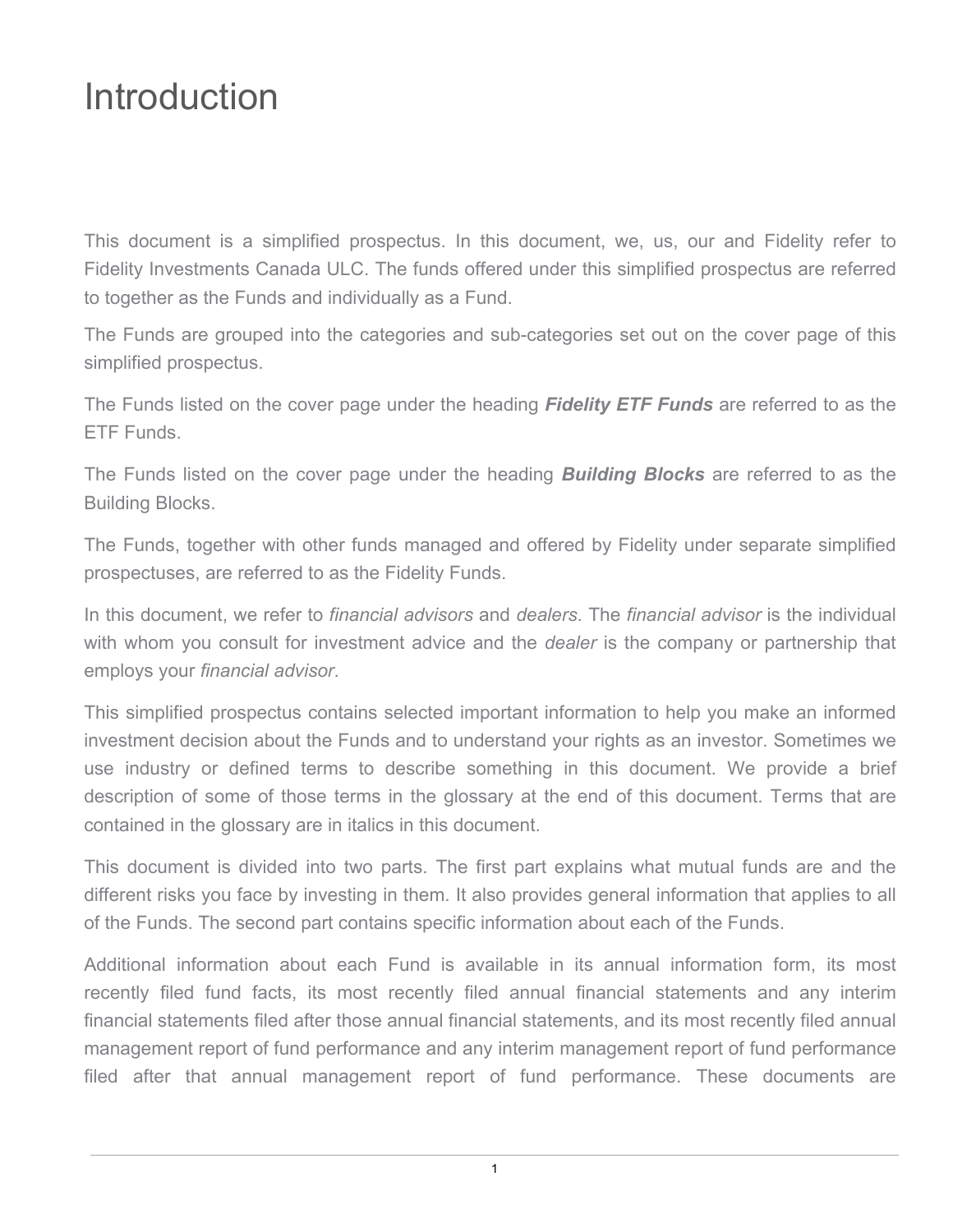# <span id="page-2-0"></span>Introduction

This document is a simplified prospectus. In this document, we, us, our and Fidelity refer to Fidelity Investments Canada ULC. The funds offered under this simplified prospectus are referred to together as the Funds and individually as a Fund.

The Funds are grouped into the categories and sub-categories set out on the cover page of this simplified prospectus.

The Funds listed on the cover page under the heading *Fidelity ETF Funds* are referred to as the ETF Funds.

The Funds listed on the cover page under the heading *Building Blocks* are referred to as the Building Blocks.

The Funds, together with other funds managed and offered by Fidelity under separate simplified prospectuses, are referred to as the Fidelity Funds.

In this document, we refer to *financial advisors* and *dealers*. The *financial advisor* is the individual with whom you consult for investment advice and the *dealer* is the company or partnership that employs your *financial advisor*.

This simplified prospectus contains selected important information to help you make an informed investment decision about the Funds and to understand your rights as an investor. Sometimes we use industry or defined terms to describe something in this document. We provide a brief description of some of those terms in the glossary at the end of this document. Terms that are contained in the glossary are in italics in this document.

This document is divided into two parts. The first part explains what mutual funds are and the different risks you face by investing in them. It also provides general information that applies to all of the Funds. The second part contains specific information about each of the Funds.

Additional information about each Fund is available in its annual information form, its most recently filed fund facts, its most recently filed annual financial statements and any interim financial statements filed after those annual financial statements, and its most recently filed annual management report of fund performance and any interim management report of fund performance filed after that annual management report of fund performance. These documents are

1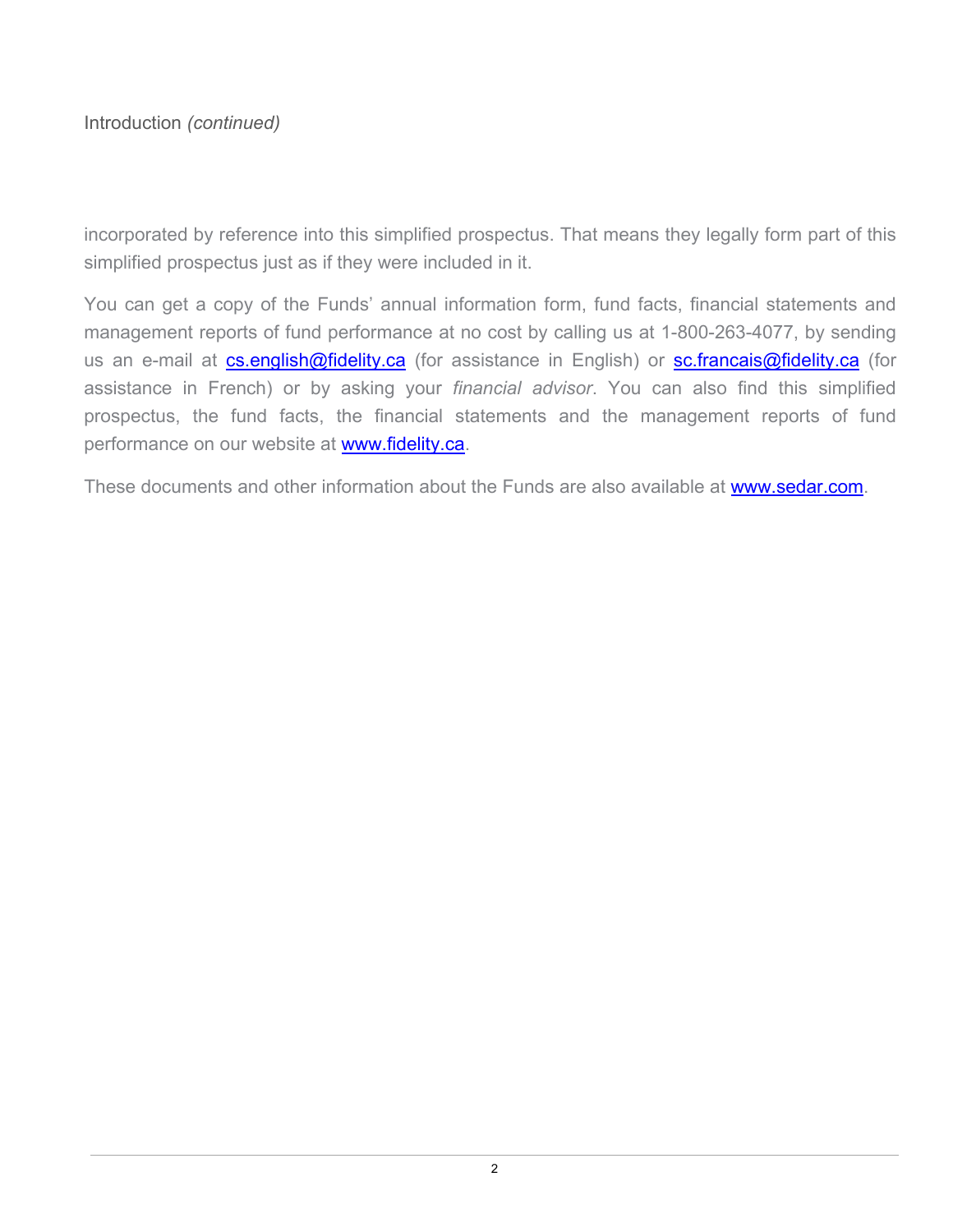Introduction *(continued)*

incorporated by reference into this simplified prospectus. That means they legally form part of this simplified prospectus just as if they were included in it.

You can get a copy of the Funds' annual information form, fund facts, financial statements and management reports of fund performance at no cost by calling us at 1-800-263-4077, by sending us an e-mail at [cs.english@fidelity.ca](mailto:cs.english@fidelity.ca) (for assistance in English) or [sc.francais@fidelity.ca](mailto:sc.francais@fidelity.ca) (for assistance in French) or by asking your *financial advisor*. You can also find this simplified prospectus, the fund facts, the financial statements and the management reports of fund performance on our website at [www.fidelity.ca.](http://www.fidelity.ca/)

These documents and other information about the Funds are also available at [www.sedar.com.](http://www.sedar.com/)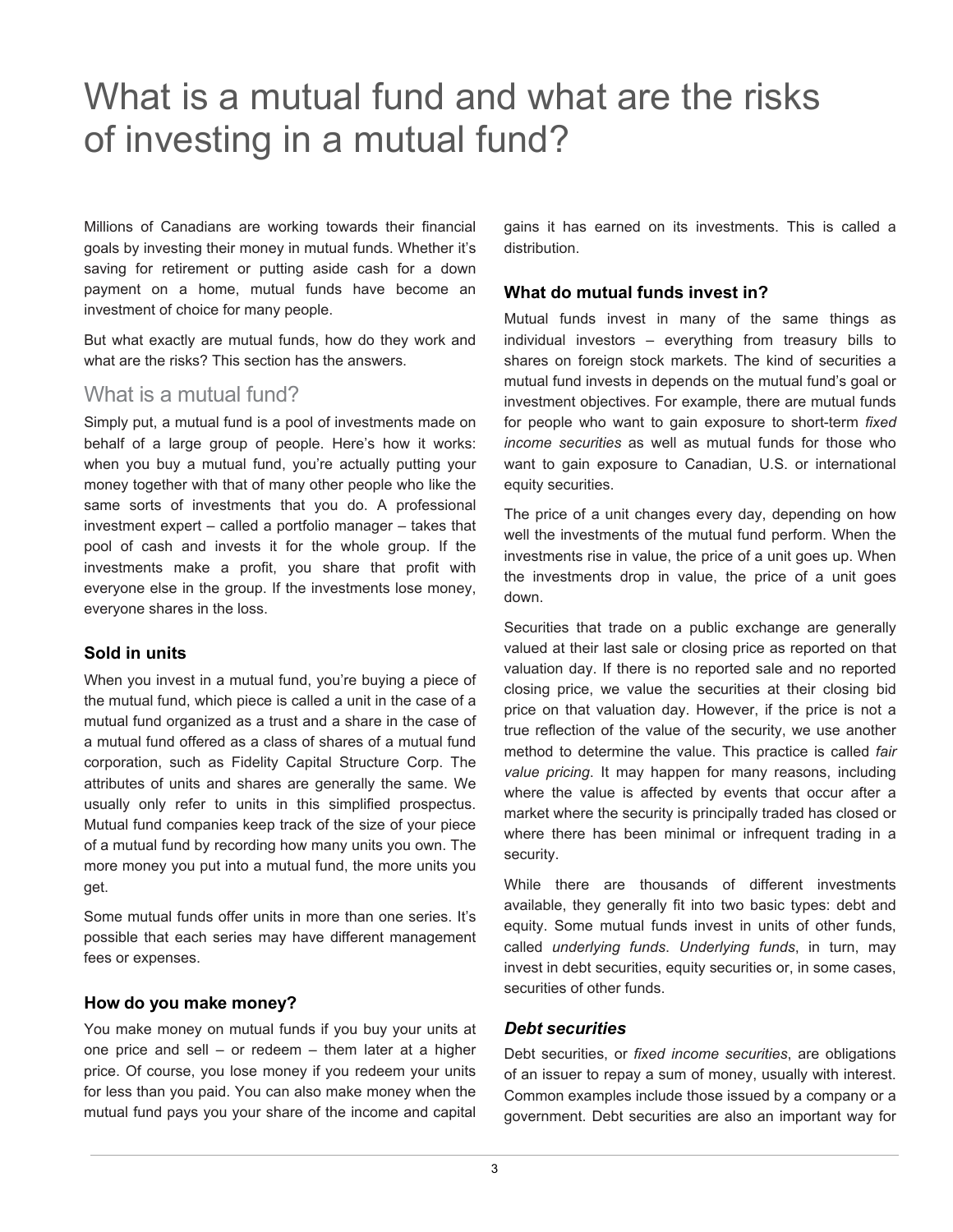# <span id="page-4-0"></span>What is a mutual fund and what are the risks of investing in a mutual fund?

Millions of Canadians are working towards their financial goals by investing their money in mutual funds. Whether it's saving for retirement or putting aside cash for a down payment on a home, mutual funds have become an investment of choice for many people.

But what exactly are mutual funds, how do they work and what are the risks? This section has the answers.

# What is a mutual fund?

Simply put, a mutual fund is a pool of investments made on behalf of a large group of people. Here's how it works: when you buy a mutual fund, you're actually putting your money together with that of many other people who like the same sorts of investments that you do. A professional investment expert – called a portfolio manager – takes that pool of cash and invests it for the whole group. If the investments make a profit, you share that profit with everyone else in the group. If the investments lose money, everyone shares in the loss.

# **Sold in units**

When you invest in a mutual fund, you're buying a piece of the mutual fund, which piece is called a unit in the case of a mutual fund organized as a trust and a share in the case of a mutual fund offered as a class of shares of a mutual fund corporation, such as Fidelity Capital Structure Corp. The attributes of units and shares are generally the same. We usually only refer to units in this simplified prospectus. Mutual fund companies keep track of the size of your piece of a mutual fund by recording how many units you own. The more money you put into a mutual fund, the more units you get.

Some mutual funds offer units in more than one series. It's possible that each series may have different management fees or expenses.

#### **How do you make money?**

You make money on mutual funds if you buy your units at one price and sell – or redeem – them later at a higher price. Of course, you lose money if you redeem your units for less than you paid. You can also make money when the mutual fund pays you your share of the income and capital

gains it has earned on its investments. This is called a distribution.

# **What do mutual funds invest in?**

Mutual funds invest in many of the same things as individual investors – everything from treasury bills to shares on foreign stock markets. The kind of securities a mutual fund invests in depends on the mutual fund's goal or investment objectives. For example, there are mutual funds for people who want to gain exposure to short-term *fixed income securities* as well as mutual funds for those who want to gain exposure to Canadian, U.S. or international equity securities.

The price of a unit changes every day, depending on how well the investments of the mutual fund perform. When the investments rise in value, the price of a unit goes up. When the investments drop in value, the price of a unit goes down.

Securities that trade on a public exchange are generally valued at their last sale or closing price as reported on that valuation day. If there is no reported sale and no reported closing price, we value the securities at their closing bid price on that valuation day. However, if the price is not a true reflection of the value of the security, we use another method to determine the value. This practice is called *fair value pricing*. It may happen for many reasons, including where the value is affected by events that occur after a market where the security is principally traded has closed or where there has been minimal or infrequent trading in a security.

While there are thousands of different investments available, they generally fit into two basic types: debt and equity. Some mutual funds invest in units of other funds, called *underlying funds*. *Underlying funds*, in turn, may invest in debt securities, equity securities or, in some cases, securities of other funds.

#### *Debt securities*

Debt securities, or *fixed income securities*, are obligations of an issuer to repay a sum of money, usually with interest. Common examples include those issued by a company or a government. Debt securities are also an important way for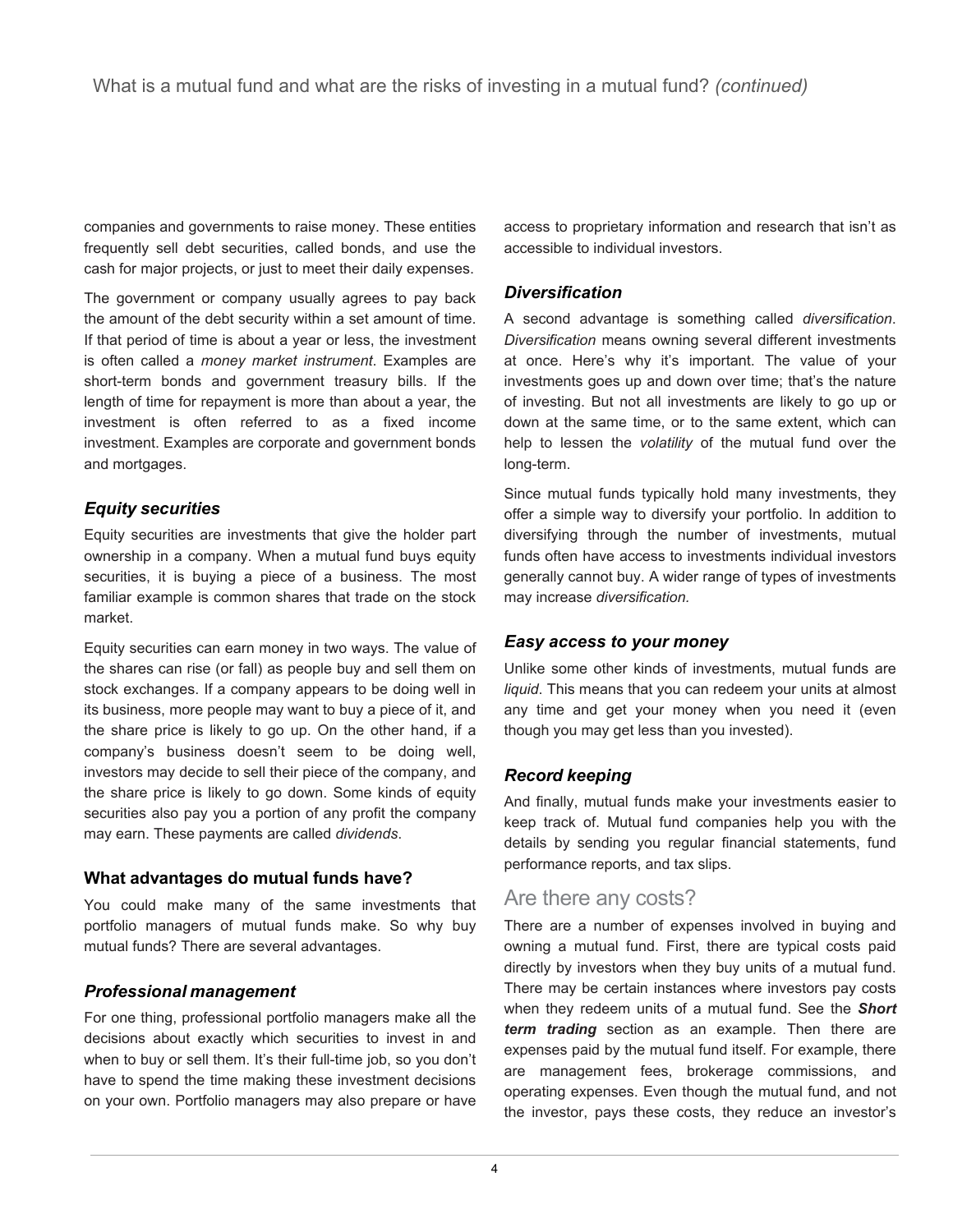companies and governments to raise money. These entities frequently sell debt securities, called bonds, and use the cash for major projects, or just to meet their daily expenses.

The government or company usually agrees to pay back the amount of the debt security within a set amount of time. If that period of time is about a year or less, the investment is often called a *money market instrument*. Examples are short-term bonds and government treasury bills. If the length of time for repayment is more than about a year, the investment is often referred to as a fixed income investment. Examples are corporate and government bonds and mortgages.

# *Equity securities*

Equity securities are investments that give the holder part ownership in a company. When a mutual fund buys equity securities, it is buying a piece of a business. The most familiar example is common shares that trade on the stock market.

Equity securities can earn money in two ways. The value of the shares can rise (or fall) as people buy and sell them on stock exchanges. If a company appears to be doing well in its business, more people may want to buy a piece of it, and the share price is likely to go up. On the other hand, if a company's business doesn't seem to be doing well, investors may decide to sell their piece of the company, and the share price is likely to go down. Some kinds of equity securities also pay you a portion of any profit the company may earn. These payments are called *dividends*.

# **What advantages do mutual funds have?**

You could make many of the same investments that portfolio managers of mutual funds make. So why buy mutual funds? There are several advantages.

# *Professional management*

For one thing, professional portfolio managers make all the decisions about exactly which securities to invest in and when to buy or sell them. It's their full-time job, so you don't have to spend the time making these investment decisions on your own. Portfolio managers may also prepare or have

access to proprietary information and research that isn't as accessible to individual investors.

# *Diversification*

A second advantage is something called *diversification*. *Diversification* means owning several different investments at once. Here's why it's important. The value of your investments goes up and down over time; that's the nature of investing. But not all investments are likely to go up or down at the same time, or to the same extent, which can help to lessen the *volatility* of the mutual fund over the long-term.

Since mutual funds typically hold many investments, they offer a simple way to diversify your portfolio. In addition to diversifying through the number of investments, mutual funds often have access to investments individual investors generally cannot buy. A wider range of types of investments may increase *diversification.*

# *Easy access to your money*

Unlike some other kinds of investments, mutual funds are *liquid*. This means that you can redeem your units at almost any time and get your money when you need it (even though you may get less than you invested).

# *Record keeping*

And finally, mutual funds make your investments easier to keep track of. Mutual fund companies help you with the details by sending you regular financial statements, fund performance reports, and tax slips.

# Are there any costs?

There are a number of expenses involved in buying and owning a mutual fund. First, there are typical costs paid directly by investors when they buy units of a mutual fund. There may be certain instances where investors pay costs when they redeem units of a mutual fund. See the *Short term trading* section as an example. Then there are expenses paid by the mutual fund itself. For example, there are management fees, brokerage commissions, and operating expenses. Even though the mutual fund, and not the investor, pays these costs, they reduce an investor's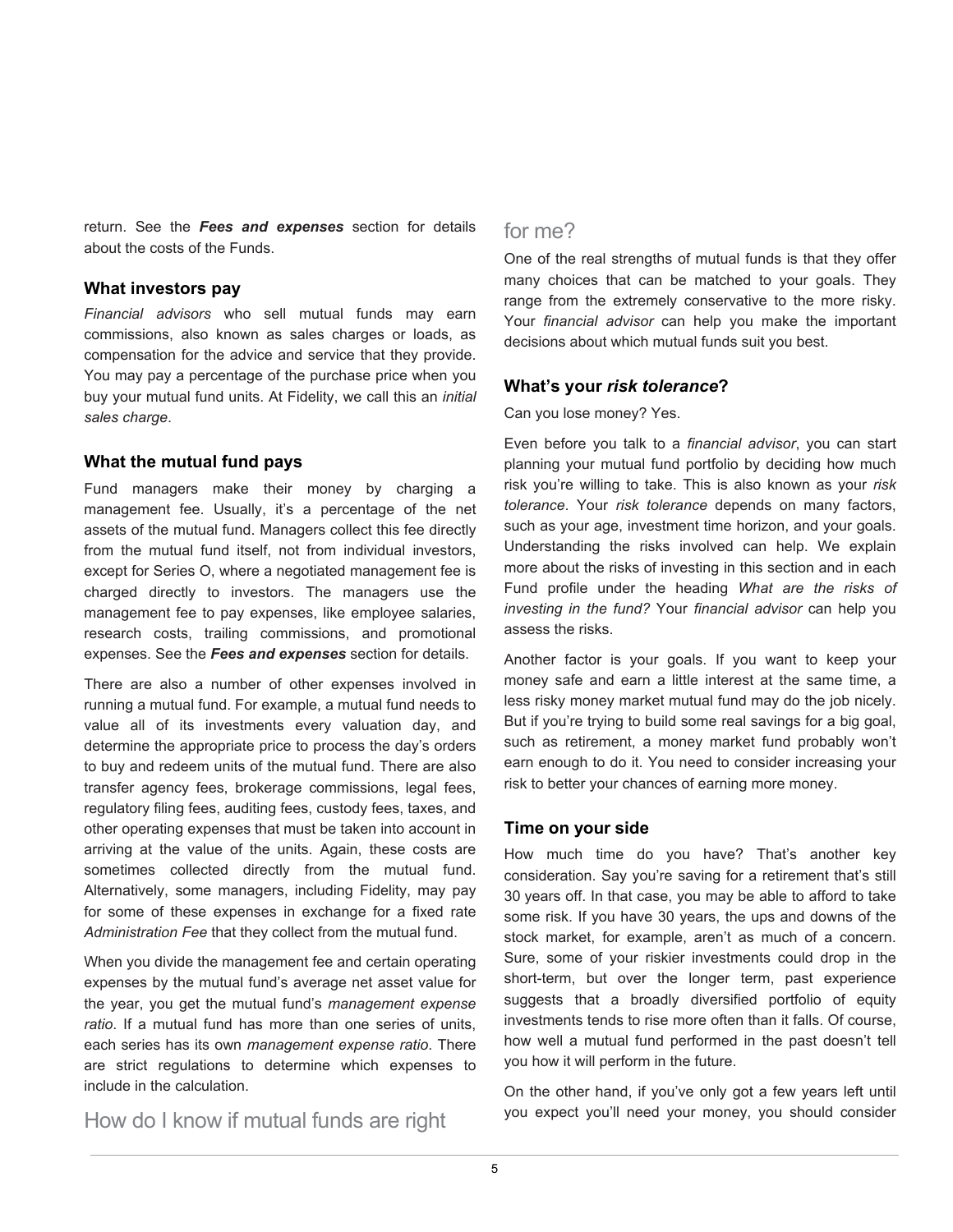return. See the *Fees and expenses* section for details about the costs of the Funds.

#### **What investors pay**

*Financial advisors* who sell mutual funds may earn commissions, also known as sales charges or loads, as compensation for the advice and service that they provide. You may pay a percentage of the purchase price when you buy your mutual fund units. At Fidelity, we call this an *initial sales charge*.

### **What the mutual fund pays**

Fund managers make their money by charging a management fee. Usually, it's a percentage of the net assets of the mutual fund. Managers collect this fee directly from the mutual fund itself, not from individual investors, except for Series O, where a negotiated management fee is charged directly to investors. The managers use the management fee to pay expenses, like employee salaries, research costs, trailing commissions, and promotional expenses. See the *Fees and expenses* section for details.

There are also a number of other expenses involved in running a mutual fund. For example, a mutual fund needs to value all of its investments every valuation day, and determine the appropriate price to process the day's orders to buy and redeem units of the mutual fund. There are also transfer agency fees, brokerage commissions, legal fees, regulatory filing fees, auditing fees, custody fees, taxes, and other operating expenses that must be taken into account in arriving at the value of the units. Again, these costs are sometimes collected directly from the mutual fund. Alternatively, some managers, including Fidelity, may pay for some of these expenses in exchange for a fixed rate *Administration Fee* that they collect from the mutual fund.

When you divide the management fee and certain operating expenses by the mutual fund's average net asset value for the year, you get the mutual fund's *management expense ratio*. If a mutual fund has more than one series of units, each series has its own *management expense ratio*. There are strict regulations to determine which expenses to include in the calculation.

How do I know if mutual funds are right

# for me?

One of the real strengths of mutual funds is that they offer many choices that can be matched to your goals. They range from the extremely conservative to the more risky. Your *financial advisor* can help you make the important decisions about which mutual funds suit you best.

### **What's your** *risk tolerance***?**

Can you lose money? Yes.

Even before you talk to a *financial advisor*, you can start planning your mutual fund portfolio by deciding how much risk you're willing to take. This is also known as your *risk tolerance*. Your *risk tolerance* depends on many factors, such as your age, investment time horizon, and your goals. Understanding the risks involved can help. We explain more about the risks of investing in this section and in each Fund profile under the heading *What are the risks of investing in the fund?* Your *financial advisor* can help you assess the risks.

Another factor is your goals. If you want to keep your money safe and earn a little interest at the same time, a less risky money market mutual fund may do the job nicely. But if you're trying to build some real savings for a big goal, such as retirement, a money market fund probably won't earn enough to do it. You need to consider increasing your risk to better your chances of earning more money.

# **Time on your side**

How much time do you have? That's another key consideration. Say you're saving for a retirement that's still 30 years off. In that case, you may be able to afford to take some risk. If you have 30 years, the ups and downs of the stock market, for example, aren't as much of a concern. Sure, some of your riskier investments could drop in the short-term, but over the longer term, past experience suggests that a broadly diversified portfolio of equity investments tends to rise more often than it falls. Of course, how well a mutual fund performed in the past doesn't tell you how it will perform in the future.

On the other hand, if you've only got a few years left until you expect you'll need your money, you should consider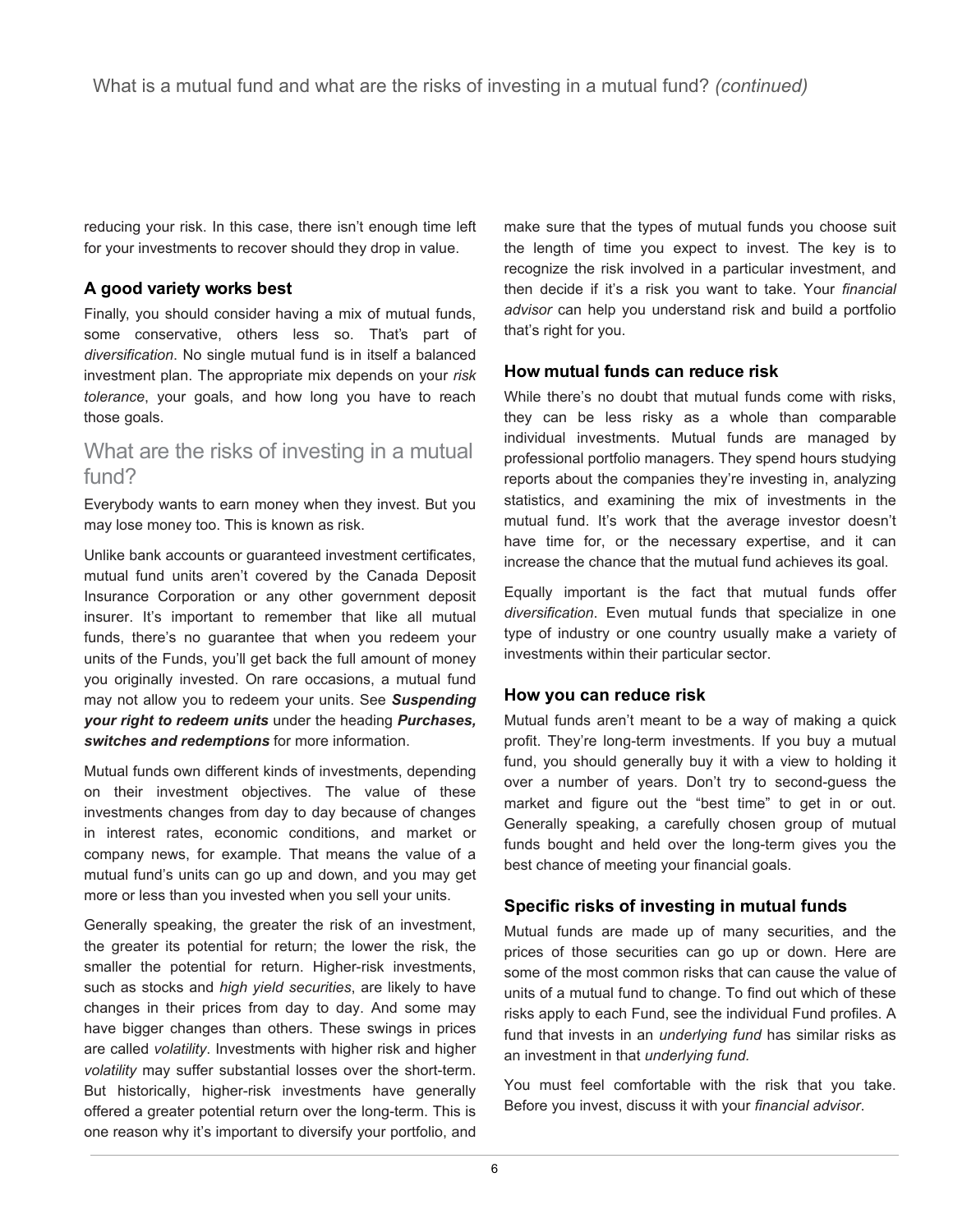reducing your risk. In this case, there isn't enough time left for your investments to recover should they drop in value.

# **A good variety works best**

Finally, you should consider having a mix of mutual funds, some conservative, others less so. That's part of *diversification*. No single mutual fund is in itself a balanced investment plan. The appropriate mix depends on your *risk tolerance*, your goals, and how long you have to reach those goals.

# What are the risks of investing in a mutual fund?

Everybody wants to earn money when they invest. But you may lose money too. This is known as risk.

Unlike bank accounts or guaranteed investment certificates, mutual fund units aren't covered by the Canada Deposit Insurance Corporation or any other government deposit insurer. It's important to remember that like all mutual funds, there's no guarantee that when you redeem your units of the Funds, you'll get back the full amount of money you originally invested. On rare occasions, a mutual fund may not allow you to redeem your units. See *Suspending your right to redeem units* under the heading *Purchases, switches and redemptions* for more information.

Mutual funds own different kinds of investments, depending on their investment objectives. The value of these investments changes from day to day because of changes in interest rates, economic conditions, and market or company news, for example. That means the value of a mutual fund's units can go up and down, and you may get more or less than you invested when you sell your units.

Generally speaking, the greater the risk of an investment, the greater its potential for return; the lower the risk, the smaller the potential for return. Higher-risk investments, such as stocks and *high yield securities*, are likely to have changes in their prices from day to day. And some may have bigger changes than others. These swings in prices are called *volatility*. Investments with higher risk and higher *volatility* may suffer substantial losses over the short-term. But historically, higher-risk investments have generally offered a greater potential return over the long-term. This is one reason why it's important to diversify your portfolio, and

make sure that the types of mutual funds you choose suit the length of time you expect to invest. The key is to recognize the risk involved in a particular investment, and then decide if it's a risk you want to take. Your *financial advisor* can help you understand risk and build a portfolio that's right for you.

### **How mutual funds can reduce risk**

While there's no doubt that mutual funds come with risks, they can be less risky as a whole than comparable individual investments. Mutual funds are managed by professional portfolio managers. They spend hours studying reports about the companies they're investing in, analyzing statistics, and examining the mix of investments in the mutual fund. It's work that the average investor doesn't have time for, or the necessary expertise, and it can increase the chance that the mutual fund achieves its goal.

Equally important is the fact that mutual funds offer *diversification*. Even mutual funds that specialize in one type of industry or one country usually make a variety of investments within their particular sector.

#### **How you can reduce risk**

Mutual funds aren't meant to be a way of making a quick profit. They're long-term investments. If you buy a mutual fund, you should generally buy it with a view to holding it over a number of years. Don't try to second-guess the market and figure out the "best time" to get in or out. Generally speaking, a carefully chosen group of mutual funds bought and held over the long-term gives you the best chance of meeting your financial goals.

# **Specific risks of investing in mutual funds**

Mutual funds are made up of many securities, and the prices of those securities can go up or down. Here are some of the most common risks that can cause the value of units of a mutual fund to change. To find out which of these risks apply to each Fund, see the individual Fund profiles. A fund that invests in an *underlying fund* has similar risks as an investment in that *underlying fund.*

You must feel comfortable with the risk that you take. Before you invest, discuss it with your *financial advisor*.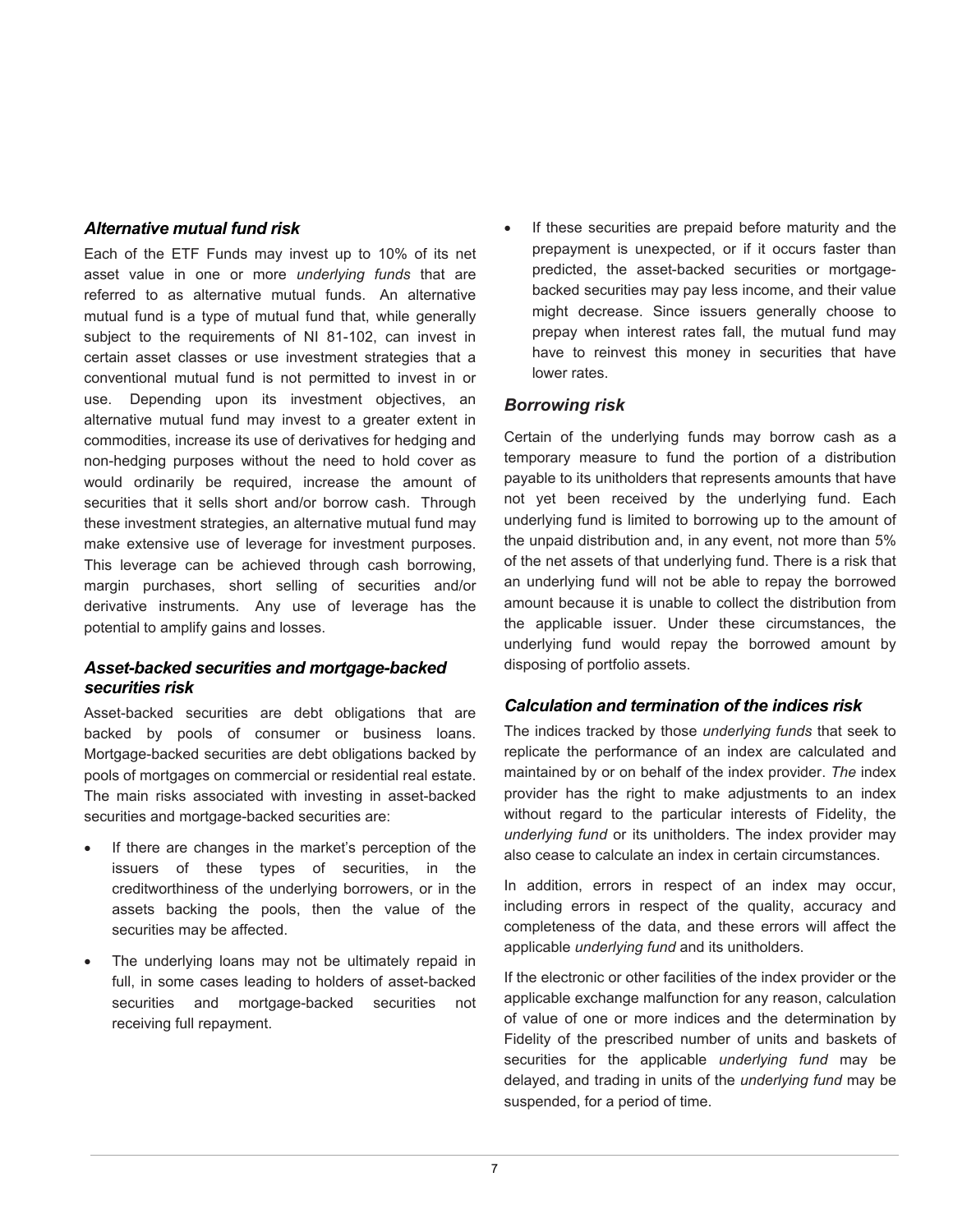#### *Alternative mutual fund risk*

Each of the ETF Funds may invest up to 10% of its net asset value in one or more *underlying funds* that are referred to as alternative mutual funds. An alternative mutual fund is a type of mutual fund that, while generally subject to the requirements of NI 81-102, can invest in certain asset classes or use investment strategies that a conventional mutual fund is not permitted to invest in or use. Depending upon its investment objectives, an alternative mutual fund may invest to a greater extent in commodities, increase its use of derivatives for hedging and non-hedging purposes without the need to hold cover as would ordinarily be required, increase the amount of securities that it sells short and/or borrow cash. Through these investment strategies, an alternative mutual fund may make extensive use of leverage for investment purposes. This leverage can be achieved through cash borrowing, margin purchases, short selling of securities and/or derivative instruments. Any use of leverage has the potential to amplify gains and losses.

### *Asset-backed securities and mortgage-backed securities risk*

Asset-backed securities are debt obligations that are backed by pools of consumer or business loans. Mortgage-backed securities are debt obligations backed by pools of mortgages on commercial or residential real estate. The main risks associated with investing in asset-backed securities and mortgage-backed securities are:

- If there are changes in the market's perception of the issuers of these types of securities, in the creditworthiness of the underlying borrowers, or in the assets backing the pools, then the value of the securities may be affected.
- The underlying loans may not be ultimately repaid in full, in some cases leading to holders of asset-backed securities and mortgage-backed securities not receiving full repayment.

If these securities are prepaid before maturity and the prepayment is unexpected, or if it occurs faster than predicted, the asset-backed securities or mortgagebacked securities may pay less income, and their value might decrease. Since issuers generally choose to prepay when interest rates fall, the mutual fund may have to reinvest this money in securities that have lower rates.

#### *Borrowing risk*

Certain of the underlying funds may borrow cash as a temporary measure to fund the portion of a distribution payable to its unitholders that represents amounts that have not yet been received by the underlying fund. Each underlying fund is limited to borrowing up to the amount of the unpaid distribution and, in any event, not more than 5% of the net assets of that underlying fund. There is a risk that an underlying fund will not be able to repay the borrowed amount because it is unable to collect the distribution from the applicable issuer. Under these circumstances, the underlying fund would repay the borrowed amount by disposing of portfolio assets.

#### *Calculation and termination of the indices risk*

The indices tracked by those *underlying funds* that seek to replicate the performance of an index are calculated and maintained by or on behalf of the index provider. *The* index provider has the right to make adjustments to an index without regard to the particular interests of Fidelity, the *underlying fund* or its unitholders. The index provider may also cease to calculate an index in certain circumstances.

In addition, errors in respect of an index may occur, including errors in respect of the quality, accuracy and completeness of the data, and these errors will affect the applicable *underlying fund* and its unitholders.

If the electronic or other facilities of the index provider or the applicable exchange malfunction for any reason, calculation of value of one or more indices and the determination by Fidelity of the prescribed number of units and baskets of securities for the applicable *underlying fund* may be delayed, and trading in units of the *underlying fund* may be suspended, for a period of time.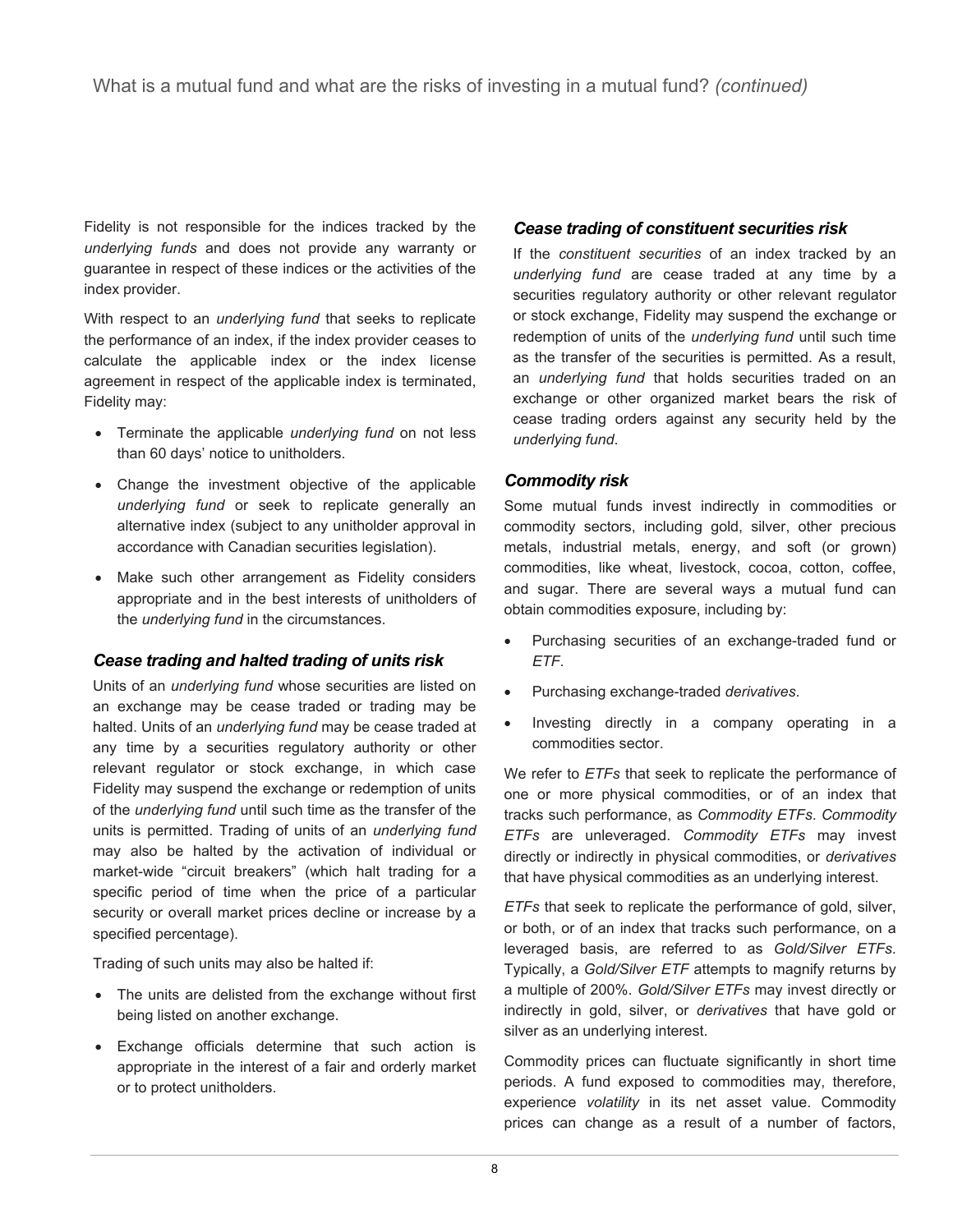Fidelity is not responsible for the indices tracked by the *underlying funds* and does not provide any warranty or guarantee in respect of these indices or the activities of the index provider.

With respect to an *underlying fund* that seeks to replicate the performance of an index, if the index provider ceases to calculate the applicable index or the index license agreement in respect of the applicable index is terminated, Fidelity may:

- Terminate the applicable *underlying fund* on not less than 60 days' notice to unitholders.
- Change the investment objective of the applicable *underlying fund* or seek to replicate generally an alternative index (subject to any unitholder approval in accordance with Canadian securities legislation).
- Make such other arrangement as Fidelity considers appropriate and in the best interests of unitholders of the *underlying fund* in the circumstances.

# *Cease trading and halted trading of units risk*

Units of an *underlying fund* whose securities are listed on an exchange may be cease traded or trading may be halted. Units of an *underlying fund* may be cease traded at any time by a securities regulatory authority or other relevant regulator or stock exchange, in which case Fidelity may suspend the exchange or redemption of units of the *underlying fund* until such time as the transfer of the units is permitted. Trading of units of an *underlying fund* may also be halted by the activation of individual or market-wide "circuit breakers" (which halt trading for a specific period of time when the price of a particular security or overall market prices decline or increase by a specified percentage).

Trading of such units may also be halted if:

- The units are delisted from the exchange without first being listed on another exchange.
- Exchange officials determine that such action is appropriate in the interest of a fair and orderly market or to protect unitholders.

# *Cease trading of constituent securities risk*

If the *constituent securities* of an index tracked by an *underlying fund* are cease traded at any time by a securities regulatory authority or other relevant regulator or stock exchange, Fidelity may suspend the exchange or redemption of units of the *underlying fund* until such time as the transfer of the securities is permitted. As a result, an *underlying fund* that holds securities traded on an exchange or other organized market bears the risk of cease trading orders against any security held by the *underlying fund*.

# *Commodity risk*

Some mutual funds invest indirectly in commodities or commodity sectors, including gold, silver, other precious metals, industrial metals, energy, and soft (or grown) commodities, like wheat, livestock, cocoa, cotton, coffee, and sugar. There are several ways a mutual fund can obtain commodities exposure, including by:

- Purchasing securities of an exchange-traded fund or *ETF*.
- Purchasing exchange-traded *derivatives*.
- Investing directly in a company operating in a commodities sector.

We refer to *ETFs* that seek to replicate the performance of one or more physical commodities, or of an index that tracks such performance, as *Commodity ETFs*. *Commodity ETFs* are unleveraged. *Commodity ETFs* may invest directly or indirectly in physical commodities, or *derivatives* that have physical commodities as an underlying interest.

*ETFs* that seek to replicate the performance of gold, silver, or both, or of an index that tracks such performance, on a leveraged basis, are referred to as *Gold/Silver ETFs*. Typically, a *Gold/Silver ETF* attempts to magnify returns by a multiple of 200%. *Gold/Silver ETFs* may invest directly or indirectly in gold, silver, or *derivatives* that have gold or silver as an underlying interest.

Commodity prices can fluctuate significantly in short time periods. A fund exposed to commodities may, therefore, experience *volatility* in its net asset value. Commodity prices can change as a result of a number of factors,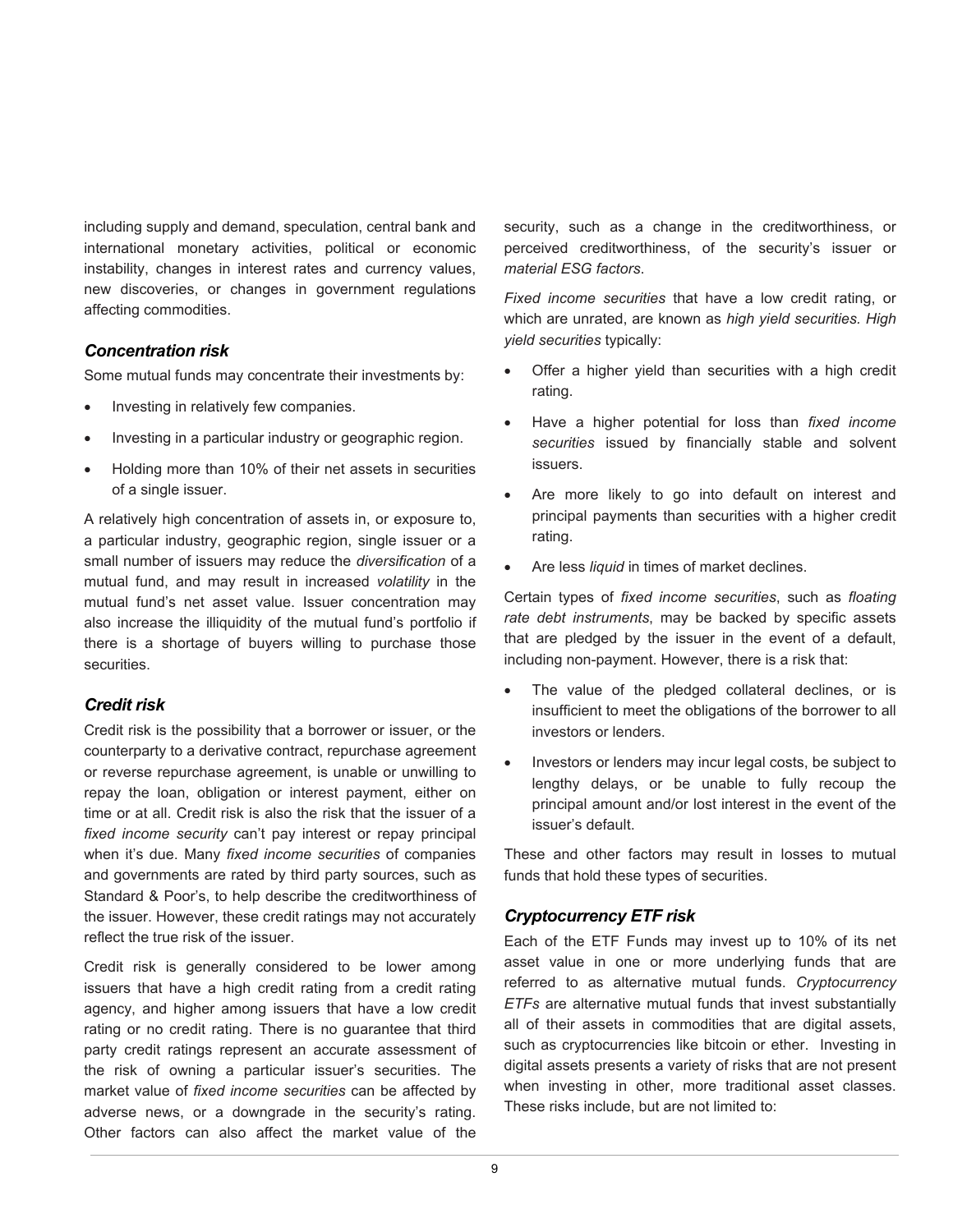including supply and demand, speculation, central bank and international monetary activities, political or economic instability, changes in interest rates and currency values, new discoveries, or changes in government regulations affecting commodities.

# *Concentration risk*

Some mutual funds may concentrate their investments by:

- Investing in relatively few companies.
- Investing in a particular industry or geographic region.
- Holding more than 10% of their net assets in securities of a single issuer.

A relatively high concentration of assets in, or exposure to, a particular industry, geographic region, single issuer or a small number of issuers may reduce the *diversification* of a mutual fund, and may result in increased *volatility* in the mutual fund's net asset value. Issuer concentration may also increase the illiquidity of the mutual fund's portfolio if there is a shortage of buyers willing to purchase those securities.

#### *Credit risk*

Credit risk is the possibility that a borrower or issuer, or the counterparty to a derivative contract, repurchase agreement or reverse repurchase agreement, is unable or unwilling to repay the loan, obligation or interest payment, either on time or at all. Credit risk is also the risk that the issuer of a *fixed income security* can't pay interest or repay principal when it's due. Many *fixed income securities* of companies and governments are rated by third party sources, such as Standard & Poor's, to help describe the creditworthiness of the issuer. However, these credit ratings may not accurately reflect the true risk of the issuer.

Credit risk is generally considered to be lower among issuers that have a high credit rating from a credit rating agency, and higher among issuers that have a low credit rating or no credit rating. There is no guarantee that third party credit ratings represent an accurate assessment of the risk of owning a particular issuer's securities. The market value of *fixed income securities* can be affected by adverse news, or a downgrade in the security's rating. Other factors can also affect the market value of the

security, such as a change in the creditworthiness, or perceived creditworthiness, of the security's issuer or *material ESG factors*.

*Fixed income securities* that have a low credit rating, or which are unrated, are known as *high yield securities. High yield securities* typically:

- Offer a higher yield than securities with a high credit rating.
- Have a higher potential for loss than *fixed income securities* issued by financially stable and solvent issuers.
- Are more likely to go into default on interest and principal payments than securities with a higher credit rating.
- Are less *liquid* in times of market declines.

Certain types of *fixed income securities*, such as *floating rate debt instruments*, may be backed by specific assets that are pledged by the issuer in the event of a default, including non-payment. However, there is a risk that:

- The value of the pledged collateral declines, or is insufficient to meet the obligations of the borrower to all investors or lenders.
- Investors or lenders may incur legal costs, be subject to lengthy delays, or be unable to fully recoup the principal amount and/or lost interest in the event of the issuer's default.

These and other factors may result in losses to mutual funds that hold these types of securities.

#### *Cryptocurrency ETF risk*

Each of the ETF Funds may invest up to 10% of its net asset value in one or more underlying funds that are referred to as alternative mutual funds. *Cryptocurrency ETFs* are alternative mutual funds that invest substantially all of their assets in commodities that are digital assets, such as cryptocurrencies like bitcoin or ether. Investing in digital assets presents a variety of risks that are not present when investing in other, more traditional asset classes. These risks include, but are not limited to: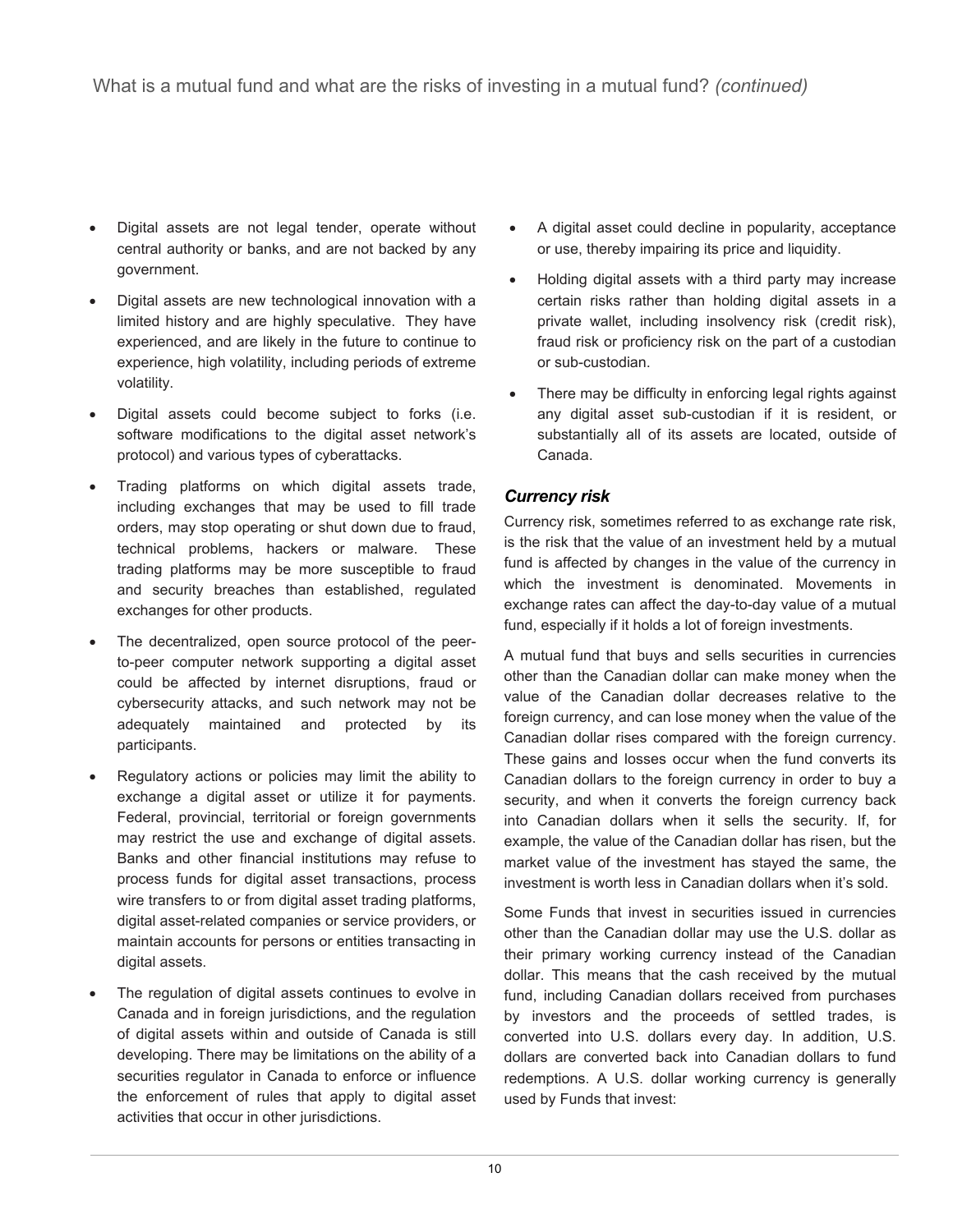- Digital assets are not legal tender, operate without central authority or banks, and are not backed by any government.
- Digital assets are new technological innovation with a limited history and are highly speculative. They have experienced, and are likely in the future to continue to experience, high volatility, including periods of extreme volatility.
- Digital assets could become subject to forks (i.e. software modifications to the digital asset network's protocol) and various types of cyberattacks.
- Trading platforms on which digital assets trade, including exchanges that may be used to fill trade orders, may stop operating or shut down due to fraud, technical problems, hackers or malware. These trading platforms may be more susceptible to fraud and security breaches than established, regulated exchanges for other products.
- The decentralized, open source protocol of the peerto-peer computer network supporting a digital asset could be affected by internet disruptions, fraud or cybersecurity attacks, and such network may not be adequately maintained and protected by its participants.
- Regulatory actions or policies may limit the ability to exchange a digital asset or utilize it for payments. Federal, provincial, territorial or foreign governments may restrict the use and exchange of digital assets. Banks and other financial institutions may refuse to process funds for digital asset transactions, process wire transfers to or from digital asset trading platforms, digital asset-related companies or service providers, or maintain accounts for persons or entities transacting in digital assets.
- The regulation of digital assets continues to evolve in Canada and in foreign jurisdictions, and the regulation of digital assets within and outside of Canada is still developing. There may be limitations on the ability of a securities regulator in Canada to enforce or influence the enforcement of rules that apply to digital asset activities that occur in other jurisdictions.
- A digital asset could decline in popularity, acceptance or use, thereby impairing its price and liquidity.
- Holding digital assets with a third party may increase certain risks rather than holding digital assets in a private wallet, including insolvency risk (credit risk), fraud risk or proficiency risk on the part of a custodian or sub-custodian.
- There may be difficulty in enforcing legal rights against any digital asset sub-custodian if it is resident, or substantially all of its assets are located, outside of Canada.

# *Currency risk*

Currency risk, sometimes referred to as exchange rate risk, is the risk that the value of an investment held by a mutual fund is affected by changes in the value of the currency in which the investment is denominated. Movements in exchange rates can affect the day-to-day value of a mutual fund, especially if it holds a lot of foreign investments.

A mutual fund that buys and sells securities in currencies other than the Canadian dollar can make money when the value of the Canadian dollar decreases relative to the foreign currency, and can lose money when the value of the Canadian dollar rises compared with the foreign currency. These gains and losses occur when the fund converts its Canadian dollars to the foreign currency in order to buy a security, and when it converts the foreign currency back into Canadian dollars when it sells the security. If, for example, the value of the Canadian dollar has risen, but the market value of the investment has stayed the same, the investment is worth less in Canadian dollars when it's sold.

Some Funds that invest in securities issued in currencies other than the Canadian dollar may use the U.S. dollar as their primary working currency instead of the Canadian dollar. This means that the cash received by the mutual fund, including Canadian dollars received from purchases by investors and the proceeds of settled trades, is converted into U.S. dollars every day. In addition, U.S. dollars are converted back into Canadian dollars to fund redemptions. A U.S. dollar working currency is generally used by Funds that invest: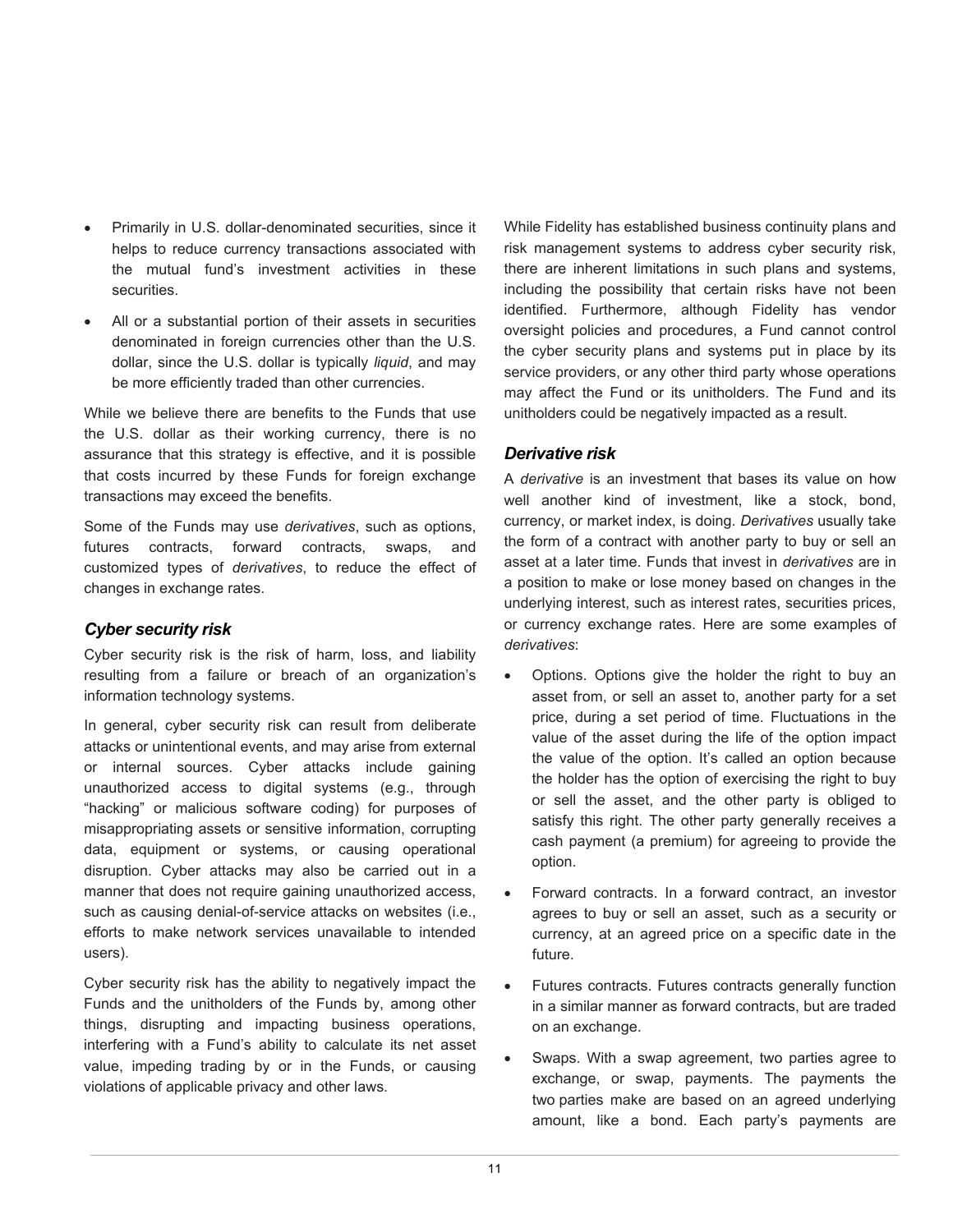- Primarily in U.S. dollar-denominated securities, since it helps to reduce currency transactions associated with the mutual fund's investment activities in these securities.
- All or a substantial portion of their assets in securities denominated in foreign currencies other than the U.S. dollar, since the U.S. dollar is typically *liquid*, and may be more efficiently traded than other currencies.

While we believe there are benefits to the Funds that use the U.S. dollar as their working currency, there is no assurance that this strategy is effective, and it is possible that costs incurred by these Funds for foreign exchange transactions may exceed the benefits.

Some of the Funds may use *derivatives*, such as options, futures contracts, forward contracts, swaps, and customized types of *derivatives*, to reduce the effect of changes in exchange rates.

# *Cyber security risk*

Cyber security risk is the risk of harm, loss, and liability resulting from a failure or breach of an organization's information technology systems.

In general, cyber security risk can result from deliberate attacks or unintentional events, and may arise from external or internal sources. Cyber attacks include gaining unauthorized access to digital systems (e.g., through "hacking" or malicious software coding) for purposes of misappropriating assets or sensitive information, corrupting data, equipment or systems, or causing operational disruption. Cyber attacks may also be carried out in a manner that does not require gaining unauthorized access, such as causing denial-of-service attacks on websites (i.e., efforts to make network services unavailable to intended users).

Cyber security risk has the ability to negatively impact the Funds and the unitholders of the Funds by, among other things, disrupting and impacting business operations, interfering with a Fund's ability to calculate its net asset value, impeding trading by or in the Funds, or causing violations of applicable privacy and other laws.

While Fidelity has established business continuity plans and risk management systems to address cyber security risk, there are inherent limitations in such plans and systems, including the possibility that certain risks have not been identified. Furthermore, although Fidelity has vendor oversight policies and procedures, a Fund cannot control the cyber security plans and systems put in place by its service providers, or any other third party whose operations may affect the Fund or its unitholders. The Fund and its unitholders could be negatively impacted as a result.

# *Derivative risk*

A *derivative* is an investment that bases its value on how well another kind of investment, like a stock, bond, currency, or market index, is doing. *Derivatives* usually take the form of a contract with another party to buy or sell an asset at a later time. Funds that invest in *derivatives* are in a position to make or lose money based on changes in the underlying interest, such as interest rates, securities prices, or currency exchange rates. Here are some examples of *derivatives*:

- Options. Options give the holder the right to buy an asset from, or sell an asset to, another party for a set price, during a set period of time. Fluctuations in the value of the asset during the life of the option impact the value of the option. It's called an option because the holder has the option of exercising the right to buy or sell the asset, and the other party is obliged to satisfy this right. The other party generally receives a cash payment (a premium) for agreeing to provide the option.
- Forward contracts. In a forward contract, an investor agrees to buy or sell an asset, such as a security or currency, at an agreed price on a specific date in the future.
- Futures contracts. Futures contracts generally function in a similar manner as forward contracts, but are traded on an exchange.
- Swaps. With a swap agreement, two parties agree to exchange, or swap, payments. The payments the two parties make are based on an agreed underlying amount, like a bond. Each party's payments are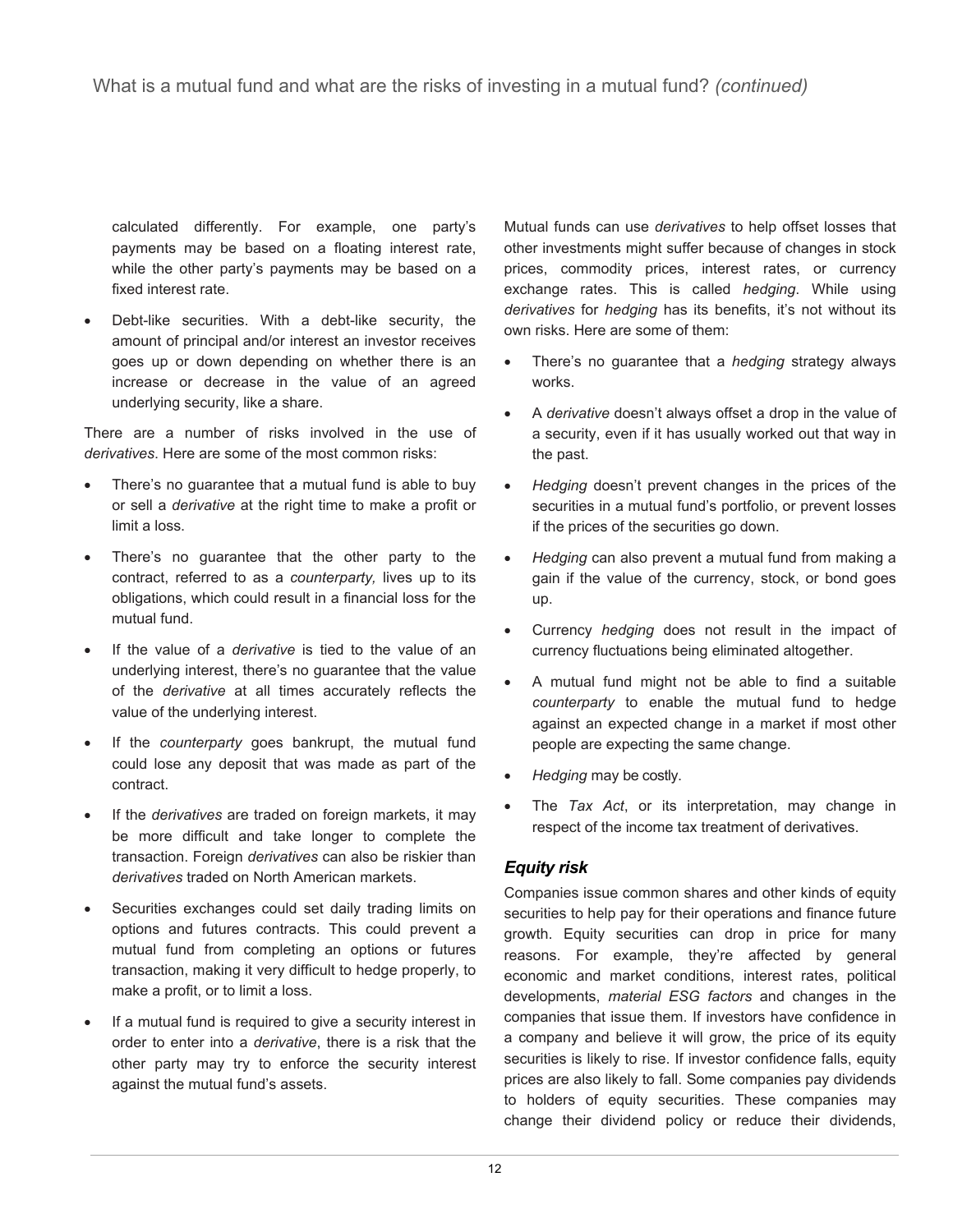calculated differently. For example, one party's payments may be based on a floating interest rate, while the other party's payments may be based on a fixed interest rate.

• Debt-like securities. With a debt-like security, the amount of principal and/or interest an investor receives goes up or down depending on whether there is an increase or decrease in the value of an agreed underlying security, like a share.

There are a number of risks involved in the use of *derivatives*. Here are some of the most common risks:

- There's no guarantee that a mutual fund is able to buy or sell a *derivative* at the right time to make a profit or limit a loss.
- There's no guarantee that the other party to the contract, referred to as a *counterparty,* lives up to its obligations, which could result in a financial loss for the mutual fund.
- If the value of a *derivative* is tied to the value of an underlying interest, there's no guarantee that the value of the *derivative* at all times accurately reflects the value of the underlying interest.
- If the *counterparty* goes bankrupt, the mutual fund could lose any deposit that was made as part of the contract.
- If the *derivatives* are traded on foreign markets, it may be more difficult and take longer to complete the transaction. Foreign *derivatives* can also be riskier than *derivatives* traded on North American markets.
- Securities exchanges could set daily trading limits on options and futures contracts. This could prevent a mutual fund from completing an options or futures transaction, making it very difficult to hedge properly, to make a profit, or to limit a loss.
- If a mutual fund is required to give a security interest in order to enter into a *derivative*, there is a risk that the other party may try to enforce the security interest against the mutual fund's assets.

Mutual funds can use *derivatives* to help offset losses that other investments might suffer because of changes in stock prices, commodity prices, interest rates, or currency exchange rates. This is called *hedging*. While using *derivatives* for *hedging* has its benefits, it's not without its own risks. Here are some of them:

- There's no guarantee that a *hedging* strategy always works.
- A *derivative* doesn't always offset a drop in the value of a security, even if it has usually worked out that way in the past.
- *Hedging* doesn't prevent changes in the prices of the securities in a mutual fund's portfolio, or prevent losses if the prices of the securities go down.
- *Hedging* can also prevent a mutual fund from making a gain if the value of the currency, stock, or bond goes up.
- Currency *hedging* does not result in the impact of currency fluctuations being eliminated altogether.
- A mutual fund might not be able to find a suitable *counterparty* to enable the mutual fund to hedge against an expected change in a market if most other people are expecting the same change.
- *Hedging* may be costly.
- The *Tax Act*, or its interpretation, may change in respect of the income tax treatment of derivatives.

# *Equity risk*

Companies issue common shares and other kinds of equity securities to help pay for their operations and finance future growth. Equity securities can drop in price for many reasons. For example, they're affected by general economic and market conditions, interest rates, political developments, *material ESG factors* and changes in the companies that issue them. If investors have confidence in a company and believe it will grow, the price of its equity securities is likely to rise. If investor confidence falls, equity prices are also likely to fall. Some companies pay dividends to holders of equity securities. These companies may change their dividend policy or reduce their dividends,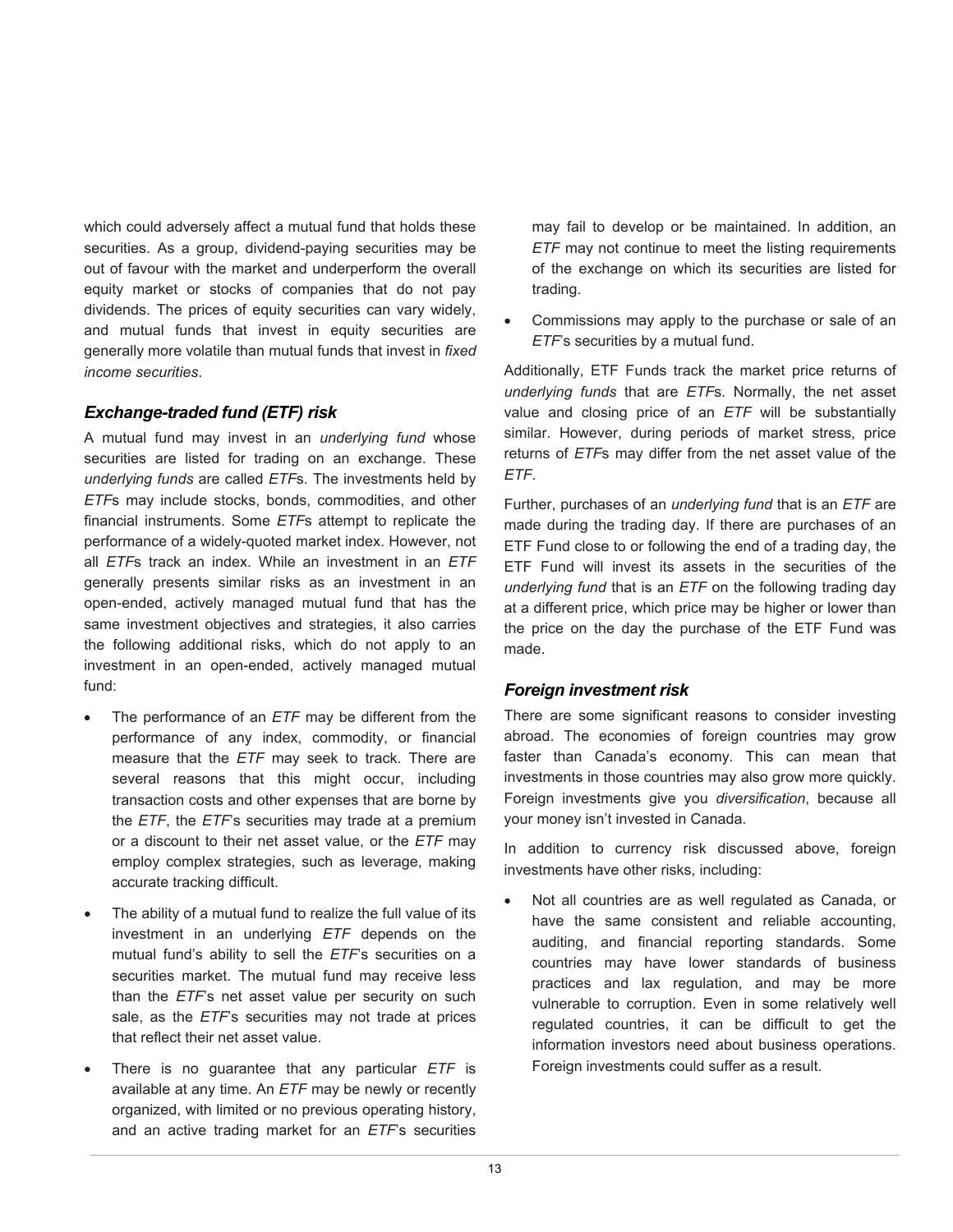which could adversely affect a mutual fund that holds these securities. As a group, dividend-paying securities may be out of favour with the market and underperform the overall equity market or stocks of companies that do not pay dividends. The prices of equity securities can vary widely, and mutual funds that invest in equity securities are generally more volatile than mutual funds that invest in *fixed income securities*.

#### *Exchange-traded fund (ETF) risk*

A mutual fund may invest in an *underlying fund* whose securities are listed for trading on an exchange. These *underlying funds* are called *ETF*s. The investments held by *ETF*s may include stocks, bonds, commodities, and other financial instruments. Some *ETF*s attempt to replicate the performance of a widely-quoted market index. However, not all *ETF*s track an index. While an investment in an *ETF* generally presents similar risks as an investment in an open-ended, actively managed mutual fund that has the same investment objectives and strategies, it also carries the following additional risks, which do not apply to an investment in an open-ended, actively managed mutual fund:

- The performance of an *ETF* may be different from the performance of any index, commodity, or financial measure that the *ETF* may seek to track. There are several reasons that this might occur, including transaction costs and other expenses that are borne by the *ETF*, the *ETF*'s securities may trade at a premium or a discount to their net asset value, or the *ETF* may employ complex strategies, such as leverage, making accurate tracking difficult.
- The ability of a mutual fund to realize the full value of its investment in an underlying *ETF* depends on the mutual fund's ability to sell the *ETF*'s securities on a securities market. The mutual fund may receive less than the *ETF*'s net asset value per security on such sale, as the *ETF*'s securities may not trade at prices that reflect their net asset value.
- There is no guarantee that any particular *ETF* is available at any time. An *ETF* may be newly or recently organized, with limited or no previous operating history, and an active trading market for an *ETF*'s securities

may fail to develop or be maintained. In addition, an *ETF* may not continue to meet the listing requirements of the exchange on which its securities are listed for trading.

• Commissions may apply to the purchase or sale of an *ETF*'s securities by a mutual fund.

Additionally, ETF Funds track the market price returns of *underlying funds* that are *ETF*s. Normally, the net asset value and closing price of an *ETF* will be substantially similar. However, during periods of market stress, price returns of *ETF*s may differ from the net asset value of the *ETF*.

Further, purchases of an *underlying fund* that is an *ETF* are made during the trading day. If there are purchases of an ETF Fund close to or following the end of a trading day, the ETF Fund will invest its assets in the securities of the *underlying fund* that is an *ETF* on the following trading day at a different price, which price may be higher or lower than the price on the day the purchase of the ETF Fund was made.

# *Foreign investment risk*

There are some significant reasons to consider investing abroad. The economies of foreign countries may grow faster than Canada's economy. This can mean that investments in those countries may also grow more quickly. Foreign investments give you *diversification*, because all your money isn't invested in Canada.

In addition to currency risk discussed above, foreign investments have other risks, including:

Not all countries are as well regulated as Canada, or have the same consistent and reliable accounting, auditing, and financial reporting standards. Some countries may have lower standards of business practices and lax regulation, and may be more vulnerable to corruption. Even in some relatively well regulated countries, it can be difficult to get the information investors need about business operations. Foreign investments could suffer as a result.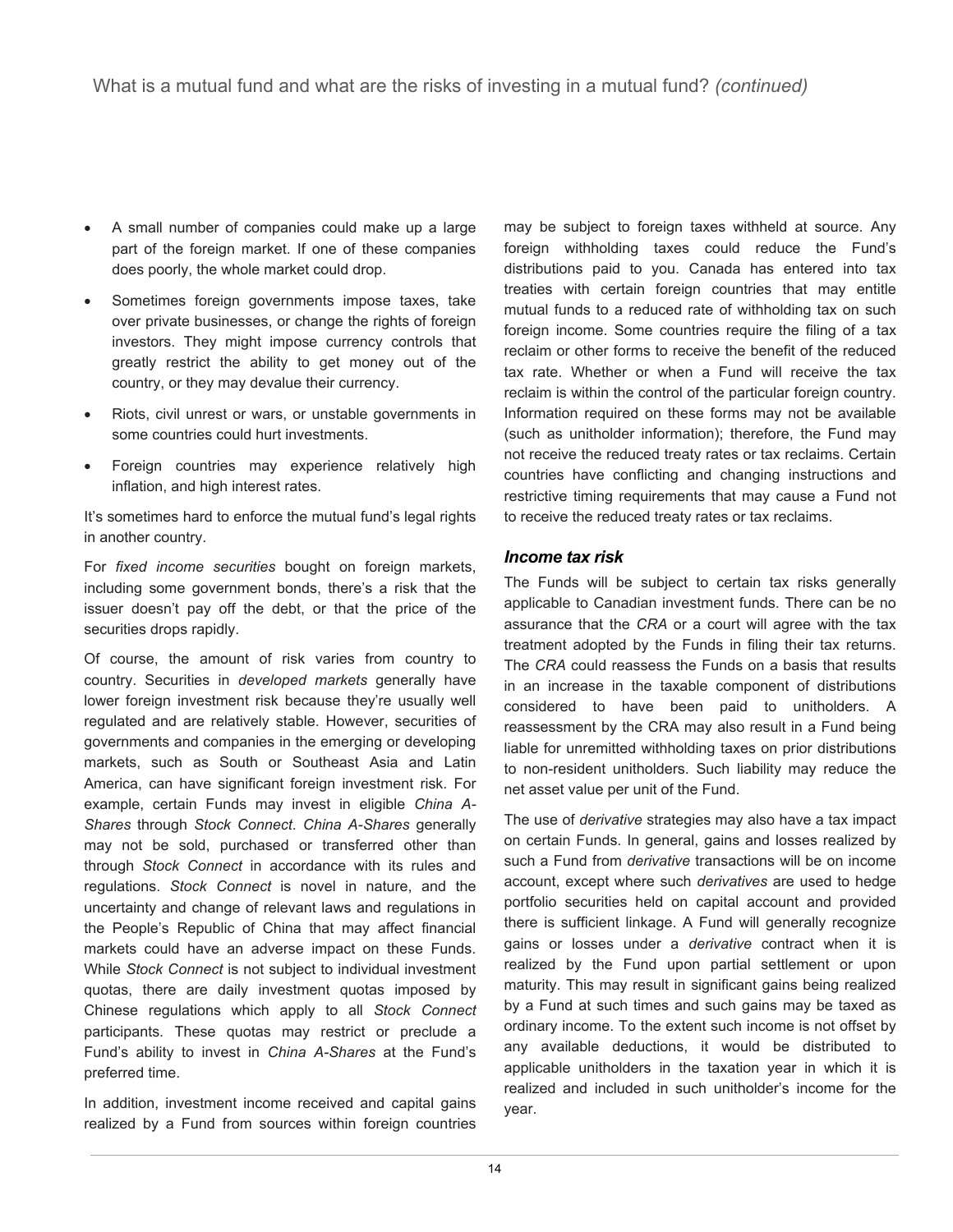- A small number of companies could make up a large part of the foreign market. If one of these companies does poorly, the whole market could drop.
- Sometimes foreign governments impose taxes, take over private businesses, or change the rights of foreign investors. They might impose currency controls that greatly restrict the ability to get money out of the country, or they may devalue their currency.
- Riots, civil unrest or wars, or unstable governments in some countries could hurt investments.
- Foreign countries may experience relatively high inflation, and high interest rates.

It's sometimes hard to enforce the mutual fund's legal rights in another country.

For *fixed income securities* bought on foreign markets, including some government bonds, there's a risk that the issuer doesn't pay off the debt, or that the price of the securities drops rapidly.

Of course, the amount of risk varies from country to country. Securities in *developed markets* generally have lower foreign investment risk because they're usually well regulated and are relatively stable. However, securities of governments and companies in the emerging or developing markets, such as South or Southeast Asia and Latin America, can have significant foreign investment risk. For example, certain Funds may invest in eligible *China A-Shares* through *Stock Connect*. *China A-Shares* generally may not be sold, purchased or transferred other than through *Stock Connect* in accordance with its rules and regulations. *Stock Connect* is novel in nature, and the uncertainty and change of relevant laws and regulations in the People's Republic of China that may affect financial markets could have an adverse impact on these Funds. While *Stock Connect* is not subject to individual investment quotas, there are daily investment quotas imposed by Chinese regulations which apply to all *Stock Connect*  participants. These quotas may restrict or preclude a Fund's ability to invest in *China A-Shares* at the Fund's preferred time.

In addition, investment income received and capital gains realized by a Fund from sources within foreign countries may be subject to foreign taxes withheld at source. Any foreign withholding taxes could reduce the Fund's distributions paid to you. Canada has entered into tax treaties with certain foreign countries that may entitle mutual funds to a reduced rate of withholding tax on such foreign income. Some countries require the filing of a tax reclaim or other forms to receive the benefit of the reduced tax rate. Whether or when a Fund will receive the tax reclaim is within the control of the particular foreign country. Information required on these forms may not be available (such as unitholder information); therefore, the Fund may not receive the reduced treaty rates or tax reclaims. Certain countries have conflicting and changing instructions and restrictive timing requirements that may cause a Fund not to receive the reduced treaty rates or tax reclaims.

#### *Income tax risk*

The Funds will be subject to certain tax risks generally applicable to Canadian investment funds. There can be no assurance that the *CRA* or a court will agree with the tax treatment adopted by the Funds in filing their tax returns. The *CRA* could reassess the Funds on a basis that results in an increase in the taxable component of distributions considered to have been paid to unitholders. A reassessment by the CRA may also result in a Fund being liable for unremitted withholding taxes on prior distributions to non-resident unitholders. Such liability may reduce the net asset value per unit of the Fund.

The use of *derivative* strategies may also have a tax impact on certain Funds. In general, gains and losses realized by such a Fund from *derivative* transactions will be on income account, except where such *derivatives* are used to hedge portfolio securities held on capital account and provided there is sufficient linkage. A Fund will generally recognize gains or losses under a *derivative* contract when it is realized by the Fund upon partial settlement or upon maturity. This may result in significant gains being realized by a Fund at such times and such gains may be taxed as ordinary income. To the extent such income is not offset by any available deductions, it would be distributed to applicable unitholders in the taxation year in which it is realized and included in such unitholder's income for the year.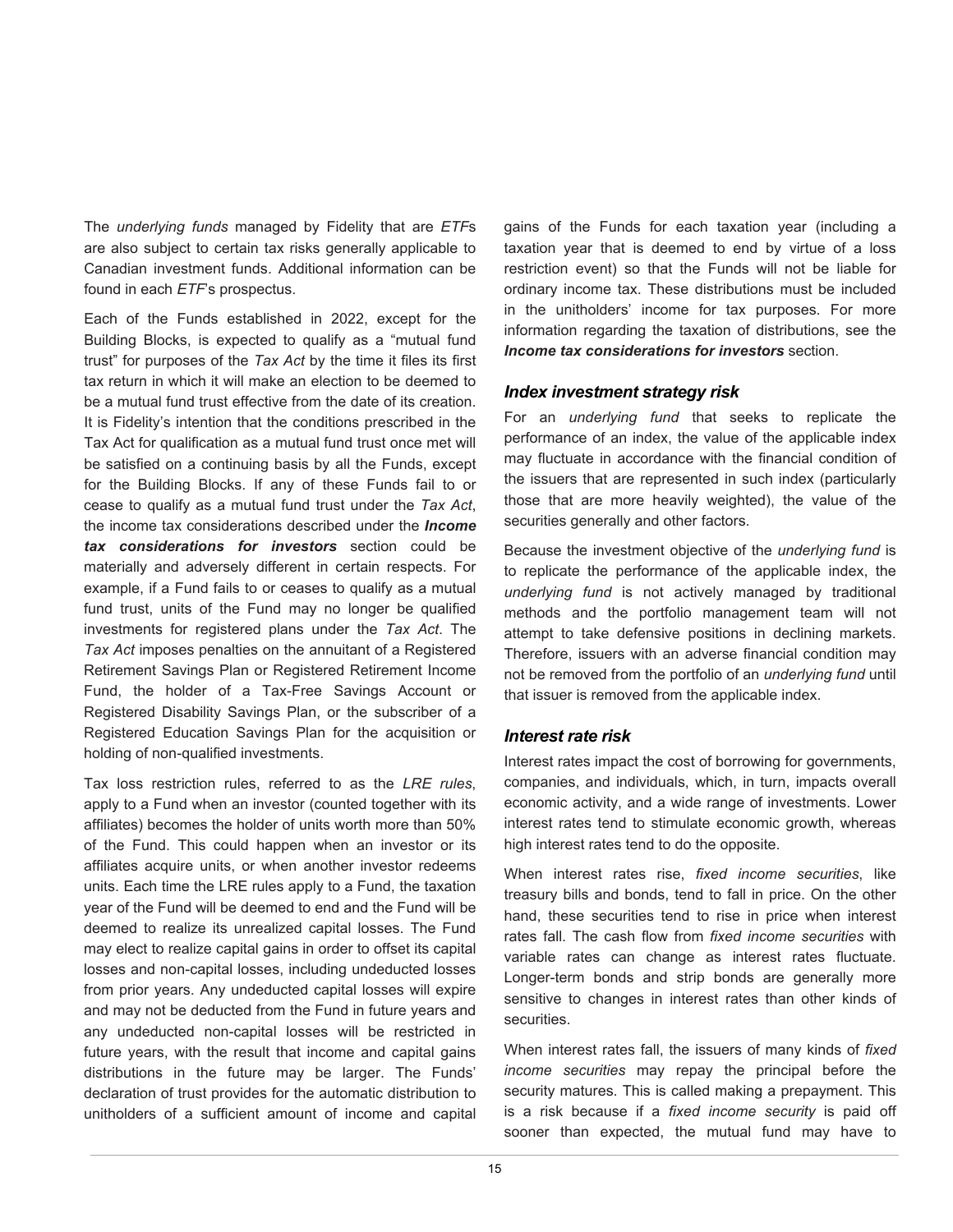The *underlying funds* managed by Fidelity that are *ETF*s are also subject to certain tax risks generally applicable to Canadian investment funds. Additional information can be found in each *ETF*'s prospectus.

Each of the Funds established in 2022, except for the Building Blocks, is expected to qualify as a "mutual fund trust" for purposes of the *Tax Act* by the time it files its first tax return in which it will make an election to be deemed to be a mutual fund trust effective from the date of its creation. It is Fidelity's intention that the conditions prescribed in the Tax Act for qualification as a mutual fund trust once met will be satisfied on a continuing basis by all the Funds, except for the Building Blocks. If any of these Funds fail to or cease to qualify as a mutual fund trust under the *Tax Act*, the income tax considerations described under the *Income tax considerations for investors* section could be materially and adversely different in certain respects. For example, if a Fund fails to or ceases to qualify as a mutual fund trust, units of the Fund may no longer be qualified investments for registered plans under the *Tax Act*. The *Tax Act* imposes penalties on the annuitant of a Registered Retirement Savings Plan or Registered Retirement Income Fund, the holder of a Tax-Free Savings Account or Registered Disability Savings Plan, or the subscriber of a Registered Education Savings Plan for the acquisition or holding of non-qualified investments.

Tax loss restriction rules, referred to as the *LRE rules*, apply to a Fund when an investor (counted together with its affiliates) becomes the holder of units worth more than 50% of the Fund. This could happen when an investor or its affiliates acquire units, or when another investor redeems units. Each time the LRE rules apply to a Fund, the taxation year of the Fund will be deemed to end and the Fund will be deemed to realize its unrealized capital losses. The Fund may elect to realize capital gains in order to offset its capital losses and non-capital losses, including undeducted losses from prior years. Any undeducted capital losses will expire and may not be deducted from the Fund in future years and any undeducted non-capital losses will be restricted in future years, with the result that income and capital gains distributions in the future may be larger. The Funds' declaration of trust provides for the automatic distribution to unitholders of a sufficient amount of income and capital

gains of the Funds for each taxation year (including a taxation year that is deemed to end by virtue of a loss restriction event) so that the Funds will not be liable for ordinary income tax. These distributions must be included in the unitholders' income for tax purposes. For more information regarding the taxation of distributions, see the *Income tax considerations for investors* section.

#### *Index investment strategy risk*

For an *underlying fund* that seeks to replicate the performance of an index, the value of the applicable index may fluctuate in accordance with the financial condition of the issuers that are represented in such index (particularly those that are more heavily weighted), the value of the securities generally and other factors.

Because the investment objective of the *underlying fund* is to replicate the performance of the applicable index, the *underlying fund* is not actively managed by traditional methods and the portfolio management team will not attempt to take defensive positions in declining markets. Therefore, issuers with an adverse financial condition may not be removed from the portfolio of an *underlying fund* until that issuer is removed from the applicable index.

#### *Interest rate risk*

Interest rates impact the cost of borrowing for governments, companies, and individuals, which, in turn, impacts overall economic activity, and a wide range of investments. Lower interest rates tend to stimulate economic growth, whereas high interest rates tend to do the opposite.

When interest rates rise, *fixed income securities*, like treasury bills and bonds, tend to fall in price. On the other hand, these securities tend to rise in price when interest rates fall. The cash flow from *fixed income securities* with variable rates can change as interest rates fluctuate. Longer-term bonds and strip bonds are generally more sensitive to changes in interest rates than other kinds of securities.

When interest rates fall, the issuers of many kinds of *fixed income securities* may repay the principal before the security matures. This is called making a prepayment. This is a risk because if a *fixed income security* is paid off sooner than expected, the mutual fund may have to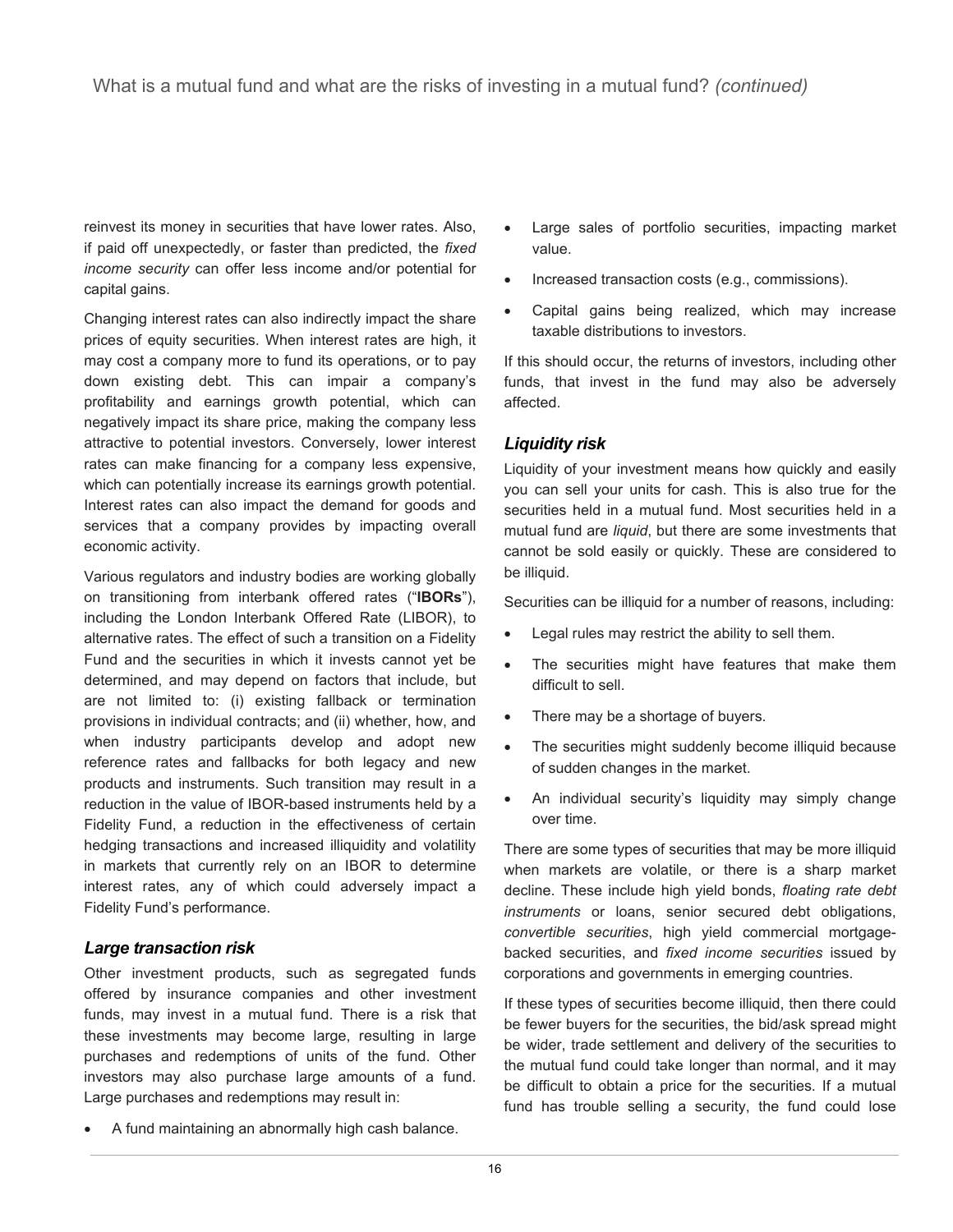reinvest its money in securities that have lower rates. Also, if paid off unexpectedly, or faster than predicted, the *fixed income security* can offer less income and/or potential for capital gains.

Changing interest rates can also indirectly impact the share prices of equity securities. When interest rates are high, it may cost a company more to fund its operations, or to pay down existing debt. This can impair a company's profitability and earnings growth potential, which can negatively impact its share price, making the company less attractive to potential investors. Conversely, lower interest rates can make financing for a company less expensive, which can potentially increase its earnings growth potential. Interest rates can also impact the demand for goods and services that a company provides by impacting overall economic activity.

Various regulators and industry bodies are working globally on transitioning from interbank offered rates ("**IBORs**"), including the London Interbank Offered Rate (LIBOR), to alternative rates. The effect of such a transition on a Fidelity Fund and the securities in which it invests cannot yet be determined, and may depend on factors that include, but are not limited to: (i) existing fallback or termination provisions in individual contracts; and (ii) whether, how, and when industry participants develop and adopt new reference rates and fallbacks for both legacy and new products and instruments. Such transition may result in a reduction in the value of IBOR-based instruments held by a Fidelity Fund, a reduction in the effectiveness of certain hedging transactions and increased illiquidity and volatility in markets that currently rely on an IBOR to determine interest rates, any of which could adversely impact a Fidelity Fund's performance.

#### *Large transaction risk*

Other investment products, such as segregated funds offered by insurance companies and other investment funds, may invest in a mutual fund. There is a risk that these investments may become large, resulting in large purchases and redemptions of units of the fund. Other investors may also purchase large amounts of a fund. Large purchases and redemptions may result in:

• A fund maintaining an abnormally high cash balance.

- Large sales of portfolio securities, impacting market value.
- Increased transaction costs (e.g., commissions).
- Capital gains being realized, which may increase taxable distributions to investors.

If this should occur, the returns of investors, including other funds, that invest in the fund may also be adversely affected.

#### *Liquidity risk*

Liquidity of your investment means how quickly and easily you can sell your units for cash. This is also true for the securities held in a mutual fund. Most securities held in a mutual fund are *liquid*, but there are some investments that cannot be sold easily or quickly. These are considered to be illiquid.

Securities can be illiquid for a number of reasons, including:

- Legal rules may restrict the ability to sell them.
- The securities might have features that make them difficult to sell.
- There may be a shortage of buyers.
- The securities might suddenly become illiquid because of sudden changes in the market.
- An individual security's liquidity may simply change over time.

There are some types of securities that may be more illiquid when markets are volatile, or there is a sharp market decline. These include high yield bonds, *floating rate debt instruments* or loans, senior secured debt obligations, *convertible securities*, high yield commercial mortgagebacked securities, and *fixed income securities* issued by corporations and governments in emerging countries.

If these types of securities become illiquid, then there could be fewer buyers for the securities, the bid/ask spread might be wider, trade settlement and delivery of the securities to the mutual fund could take longer than normal, and it may be difficult to obtain a price for the securities. If a mutual fund has trouble selling a security, the fund could lose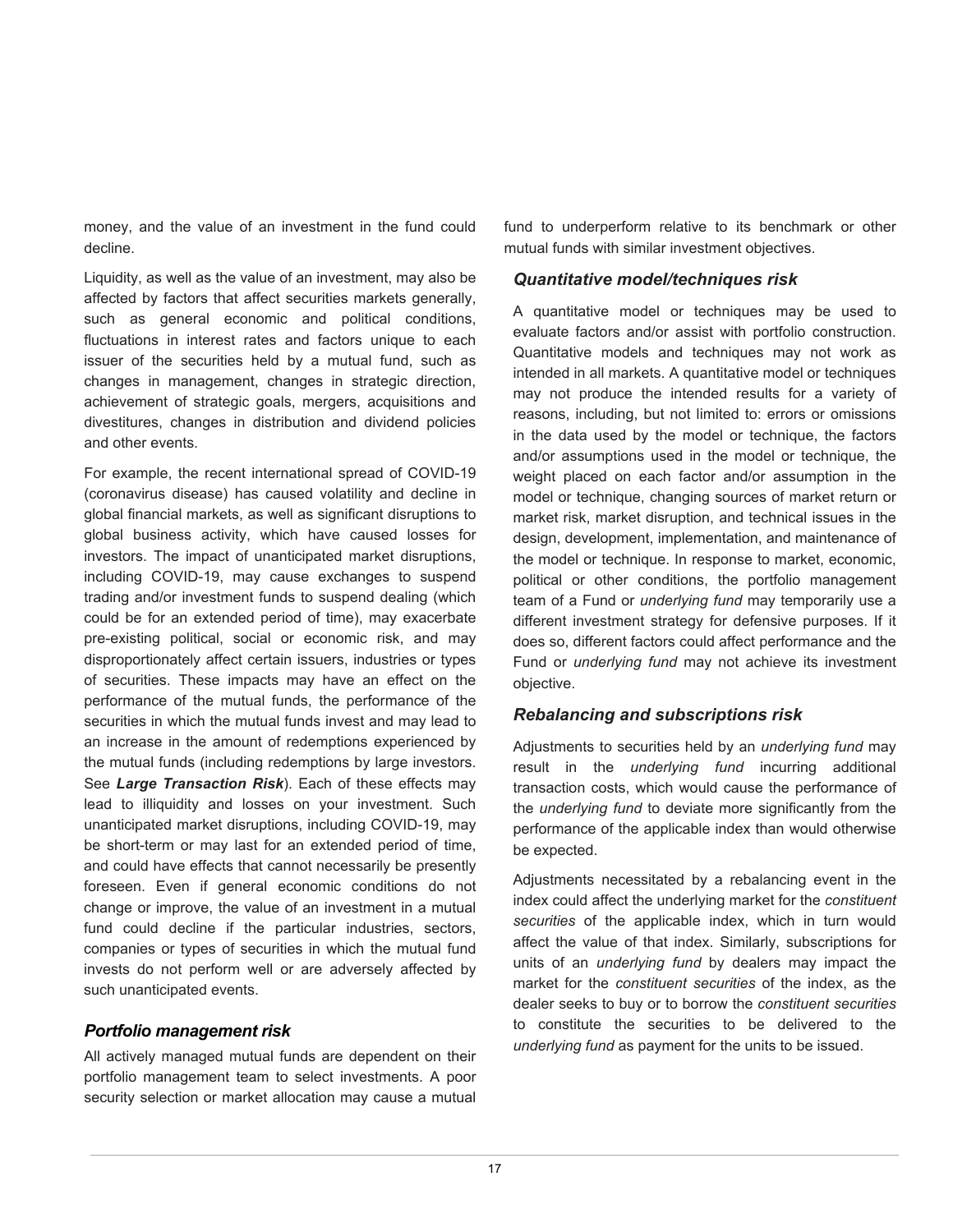money, and the value of an investment in the fund could decline.

Liquidity, as well as the value of an investment, may also be affected by factors that affect securities markets generally, such as general economic and political conditions, fluctuations in interest rates and factors unique to each issuer of the securities held by a mutual fund, such as changes in management, changes in strategic direction, achievement of strategic goals, mergers, acquisitions and divestitures, changes in distribution and dividend policies and other events.

For example, the recent international spread of COVID-19 (coronavirus disease) has caused volatility and decline in global financial markets, as well as significant disruptions to global business activity, which have caused losses for investors. The impact of unanticipated market disruptions, including COVID-19, may cause exchanges to suspend trading and/or investment funds to suspend dealing (which could be for an extended period of time), may exacerbate pre-existing political, social or economic risk, and may disproportionately affect certain issuers, industries or types of securities. These impacts may have an effect on the performance of the mutual funds, the performance of the securities in which the mutual funds invest and may lead to an increase in the amount of redemptions experienced by the mutual funds (including redemptions by large investors. See *Large Transaction Risk*). Each of these effects may lead to illiquidity and losses on your investment. Such unanticipated market disruptions, including COVID-19, may be short-term or may last for an extended period of time, and could have effects that cannot necessarily be presently foreseen. Even if general economic conditions do not change or improve, the value of an investment in a mutual fund could decline if the particular industries, sectors, companies or types of securities in which the mutual fund invests do not perform well or are adversely affected by such unanticipated events.

#### *Portfolio management risk*

All actively managed mutual funds are dependent on their portfolio management team to select investments. A poor security selection or market allocation may cause a mutual

fund to underperform relative to its benchmark or other mutual funds with similar investment objectives.

### *Quantitative model/techniques risk*

A quantitative model or techniques may be used to evaluate factors and/or assist with portfolio construction. Quantitative models and techniques may not work as intended in all markets. A quantitative model or techniques may not produce the intended results for a variety of reasons, including, but not limited to: errors or omissions in the data used by the model or technique, the factors and/or assumptions used in the model or technique, the weight placed on each factor and/or assumption in the model or technique, changing sources of market return or market risk, market disruption, and technical issues in the design, development, implementation, and maintenance of the model or technique. In response to market, economic, political or other conditions, the portfolio management team of a Fund or *underlying fund* may temporarily use a different investment strategy for defensive purposes. If it does so, different factors could affect performance and the Fund or *underlying fund* may not achieve its investment objective.

#### *Rebalancing and subscriptions risk*

Adjustments to securities held by an *underlying fund* may result in the *underlying fund* incurring additional transaction costs, which would cause the performance of the *underlying fund* to deviate more significantly from the performance of the applicable index than would otherwise be expected.

Adjustments necessitated by a rebalancing event in the index could affect the underlying market for the *constituent securities* of the applicable index, which in turn would affect the value of that index. Similarly, subscriptions for units of an *underlying fund* by dealers may impact the market for the *constituent securities* of the index, as the dealer seeks to buy or to borrow the *constituent securities*  to constitute the securities to be delivered to the *underlying fund* as payment for the units to be issued.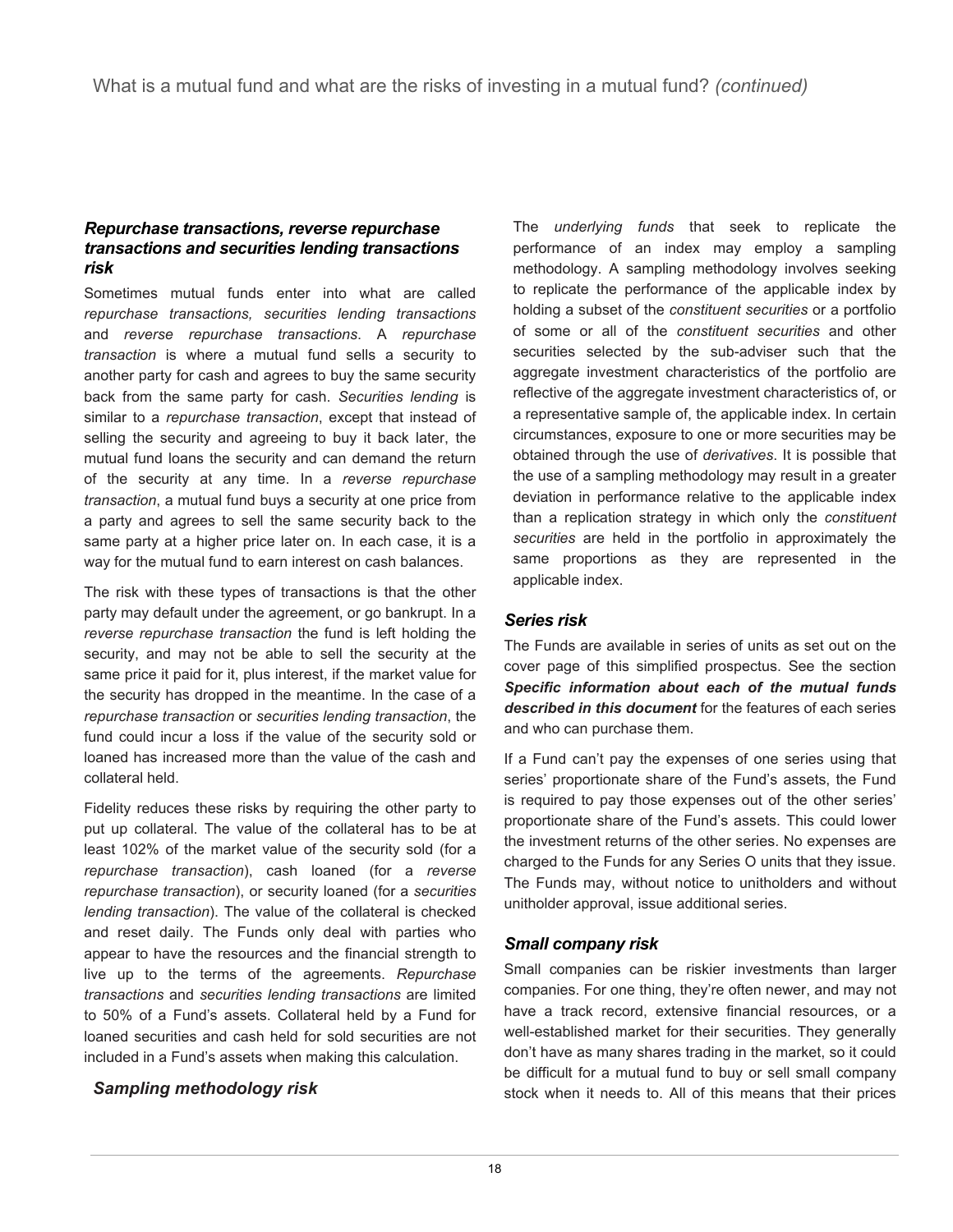### *Repurchase transactions, reverse repurchase transactions and securities lending transactions risk*

Sometimes mutual funds enter into what are called *repurchase transactions, securities lending transactions*  and *reverse repurchase transactions*. A *repurchase transaction* is where a mutual fund sells a security to another party for cash and agrees to buy the same security back from the same party for cash. *Securities lending* is similar to a *repurchase transaction*, except that instead of selling the security and agreeing to buy it back later, the mutual fund loans the security and can demand the return of the security at any time. In a *reverse repurchase transaction*, a mutual fund buys a security at one price from a party and agrees to sell the same security back to the same party at a higher price later on. In each case, it is a way for the mutual fund to earn interest on cash balances.

The risk with these types of transactions is that the other party may default under the agreement, or go bankrupt. In a *reverse repurchase transaction* the fund is left holding the security, and may not be able to sell the security at the same price it paid for it, plus interest, if the market value for the security has dropped in the meantime. In the case of a *repurchase transaction* or *securities lending transaction*, the fund could incur a loss if the value of the security sold or loaned has increased more than the value of the cash and collateral held.

Fidelity reduces these risks by requiring the other party to put up collateral. The value of the collateral has to be at least 102% of the market value of the security sold (for a *repurchase transaction*), cash loaned (for a *reverse repurchase transaction*), or security loaned (for a *securities lending transaction*). The value of the collateral is checked and reset daily. The Funds only deal with parties who appear to have the resources and the financial strength to live up to the terms of the agreements. *Repurchase transactions* and *securities lending transactions* are limited to 50% of a Fund's assets. Collateral held by a Fund for loaned securities and cash held for sold securities are not included in a Fund's assets when making this calculation.

# *Sampling methodology risk*

The *underlying funds* that seek to replicate the performance of an index may employ a sampling methodology. A sampling methodology involves seeking to replicate the performance of the applicable index by holding a subset of the *constituent securities* or a portfolio of some or all of the *constituent securities* and other securities selected by the sub-adviser such that the aggregate investment characteristics of the portfolio are reflective of the aggregate investment characteristics of, or a representative sample of, the applicable index. In certain circumstances, exposure to one or more securities may be obtained through the use of *derivatives*. It is possible that the use of a sampling methodology may result in a greater deviation in performance relative to the applicable index than a replication strategy in which only the *constituent securities* are held in the portfolio in approximately the same proportions as they are represented in the applicable index.

# *Series risk*

The Funds are available in series of units as set out on the cover page of this simplified prospectus. See the section *Specific information about each of the mutual funds described in this document* for the features of each series and who can purchase them.

If a Fund can't pay the expenses of one series using that series' proportionate share of the Fund's assets, the Fund is required to pay those expenses out of the other series' proportionate share of the Fund's assets. This could lower the investment returns of the other series. No expenses are charged to the Funds for any Series O units that they issue. The Funds may, without notice to unitholders and without unitholder approval, issue additional series.

# *Small company risk*

Small companies can be riskier investments than larger companies. For one thing, they're often newer, and may not have a track record, extensive financial resources, or a well-established market for their securities. They generally don't have as many shares trading in the market, so it could be difficult for a mutual fund to buy or sell small company stock when it needs to. All of this means that their prices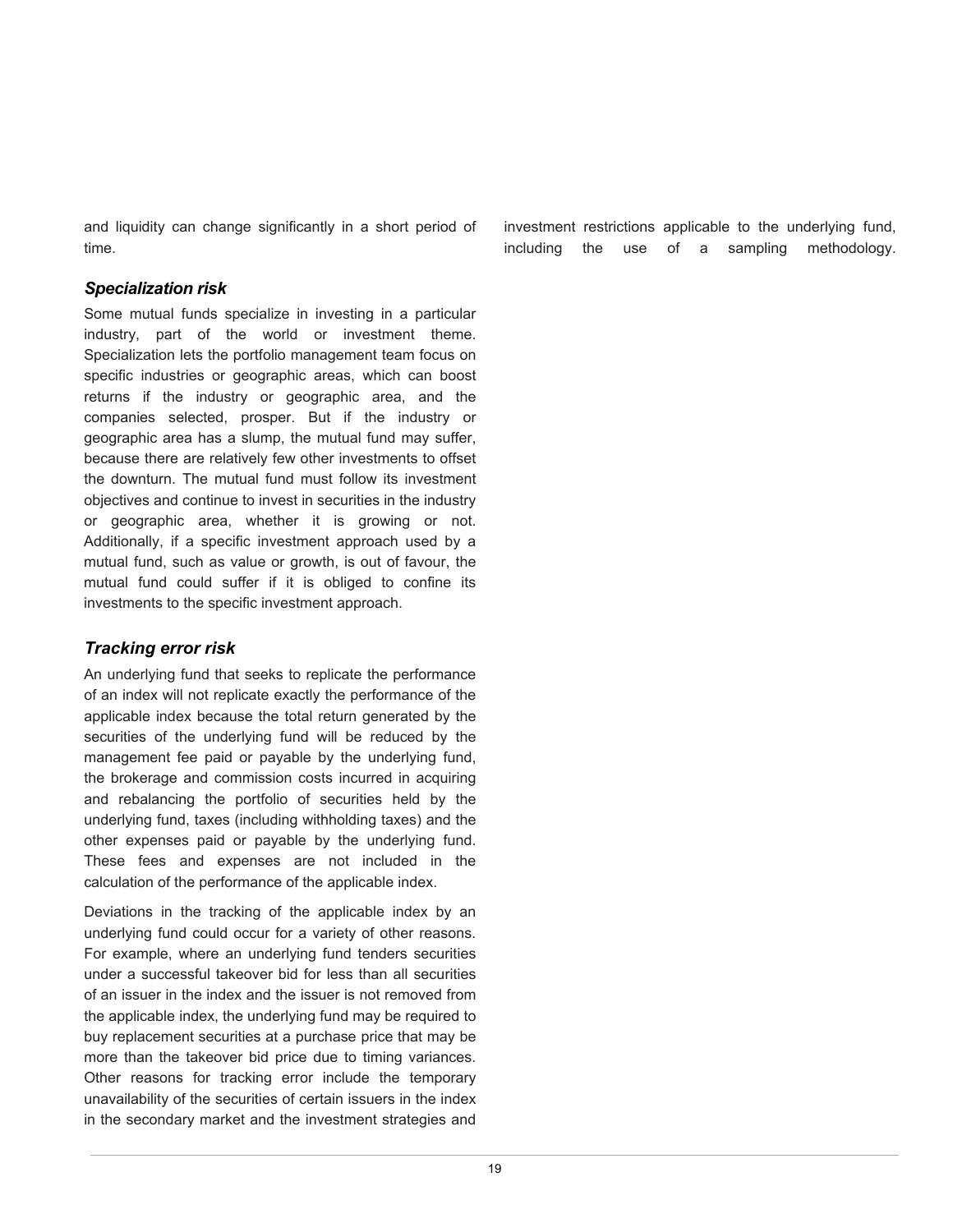and liquidity can change significantly in a short period of time.

#### *Specialization risk*

Some mutual funds specialize in investing in a particular industry, part of the world or investment theme. Specialization lets the portfolio management team focus on specific industries or geographic areas, which can boost returns if the industry or geographic area, and the companies selected, prosper. But if the industry or geographic area has a slump, the mutual fund may suffer, because there are relatively few other investments to offset the downturn. The mutual fund must follow its investment objectives and continue to invest in securities in the industry or geographic area, whether it is growing or not. Additionally, if a specific investment approach used by a mutual fund, such as value or growth, is out of favour, the mutual fund could suffer if it is obliged to confine its investments to the specific investment approach.

# *Tracking error risk*

An underlying fund that seeks to replicate the performance of an index will not replicate exactly the performance of the applicable index because the total return generated by the securities of the underlying fund will be reduced by the management fee paid or payable by the underlying fund, the brokerage and commission costs incurred in acquiring and rebalancing the portfolio of securities held by the underlying fund, taxes (including withholding taxes) and the other expenses paid or payable by the underlying fund. These fees and expenses are not included in the calculation of the performance of the applicable index.

Deviations in the tracking of the applicable index by an underlying fund could occur for a variety of other reasons. For example, where an underlying fund tenders securities under a successful takeover bid for less than all securities of an issuer in the index and the issuer is not removed from the applicable index, the underlying fund may be required to buy replacement securities at a purchase price that may be more than the takeover bid price due to timing variances. Other reasons for tracking error include the temporary unavailability of the securities of certain issuers in the index in the secondary market and the investment strategies and

investment restrictions applicable to the underlying fund, including the use of a sampling methodology.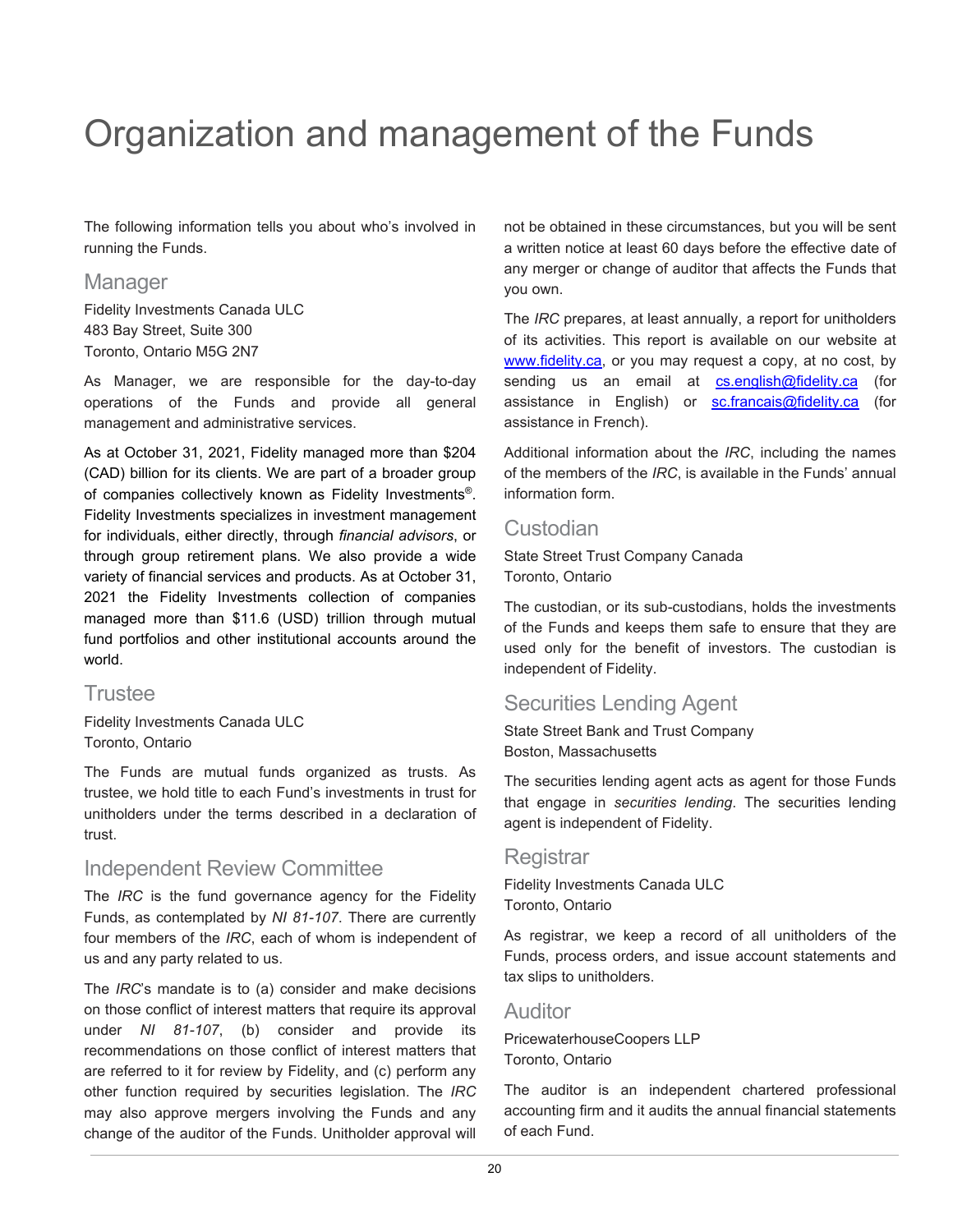# <span id="page-21-0"></span>Organization and management of the Funds

The following information tells you about who's involved in running the Funds.

# **Manager**

Fidelity Investments Canada ULC 483 Bay Street, Suite 300 Toronto, Ontario M5G 2N7

As Manager, we are responsible for the day-to-day operations of the Funds and provide all general management and administrative services.

As at October 31, 2021, Fidelity managed more than \$204 (CAD) billion for its clients. We are part of a broader group of companies collectively known as Fidelity Investments®. Fidelity Investments specializes in investment management for individuals, either directly, through *financial advisors*, or through group retirement plans. We also provide a wide variety of financial services and products. As at October 31, 2021 the Fidelity Investments collection of companies managed more than \$11.6 (USD) trillion through mutual fund portfolios and other institutional accounts around the world.

# **Trustee**

Fidelity Investments Canada ULC Toronto, Ontario

The Funds are mutual funds organized as trusts. As trustee, we hold title to each Fund's investments in trust for unitholders under the terms described in a declaration of trust.

# Independent Review Committee

The *IRC* is the fund governance agency for the Fidelity Funds, as contemplated by *NI 81-107*. There are currently four members of the *IRC*, each of whom is independent of us and any party related to us.

The *IRC*'s mandate is to (a) consider and make decisions on those conflict of interest matters that require its approval under *NI 81-107*, (b) consider and provide its recommendations on those conflict of interest matters that are referred to it for review by Fidelity, and (c) perform any other function required by securities legislation. The *IRC* may also approve mergers involving the Funds and any change of the auditor of the Funds. Unitholder approval will

not be obtained in these circumstances, but you will be sent a written notice at least 60 days before the effective date of any merger or change of auditor that affects the Funds that you own.

The *IRC* prepares, at least annually, a report for unitholders of its activities. This report is available on our website at [www.fidelity.ca,](http://www.fidelity.ca/) or you may request a copy, at no cost, by sending us an email at [cs.english@fidelity.ca](mailto:cs.english@fidelity.ca) (for assistance in English) or [sc.francais@fidelity.ca](mailto:sc.francais@fidelity.ca) (for assistance in French).

Additional information about the *IRC*, including the names of the members of the *IRC*, is available in the Funds' annual information form.

# **Custodian**

State Street Trust Company Canada Toronto, Ontario

The custodian, or its sub-custodians, holds the investments of the Funds and keeps them safe to ensure that they are used only for the benefit of investors. The custodian is independent of Fidelity.

# Securities Lending Agent

State Street Bank and Trust Company Boston, Massachusetts

The securities lending agent acts as agent for those Funds that engage in *securities lending*. The securities lending agent is independent of Fidelity.

# Registrar

Fidelity Investments Canada ULC Toronto, Ontario

As registrar, we keep a record of all unitholders of the Funds, process orders, and issue account statements and tax slips to unitholders.

# Auditor

PricewaterhouseCoopers LLP Toronto, Ontario

The auditor is an independent chartered professional accounting firm and it audits the annual financial statements of each Fund.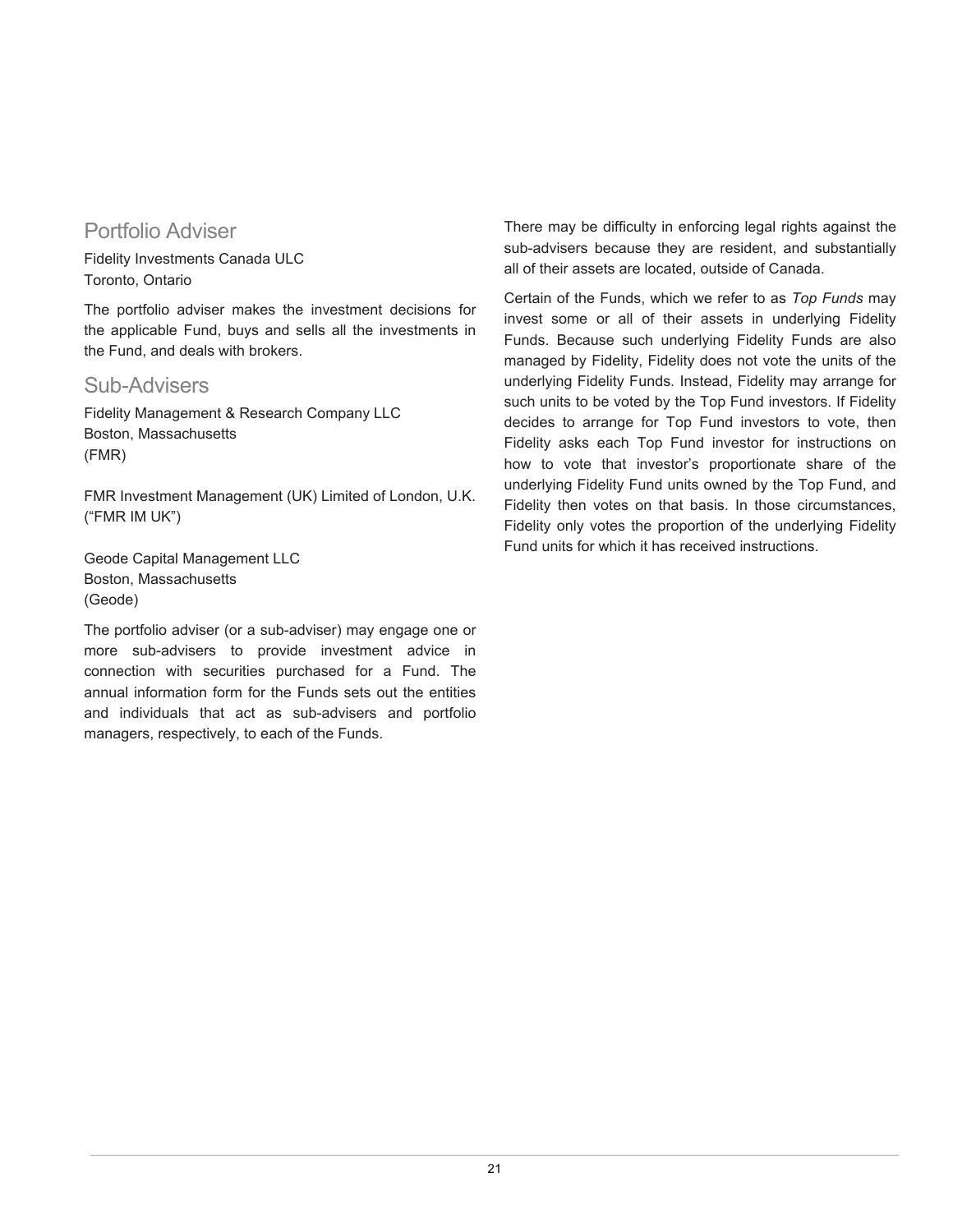# Portfolio Adviser

Fidelity Investments Canada ULC Toronto, Ontario

The portfolio adviser makes the investment decisions for the applicable Fund, buys and sells all the investments in the Fund, and deals with brokers.

# Sub-Advisers

Fidelity Management & Research Company LLC Boston, Massachusetts (FMR)

FMR Investment Management (UK) Limited of London, U.K. ("FMR IM UK")

Geode Capital Management LLC Boston, Massachusetts (Geode)

The portfolio adviser (or a sub-adviser) may engage one or more sub-advisers to provide investment advice in connection with securities purchased for a Fund. The annual information form for the Funds sets out the entities and individuals that act as sub-advisers and portfolio managers, respectively, to each of the Funds.

There may be difficulty in enforcing legal rights against the sub-advisers because they are resident, and substantially all of their assets are located, outside of Canada.

Certain of the Funds, which we refer to as *Top Funds* may invest some or all of their assets in underlying Fidelity Funds. Because such underlying Fidelity Funds are also managed by Fidelity, Fidelity does not vote the units of the underlying Fidelity Funds. Instead, Fidelity may arrange for such units to be voted by the Top Fund investors. If Fidelity decides to arrange for Top Fund investors to vote, then Fidelity asks each Top Fund investor for instructions on how to vote that investor's proportionate share of the underlying Fidelity Fund units owned by the Top Fund, and Fidelity then votes on that basis. In those circumstances, Fidelity only votes the proportion of the underlying Fidelity Fund units for which it has received instructions.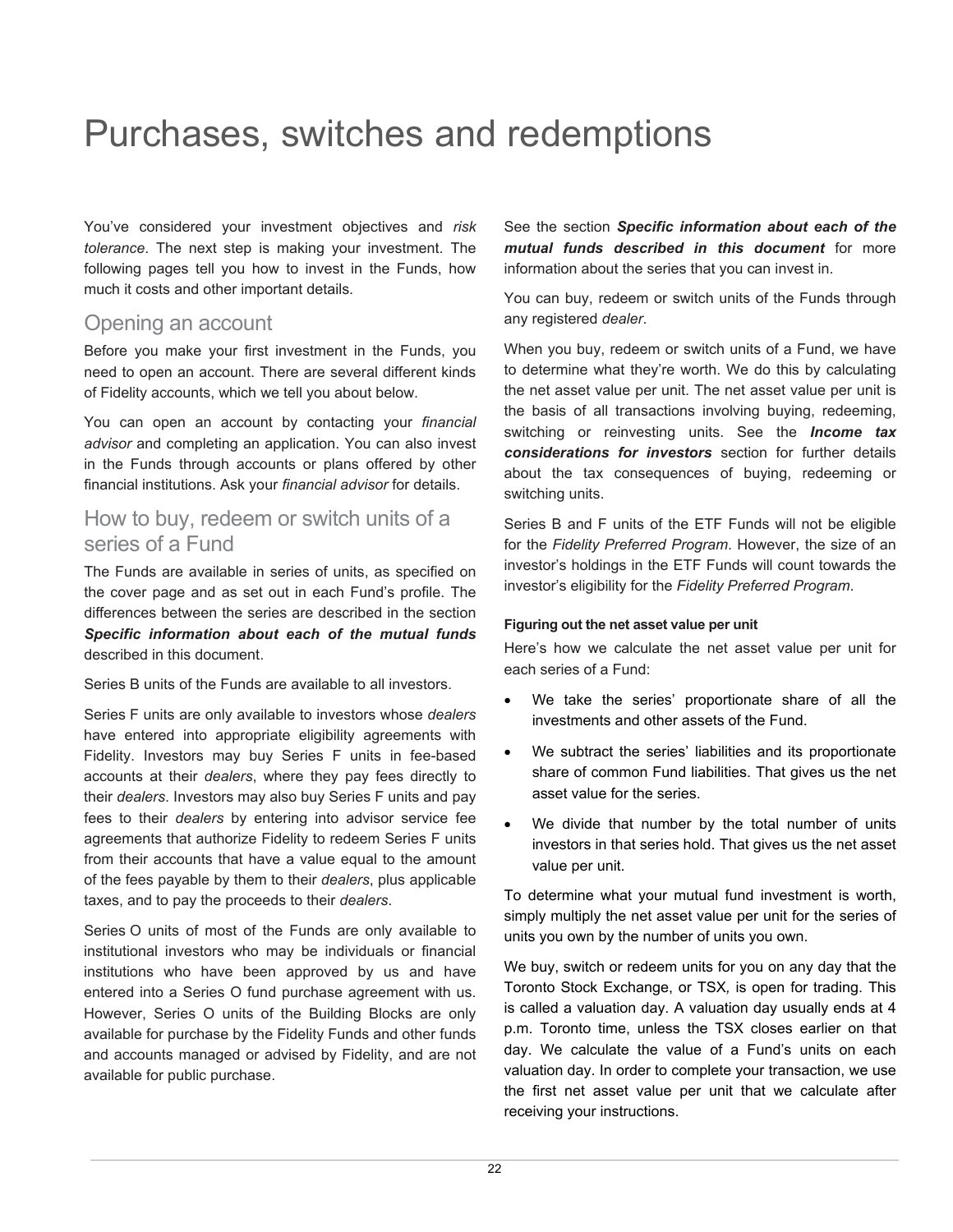# <span id="page-23-0"></span>Purchases, switches and redemptions

You've considered your investment objectives and *risk tolerance*. The next step is making your investment. The following pages tell you how to invest in the Funds, how much it costs and other important details.

# Opening an account

Before you make your first investment in the Funds, you need to open an account. There are several different kinds of Fidelity accounts, which we tell you about below.

You can open an account by contacting your *financial advisor* and completing an application. You can also invest in the Funds through accounts or plans offered by other financial institutions. Ask your *financial advisor* for details.

# How to buy, redeem or switch units of a series of a Fund

The Funds are available in series of units, as specified on the cover page and as set out in each Fund's profile. The differences between the series are described in the section *Specific information about each of the mutual funds*  described in this document.

Series B units of the Funds are available to all investors.

Series F units are only available to investors whose *dealers* have entered into appropriate eligibility agreements with Fidelity. Investors may buy Series F units in fee-based accounts at their *dealers*, where they pay fees directly to their *dealers*. Investors may also buy Series F units and pay fees to their *dealers* by entering into advisor service fee agreements that authorize Fidelity to redeem Series F units from their accounts that have a value equal to the amount of the fees payable by them to their *dealers*, plus applicable taxes, and to pay the proceeds to their *dealers*.

Series O units of most of the Funds are only available to institutional investors who may be individuals or financial institutions who have been approved by us and have entered into a Series O fund purchase agreement with us. However, Series O units of the Building Blocks are only available for purchase by the Fidelity Funds and other funds and accounts managed or advised by Fidelity, and are not available for public purchase.

See the section *Specific information about each of the mutual funds described in this document* for more information about the series that you can invest in.

You can buy, redeem or switch units of the Funds through any registered *dealer*.

When you buy, redeem or switch units of a Fund, we have to determine what they're worth. We do this by calculating the net asset value per unit. The net asset value per unit is the basis of all transactions involving buying, redeeming, switching or reinvesting units. See the *Income tax considerations for investors* section for further details about the tax consequences of buying, redeeming or switching units.

Series B and F units of the ETF Funds will not be eligible for the *Fidelity Preferred Program*. However, the size of an investor's holdings in the ETF Funds will count towards the investor's eligibility for the *Fidelity Preferred Program*.

#### **Figuring out the net asset value per unit**

Here's how we calculate the net asset value per unit for each series of a Fund:

- We take the series' proportionate share of all the investments and other assets of the Fund.
- We subtract the series' liabilities and its proportionate share of common Fund liabilities. That gives us the net asset value for the series.
- We divide that number by the total number of units investors in that series hold. That gives us the net asset value per unit.

To determine what your mutual fund investment is worth, simply multiply the net asset value per unit for the series of units you own by the number of units you own.

We buy, switch or redeem units for you on any day that the Toronto Stock Exchange, or TSX*,* is open for trading. This is called a valuation day. A valuation day usually ends at 4 p.m. Toronto time, unless the TSX closes earlier on that day. We calculate the value of a Fund's units on each valuation day. In order to complete your transaction, we use the first net asset value per unit that we calculate after receiving your instructions.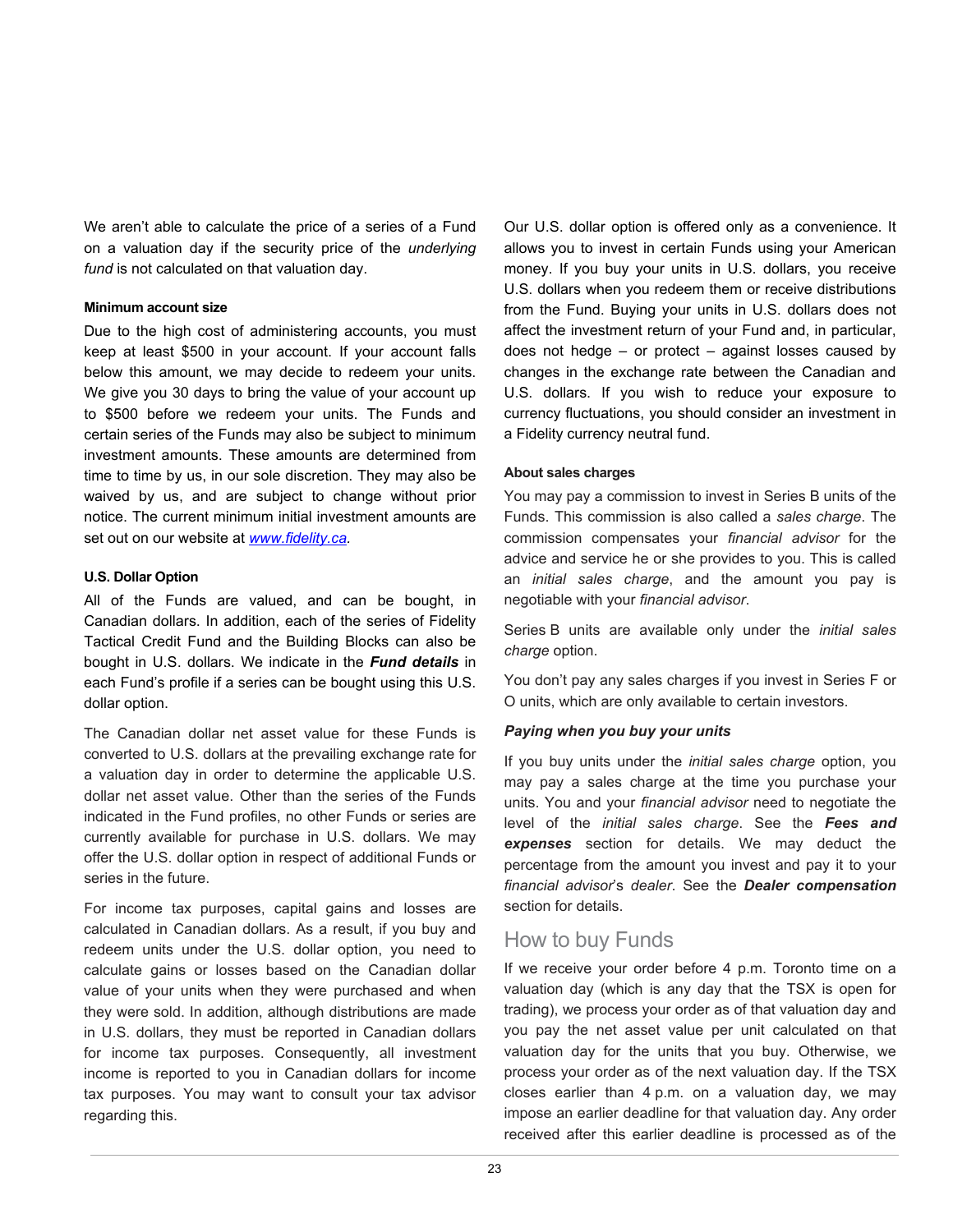We aren't able to calculate the price of a series of a Fund on a valuation day if the security price of the *underlying fund* is not calculated on that valuation day.

#### **Minimum account size**

Due to the high cost of administering accounts, you must keep at least \$500 in your account. If your account falls below this amount, we may decide to redeem your units. We give you 30 days to bring the value of your account up to \$500 before we redeem your units. The Funds and certain series of the Funds may also be subject to minimum investment amounts. These amounts are determined from time to time by us, in our sole discretion. They may also be waived by us, and are subject to change without prior notice. The current minimum initial investment amounts are set out on our website at *[www.fidelity.ca.](http://www.fidelity.ca/)*

#### **U.S. Dollar Option**

All of the Funds are valued, and can be bought, in Canadian dollars. In addition, each of the series of Fidelity Tactical Credit Fund and the Building Blocks can also be bought in U.S. dollars. We indicate in the *Fund details* in each Fund's profile if a series can be bought using this U.S. dollar option.

The Canadian dollar net asset value for these Funds is converted to U.S. dollars at the prevailing exchange rate for a valuation day in order to determine the applicable U.S. dollar net asset value. Other than the series of the Funds indicated in the Fund profiles, no other Funds or series are currently available for purchase in U.S. dollars. We may offer the U.S. dollar option in respect of additional Funds or series in the future.

For income tax purposes, capital gains and losses are calculated in Canadian dollars. As a result, if you buy and redeem units under the U.S. dollar option, you need to calculate gains or losses based on the Canadian dollar value of your units when they were purchased and when they were sold. In addition, although distributions are made in U.S. dollars, they must be reported in Canadian dollars for income tax purposes. Consequently, all investment income is reported to you in Canadian dollars for income tax purposes. You may want to consult your tax advisor regarding this.

Our U.S. dollar option is offered only as a convenience. It allows you to invest in certain Funds using your American money. If you buy your units in U.S. dollars, you receive U.S. dollars when you redeem them or receive distributions from the Fund. Buying your units in U.S. dollars does not affect the investment return of your Fund and, in particular, does not hedge  $-$  or protect  $-$  against losses caused by changes in the exchange rate between the Canadian and U.S. dollars. If you wish to reduce your exposure to currency fluctuations, you should consider an investment in a Fidelity currency neutral fund.

#### **About sales charges**

You may pay a commission to invest in Series B units of the Funds. This commission is also called a *sales charge*. The commission compensates your *financial advisor* for the advice and service he or she provides to you. This is called an *initial sales charge*, and the amount you pay is negotiable with your *financial advisor*.

Series B units are available only under the *initial sales charge* option.

You don't pay any sales charges if you invest in Series F or O units, which are only available to certain investors.

#### *Paying when you buy your units*

If you buy units under the *initial sales charge* option, you may pay a sales charge at the time you purchase your units. You and your *financial advisor* need to negotiate the level of the *initial sales charge*. See the *Fees and expenses* section for details. We may deduct the percentage from the amount you invest and pay it to your *financial advisor*'s *dealer*. See the *Dealer compensation* section for details.

# How to buy Funds

If we receive your order before 4 p.m. Toronto time on a valuation day (which is any day that the TSX is open for trading), we process your order as of that valuation day and you pay the net asset value per unit calculated on that valuation day for the units that you buy. Otherwise, we process your order as of the next valuation day. If the TSX closes earlier than 4 p.m. on a valuation day, we may impose an earlier deadline for that valuation day. Any order received after this earlier deadline is processed as of the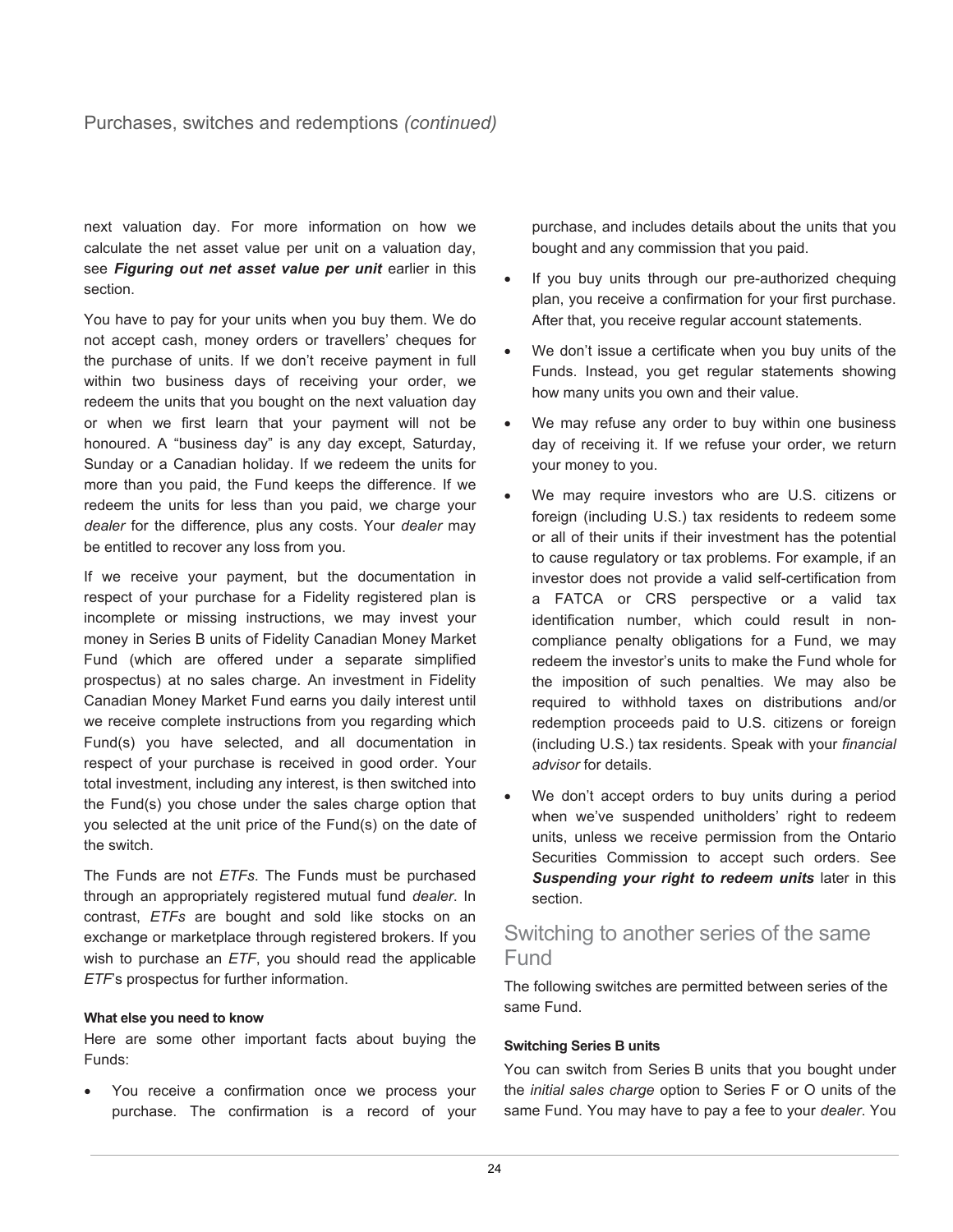next valuation day. For more information on how we calculate the net asset value per unit on a valuation day, see *Figuring out net asset value per unit* earlier in this section.

You have to pay for your units when you buy them. We do not accept cash, money orders or travellers' cheques for the purchase of units. If we don't receive payment in full within two business days of receiving your order, we redeem the units that you bought on the next valuation day or when we first learn that your payment will not be honoured. A "business day" is any day except, Saturday, Sunday or a Canadian holiday. If we redeem the units for more than you paid, the Fund keeps the difference. If we redeem the units for less than you paid, we charge your *dealer* for the difference, plus any costs. Your *dealer* may be entitled to recover any loss from you.

If we receive your payment, but the documentation in respect of your purchase for a Fidelity registered plan is incomplete or missing instructions, we may invest your money in Series B units of Fidelity Canadian Money Market Fund (which are offered under a separate simplified prospectus) at no sales charge. An investment in Fidelity Canadian Money Market Fund earns you daily interest until we receive complete instructions from you regarding which Fund(s) you have selected, and all documentation in respect of your purchase is received in good order. Your total investment, including any interest, is then switched into the Fund(s) you chose under the sales charge option that you selected at the unit price of the Fund(s) on the date of the switch.

The Funds are not *ETFs*. The Funds must be purchased through an appropriately registered mutual fund *dealer*. In contrast, *ETFs* are bought and sold like stocks on an exchange or marketplace through registered brokers. If you wish to purchase an *ETF*, you should read the applicable *ETF*'s prospectus for further information.

#### **What else you need to know**

Here are some other important facts about buying the Funds:

You receive a confirmation once we process your purchase. The confirmation is a record of your purchase, and includes details about the units that you bought and any commission that you paid.

- If you buy units through our pre-authorized chequing plan, you receive a confirmation for your first purchase. After that, you receive regular account statements.
- We don't issue a certificate when you buy units of the Funds. Instead, you get regular statements showing how many units you own and their value.
- We may refuse any order to buy within one business day of receiving it. If we refuse your order, we return your money to you.
- We may require investors who are U.S. citizens or foreign (including U.S.) tax residents to redeem some or all of their units if their investment has the potential to cause regulatory or tax problems. For example, if an investor does not provide a valid self-certification from a FATCA or CRS perspective or a valid tax identification number, which could result in noncompliance penalty obligations for a Fund, we may redeem the investor's units to make the Fund whole for the imposition of such penalties. We may also be required to withhold taxes on distributions and/or redemption proceeds paid to U.S. citizens or foreign (including U.S.) tax residents. Speak with your *financial advisor* for details.
- We don't accept orders to buy units during a period when we've suspended unitholders' right to redeem units, unless we receive permission from the Ontario Securities Commission to accept such orders. See *Suspending your right to redeem units* later in this section.

# Switching to another series of the same Fund

The following switches are permitted between series of the same Fund.

#### **Switching Series B units**

You can switch from Series B units that you bought under the *initial sales charge* option to Series F or O units of the same Fund. You may have to pay a fee to your *dealer*. You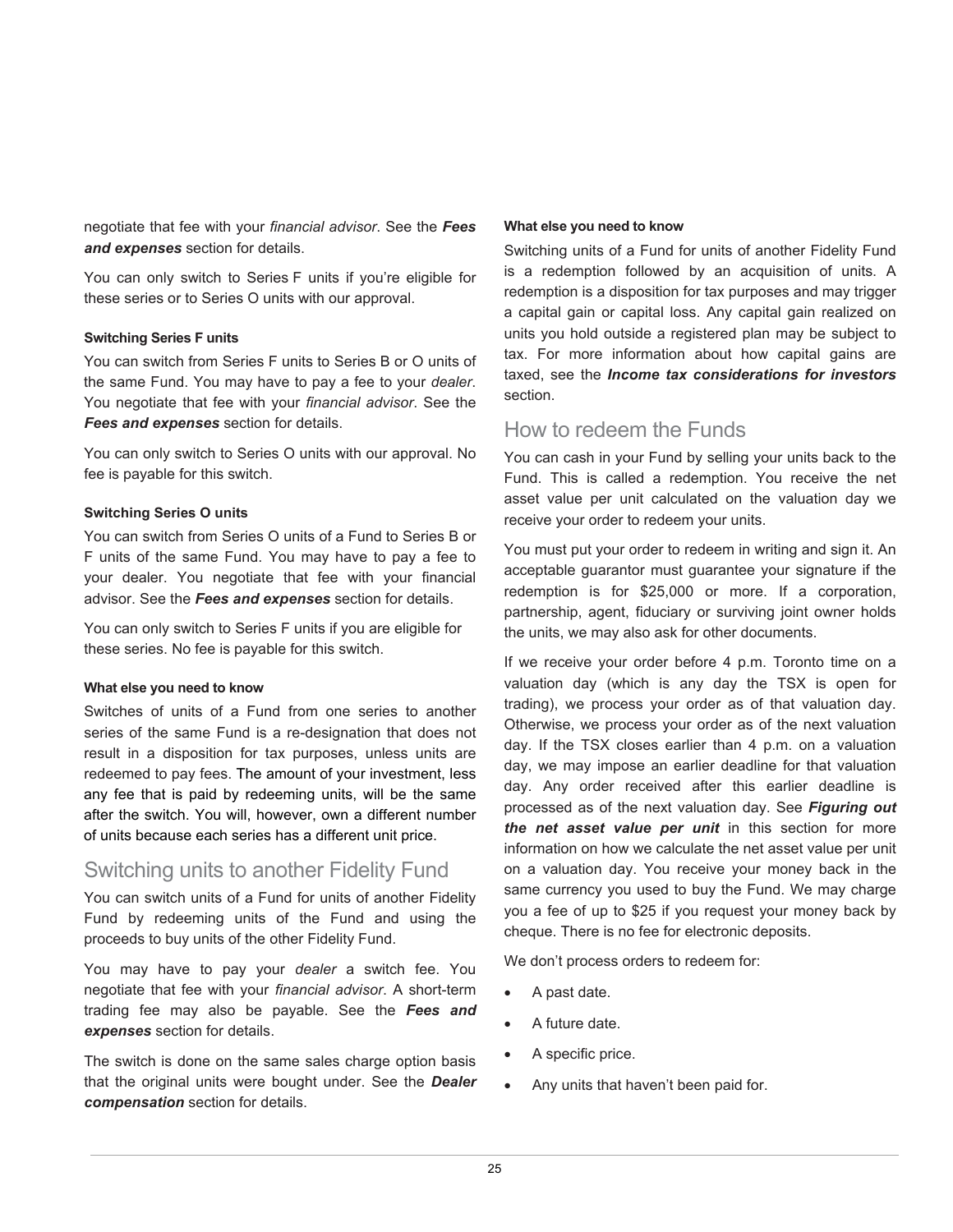negotiate that fee with your *financial advisor*. See the *Fees and expenses* section for details.

You can only switch to Series F units if you're eligible for these series or to Series O units with our approval.

#### **Switching Series F units**

You can switch from Series F units to Series B or O units of the same Fund. You may have to pay a fee to your *dealer*. You negotiate that fee with your *financial advisor*. See the *Fees and expenses* section for details.

You can only switch to Series O units with our approval. No fee is payable for this switch.

#### **Switching Series O units**

You can switch from Series O units of a Fund to Series B or F units of the same Fund. You may have to pay a fee to your dealer. You negotiate that fee with your financial advisor. See the *Fees and expenses* section for details.

You can only switch to Series F units if you are eligible for these series. No fee is payable for this switch.

#### **What else you need to know**

Switches of units of a Fund from one series to another series of the same Fund is a re-designation that does not result in a disposition for tax purposes, unless units are redeemed to pay fees. The amount of your investment, less any fee that is paid by redeeming units, will be the same after the switch. You will, however, own a different number of units because each series has a different unit price.

# Switching units to another Fidelity Fund

You can switch units of a Fund for units of another Fidelity Fund by redeeming units of the Fund and using the proceeds to buy units of the other Fidelity Fund.

You may have to pay your *dealer* a switch fee. You negotiate that fee with your *financial advisor*. A short-term trading fee may also be payable. See the *Fees and expenses* section for details.

The switch is done on the same sales charge option basis that the original units were bought under. See the *Dealer compensation* section for details.

#### **What else you need to know**

Switching units of a Fund for units of another Fidelity Fund is a redemption followed by an acquisition of units. A redemption is a disposition for tax purposes and may trigger a capital gain or capital loss. Any capital gain realized on units you hold outside a registered plan may be subject to tax. For more information about how capital gains are taxed, see the *Income tax considerations for investors* section.

# How to redeem the Funds

You can cash in your Fund by selling your units back to the Fund. This is called a redemption. You receive the net asset value per unit calculated on the valuation day we receive your order to redeem your units.

You must put your order to redeem in writing and sign it. An acceptable guarantor must guarantee your signature if the redemption is for \$25,000 or more. If a corporation, partnership, agent, fiduciary or surviving joint owner holds the units, we may also ask for other documents.

If we receive your order before 4 p.m. Toronto time on a valuation day (which is any day the TSX is open for trading), we process your order as of that valuation day. Otherwise, we process your order as of the next valuation day. If the TSX closes earlier than 4 p.m. on a valuation day, we may impose an earlier deadline for that valuation day. Any order received after this earlier deadline is processed as of the next valuation day. See *Figuring out the net asset value per unit* in this section for more information on how we calculate the net asset value per unit on a valuation day. You receive your money back in the same currency you used to buy the Fund. We may charge you a fee of up to \$25 if you request your money back by cheque. There is no fee for electronic deposits.

We don't process orders to redeem for:

- A past date.
- A future date.
- A specific price.
- Any units that haven't been paid for.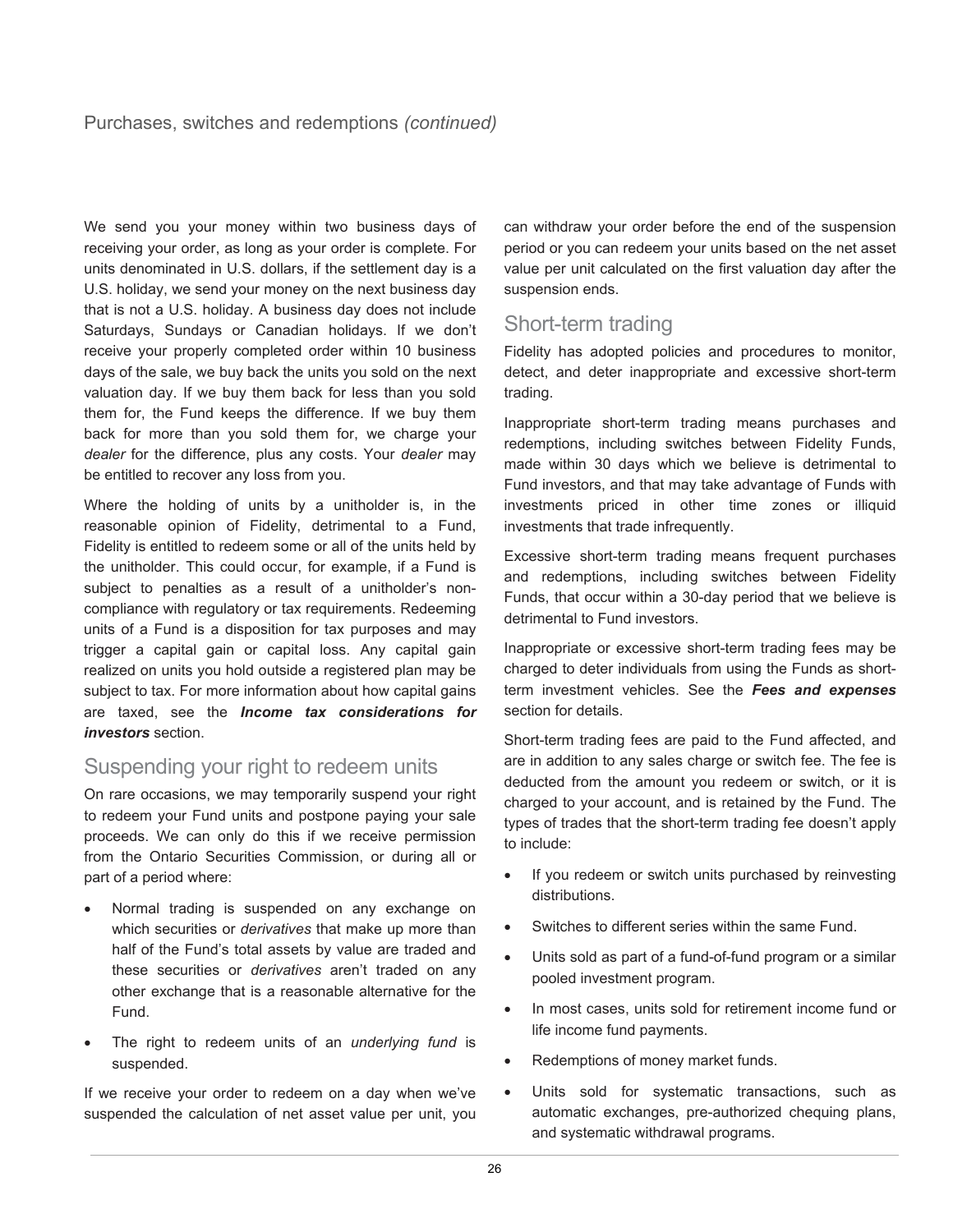We send you your money within two business days of receiving your order, as long as your order is complete. For units denominated in U.S. dollars, if the settlement day is a U.S. holiday, we send your money on the next business day that is not a U.S. holiday. A business day does not include Saturdays, Sundays or Canadian holidays. If we don't receive your properly completed order within 10 business days of the sale, we buy back the units you sold on the next valuation day. If we buy them back for less than you sold them for, the Fund keeps the difference. If we buy them back for more than you sold them for, we charge your *dealer* for the difference, plus any costs. Your *dealer* may be entitled to recover any loss from you.

Where the holding of units by a unitholder is, in the reasonable opinion of Fidelity, detrimental to a Fund, Fidelity is entitled to redeem some or all of the units held by the unitholder. This could occur, for example, if a Fund is subject to penalties as a result of a unitholder's noncompliance with regulatory or tax requirements. Redeeming units of a Fund is a disposition for tax purposes and may trigger a capital gain or capital loss. Any capital gain realized on units you hold outside a registered plan may be subject to tax. For more information about how capital gains are taxed, see the *Income tax considerations for investors* section.

# Suspending your right to redeem units

On rare occasions, we may temporarily suspend your right to redeem your Fund units and postpone paying your sale proceeds. We can only do this if we receive permission from the Ontario Securities Commission, or during all or part of a period where:

- Normal trading is suspended on any exchange on which securities or *derivatives* that make up more than half of the Fund's total assets by value are traded and these securities or *derivatives* aren't traded on any other exchange that is a reasonable alternative for the Fund.
- The right to redeem units of an *underlying fund* is suspended.

If we receive your order to redeem on a day when we've suspended the calculation of net asset value per unit, you can withdraw your order before the end of the suspension period or you can redeem your units based on the net asset value per unit calculated on the first valuation day after the suspension ends.

# Short-term trading

Fidelity has adopted policies and procedures to monitor, detect, and deter inappropriate and excessive short-term trading.

Inappropriate short-term trading means purchases and redemptions, including switches between Fidelity Funds, made within 30 days which we believe is detrimental to Fund investors, and that may take advantage of Funds with investments priced in other time zones or illiquid investments that trade infrequently.

Excessive short-term trading means frequent purchases and redemptions, including switches between Fidelity Funds, that occur within a 30-day period that we believe is detrimental to Fund investors.

Inappropriate or excessive short-term trading fees may be charged to deter individuals from using the Funds as shortterm investment vehicles. See the *Fees and expenses* section for details.

Short-term trading fees are paid to the Fund affected, and are in addition to any sales charge or switch fee. The fee is deducted from the amount you redeem or switch, or it is charged to your account, and is retained by the Fund. The types of trades that the short-term trading fee doesn't apply to include:

- If you redeem or switch units purchased by reinvesting distributions.
- Switches to different series within the same Fund.
- Units sold as part of a fund-of-fund program or a similar pooled investment program.
- In most cases, units sold for retirement income fund or life income fund payments.
- Redemptions of money market funds.
- Units sold for systematic transactions, such as automatic exchanges, pre-authorized chequing plans, and systematic withdrawal programs.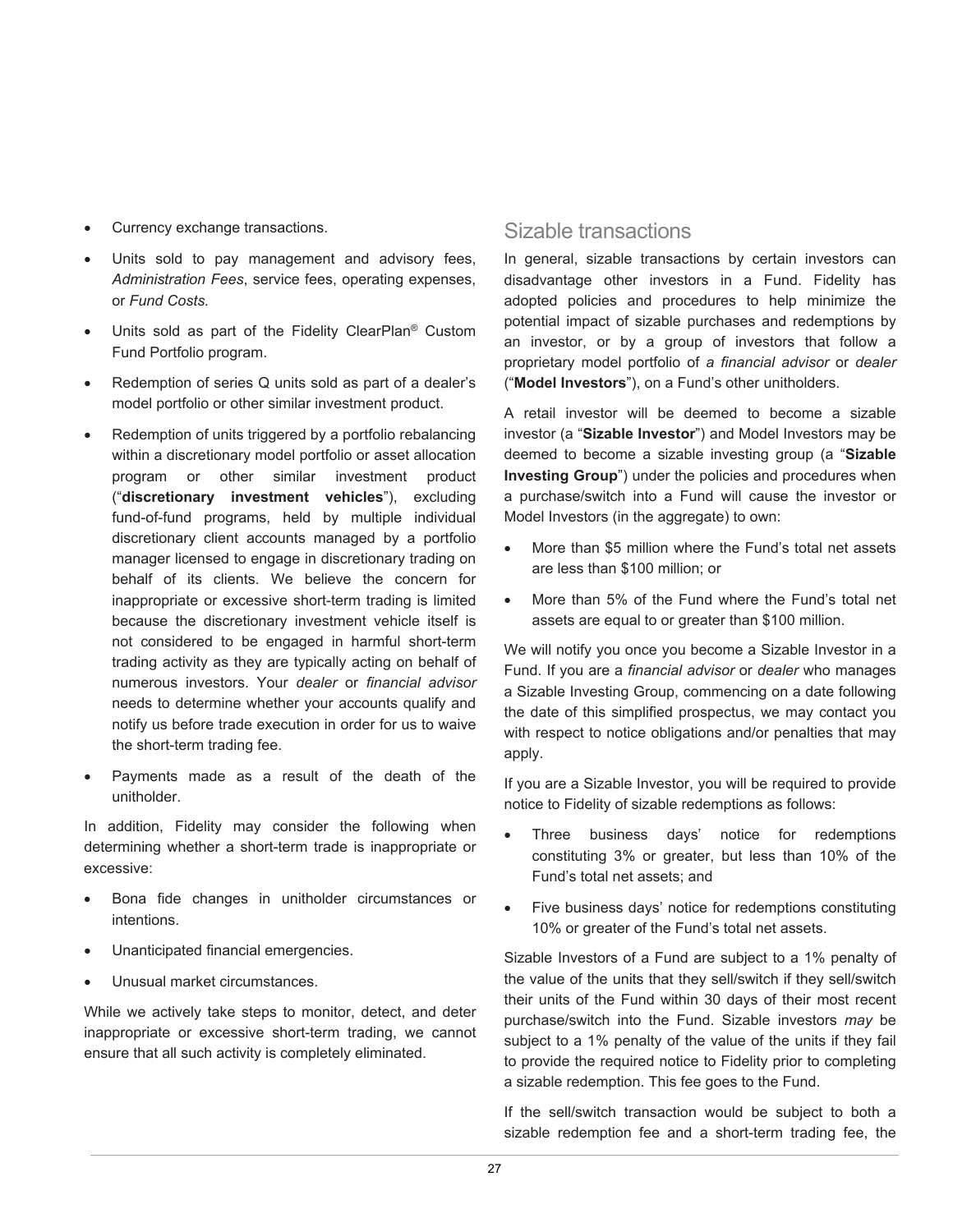- Currency exchange transactions.
- Units sold to pay management and advisory fees, *Administration Fees*, service fees, operating expenses, or *Fund Costs.*
- Units sold as part of the Fidelity ClearPlan<sup>®</sup> Custom Fund Portfolio program.
- Redemption of series Q units sold as part of a dealer's model portfolio or other similar investment product.
- Redemption of units triggered by a portfolio rebalancing within a discretionary model portfolio or asset allocation program or other similar investment product ("**discretionary investment vehicles**"), excluding fund-of-fund programs, held by multiple individual discretionary client accounts managed by a portfolio manager licensed to engage in discretionary trading on behalf of its clients. We believe the concern for inappropriate or excessive short-term trading is limited because the discretionary investment vehicle itself is not considered to be engaged in harmful short-term trading activity as they are typically acting on behalf of numerous investors. Your *dealer* or *financial advisor* needs to determine whether your accounts qualify and notify us before trade execution in order for us to waive the short-term trading fee.
- Payments made as a result of the death of the unitholder.

In addition, Fidelity may consider the following when determining whether a short-term trade is inappropriate or excessive:

- Bona fide changes in unitholder circumstances or intentions.
- Unanticipated financial emergencies.
- Unusual market circumstances.

While we actively take steps to monitor, detect, and deter inappropriate or excessive short-term trading, we cannot ensure that all such activity is completely eliminated.

# Sizable transactions

In general, sizable transactions by certain investors can disadvantage other investors in a Fund. Fidelity has adopted policies and procedures to help minimize the potential impact of sizable purchases and redemptions by an investor, or by a group of investors that follow a proprietary model portfolio of *a financial advisor* or *dealer* ("**Model Investors**"), on a Fund's other unitholders.

A retail investor will be deemed to become a sizable investor (a "**Sizable Investor**") and Model Investors may be deemed to become a sizable investing group (a "**Sizable Investing Group**") under the policies and procedures when a purchase/switch into a Fund will cause the investor or Model Investors (in the aggregate) to own:

- More than \$5 million where the Fund's total net assets are less than \$100 million; or
- More than 5% of the Fund where the Fund's total net assets are equal to or greater than \$100 million.

We will notify you once you become a Sizable Investor in a Fund. If you are a *financial advisor* or *dealer* who manages a Sizable Investing Group, commencing on a date following the date of this simplified prospectus, we may contact you with respect to notice obligations and/or penalties that may apply.

If you are a Sizable Investor, you will be required to provide notice to Fidelity of sizable redemptions as follows:

- Three business days' notice for redemptions constituting 3% or greater, but less than 10% of the Fund's total net assets; and
- Five business days' notice for redemptions constituting 10% or greater of the Fund's total net assets.

Sizable Investors of a Fund are subject to a 1% penalty of the value of the units that they sell/switch if they sell/switch their units of the Fund within 30 days of their most recent purchase/switch into the Fund. Sizable investors *may* be subject to a 1% penalty of the value of the units if they fail to provide the required notice to Fidelity prior to completing a sizable redemption. This fee goes to the Fund.

If the sell/switch transaction would be subject to both a sizable redemption fee and a short-term trading fee, the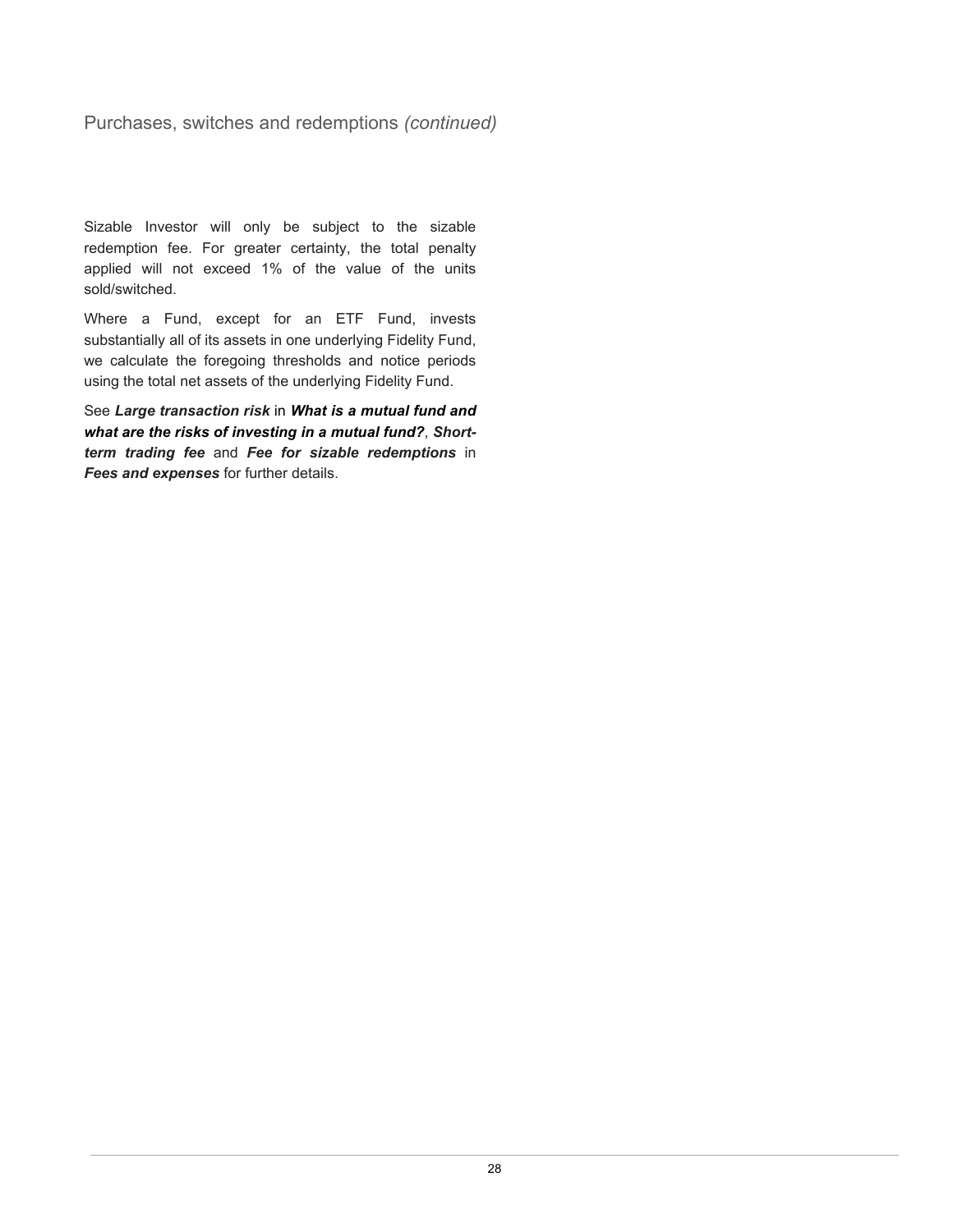Purchases, switches and redemptions *(continued)*

Sizable Investor will only be subject to the sizable redemption fee. For greater certainty, the total penalty applied will not exceed 1% of the value of the units sold/switched.

Where a Fund, except for an ETF Fund, invests substantially all of its assets in one underlying Fidelity Fund, we calculate the foregoing thresholds and notice periods using the total net assets of the underlying Fidelity Fund.

See *Large transaction risk* in *What is a mutual fund and what are the risks of investing in a mutual fund?*, *Shortterm trading fee* and *Fee for sizable redemptions* in *Fees and expenses* for further details.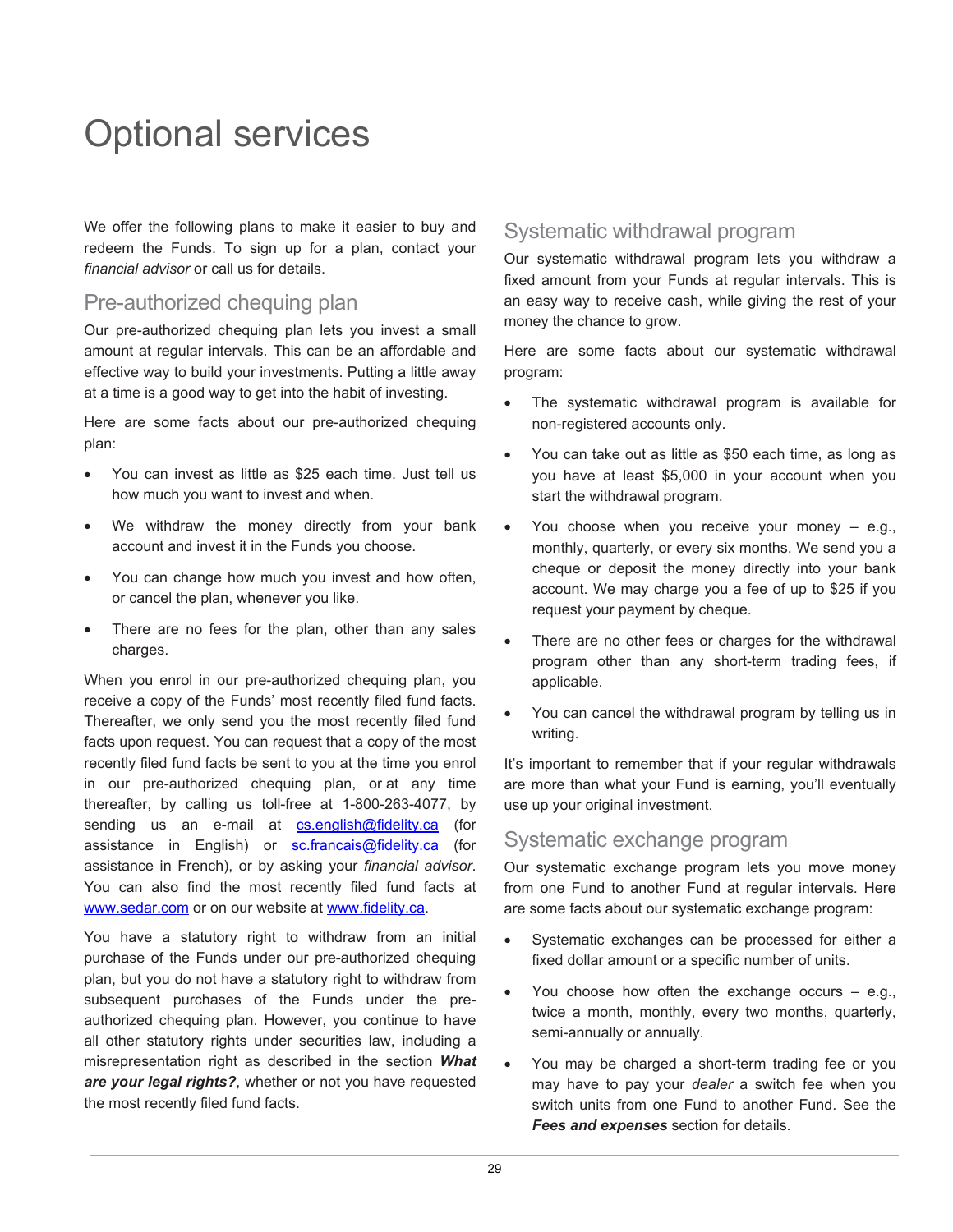# <span id="page-30-0"></span>Optional services

We offer the following plans to make it easier to buy and redeem the Funds. To sign up for a plan, contact your *financial advisor* or call us for details.

# Pre-authorized chequing plan

Our pre-authorized chequing plan lets you invest a small amount at regular intervals. This can be an affordable and effective way to build your investments. Putting a little away at a time is a good way to get into the habit of investing.

Here are some facts about our pre-authorized chequing plan:

- You can invest as little as \$25 each time. Just tell us how much you want to invest and when.
- We withdraw the money directly from your bank account and invest it in the Funds you choose.
- You can change how much you invest and how often, or cancel the plan, whenever you like.
- There are no fees for the plan, other than any sales charges.

When you enrol in our pre-authorized chequing plan, you receive a copy of the Funds' most recently filed fund facts. Thereafter, we only send you the most recently filed fund facts upon request. You can request that a copy of the most recently filed fund facts be sent to you at the time you enrol in our pre-authorized chequing plan, or at any time thereafter, by calling us toll-free at 1-800-263-4077, by sending us an e-mail at [cs.english@fidelity.ca](mailto:cs.english@fidelity.ca) (for assistance in English) or [sc.francais@fidelity.ca](mailto:sc.francais@fidelity.ca) (for assistance in French), or by asking your *financial advisor*. You can also find the most recently filed fund facts at [www.sedar.com](http://www.sedar.com/) or on our website at [www.fidelity.ca.](http://www.fidelity.ca/)

You have a statutory right to withdraw from an initial purchase of the Funds under our pre-authorized chequing plan, but you do not have a statutory right to withdraw from subsequent purchases of the Funds under the preauthorized chequing plan. However, you continue to have all other statutory rights under securities law, including a misrepresentation right as described in the section *What are your legal rights?*, whether or not you have requested the most recently filed fund facts.

# Systematic withdrawal program

Our systematic withdrawal program lets you withdraw a fixed amount from your Funds at regular intervals. This is an easy way to receive cash, while giving the rest of your money the chance to grow.

Here are some facts about our systematic withdrawal program:

- The systematic withdrawal program is available for non-registered accounts only.
- You can take out as little as \$50 each time, as long as you have at least \$5,000 in your account when you start the withdrawal program.
- You choose when you receive your money  $-$  e.g., monthly, quarterly, or every six months. We send you a cheque or deposit the money directly into your bank account. We may charge you a fee of up to \$25 if you request your payment by cheque.
- There are no other fees or charges for the withdrawal program other than any short-term trading fees, if applicable.
- You can cancel the withdrawal program by telling us in writing.

It's important to remember that if your regular withdrawals are more than what your Fund is earning, you'll eventually use up your original investment.

# Systematic exchange program

Our systematic exchange program lets you move money from one Fund to another Fund at regular intervals. Here are some facts about our systematic exchange program:

- Systematic exchanges can be processed for either a fixed dollar amount or a specific number of units.
- You choose how often the exchange occurs  $-$  e.g., twice a month, monthly, every two months, quarterly, semi-annually or annually.
- You may be charged a short-term trading fee or you may have to pay your *dealer* a switch fee when you switch units from one Fund to another Fund. See the *Fees and expenses* section for details.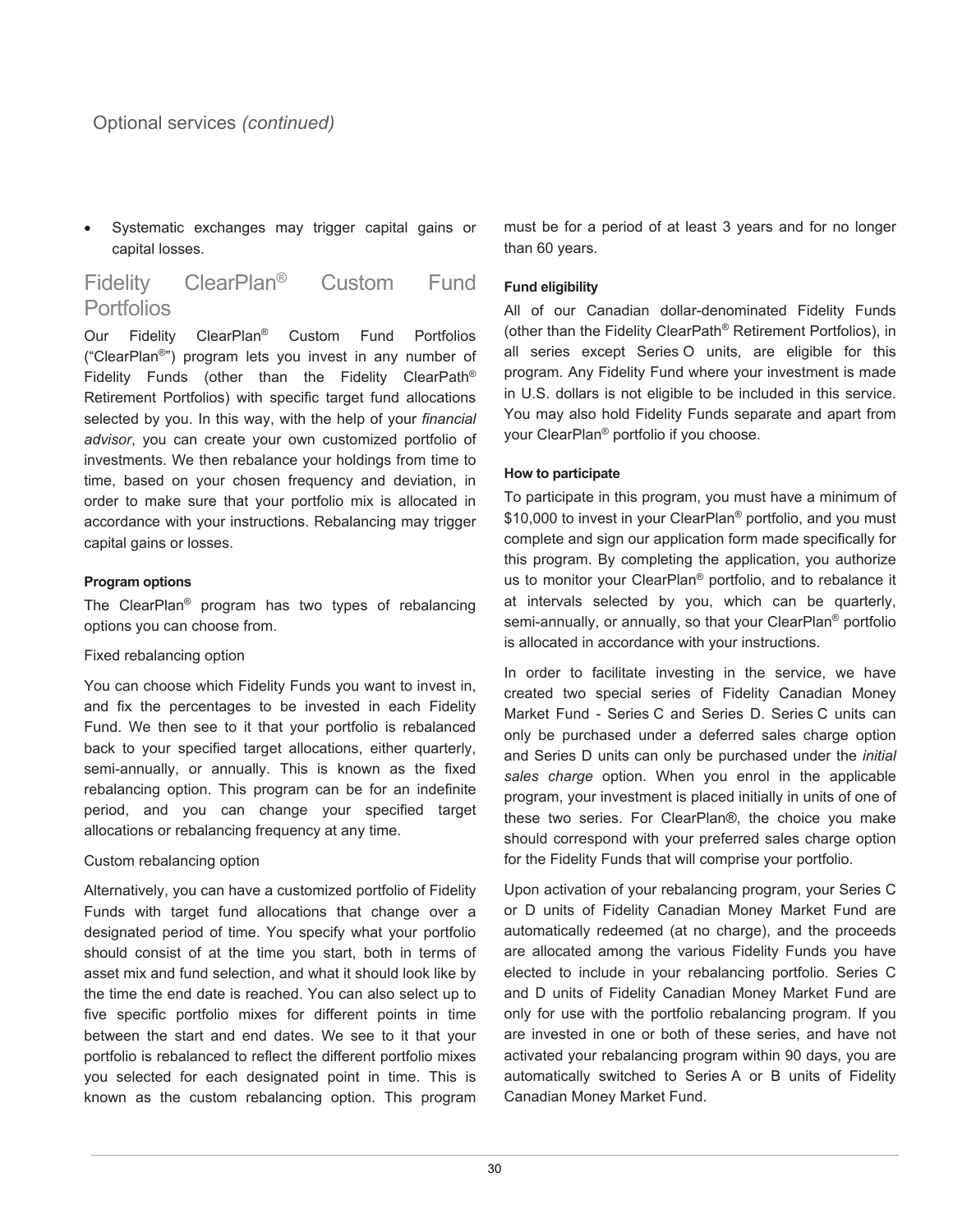Systematic exchanges may trigger capital gains or capital losses.

# Fidelity ClearPlan® Custom Fund Portfolios

Our Fidelity ClearPlan® Custom Fund Portfolios ("ClearPlan®") program lets you invest in any number of Fidelity Funds (other than the Fidelity ClearPath® Retirement Portfolios) with specific target fund allocations selected by you. In this way, with the help of your *financial advisor*, you can create your own customized portfolio of investments. We then rebalance your holdings from time to time, based on your chosen frequency and deviation, in order to make sure that your portfolio mix is allocated in accordance with your instructions. Rebalancing may trigger capital gains or losses.

#### **Program options**

The ClearPlan® program has two types of rebalancing options you can choose from.

#### Fixed rebalancing option

You can choose which Fidelity Funds you want to invest in, and fix the percentages to be invested in each Fidelity Fund. We then see to it that your portfolio is rebalanced back to your specified target allocations, either quarterly, semi-annually, or annually. This is known as the fixed rebalancing option. This program can be for an indefinite period, and you can change your specified target allocations or rebalancing frequency at any time.

#### Custom rebalancing option

Alternatively, you can have a customized portfolio of Fidelity Funds with target fund allocations that change over a designated period of time. You specify what your portfolio should consist of at the time you start, both in terms of asset mix and fund selection, and what it should look like by the time the end date is reached. You can also select up to five specific portfolio mixes for different points in time between the start and end dates. We see to it that your portfolio is rebalanced to reflect the different portfolio mixes you selected for each designated point in time. This is known as the custom rebalancing option. This program must be for a period of at least 3 years and for no longer than 60 years.

#### **Fund eligibility**

All of our Canadian dollar-denominated Fidelity Funds (other than the Fidelity ClearPath® Retirement Portfolios), in all series except Series O units, are eligible for this program. Any Fidelity Fund where your investment is made in U.S. dollars is not eligible to be included in this service. You may also hold Fidelity Funds separate and apart from your ClearPlan® portfolio if you choose.

#### **How to participate**

To participate in this program, you must have a minimum of \$10,000 to invest in your ClearPlan<sup>®</sup> portfolio, and you must complete and sign our application form made specifically for this program. By completing the application, you authorize us to monitor your ClearPlan® portfolio, and to rebalance it at intervals selected by you, which can be quarterly, semi-annually, or annually, so that your ClearPlan® portfolio is allocated in accordance with your instructions.

In order to facilitate investing in the service, we have created two special series of Fidelity Canadian Money Market Fund - Series C and Series D. Series C units can only be purchased under a deferred sales charge option and Series D units can only be purchased under the *initial sales charge* option. When you enrol in the applicable program, your investment is placed initially in units of one of these two series. For ClearPlan®, the choice you make should correspond with your preferred sales charge option for the Fidelity Funds that will comprise your portfolio.

Upon activation of your rebalancing program, your Series C or D units of Fidelity Canadian Money Market Fund are automatically redeemed (at no charge), and the proceeds are allocated among the various Fidelity Funds you have elected to include in your rebalancing portfolio. Series C and D units of Fidelity Canadian Money Market Fund are only for use with the portfolio rebalancing program. If you are invested in one or both of these series, and have not activated your rebalancing program within 90 days, you are automatically switched to Series A or B units of Fidelity Canadian Money Market Fund.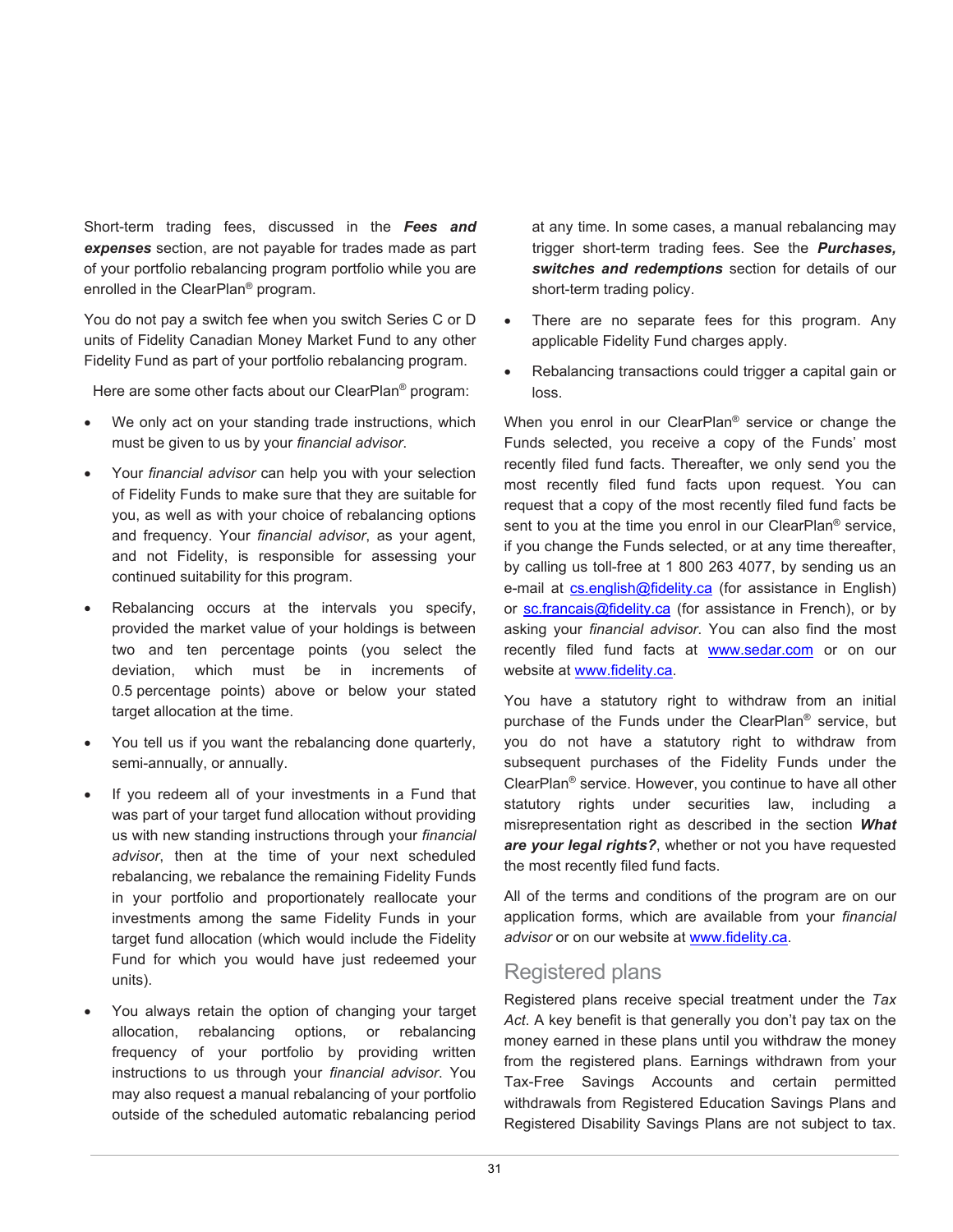Short-term trading fees, discussed in the *Fees and expenses* section, are not payable for trades made as part of your portfolio rebalancing program portfolio while you are enrolled in the ClearPlan® program.

You do not pay a switch fee when you switch Series C or D units of Fidelity Canadian Money Market Fund to any other Fidelity Fund as part of your portfolio rebalancing program.

Here are some other facts about our ClearPlan® program:

- We only act on your standing trade instructions, which must be given to us by your *financial advisor*.
- Your *financial advisor* can help you with your selection of Fidelity Funds to make sure that they are suitable for you, as well as with your choice of rebalancing options and frequency. Your *financial advisor*, as your agent, and not Fidelity, is responsible for assessing your continued suitability for this program.
- Rebalancing occurs at the intervals you specify, provided the market value of your holdings is between two and ten percentage points (you select the deviation, which must be in increments of 0.5 percentage points) above or below your stated target allocation at the time.
- You tell us if you want the rebalancing done quarterly, semi-annually, or annually.
- If you redeem all of your investments in a Fund that was part of your target fund allocation without providing us with new standing instructions through your *financial advisor*, then at the time of your next scheduled rebalancing, we rebalance the remaining Fidelity Funds in your portfolio and proportionately reallocate your investments among the same Fidelity Funds in your target fund allocation (which would include the Fidelity Fund for which you would have just redeemed your units).
- You always retain the option of changing your target allocation, rebalancing options, or rebalancing frequency of your portfolio by providing written instructions to us through your *financial advisor*. You may also request a manual rebalancing of your portfolio outside of the scheduled automatic rebalancing period

at any time. In some cases, a manual rebalancing may trigger short-term trading fees. See the *Purchases, switches and redemptions* section for details of our short-term trading policy.

- There are no separate fees for this program. Any applicable Fidelity Fund charges apply.
- Rebalancing transactions could trigger a capital gain or loss.

When you enrol in our ClearPlan® service or change the Funds selected, you receive a copy of the Funds' most recently filed fund facts. Thereafter, we only send you the most recently filed fund facts upon request. You can request that a copy of the most recently filed fund facts be sent to you at the time you enrol in our ClearPlan<sup>®</sup> service, if you change the Funds selected, or at any time thereafter, by calling us toll-free at 1 800 263 4077, by sending us an e-mail at [cs.english@fidelity.ca](mailto:cs.english@fidelity.ca) (for assistance in English) or [sc.francais@fidelity.ca](mailto:sc.francais@fidelity.ca) (for assistance in French), or by asking your *financial advisor*. You can also find the most recently filed fund facts at [www.sedar.com](http://www.sedar.com/) or on our website at [www.fidelity.ca.](http://www.fidelity.ca/)

You have a statutory right to withdraw from an initial purchase of the Funds under the ClearPlan® service, but you do not have a statutory right to withdraw from subsequent purchases of the Fidelity Funds under the ClearPlan® service. However, you continue to have all other statutory rights under securities law, including a misrepresentation right as described in the section *What are your legal rights?*, whether or not you have requested the most recently filed fund facts.

All of the terms and conditions of the program are on our application forms, which are available from your *financial advisor* or on our website at [www.fidelity.ca.](http://www.fidelity.ca/)

# Registered plans

Registered plans receive special treatment under the *Tax Act*. A key benefit is that generally you don't pay tax on the money earned in these plans until you withdraw the money from the registered plans. Earnings withdrawn from your Tax-Free Savings Accounts and certain permitted withdrawals from Registered Education Savings Plans and Registered Disability Savings Plans are not subject to tax.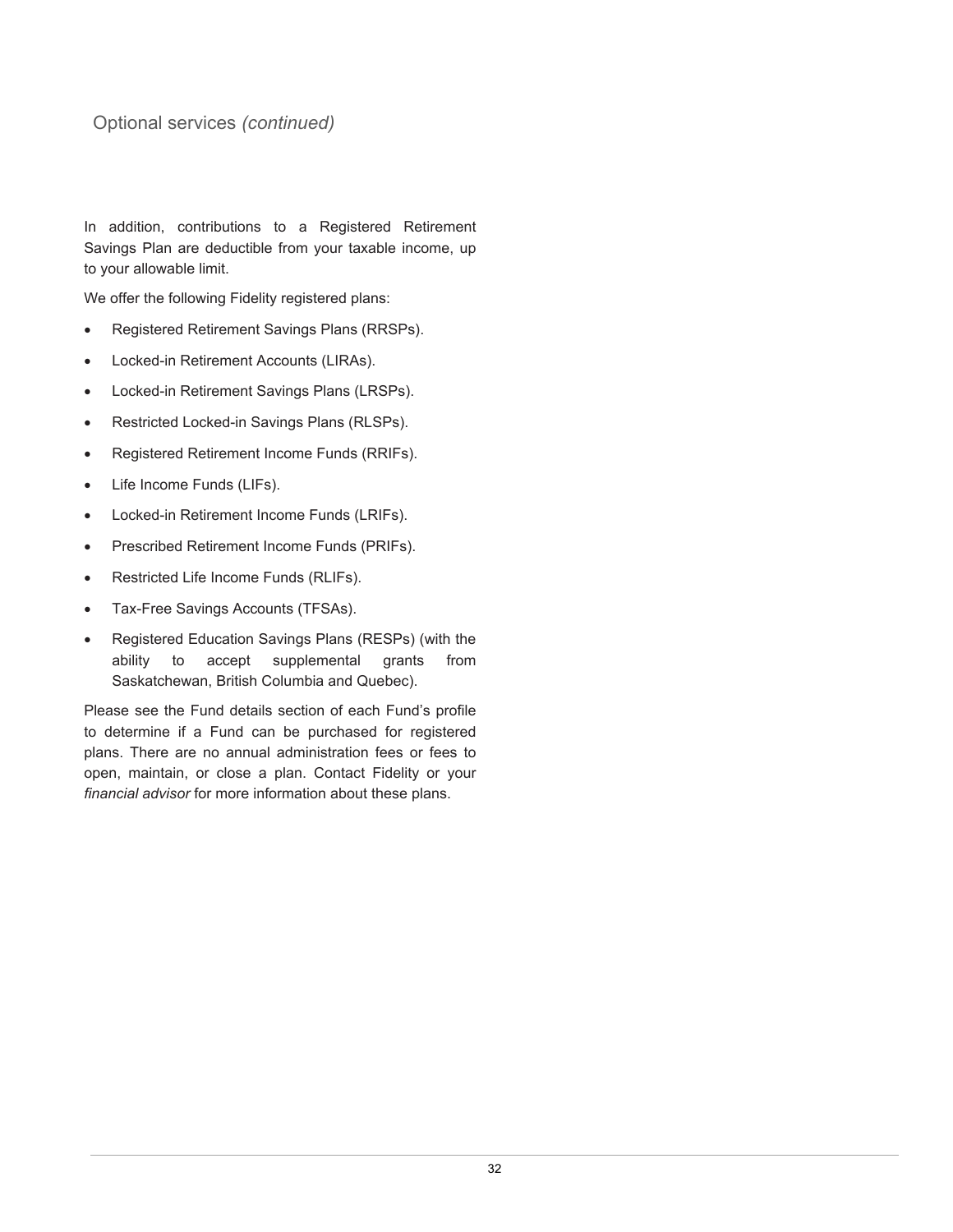# Optional services *(continued)*

In addition, contributions to a Registered Retirement Savings Plan are deductible from your taxable income, up to your allowable limit.

We offer the following Fidelity registered plans:

- Registered Retirement Savings Plans (RRSPs).
- Locked-in Retirement Accounts (LIRAs).
- Locked-in Retirement Savings Plans (LRSPs).
- Restricted Locked-in Savings Plans (RLSPs).
- Registered Retirement Income Funds (RRIFs).
- Life Income Funds (LIFs).
- Locked-in Retirement Income Funds (LRIFs).
- Prescribed Retirement Income Funds (PRIFs).
- Restricted Life Income Funds (RLIFs).
- Tax-Free Savings Accounts (TFSAs).
- Registered Education Savings Plans (RESPs) (with the ability to accept supplemental grants from Saskatchewan, British Columbia and Quebec).

Please see the Fund details section of each Fund's profile to determine if a Fund can be purchased for registered plans. There are no annual administration fees or fees to open, maintain, or close a plan. Contact Fidelity or your *financial advisor* for more information about these plans.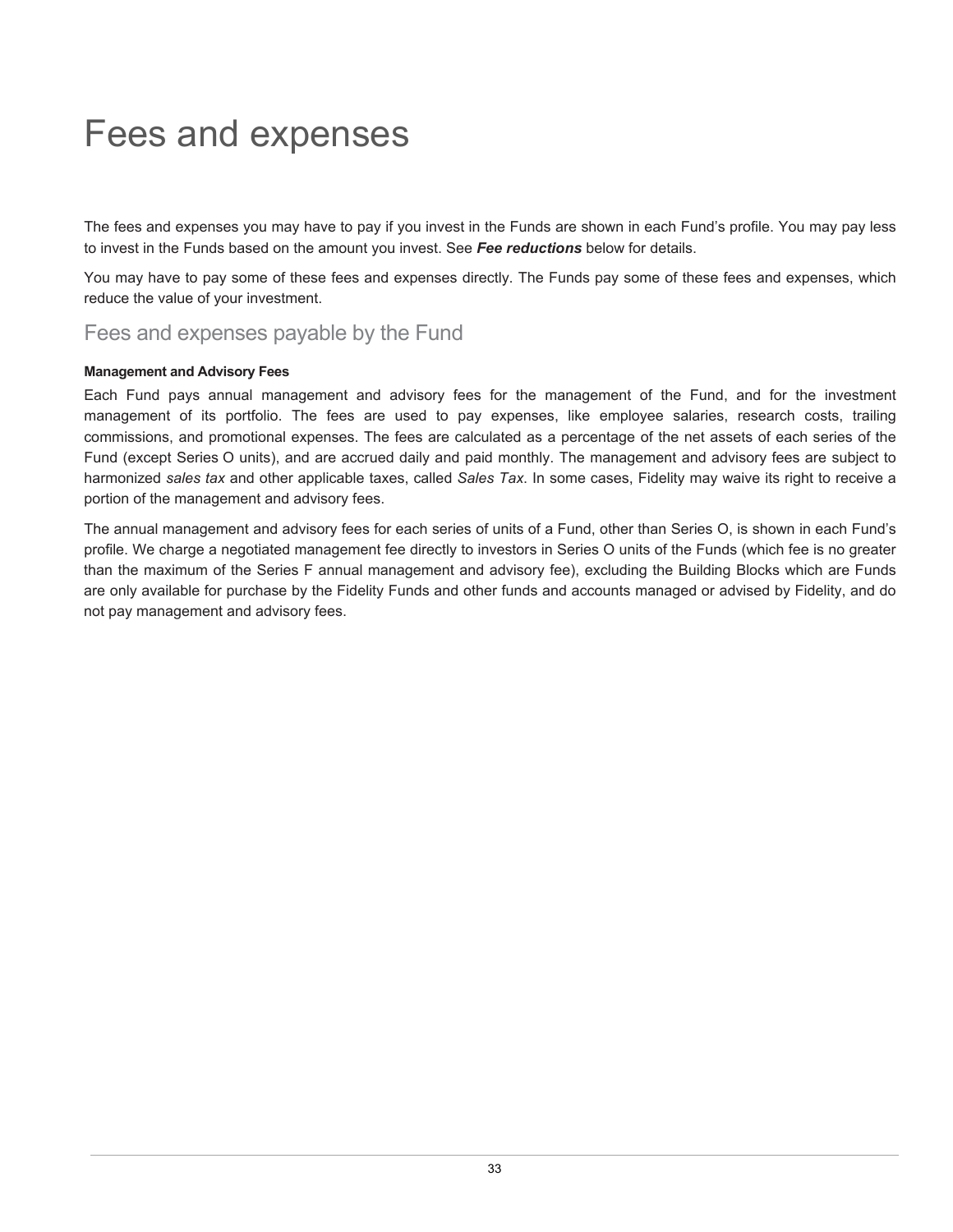# <span id="page-34-0"></span>Fees and expenses

The fees and expenses you may have to pay if you invest in the Funds are shown in each Fund's profile. You may pay less to invest in the Funds based on the amount you invest. See *Fee reductions* below for details.

You may have to pay some of these fees and expenses directly. The Funds pay some of these fees and expenses, which reduce the value of your investment.

# Fees and expenses payable by the Fund

#### **Management and Advisory Fees**

Each Fund pays annual management and advisory fees for the management of the Fund, and for the investment management of its portfolio. The fees are used to pay expenses, like employee salaries, research costs, trailing commissions, and promotional expenses. The fees are calculated as a percentage of the net assets of each series of the Fund (except Series O units), and are accrued daily and paid monthly. The management and advisory fees are subject to harmonized *sales tax* and other applicable taxes, called *Sales Tax*. In some cases, Fidelity may waive its right to receive a portion of the management and advisory fees.

The annual management and advisory fees for each series of units of a Fund, other than Series O, is shown in each Fund's profile. We charge a negotiated management fee directly to investors in Series O units of the Funds (which fee is no greater than the maximum of the Series F annual management and advisory fee), excluding the Building Blocks which are Funds are only available for purchase by the Fidelity Funds and other funds and accounts managed or advised by Fidelity, and do not pay management and advisory fees.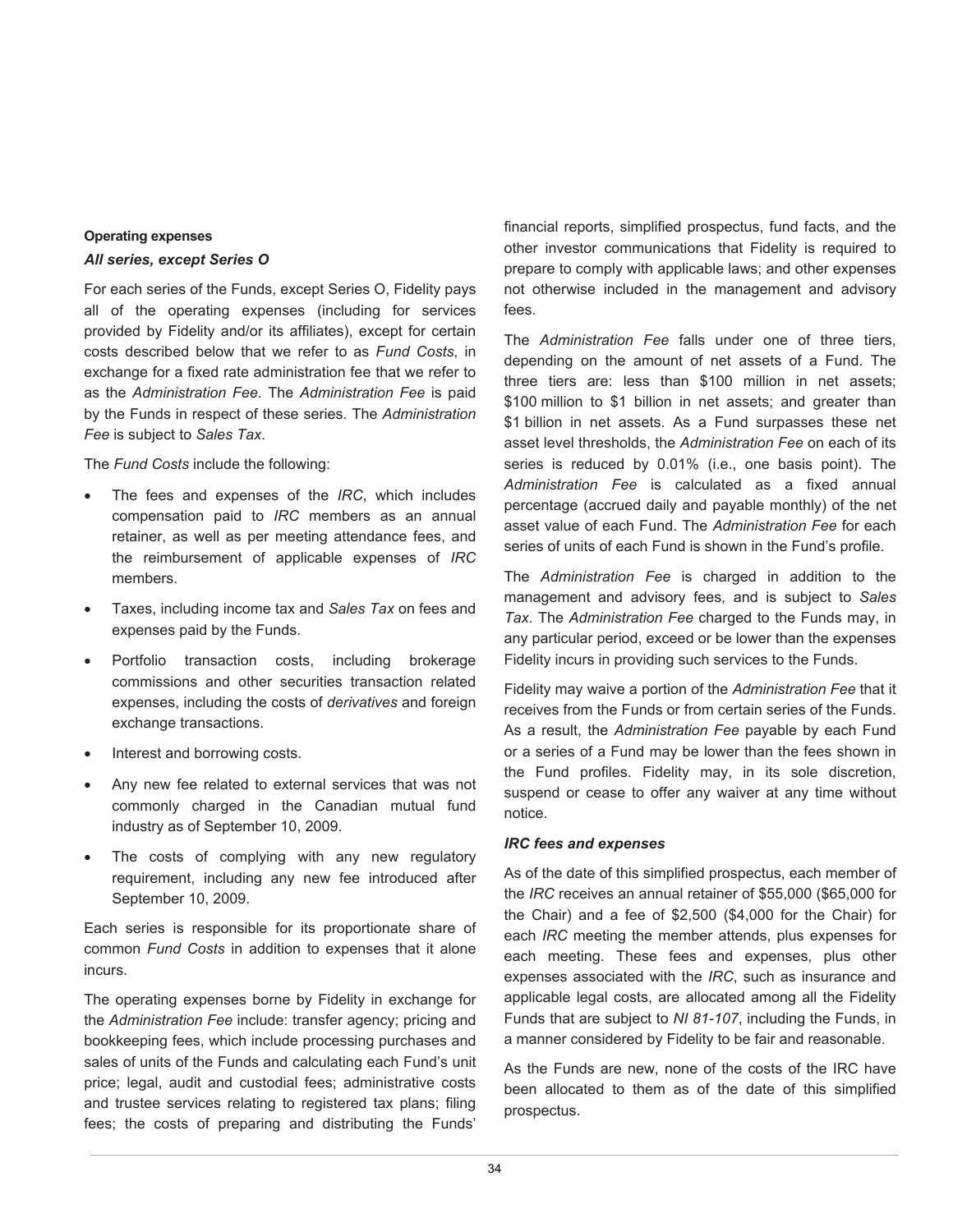#### **Operating expenses**

#### *All series, except Series O*

For each series of the Funds, except Series O, Fidelity pays all of the operating expenses (including for services provided by Fidelity and/or its affiliates), except for certain costs described below that we refer to as *Fund Costs*, in exchange for a fixed rate administration fee that we refer to as the *Administration Fee*. The *Administration Fee* is paid by the Funds in respect of these series. The *Administration Fee* is subject to *Sales Tax*.

The *Fund Costs* include the following:

- The fees and expenses of the *IRC*, which includes compensation paid to *IRC* members as an annual retainer, as well as per meeting attendance fees, and the reimbursement of applicable expenses of *IRC* members.
- Taxes, including income tax and *Sales Tax* on fees and expenses paid by the Funds.
- Portfolio transaction costs, including brokerage commissions and other securities transaction related expenses, including the costs of *derivatives* and foreign exchange transactions.
- Interest and borrowing costs.
- Any new fee related to external services that was not commonly charged in the Canadian mutual fund industry as of September 10, 2009.
- The costs of complying with any new regulatory requirement, including any new fee introduced after September 10, 2009.

Each series is responsible for its proportionate share of common *Fund Costs* in addition to expenses that it alone incurs.

The operating expenses borne by Fidelity in exchange for the *Administration Fee* include: transfer agency; pricing and bookkeeping fees, which include processing purchases and sales of units of the Funds and calculating each Fund's unit price; legal, audit and custodial fees; administrative costs and trustee services relating to registered tax plans; filing fees; the costs of preparing and distributing the Funds'

financial reports, simplified prospectus, fund facts, and the other investor communications that Fidelity is required to prepare to comply with applicable laws; and other expenses not otherwise included in the management and advisory fees.

The *Administration Fee* falls under one of three tiers, depending on the amount of net assets of a Fund. The three tiers are: less than \$100 million in net assets; \$100 million to \$1 billion in net assets; and greater than \$1 billion in net assets. As a Fund surpasses these net asset level thresholds, the *Administration Fee* on each of its series is reduced by 0.01% (i.e., one basis point). The *Administration Fee* is calculated as a fixed annual percentage (accrued daily and payable monthly) of the net asset value of each Fund. The *Administration Fee* for each series of units of each Fund is shown in the Fund's profile.

The *Administration Fee* is charged in addition to the management and advisory fees, and is subject to *Sales Tax*. The *Administration Fee* charged to the Funds may, in any particular period, exceed or be lower than the expenses Fidelity incurs in providing such services to the Funds.

Fidelity may waive a portion of the *Administration Fee* that it receives from the Funds or from certain series of the Funds. As a result, the *Administration Fee* payable by each Fund or a series of a Fund may be lower than the fees shown in the Fund profiles. Fidelity may, in its sole discretion, suspend or cease to offer any waiver at any time without notice.

#### *IRC fees and expenses*

As of the date of this simplified prospectus, each member of the *IRC* receives an annual retainer of \$55,000 (\$65,000 for the Chair) and a fee of \$2,500 (\$4,000 for the Chair) for each *IRC* meeting the member attends, plus expenses for each meeting. These fees and expenses, plus other expenses associated with the *IRC*, such as insurance and applicable legal costs, are allocated among all the Fidelity Funds that are subject to *NI 81-107*, including the Funds, in a manner considered by Fidelity to be fair and reasonable.

As the Funds are new, none of the costs of the IRC have been allocated to them as of the date of this simplified prospectus.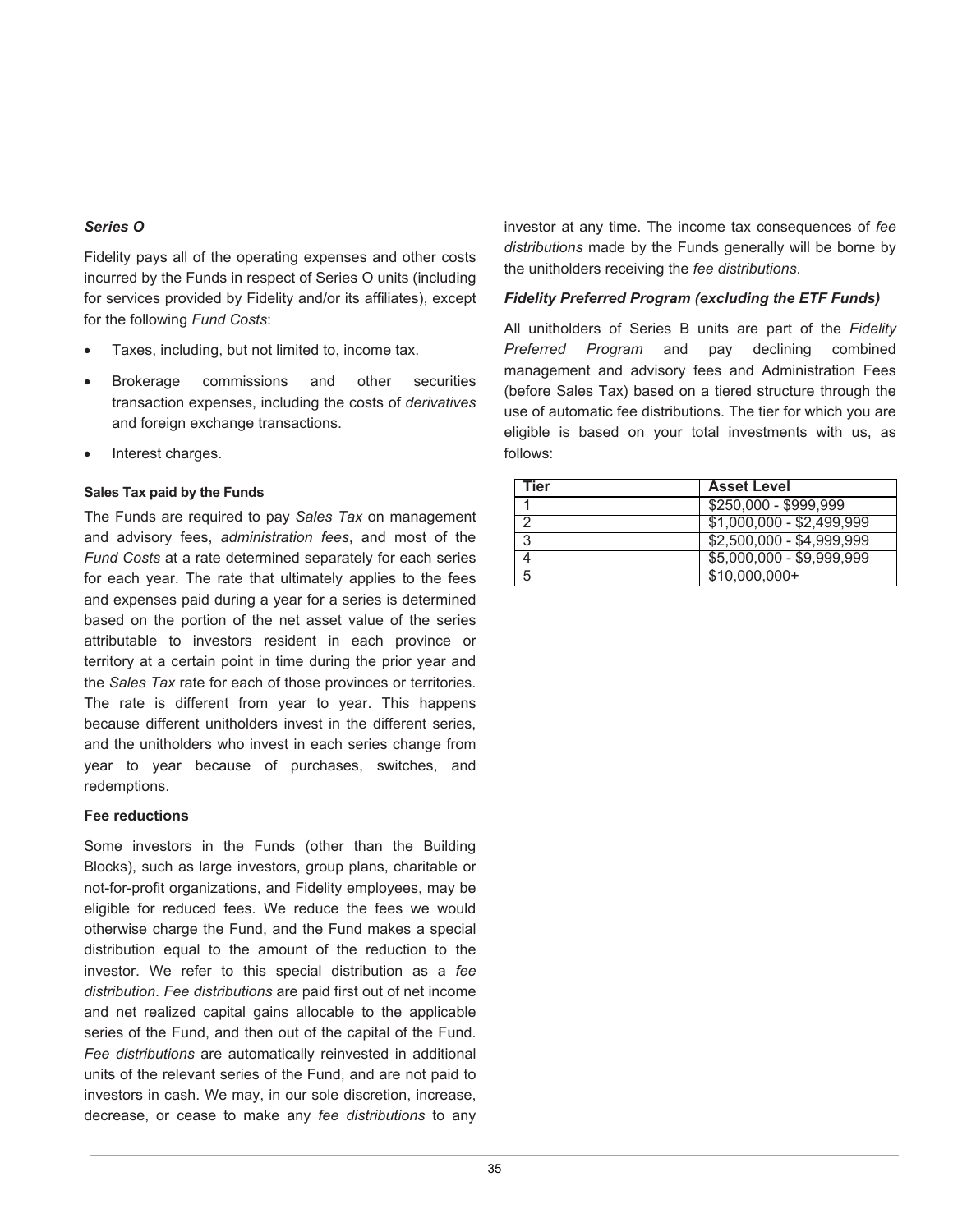#### *Series O*

Fidelity pays all of the operating expenses and other costs incurred by the Funds in respect of Series O units (including for services provided by Fidelity and/or its affiliates), except for the following *Fund Costs*:

- Taxes, including, but not limited to, income tax.
- Brokerage commissions and other securities transaction expenses, including the costs of *derivatives* and foreign exchange transactions.
- Interest charges.

#### **Sales Tax paid by the Funds**

The Funds are required to pay *Sales Tax* on management and advisory fees, *administration fees*, and most of the *Fund Costs* at a rate determined separately for each series for each year. The rate that ultimately applies to the fees and expenses paid during a year for a series is determined based on the portion of the net asset value of the series attributable to investors resident in each province or territory at a certain point in time during the prior year and the *Sales Tax* rate for each of those provinces or territories. The rate is different from year to year. This happens because different unitholders invest in the different series, and the unitholders who invest in each series change from year to year because of purchases, switches, and redemptions.

#### **Fee reductions**

Some investors in the Funds (other than the Building Blocks), such as large investors, group plans, charitable or not-for-profit organizations, and Fidelity employees, may be eligible for reduced fees. We reduce the fees we would otherwise charge the Fund, and the Fund makes a special distribution equal to the amount of the reduction to the investor. We refer to this special distribution as a *fee distribution*. *Fee distributions* are paid first out of net income and net realized capital gains allocable to the applicable series of the Fund, and then out of the capital of the Fund. *Fee distributions* are automatically reinvested in additional units of the relevant series of the Fund, and are not paid to investors in cash. We may, in our sole discretion, increase, decrease, or cease to make any *fee distributions* to any

investor at any time. The income tax consequences of *fee distributions* made by the Funds generally will be borne by the unitholders receiving the *fee distributions*.

#### *Fidelity Preferred Program (excluding the ETF Funds)*

All unitholders of Series B units are part of the *Fidelity Preferred Program* and pay declining combined management and advisory fees and Administration Fees (before Sales Tax) based on a tiered structure through the use of automatic fee distributions. The tier for which you are eligible is based on your total investments with us, as follows:

| Tier | <b>Asset Level</b>        |
|------|---------------------------|
|      | \$250,000 - \$999,999     |
|      | $$1,000,000 - $2,499,999$ |
| ີ    | $$2,500,000 - $4,999,999$ |
|      | \$5,000,000 - \$9,999,999 |
| 5    | $$10,000,000+$            |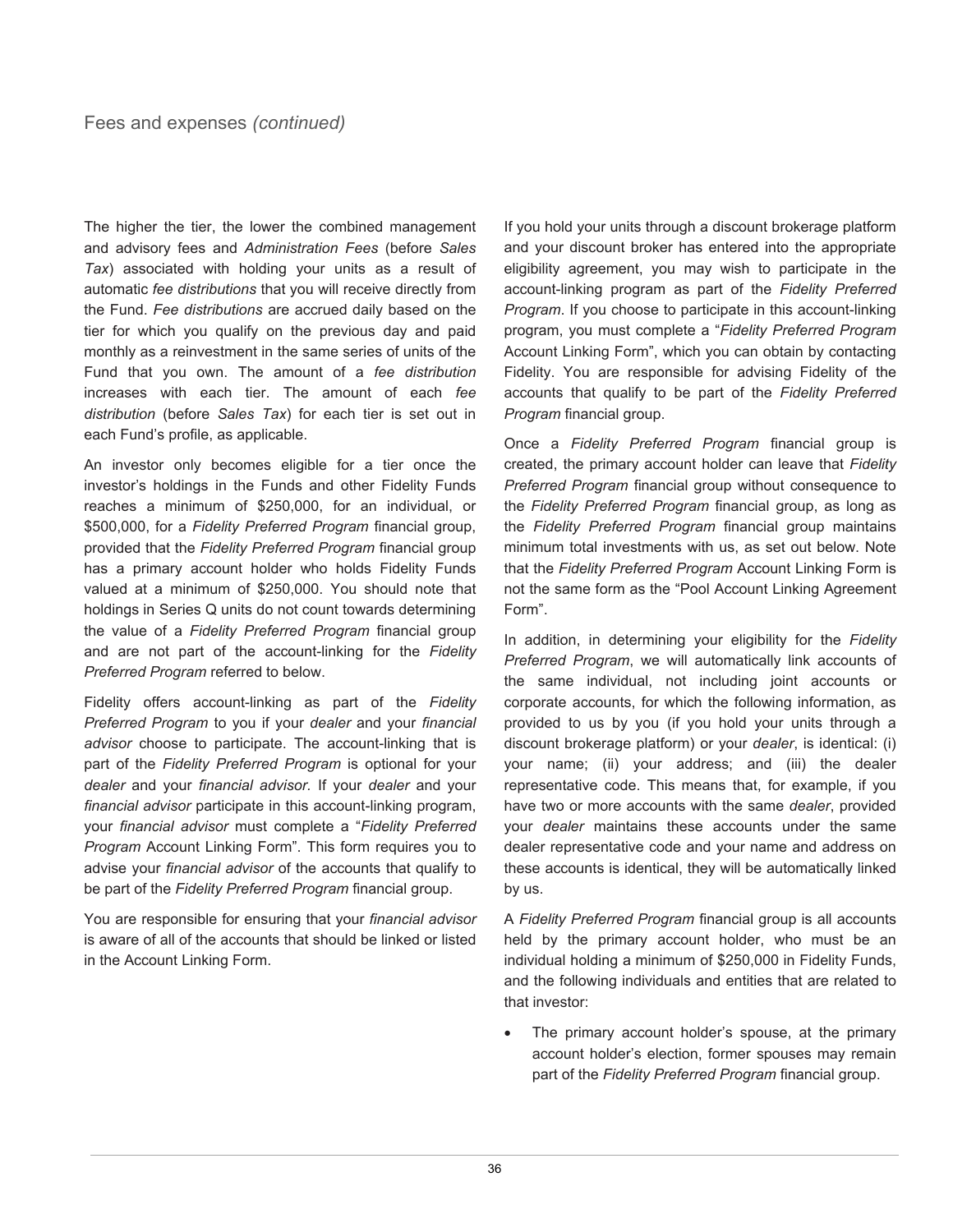The higher the tier, the lower the combined management and advisory fees and *Administration Fees* (before *Sales Tax*) associated with holding your units as a result of automatic *fee distributions* that you will receive directly from the Fund. *Fee distributions* are accrued daily based on the tier for which you qualify on the previous day and paid monthly as a reinvestment in the same series of units of the Fund that you own. The amount of a *fee distribution* increases with each tier. The amount of each *fee distribution* (before *Sales Tax*) for each tier is set out in each Fund's profile, as applicable.

An investor only becomes eligible for a tier once the investor's holdings in the Funds and other Fidelity Funds reaches a minimum of \$250,000, for an individual, or \$500,000, for a *Fidelity Preferred Program* financial group, provided that the *Fidelity Preferred Program* financial group has a primary account holder who holds Fidelity Funds valued at a minimum of \$250,000. You should note that holdings in Series Q units do not count towards determining the value of a *Fidelity Preferred Program* financial group and are not part of the account-linking for the *Fidelity Preferred Program* referred to below.

Fidelity offers account-linking as part of the *Fidelity Preferred Program* to you if your *dealer* and your *financial advisor* choose to participate. The account-linking that is part of the *Fidelity Preferred Program* is optional for your *dealer* and your *financial advisor.* If your *dealer* and your *financial advisor* participate in this account-linking program, your *financial advisor* must complete a "*Fidelity Preferred Program* Account Linking Form". This form requires you to advise your *financial advisor* of the accounts that qualify to be part of the *Fidelity Preferred Program* financial group.

You are responsible for ensuring that your *financial advisor* is aware of all of the accounts that should be linked or listed in the Account Linking Form.

If you hold your units through a discount brokerage platform and your discount broker has entered into the appropriate eligibility agreement, you may wish to participate in the account-linking program as part of the *Fidelity Preferred Program*. If you choose to participate in this account-linking program, you must complete a "*Fidelity Preferred Program* Account Linking Form", which you can obtain by contacting Fidelity. You are responsible for advising Fidelity of the accounts that qualify to be part of the *Fidelity Preferred Program* financial group.

Once a *Fidelity Preferred Program* financial group is created, the primary account holder can leave that *Fidelity Preferred Program* financial group without consequence to the *Fidelity Preferred Program* financial group, as long as the *Fidelity Preferred Program* financial group maintains minimum total investments with us, as set out below. Note that the *Fidelity Preferred Program* Account Linking Form is not the same form as the "Pool Account Linking Agreement Form".

In addition, in determining your eligibility for the *Fidelity Preferred Program*, we will automatically link accounts of the same individual, not including joint accounts or corporate accounts, for which the following information, as provided to us by you (if you hold your units through a discount brokerage platform) or your *dealer*, is identical: (i) your name; (ii) your address; and (iii) the dealer representative code. This means that, for example, if you have two or more accounts with the same *dealer*, provided your *dealer* maintains these accounts under the same dealer representative code and your name and address on these accounts is identical, they will be automatically linked by us.

A *Fidelity Preferred Program* financial group is all accounts held by the primary account holder, who must be an individual holding a minimum of \$250,000 in Fidelity Funds, and the following individuals and entities that are related to that investor:

• The primary account holder's spouse, at the primary account holder's election, former spouses may remain part of the *Fidelity Preferred Program* financial group.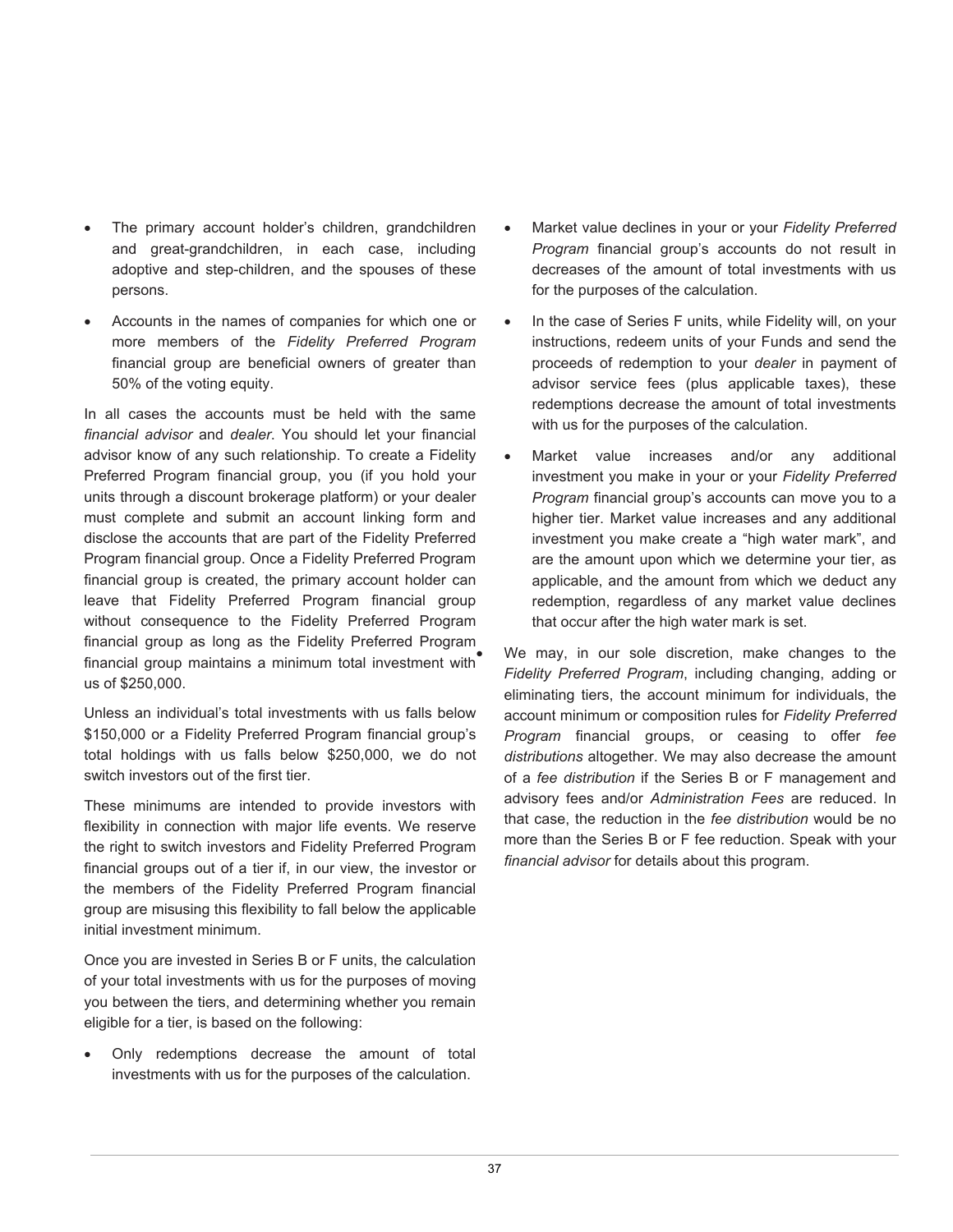- The primary account holder's children, grandchildren and great-grandchildren, in each case, including adoptive and step-children, and the spouses of these persons.
- Accounts in the names of companies for which one or more members of the *Fidelity Preferred Program*  financial group are beneficial owners of greater than 50% of the voting equity.

In all cases the accounts must be held with the same *financial advisor* and *dealer*. You should let your financial advisor know of any such relationship. To create a Fidelity Preferred Program financial group, you (if you hold your units through a discount brokerage platform) or your dealer must complete and submit an account linking form and disclose the accounts that are part of the Fidelity Preferred Program financial group. Once a Fidelity Preferred Program financial group is created, the primary account holder can leave that Fidelity Preferred Program financial group without consequence to the Fidelity Preferred Program financial group as long as the Fidelity Preferred Program financial group maintains a minimum total investment with us of \$250,000.

Unless an individual's total investments with us falls below \$150,000 or a Fidelity Preferred Program financial group's total holdings with us falls below \$250,000, we do not switch investors out of the first tier.

These minimums are intended to provide investors with flexibility in connection with major life events. We reserve the right to switch investors and Fidelity Preferred Program financial groups out of a tier if, in our view, the investor or the members of the Fidelity Preferred Program financial group are misusing this flexibility to fall below the applicable initial investment minimum.

Once you are invested in Series B or F units, the calculation of your total investments with us for the purposes of moving you between the tiers, and determining whether you remain eligible for a tier, is based on the following:

• Only redemptions decrease the amount of total investments with us for the purposes of the calculation.

- Market value declines in your or your *Fidelity Preferred Program* financial group's accounts do not result in decreases of the amount of total investments with us for the purposes of the calculation.
- In the case of Series F units, while Fidelity will, on your instructions, redeem units of your Funds and send the proceeds of redemption to your *dealer* in payment of advisor service fees (plus applicable taxes), these redemptions decrease the amount of total investments with us for the purposes of the calculation.
- Market value increases and/or any additional investment you make in your or your *Fidelity Preferred Program* financial group's accounts can move you to a higher tier. Market value increases and any additional investment you make create a "high water mark", and are the amount upon which we determine your tier, as applicable, and the amount from which we deduct any redemption, regardless of any market value declines that occur after the high water mark is set.

We may, in our sole discretion, make changes to the *Fidelity Preferred Program*, including changing, adding or eliminating tiers, the account minimum for individuals, the account minimum or composition rules for *Fidelity Preferred Program* financial groups, or ceasing to offer *fee distributions* altogether. We may also decrease the amount of a *fee distribution* if the Series B or F management and advisory fees and/or *Administration Fees* are reduced. In that case, the reduction in the *fee distribution* would be no more than the Series B or F fee reduction. Speak with your *financial advisor* for details about this program.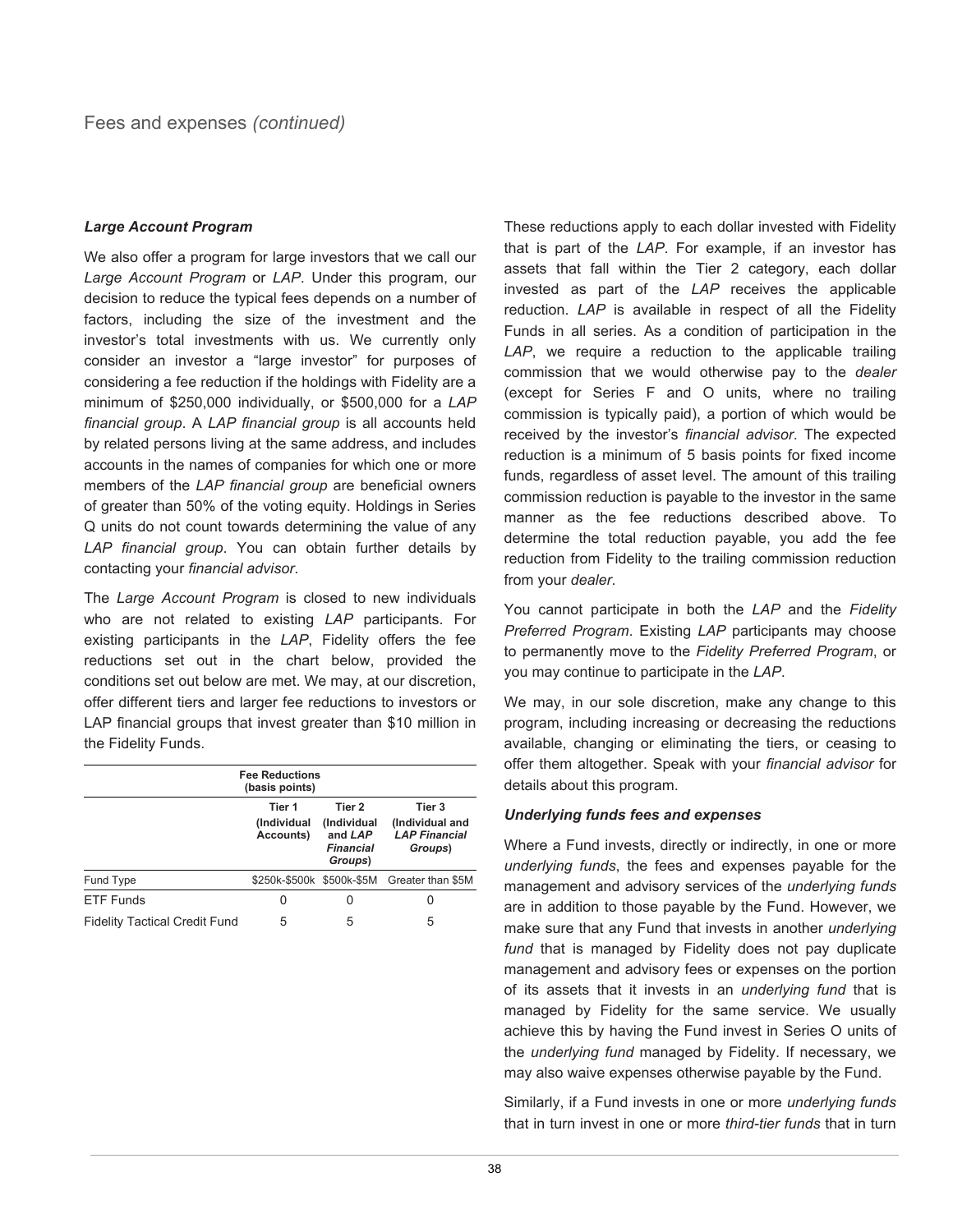#### *Large Account Program*

We also offer a program for large investors that we call our *Large Account Program* or *LAP*. Under this program, our decision to reduce the typical fees depends on a number of factors, including the size of the investment and the investor's total investments with us. We currently only consider an investor a "large investor" for purposes of considering a fee reduction if the holdings with Fidelity are a minimum of \$250,000 individually, or \$500,000 for a *LAP financial group*. A *LAP financial group* is all accounts held by related persons living at the same address, and includes accounts in the names of companies for which one or more members of the *LAP financial group* are beneficial owners of greater than 50% of the voting equity. Holdings in Series Q units do not count towards determining the value of any *LAP financial group*. You can obtain further details by contacting your *financial advisor*.

The *Large Account Program* is closed to new individuals who are not related to existing *LAP* participants. For existing participants in the *LAP*, Fidelity offers the fee reductions set out in the chart below, provided the conditions set out below are met. We may, at our discretion, offer different tiers and larger fee reductions to investors or LAP financial groups that invest greater than \$10 million in the Fidelity Funds.

| <b>Fee Reductions</b><br>(basis points) |                                    |                                                                 |                                                              |  |
|-----------------------------------------|------------------------------------|-----------------------------------------------------------------|--------------------------------------------------------------|--|
|                                         | Tier 1<br>(Individual<br>Accounts) | Tier 2<br>(Individual<br>and LAP<br><b>Financial</b><br>Groups) | Tier 3<br>(Individual and<br><b>LAP Financial</b><br>Groups) |  |
| Fund Type                               |                                    |                                                                 | \$250k-\$500k \$500k-\$5M Greater than \$5M                  |  |
| FTF Funds                               |                                    |                                                                 |                                                              |  |
| <b>Fidelity Tactical Credit Fund</b>    |                                    |                                                                 |                                                              |  |

These reductions apply to each dollar invested with Fidelity that is part of the *LAP*. For example, if an investor has assets that fall within the Tier 2 category, each dollar invested as part of the *LAP* receives the applicable reduction. *LAP* is available in respect of all the Fidelity Funds in all series. As a condition of participation in the *LAP*, we require a reduction to the applicable trailing commission that we would otherwise pay to the *dealer* (except for Series F and O units, where no trailing commission is typically paid), a portion of which would be received by the investor's *financial advisor*. The expected reduction is a minimum of 5 basis points for fixed income funds, regardless of asset level. The amount of this trailing commission reduction is payable to the investor in the same manner as the fee reductions described above. To determine the total reduction payable, you add the fee reduction from Fidelity to the trailing commission reduction from your *dealer*.

You cannot participate in both the *LAP* and the *Fidelity Preferred Program*. Existing *LAP* participants may choose to permanently move to the *Fidelity Preferred Program*, or you may continue to participate in the *LAP*.

We may, in our sole discretion, make any change to this program, including increasing or decreasing the reductions available, changing or eliminating the tiers, or ceasing to offer them altogether. Speak with your *financial advisor* for details about this program.

#### *Underlying funds fees and expenses*

Where a Fund invests, directly or indirectly, in one or more *underlying funds*, the fees and expenses payable for the management and advisory services of the *underlying funds* are in addition to those payable by the Fund. However, we make sure that any Fund that invests in another *underlying fund* that is managed by Fidelity does not pay duplicate management and advisory fees or expenses on the portion of its assets that it invests in an *underlying fund* that is managed by Fidelity for the same service. We usually achieve this by having the Fund invest in Series O units of the *underlying fund* managed by Fidelity. If necessary, we may also waive expenses otherwise payable by the Fund.

Similarly, if a Fund invests in one or more *underlying funds* that in turn invest in one or more *third-tier funds* that in turn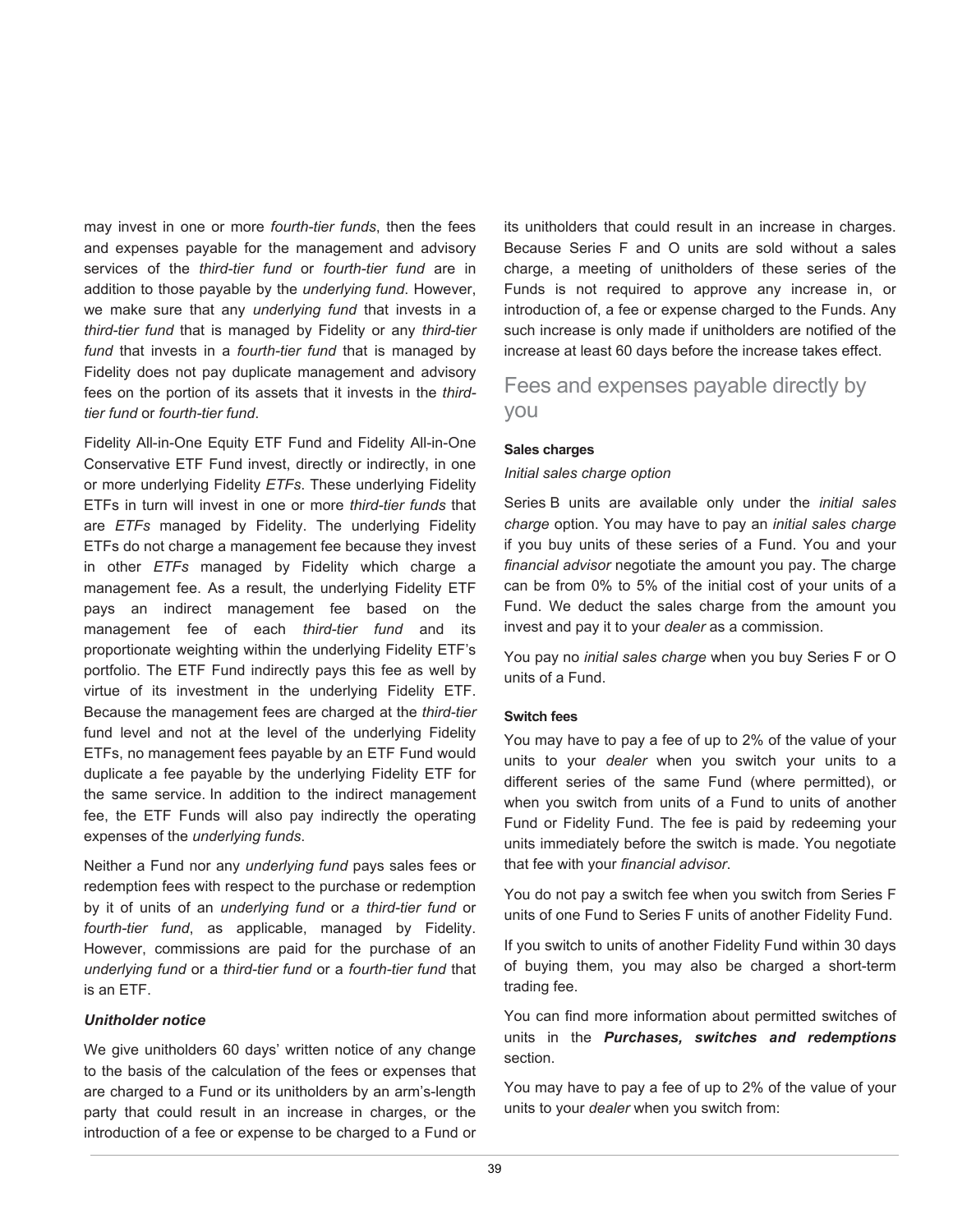may invest in one or more *fourth-tier funds*, then the fees and expenses payable for the management and advisory services of the *third-tier fund* or *fourth-tier fund* are in addition to those payable by the *underlying fund*. However, we make sure that any *underlying fund* that invests in a *third-tier fund* that is managed by Fidelity or any *third-tier fund* that invests in a *fourth-tier fund* that is managed by Fidelity does not pay duplicate management and advisory fees on the portion of its assets that it invests in the *thirdtier fund* or *fourth-tier fund*.

Fidelity All-in-One Equity ETF Fund and Fidelity All-in-One Conservative ETF Fund invest, directly or indirectly, in one or more underlying Fidelity *ETFs*. These underlying Fidelity ETFs in turn will invest in one or more *third-tier funds* that are *ETFs* managed by Fidelity. The underlying Fidelity ETFs do not charge a management fee because they invest in other *ETFs* managed by Fidelity which charge a management fee. As a result, the underlying Fidelity ETF pays an indirect management fee based on the management fee of each *third-tier fund* and its proportionate weighting within the underlying Fidelity ETF's portfolio. The ETF Fund indirectly pays this fee as well by virtue of its investment in the underlying Fidelity ETF. Because the management fees are charged at the *third-tier*  fund level and not at the level of the underlying Fidelity ETFs, no management fees payable by an ETF Fund would duplicate a fee payable by the underlying Fidelity ETF for the same service. In addition to the indirect management fee, the ETF Funds will also pay indirectly the operating expenses of the *underlying funds*.

Neither a Fund nor any *underlying fund* pays sales fees or redemption fees with respect to the purchase or redemption by it of units of an *underlying fund* or *a third-tier fund* or *fourth-tier fund*, as applicable, managed by Fidelity. However, commissions are paid for the purchase of an *underlying fund* or a *third-tier fund* or a *fourth-tier fund* that is an ETF.

#### *Unitholder notice*

We give unitholders 60 days' written notice of any change to the basis of the calculation of the fees or expenses that are charged to a Fund or its unitholders by an arm's-length party that could result in an increase in charges, or the introduction of a fee or expense to be charged to a Fund or

its unitholders that could result in an increase in charges. Because Series F and O units are sold without a sales charge, a meeting of unitholders of these series of the Funds is not required to approve any increase in, or introduction of, a fee or expense charged to the Funds. Any such increase is only made if unitholders are notified of the increase at least 60 days before the increase takes effect.

Fees and expenses payable directly by you

#### **Sales charges**

#### *Initial sales charge option*

Series B units are available only under the *initial sales charge* option. You may have to pay an *initial sales charge* if you buy units of these series of a Fund. You and your *financial advisor* negotiate the amount you pay. The charge can be from 0% to 5% of the initial cost of your units of a Fund. We deduct the sales charge from the amount you invest and pay it to your *dealer* as a commission.

You pay no *initial sales charge* when you buy Series F or O units of a Fund.

#### **Switch fees**

You may have to pay a fee of up to 2% of the value of your units to your *dealer* when you switch your units to a different series of the same Fund (where permitted), or when you switch from units of a Fund to units of another Fund or Fidelity Fund. The fee is paid by redeeming your units immediately before the switch is made. You negotiate that fee with your *financial advisor*.

You do not pay a switch fee when you switch from Series F units of one Fund to Series F units of another Fidelity Fund.

If you switch to units of another Fidelity Fund within 30 days of buying them, you may also be charged a short-term trading fee.

You can find more information about permitted switches of units in the *Purchases, switches and redemptions* section.

You may have to pay a fee of up to 2% of the value of your units to your *dealer* when you switch from: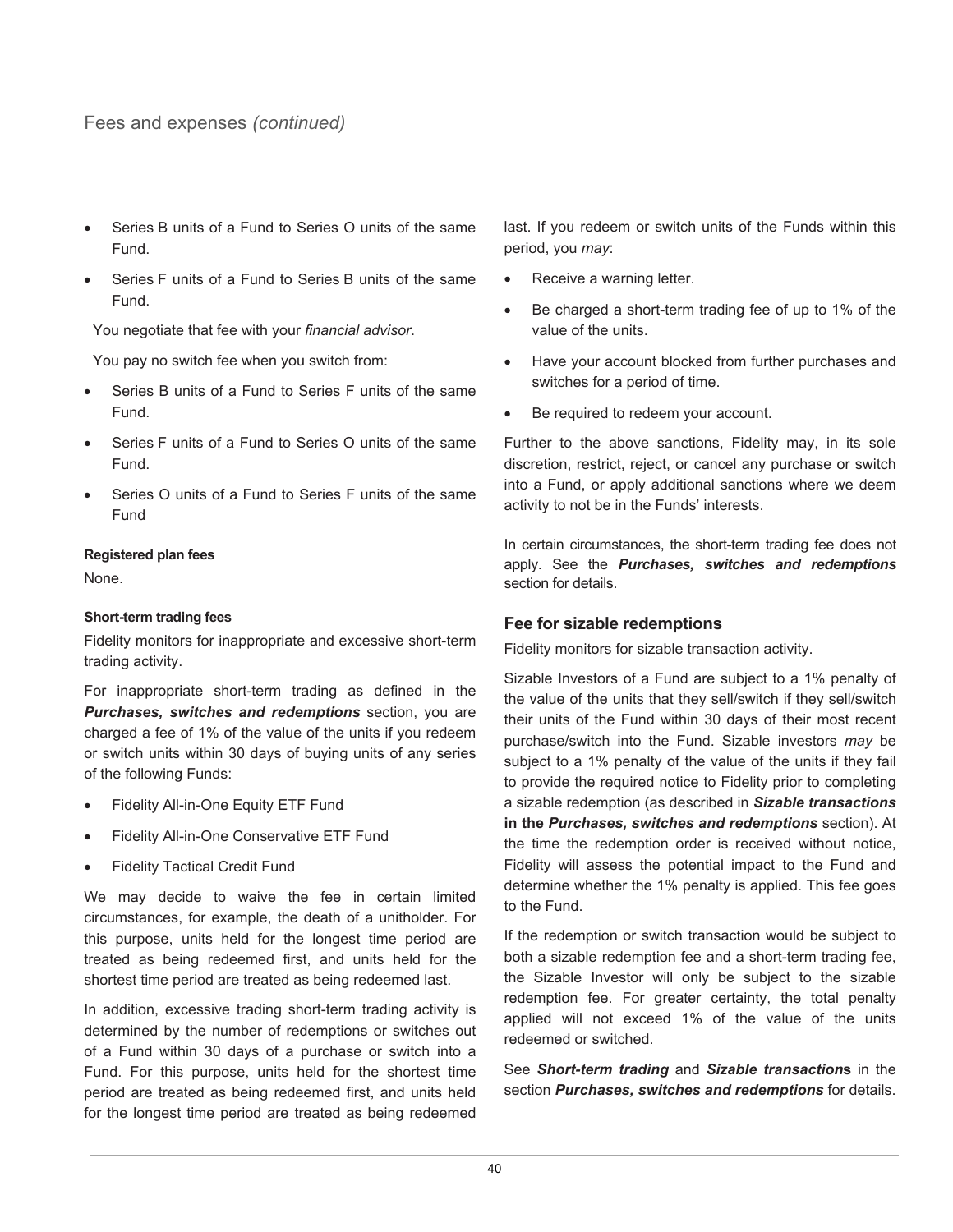Fees and expenses *(continued)*

- Series B units of a Fund to Series O units of the same Fund.
- Series F units of a Fund to Series B units of the same Fund.

You negotiate that fee with your *financial advisor*.

You pay no switch fee when you switch from:

- Series B units of a Fund to Series F units of the same Fund.
- Series F units of a Fund to Series O units of the same Fund.
- Series O units of a Fund to Series F units of the same Fund

#### **Registered plan fees**

None.

#### **Short-term trading fees**

Fidelity monitors for inappropriate and excessive short-term trading activity.

For inappropriate short-term trading as defined in the *Purchases, switches and redemptions* section, you are charged a fee of 1% of the value of the units if you redeem or switch units within 30 days of buying units of any series of the following Funds:

- Fidelity All-in-One Equity ETF Fund
- Fidelity All-in-One Conservative ETF Fund
- **Fidelity Tactical Credit Fund**

We may decide to waive the fee in certain limited circumstances, for example, the death of a unitholder. For this purpose, units held for the longest time period are treated as being redeemed first, and units held for the shortest time period are treated as being redeemed last.

In addition, excessive trading short-term trading activity is determined by the number of redemptions or switches out of a Fund within 30 days of a purchase or switch into a Fund. For this purpose, units held for the shortest time period are treated as being redeemed first, and units held for the longest time period are treated as being redeemed last. If you redeem or switch units of the Funds within this period, you *may*:

- Receive a warning letter.
- Be charged a short-term trading fee of up to 1% of the value of the units.
- Have your account blocked from further purchases and switches for a period of time.
- Be required to redeem your account.

Further to the above sanctions, Fidelity may, in its sole discretion, restrict, reject, or cancel any purchase or switch into a Fund, or apply additional sanctions where we deem activity to not be in the Funds' interests.

In certain circumstances, the short-term trading fee does not apply. See the *Purchases, switches and redemptions* section for details.

#### **Fee for sizable redemptions**

Fidelity monitors for sizable transaction activity.

Sizable Investors of a Fund are subject to a 1% penalty of the value of the units that they sell/switch if they sell/switch their units of the Fund within 30 days of their most recent purchase/switch into the Fund. Sizable investors *may* be subject to a 1% penalty of the value of the units if they fail to provide the required notice to Fidelity prior to completing a sizable redemption (as described in *Sizable transactions*  **in the** *Purchases, switches and redemptions* section). At the time the redemption order is received without notice, Fidelity will assess the potential impact to the Fund and determine whether the 1% penalty is applied. This fee goes to the Fund.

If the redemption or switch transaction would be subject to both a sizable redemption fee and a short-term trading fee, the Sizable Investor will only be subject to the sizable redemption fee. For greater certainty, the total penalty applied will not exceed 1% of the value of the units redeemed or switched.

See *Short-term trading* and *Sizable transaction***s** in the section *Purchases, switches and redemptions* for details.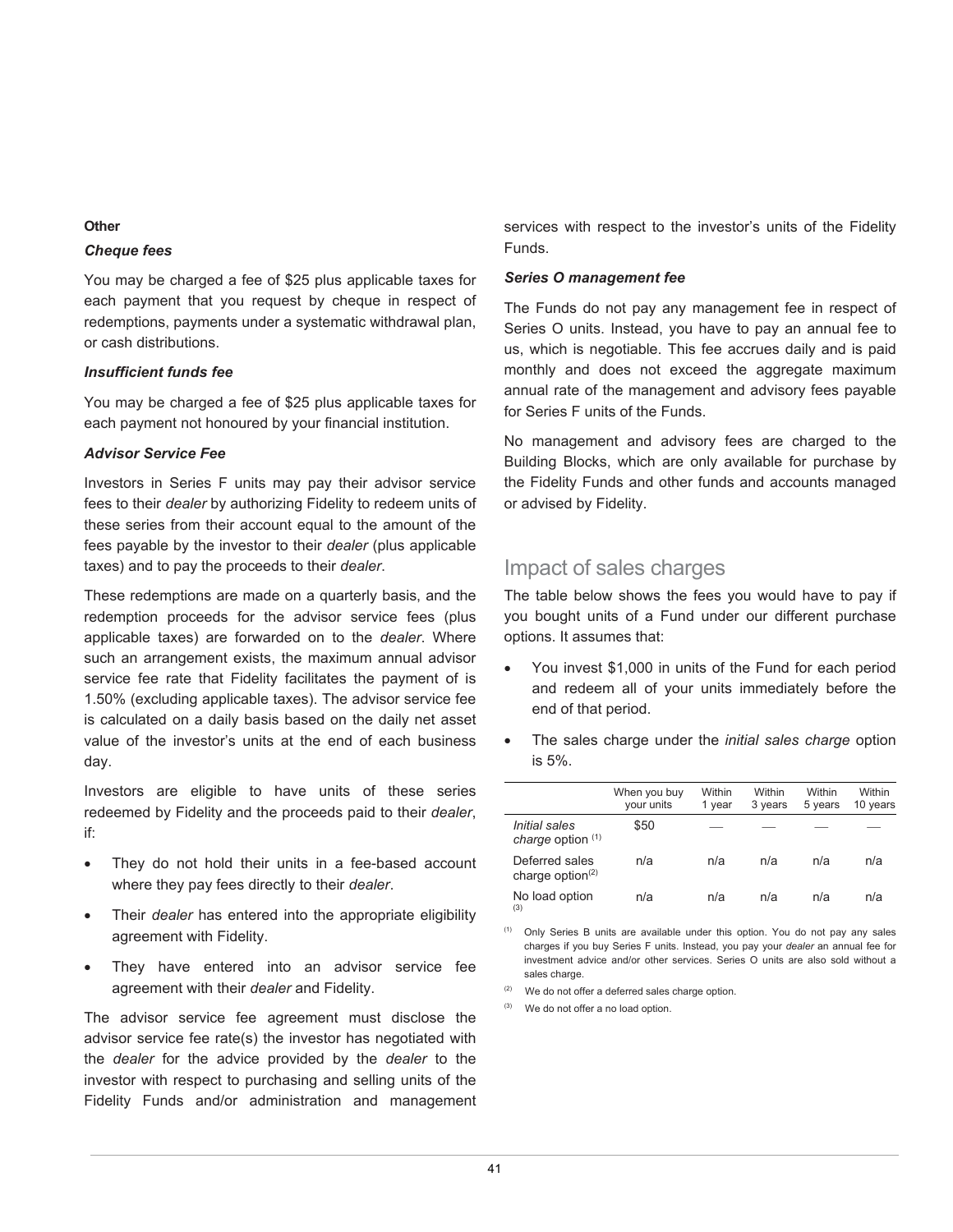#### **Other**

#### *Cheque fees*

You may be charged a fee of \$25 plus applicable taxes for each payment that you request by cheque in respect of redemptions, payments under a systematic withdrawal plan, or cash distributions.

#### *Insufficient funds fee*

You may be charged a fee of \$25 plus applicable taxes for each payment not honoured by your financial institution.

#### *Advisor Service Fee*

Investors in Series F units may pay their advisor service fees to their *dealer* by authorizing Fidelity to redeem units of these series from their account equal to the amount of the fees payable by the investor to their *dealer* (plus applicable taxes) and to pay the proceeds to their *dealer*.

These redemptions are made on a quarterly basis, and the redemption proceeds for the advisor service fees (plus applicable taxes) are forwarded on to the *dealer*. Where such an arrangement exists, the maximum annual advisor service fee rate that Fidelity facilitates the payment of is 1.50% (excluding applicable taxes). The advisor service fee is calculated on a daily basis based on the daily net asset value of the investor's units at the end of each business day.

Investors are eligible to have units of these series redeemed by Fidelity and the proceeds paid to their *dealer*, if:

- They do not hold their units in a fee-based account where they pay fees directly to their *dealer*.
- Their *dealer* has entered into the appropriate eligibility agreement with Fidelity.
- They have entered into an advisor service fee agreement with their *dealer* and Fidelity.

The advisor service fee agreement must disclose the advisor service fee rate(s) the investor has negotiated with the *dealer* for the advice provided by the *dealer* to the investor with respect to purchasing and selling units of the Fidelity Funds and/or administration and management services with respect to the investor's units of the Fidelity Funds.

#### *Series O management fee*

The Funds do not pay any management fee in respect of Series O units. Instead, you have to pay an annual fee to us, which is negotiable. This fee accrues daily and is paid monthly and does not exceed the aggregate maximum annual rate of the management and advisory fees payable for Series F units of the Funds.

No management and advisory fees are charged to the Building Blocks, which are only available for purchase by the Fidelity Funds and other funds and accounts managed or advised by Fidelity.

## Impact of sales charges

The table below shows the fees you would have to pay if you bought units of a Fund under our different purchase options. It assumes that:

- You invest \$1,000 in units of the Fund for each period and redeem all of your units immediately before the end of that period.
- The sales charge under the *initial sales charge* option is 5%.

|                                       | When you buy<br>your units | Within<br>1 vear | Within<br>3 years | <b>Within</b><br>5 years | Within<br>10 years |
|---------------------------------------|----------------------------|------------------|-------------------|--------------------------|--------------------|
| Initial sales<br>charge option (1)    | \$50                       |                  |                   |                          |                    |
| Deferred sales<br>charge option $(2)$ | n/a                        | n/a              | n/a               | n/a                      | n/a                |
| No load option<br>(3)                 | n/a                        | n/a              | n/a               | n/a                      | n/a                |

 $(1)$  Only Series B units are available under this option. You do not pay any sales charges if you buy Series F units. Instead, you pay your *dealer* an annual fee for investment advice and/or other services. Series O units are also sold without a sales charge.

- $(2)$  We do not offer a deferred sales charge option.
- We do not offer a no load option.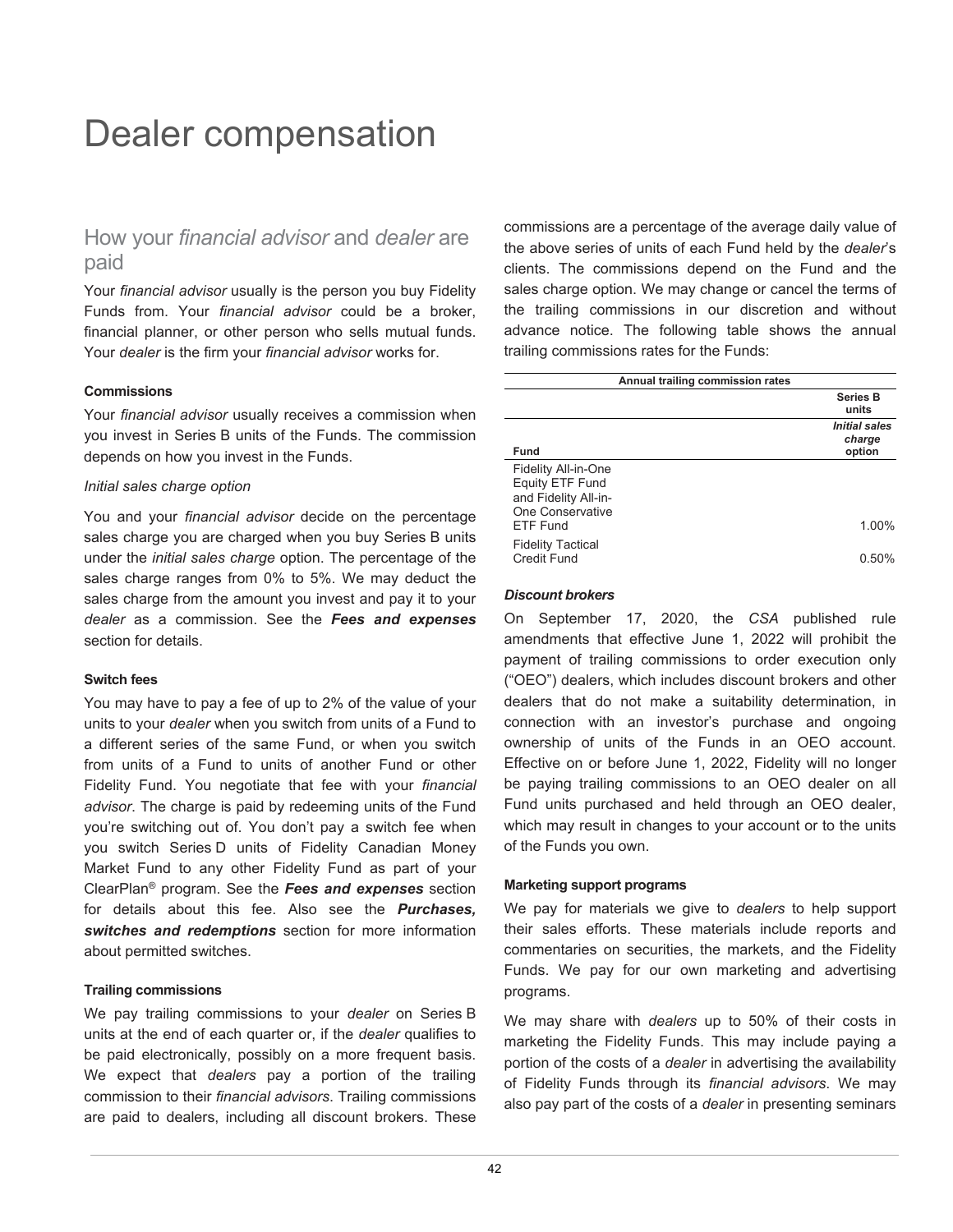## Dealer compensation

## How your *financial advisor* and *dealer* are paid

Your *financial advisor* usually is the person you buy Fidelity Funds from. Your *financial advisor* could be a broker, financial planner, or other person who sells mutual funds. Your *dealer* is the firm your *financial advisor* works for.

#### **Commissions**

Your *financial advisor* usually receives a commission when you invest in Series B units of the Funds. The commission depends on how you invest in the Funds.

#### *Initial sales charge option*

You and your *financial advisor* decide on the percentage sales charge you are charged when you buy Series B units under the *initial sales charge* option. The percentage of the sales charge ranges from 0% to 5%. We may deduct the sales charge from the amount you invest and pay it to your *dealer* as a commission. See the *Fees and expenses* section for details.

#### **Switch fees**

You may have to pay a fee of up to 2% of the value of your units to your *dealer* when you switch from units of a Fund to a different series of the same Fund, or when you switch from units of a Fund to units of another Fund or other Fidelity Fund. You negotiate that fee with your *financial advisor*. The charge is paid by redeeming units of the Fund you're switching out of. You don't pay a switch fee when you switch Series D units of Fidelity Canadian Money Market Fund to any other Fidelity Fund as part of your ClearPlan® program. See the *Fees and expenses* section for details about this fee. Also see the *Purchases, switches and redemptions* section for more information about permitted switches.

#### **Trailing commissions**

We pay trailing commissions to your *dealer* on Series B units at the end of each quarter or, if the *dealer* qualifies to be paid electronically, possibly on a more frequent basis. We expect that *dealers* pay a portion of the trailing commission to their *financial advisors*. Trailing commissions are paid to dealers, including all discount brokers. These

commissions are a percentage of the average daily value of the above series of units of each Fund held by the *dealer*'s clients. The commissions depend on the Fund and the sales charge option. We may change or cancel the terms of the trailing commissions in our discretion and without advance notice. The following table shows the annual trailing commissions rates for the Funds:

| Annual trailing commission rates |                                          |
|----------------------------------|------------------------------------------|
|                                  | <b>Series B</b><br>units                 |
| <b>Fund</b>                      | <b>Initial sales</b><br>charge<br>option |
| Fidelity All-in-One              |                                          |
| Equity ETF Fund                  |                                          |
| and Fidelity All-in-             |                                          |
| One Conservative                 |                                          |
| <b>ETF Fund</b>                  | 1 በበ%                                    |
| <b>Fidelity Tactical</b>         |                                          |
| <b>Credit Fund</b>               | በ 50%                                    |

#### *Discount brokers*

On September 17, 2020, the *CSA* published rule amendments that effective June 1, 2022 will prohibit the payment of trailing commissions to order execution only ("OEO") dealers, which includes discount brokers and other dealers that do not make a suitability determination, in connection with an investor's purchase and ongoing ownership of units of the Funds in an OEO account. Effective on or before June 1, 2022, Fidelity will no longer be paying trailing commissions to an OEO dealer on all Fund units purchased and held through an OEO dealer, which may result in changes to your account or to the units of the Funds you own.

#### **Marketing support programs**

We pay for materials we give to *dealers* to help support their sales efforts. These materials include reports and commentaries on securities, the markets, and the Fidelity Funds. We pay for our own marketing and advertising programs.

We may share with *dealers* up to 50% of their costs in marketing the Fidelity Funds. This may include paying a portion of the costs of a *dealer* in advertising the availability of Fidelity Funds through its *financial advisors*. We may also pay part of the costs of a *dealer* in presenting seminars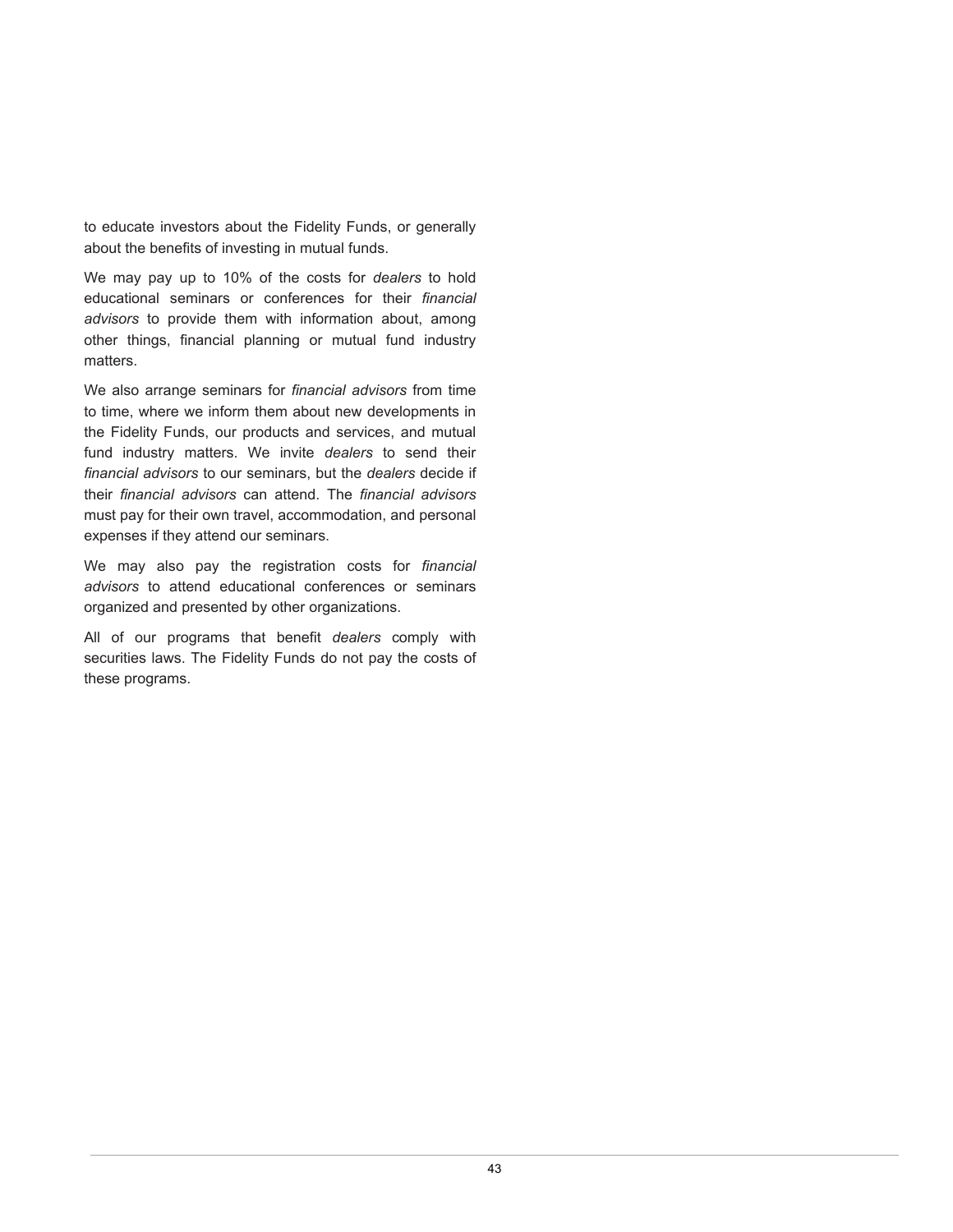to educate investors about the Fidelity Funds, or generally about the benefits of investing in mutual funds.

We may pay up to 10% of the costs for *dealers* to hold educational seminars or conferences for their *financial advisors* to provide them with information about, among other things, financial planning or mutual fund industry matters.

We also arrange seminars for *financial advisors* from time to time, where we inform them about new developments in the Fidelity Funds, our products and services, and mutual fund industry matters. We invite *dealers* to send their *financial advisors* to our seminars, but the *dealers* decide if their *financial advisors* can attend. The *financial advisors* must pay for their own travel, accommodation, and personal expenses if they attend our seminars.

We may also pay the registration costs for *financial advisors* to attend educational conferences or seminars organized and presented by other organizations.

All of our programs that benefit *dealers* comply with securities laws. The Fidelity Funds do not pay the costs of these programs.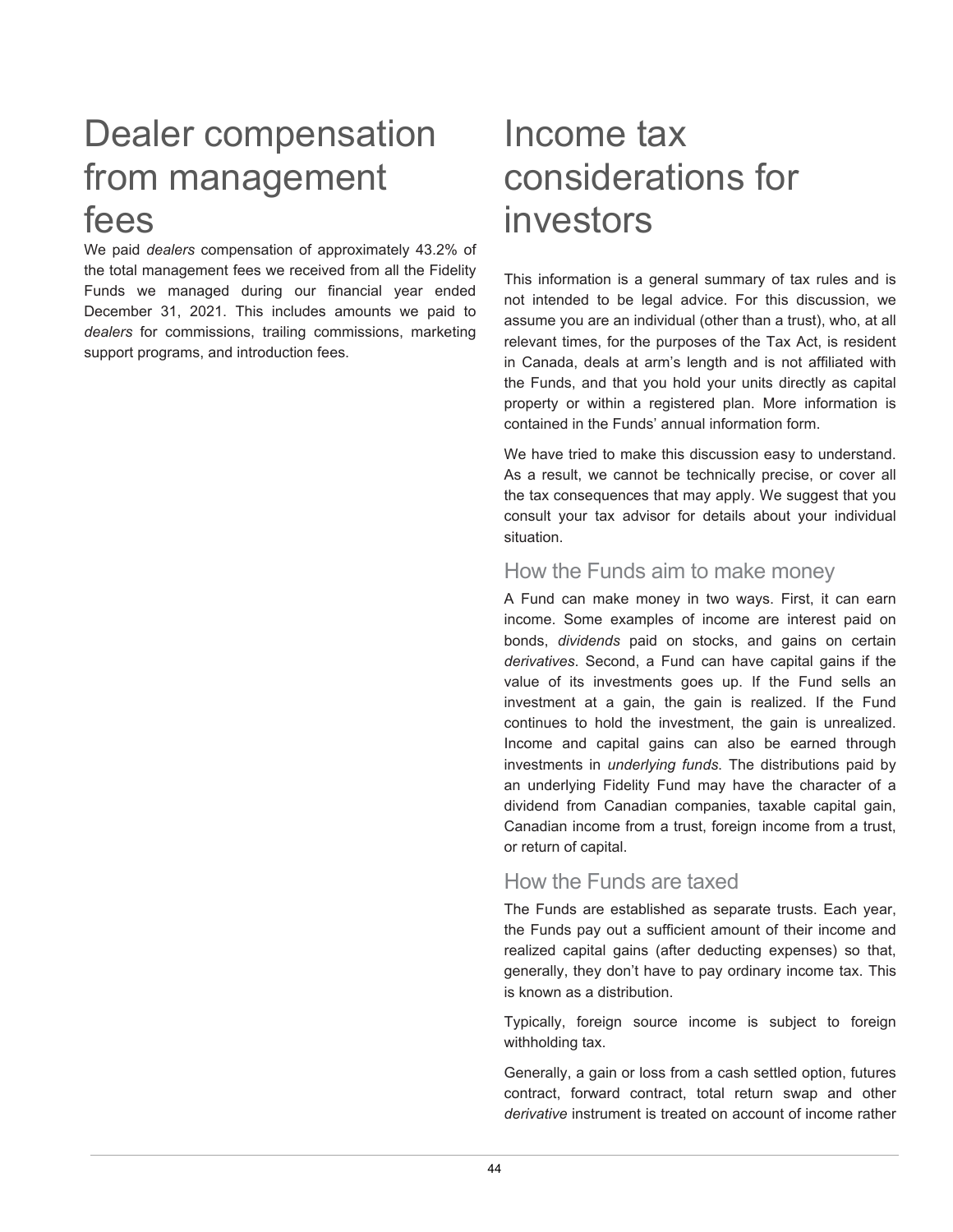## Dealer compensation Income tax from management considerations for fees investors

We paid *dealers* compensation of approximately 43.2% of the total management fees we received from all the Fidelity Funds we managed during our financial year ended December 31, 2021. This includes amounts we paid to *dealers* for commissions, trailing commissions, marketing support programs, and introduction fees.

This information is a general summary of tax rules and is not intended to be legal advice. For this discussion, we assume you are an individual (other than a trust), who, at all relevant times, for the purposes of the Tax Act, is resident in Canada, deals at arm's length and is not affiliated with the Funds, and that you hold your units directly as capital property or within a registered plan. More information is contained in the Funds' annual information form.

We have tried to make this discussion easy to understand. As a result, we cannot be technically precise, or cover all the tax consequences that may apply. We suggest that you consult your tax advisor for details about your individual situation.

## How the Funds aim to make money

A Fund can make money in two ways. First, it can earn income. Some examples of income are interest paid on bonds, *dividends* paid on stocks, and gains on certain *derivatives*. Second, a Fund can have capital gains if the value of its investments goes up. If the Fund sells an investment at a gain, the gain is realized. If the Fund continues to hold the investment, the gain is unrealized. Income and capital gains can also be earned through investments in *underlying funds*. The distributions paid by an underlying Fidelity Fund may have the character of a dividend from Canadian companies, taxable capital gain, Canadian income from a trust, foreign income from a trust, or return of capital.

## How the Funds are taxed

The Funds are established as separate trusts. Each year, the Funds pay out a sufficient amount of their income and realized capital gains (after deducting expenses) so that, generally, they don't have to pay ordinary income tax. This is known as a distribution.

Typically, foreign source income is subject to foreign withholding tax.

Generally, a gain or loss from a cash settled option, futures contract, forward contract, total return swap and other *derivative* instrument is treated on account of income rather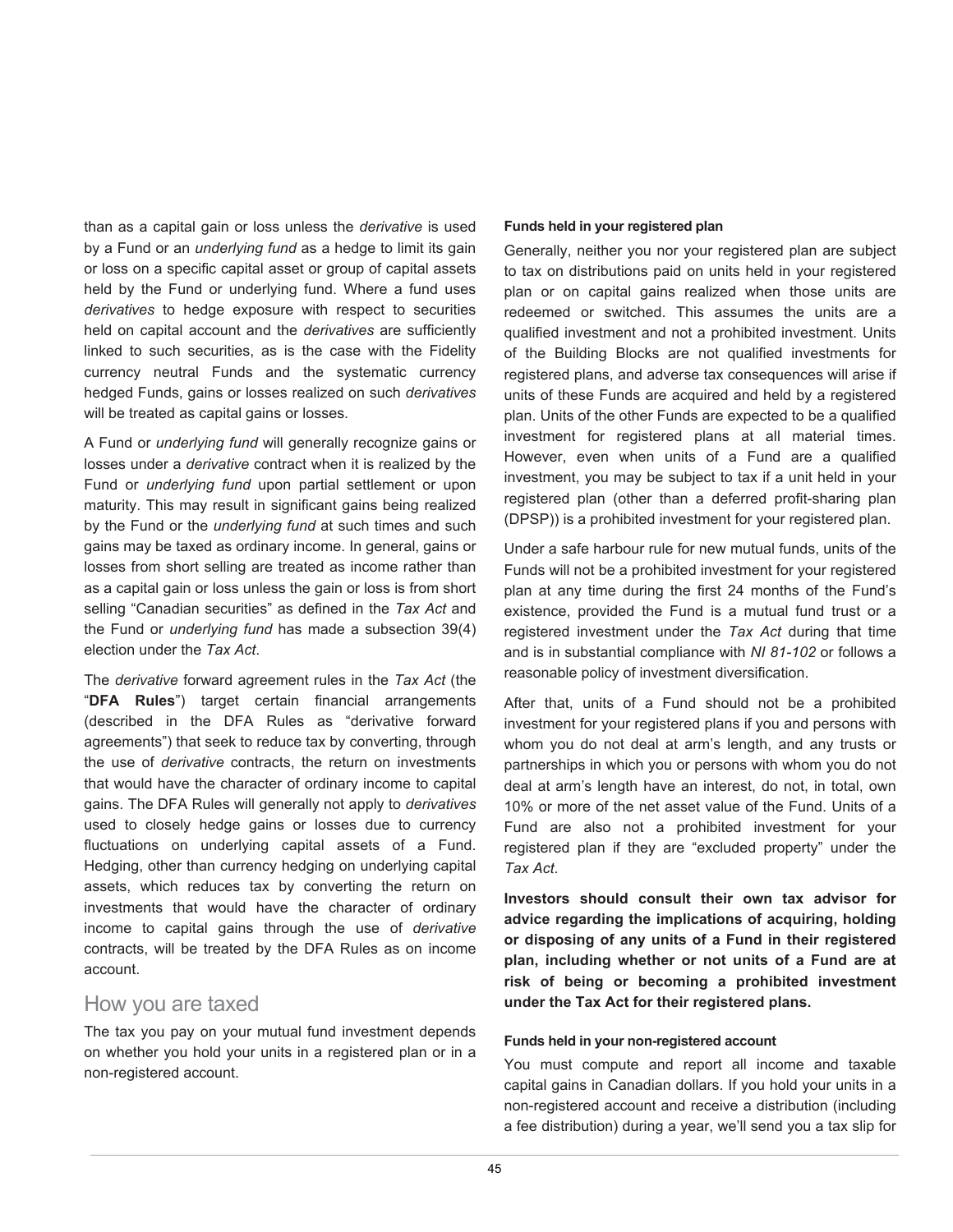than as a capital gain or loss unless the *derivative* is used by a Fund or an *underlying fund* as a hedge to limit its gain or loss on a specific capital asset or group of capital assets held by the Fund or underlying fund. Where a fund uses *derivatives* to hedge exposure with respect to securities held on capital account and the *derivatives* are sufficiently linked to such securities, as is the case with the Fidelity currency neutral Funds and the systematic currency hedged Funds, gains or losses realized on such *derivatives* will be treated as capital gains or losses.

A Fund or *underlying fund* will generally recognize gains or losses under a *derivative* contract when it is realized by the Fund or *underlying fund* upon partial settlement or upon maturity. This may result in significant gains being realized by the Fund or the *underlying fund* at such times and such gains may be taxed as ordinary income. In general, gains or losses from short selling are treated as income rather than as a capital gain or loss unless the gain or loss is from short selling "Canadian securities" as defined in the *Tax Act* and the Fund or *underlying fund* has made a subsection 39(4) election under the *Tax Act*.

The *derivative* forward agreement rules in the *Tax Act* (the "**DFA Rules**") target certain financial arrangements (described in the DFA Rules as "derivative forward agreements") that seek to reduce tax by converting, through the use of *derivative* contracts, the return on investments that would have the character of ordinary income to capital gains. The DFA Rules will generally not apply to *derivatives* used to closely hedge gains or losses due to currency fluctuations on underlying capital assets of a Fund. Hedging, other than currency hedging on underlying capital assets, which reduces tax by converting the return on investments that would have the character of ordinary income to capital gains through the use of *derivative* contracts, will be treated by the DFA Rules as on income account.

#### How you are taxed

The tax you pay on your mutual fund investment depends on whether you hold your units in a registered plan or in a non-registered account.

#### **Funds held in your registered plan**

Generally, neither you nor your registered plan are subject to tax on distributions paid on units held in your registered plan or on capital gains realized when those units are redeemed or switched. This assumes the units are a qualified investment and not a prohibited investment. Units of the Building Blocks are not qualified investments for registered plans, and adverse tax consequences will arise if units of these Funds are acquired and held by a registered plan. Units of the other Funds are expected to be a qualified investment for registered plans at all material times. However, even when units of a Fund are a qualified investment, you may be subject to tax if a unit held in your registered plan (other than a deferred profit-sharing plan (DPSP)) is a prohibited investment for your registered plan.

Under a safe harbour rule for new mutual funds, units of the Funds will not be a prohibited investment for your registered plan at any time during the first 24 months of the Fund's existence, provided the Fund is a mutual fund trust or a registered investment under the *Tax Act* during that time and is in substantial compliance with *NI 81-102* or follows a reasonable policy of investment diversification.

After that, units of a Fund should not be a prohibited investment for your registered plans if you and persons with whom you do not deal at arm's length, and any trusts or partnerships in which you or persons with whom you do not deal at arm's length have an interest, do not, in total, own 10% or more of the net asset value of the Fund. Units of a Fund are also not a prohibited investment for your registered plan if they are "excluded property" under the *Tax Act*.

**Investors should consult their own tax advisor for advice regarding the implications of acquiring, holding or disposing of any units of a Fund in their registered plan, including whether or not units of a Fund are at risk of being or becoming a prohibited investment under the Tax Act for their registered plans.**

#### **Funds held in your non-registered account**

You must compute and report all income and taxable capital gains in Canadian dollars. If you hold your units in a non-registered account and receive a distribution (including a fee distribution) during a year, we'll send you a tax slip for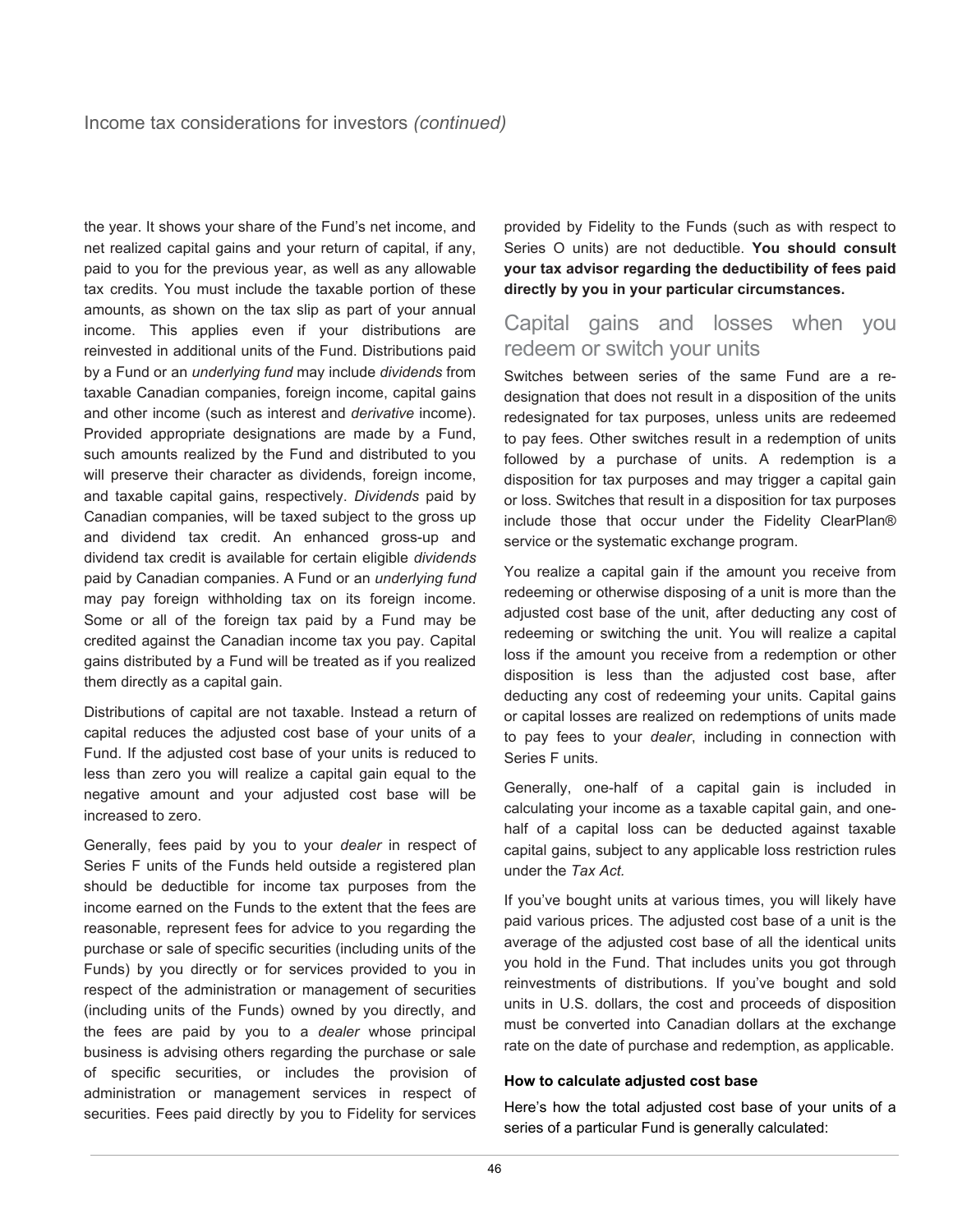the year. It shows your share of the Fund's net income, and net realized capital gains and your return of capital, if any, paid to you for the previous year, as well as any allowable tax credits. You must include the taxable portion of these amounts, as shown on the tax slip as part of your annual income. This applies even if your distributions are reinvested in additional units of the Fund. Distributions paid by a Fund or an *underlying fund* may include *dividends* from taxable Canadian companies, foreign income, capital gains and other income (such as interest and *derivative* income). Provided appropriate designations are made by a Fund, such amounts realized by the Fund and distributed to you will preserve their character as dividends, foreign income, and taxable capital gains, respectively. *Dividends* paid by Canadian companies, will be taxed subject to the gross up and dividend tax credit. An enhanced gross-up and dividend tax credit is available for certain eligible *dividends* paid by Canadian companies. A Fund or an *underlying fund* may pay foreign withholding tax on its foreign income. Some or all of the foreign tax paid by a Fund may be credited against the Canadian income tax you pay. Capital gains distributed by a Fund will be treated as if you realized them directly as a capital gain.

Distributions of capital are not taxable. Instead a return of capital reduces the adjusted cost base of your units of a Fund. If the adjusted cost base of your units is reduced to less than zero you will realize a capital gain equal to the negative amount and your adjusted cost base will be increased to zero.

Generally, fees paid by you to your *dealer* in respect of Series F units of the Funds held outside a registered plan should be deductible for income tax purposes from the income earned on the Funds to the extent that the fees are reasonable, represent fees for advice to you regarding the purchase or sale of specific securities (including units of the Funds) by you directly or for services provided to you in respect of the administration or management of securities (including units of the Funds) owned by you directly, and the fees are paid by you to a *dealer* whose principal business is advising others regarding the purchase or sale of specific securities, or includes the provision of administration or management services in respect of securities. Fees paid directly by you to Fidelity for services

provided by Fidelity to the Funds (such as with respect to Series O units) are not deductible. **You should consult your tax advisor regarding the deductibility of fees paid directly by you in your particular circumstances.**

## Capital gains and losses when you redeem or switch your units

Switches between series of the same Fund are a redesignation that does not result in a disposition of the units redesignated for tax purposes, unless units are redeemed to pay fees. Other switches result in a redemption of units followed by a purchase of units. A redemption is a disposition for tax purposes and may trigger a capital gain or loss. Switches that result in a disposition for tax purposes include those that occur under the Fidelity ClearPlan® service or the systematic exchange program.

You realize a capital gain if the amount you receive from redeeming or otherwise disposing of a unit is more than the adjusted cost base of the unit, after deducting any cost of redeeming or switching the unit. You will realize a capital loss if the amount you receive from a redemption or other disposition is less than the adjusted cost base, after deducting any cost of redeeming your units. Capital gains or capital losses are realized on redemptions of units made to pay fees to your *dealer*, including in connection with Series F units.

Generally, one-half of a capital gain is included in calculating your income as a taxable capital gain, and onehalf of a capital loss can be deducted against taxable capital gains, subject to any applicable loss restriction rules under the *Tax Act.*

If you've bought units at various times, you will likely have paid various prices. The adjusted cost base of a unit is the average of the adjusted cost base of all the identical units you hold in the Fund. That includes units you got through reinvestments of distributions. If you've bought and sold units in U.S. dollars, the cost and proceeds of disposition must be converted into Canadian dollars at the exchange rate on the date of purchase and redemption, as applicable.

#### **How to calculate adjusted cost base**

Here's how the total adjusted cost base of your units of a series of a particular Fund is generally calculated: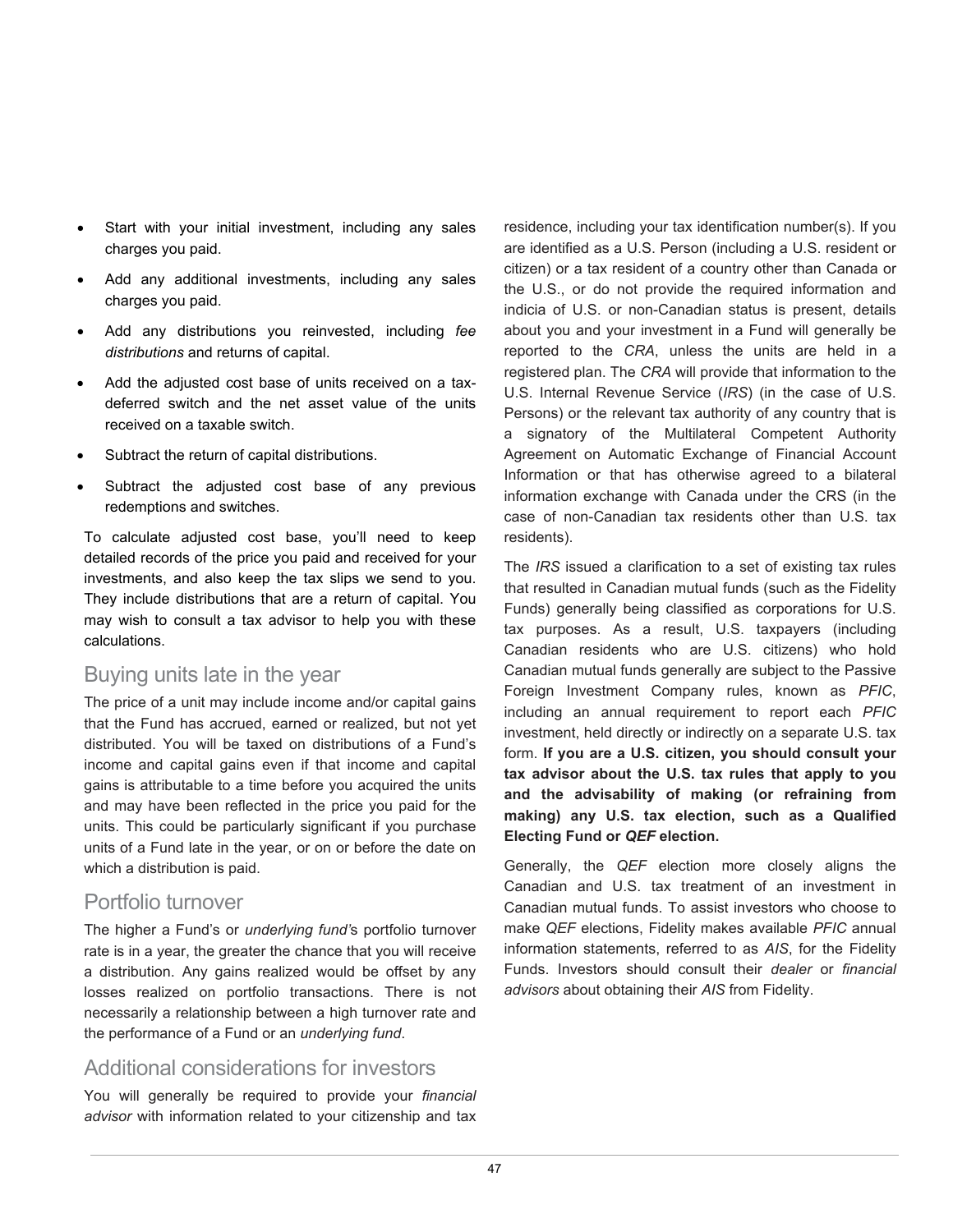- Start with your initial investment, including any sales charges you paid.
- Add any additional investments, including any sales charges you paid.
- Add any distributions you reinvested, including *fee distributions* and returns of capital.
- Add the adjusted cost base of units received on a taxdeferred switch and the net asset value of the units received on a taxable switch.
- Subtract the return of capital distributions.
- Subtract the adjusted cost base of any previous redemptions and switches.

To calculate adjusted cost base, you'll need to keep detailed records of the price you paid and received for your investments, and also keep the tax slips we send to you. They include distributions that are a return of capital. You may wish to consult a tax advisor to help you with these calculations.

## Buying units late in the year

The price of a unit may include income and/or capital gains that the Fund has accrued, earned or realized, but not yet distributed. You will be taxed on distributions of a Fund's income and capital gains even if that income and capital gains is attributable to a time before you acquired the units and may have been reflected in the price you paid for the units. This could be particularly significant if you purchase units of a Fund late in the year, or on or before the date on which a distribution is paid.

## Portfolio turnover

The higher a Fund's or *underlying fund'*s portfolio turnover rate is in a year, the greater the chance that you will receive a distribution. Any gains realized would be offset by any losses realized on portfolio transactions. There is not necessarily a relationship between a high turnover rate and the performance of a Fund or an *underlying fund*.

## Additional considerations for investors

You will generally be required to provide your *financial advisor* with information related to your citizenship and tax

residence, including your tax identification number(s). If you are identified as a U.S. Person (including a U.S. resident or citizen) or a tax resident of a country other than Canada or the U.S., or do not provide the required information and indicia of U.S. or non-Canadian status is present, details about you and your investment in a Fund will generally be reported to the *CRA*, unless the units are held in a registered plan. The *CRA* will provide that information to the U.S. Internal Revenue Service (*IRS*) (in the case of U.S. Persons) or the relevant tax authority of any country that is a signatory of the Multilateral Competent Authority Agreement on Automatic Exchange of Financial Account Information or that has otherwise agreed to a bilateral information exchange with Canada under the CRS (in the case of non-Canadian tax residents other than U.S. tax residents).

The *IRS* issued a clarification to a set of existing tax rules that resulted in Canadian mutual funds (such as the Fidelity Funds) generally being classified as corporations for U.S. tax purposes. As a result, U.S. taxpayers (including Canadian residents who are U.S. citizens) who hold Canadian mutual funds generally are subject to the Passive Foreign Investment Company rules, known as *PFIC*, including an annual requirement to report each *PFIC* investment, held directly or indirectly on a separate U.S. tax form. **If you are a U.S. citizen, you should consult your tax advisor about the U.S. tax rules that apply to you and the advisability of making (or refraining from making) any U.S. tax election, such as a Qualified Electing Fund or** *QEF* **election.**

Generally, the *QEF* election more closely aligns the Canadian and U.S. tax treatment of an investment in Canadian mutual funds. To assist investors who choose to make *QEF* elections, Fidelity makes available *PFIC* annual information statements, referred to as *AIS*, for the Fidelity Funds. Investors should consult their *dealer* or *financial advisors* about obtaining their *AIS* from Fidelity.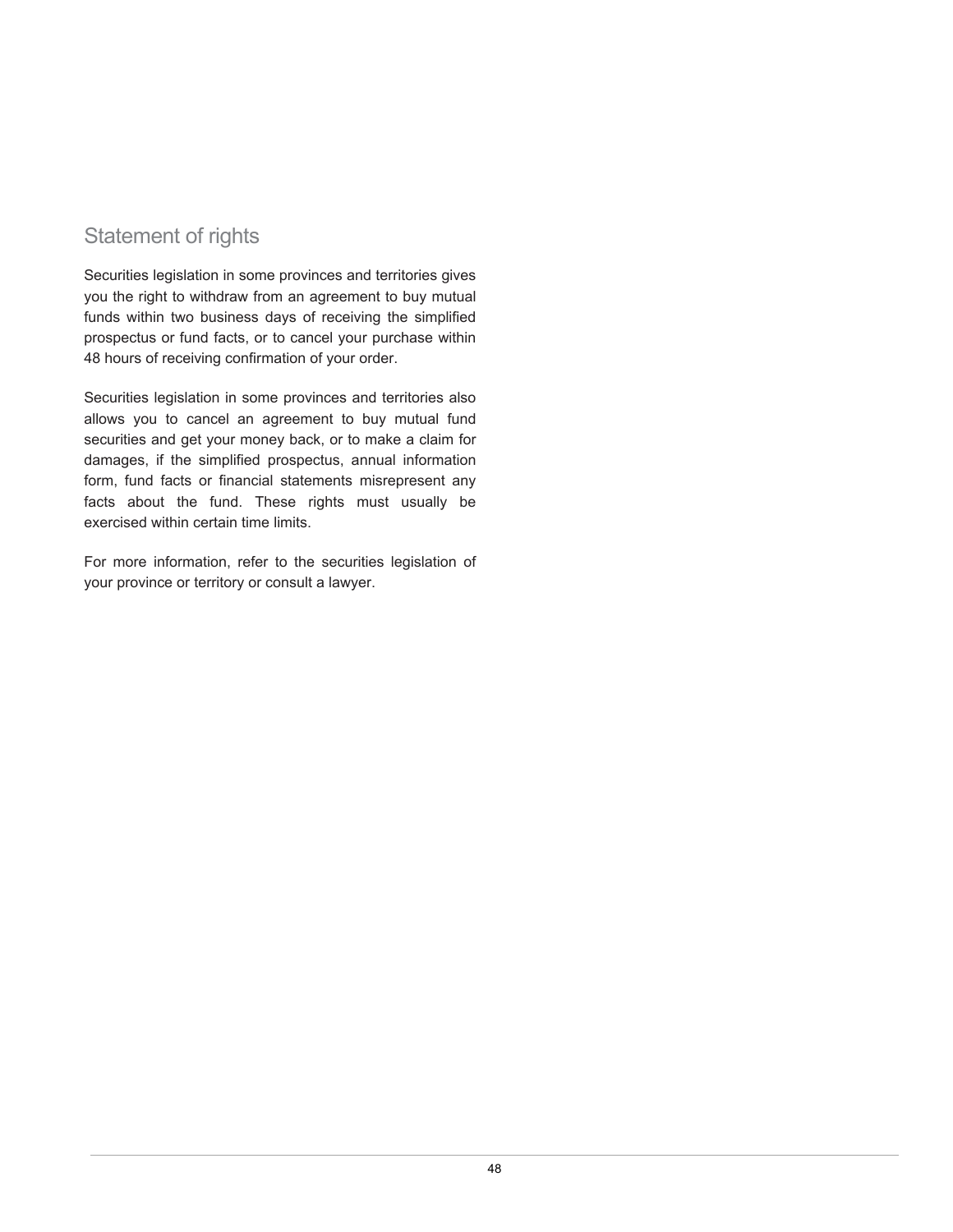## Statement of rights

Securities legislation in some provinces and territories gives you the right to withdraw from an agreement to buy mutual funds within two business days of receiving the simplified prospectus or fund facts, or to cancel your purchase within 48 hours of receiving confirmation of your order.

Securities legislation in some provinces and territories also allows you to cancel an agreement to buy mutual fund securities and get your money back, or to make a claim for damages, if the simplified prospectus, annual information form, fund facts or financial statements misrepresent any facts about the fund. These rights must usually be exercised within certain time limits.

For more information, refer to the securities legislation of your province or territory or consult a lawyer.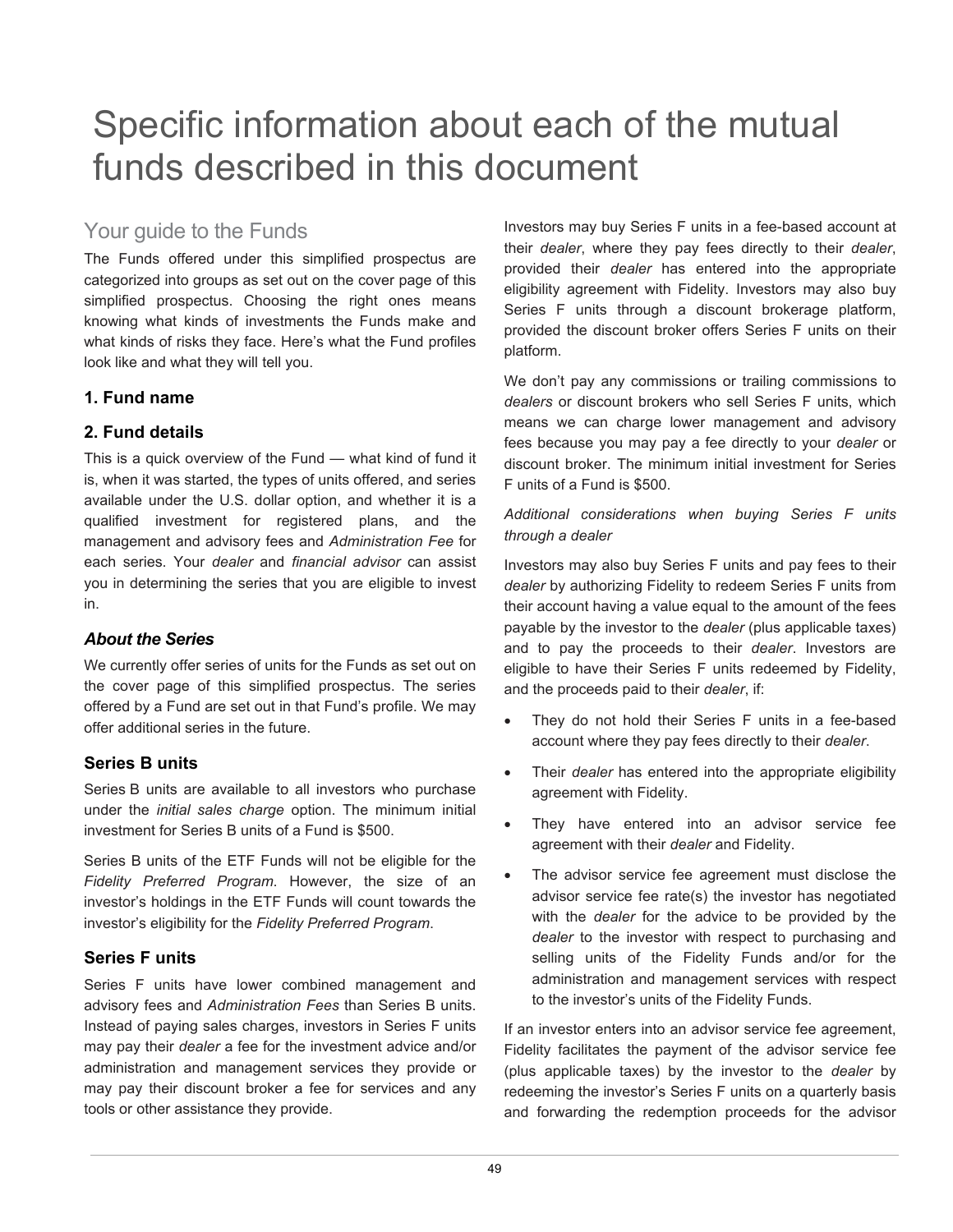## Specific information about each of the mutual funds described in this document

## Your guide to the Funds

The Funds offered under this simplified prospectus are categorized into groups as set out on the cover page of this simplified prospectus. Choosing the right ones means knowing what kinds of investments the Funds make and what kinds of risks they face. Here's what the Fund profiles look like and what they will tell you.

### **1. Fund name**

## **2. Fund details**

This is a quick overview of the Fund — what kind of fund it is, when it was started, the types of units offered, and series available under the U.S. dollar option, and whether it is a qualified investment for registered plans, and the management and advisory fees and *Administration Fee* for each series. Your *dealer* and *financial advisor* can assist you in determining the series that you are eligible to invest in.

### *About the Series*

We currently offer series of units for the Funds as set out on the cover page of this simplified prospectus. The series offered by a Fund are set out in that Fund's profile. We may offer additional series in the future.

### **Series B units**

Series B units are available to all investors who purchase under the *initial sales charge* option. The minimum initial investment for Series B units of a Fund is \$500.

Series B units of the ETF Funds will not be eligible for the *Fidelity Preferred Program*. However, the size of an investor's holdings in the ETF Funds will count towards the investor's eligibility for the *Fidelity Preferred Program*.

## **Series F units**

Series F units have lower combined management and advisory fees and *Administration Fees* than Series B units. Instead of paying sales charges, investors in Series F units may pay their *dealer* a fee for the investment advice and/or administration and management services they provide or may pay their discount broker a fee for services and any tools or other assistance they provide.

Investors may buy Series F units in a fee-based account at their *dealer*, where they pay fees directly to their *dealer*, provided their *dealer* has entered into the appropriate eligibility agreement with Fidelity. Investors may also buy Series F units through a discount brokerage platform, provided the discount broker offers Series F units on their platform.

We don't pay any commissions or trailing commissions to *dealers* or discount brokers who sell Series F units, which means we can charge lower management and advisory fees because you may pay a fee directly to your *dealer* or discount broker. The minimum initial investment for Series F units of a Fund is \$500.

#### *Additional considerations when buying Series F units through a dealer*

Investors may also buy Series F units and pay fees to their *dealer* by authorizing Fidelity to redeem Series F units from their account having a value equal to the amount of the fees payable by the investor to the *dealer* (plus applicable taxes) and to pay the proceeds to their *dealer*. Investors are eligible to have their Series F units redeemed by Fidelity, and the proceeds paid to their *dealer*, if:

- They do not hold their Series F units in a fee-based account where they pay fees directly to their *dealer*.
- Their *dealer* has entered into the appropriate eligibility agreement with Fidelity.
- They have entered into an advisor service fee agreement with their *dealer* and Fidelity.
- The advisor service fee agreement must disclose the advisor service fee rate(s) the investor has negotiated with the *dealer* for the advice to be provided by the *dealer* to the investor with respect to purchasing and selling units of the Fidelity Funds and/or for the administration and management services with respect to the investor's units of the Fidelity Funds.

If an investor enters into an advisor service fee agreement, Fidelity facilitates the payment of the advisor service fee (plus applicable taxes) by the investor to the *dealer* by redeeming the investor's Series F units on a quarterly basis and forwarding the redemption proceeds for the advisor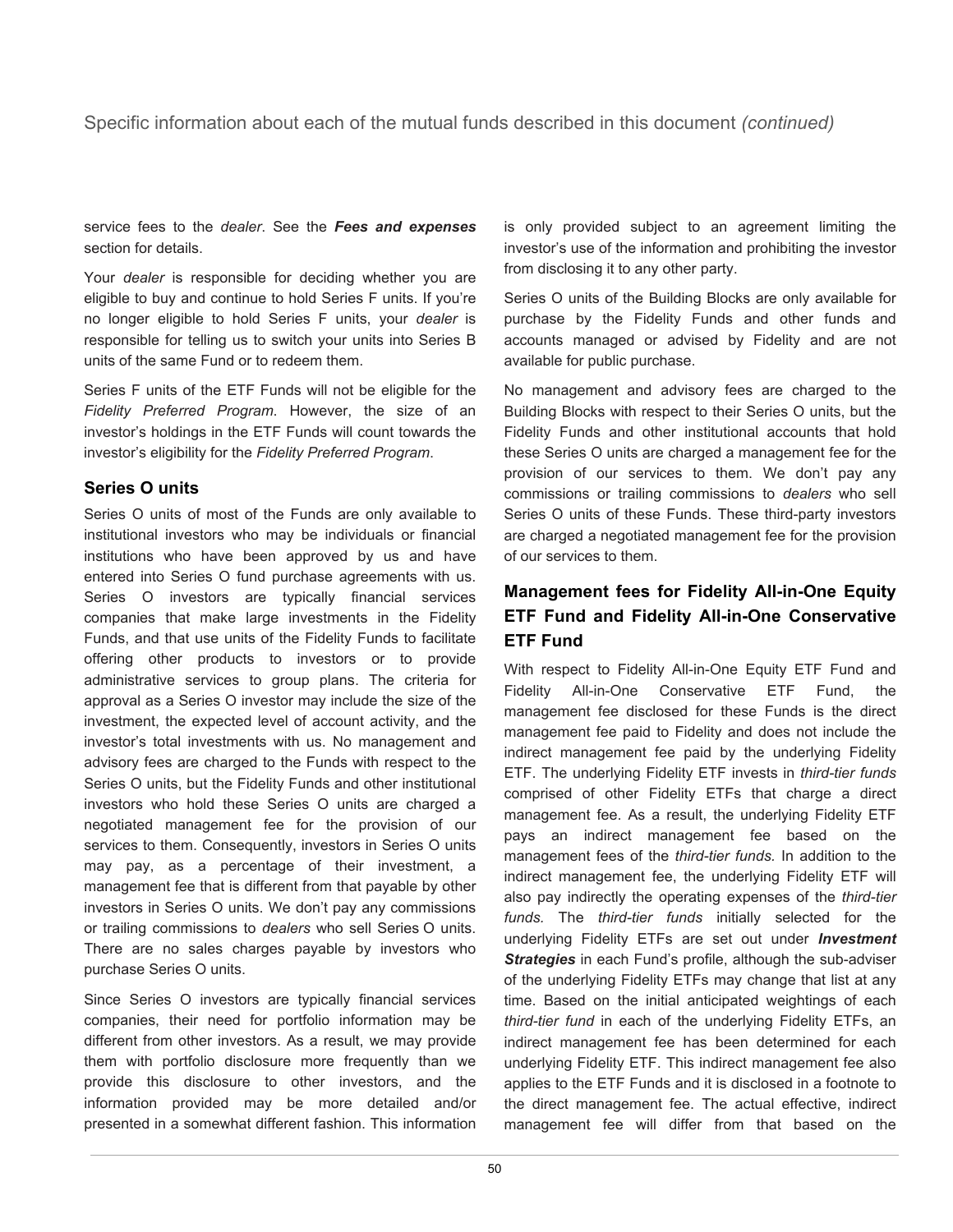Specific information about each of the mutual funds described in this document *(continued)*

service fees to the *dealer*. See the *Fees and expenses* section for details.

Your *dealer* is responsible for deciding whether you are eligible to buy and continue to hold Series F units. If you're no longer eligible to hold Series F units, your *dealer* is responsible for telling us to switch your units into Series B units of the same Fund or to redeem them.

Series F units of the ETF Funds will not be eligible for the *Fidelity Preferred Program*. However, the size of an investor's holdings in the ETF Funds will count towards the investor's eligibility for the *Fidelity Preferred Program*.

### **Series O units**

Series O units of most of the Funds are only available to institutional investors who may be individuals or financial institutions who have been approved by us and have entered into Series O fund purchase agreements with us. Series O investors are typically financial services companies that make large investments in the Fidelity Funds, and that use units of the Fidelity Funds to facilitate offering other products to investors or to provide administrative services to group plans. The criteria for approval as a Series O investor may include the size of the investment, the expected level of account activity, and the investor's total investments with us. No management and advisory fees are charged to the Funds with respect to the Series O units, but the Fidelity Funds and other institutional investors who hold these Series O units are charged a negotiated management fee for the provision of our services to them. Consequently, investors in Series O units may pay, as a percentage of their investment, a management fee that is different from that payable by other investors in Series O units. We don't pay any commissions or trailing commissions to *dealers* who sell Series O units. There are no sales charges payable by investors who purchase Series O units.

Since Series O investors are typically financial services companies, their need for portfolio information may be different from other investors. As a result, we may provide them with portfolio disclosure more frequently than we provide this disclosure to other investors, and the information provided may be more detailed and/or presented in a somewhat different fashion. This information is only provided subject to an agreement limiting the investor's use of the information and prohibiting the investor from disclosing it to any other party.

Series O units of the Building Blocks are only available for purchase by the Fidelity Funds and other funds and accounts managed or advised by Fidelity and are not available for public purchase.

No management and advisory fees are charged to the Building Blocks with respect to their Series O units, but the Fidelity Funds and other institutional accounts that hold these Series O units are charged a management fee for the provision of our services to them. We don't pay any commissions or trailing commissions to *dealers* who sell Series O units of these Funds. These third-party investors are charged a negotiated management fee for the provision of our services to them.

## **Management fees for Fidelity All-in-One Equity ETF Fund and Fidelity All-in-One Conservative ETF Fund**

With respect to Fidelity All-in-One Equity ETF Fund and Fidelity All-in-One Conservative ETF Fund, the management fee disclosed for these Funds is the direct management fee paid to Fidelity and does not include the indirect management fee paid by the underlying Fidelity ETF. The underlying Fidelity ETF invests in *third-tier funds* comprised of other Fidelity ETFs that charge a direct management fee. As a result, the underlying Fidelity ETF pays an indirect management fee based on the management fees of the *third-tier funds.* In addition to the indirect management fee, the underlying Fidelity ETF will also pay indirectly the operating expenses of the *third-tier funds.* The *third-tier funds* initially selected for the underlying Fidelity ETFs are set out under *Investment*  **Strategies** in each Fund's profile, although the sub-adviser of the underlying Fidelity ETFs may change that list at any time. Based on the initial anticipated weightings of each *third-tier fund* in each of the underlying Fidelity ETFs, an indirect management fee has been determined for each underlying Fidelity ETF. This indirect management fee also applies to the ETF Funds and it is disclosed in a footnote to the direct management fee. The actual effective, indirect management fee will differ from that based on the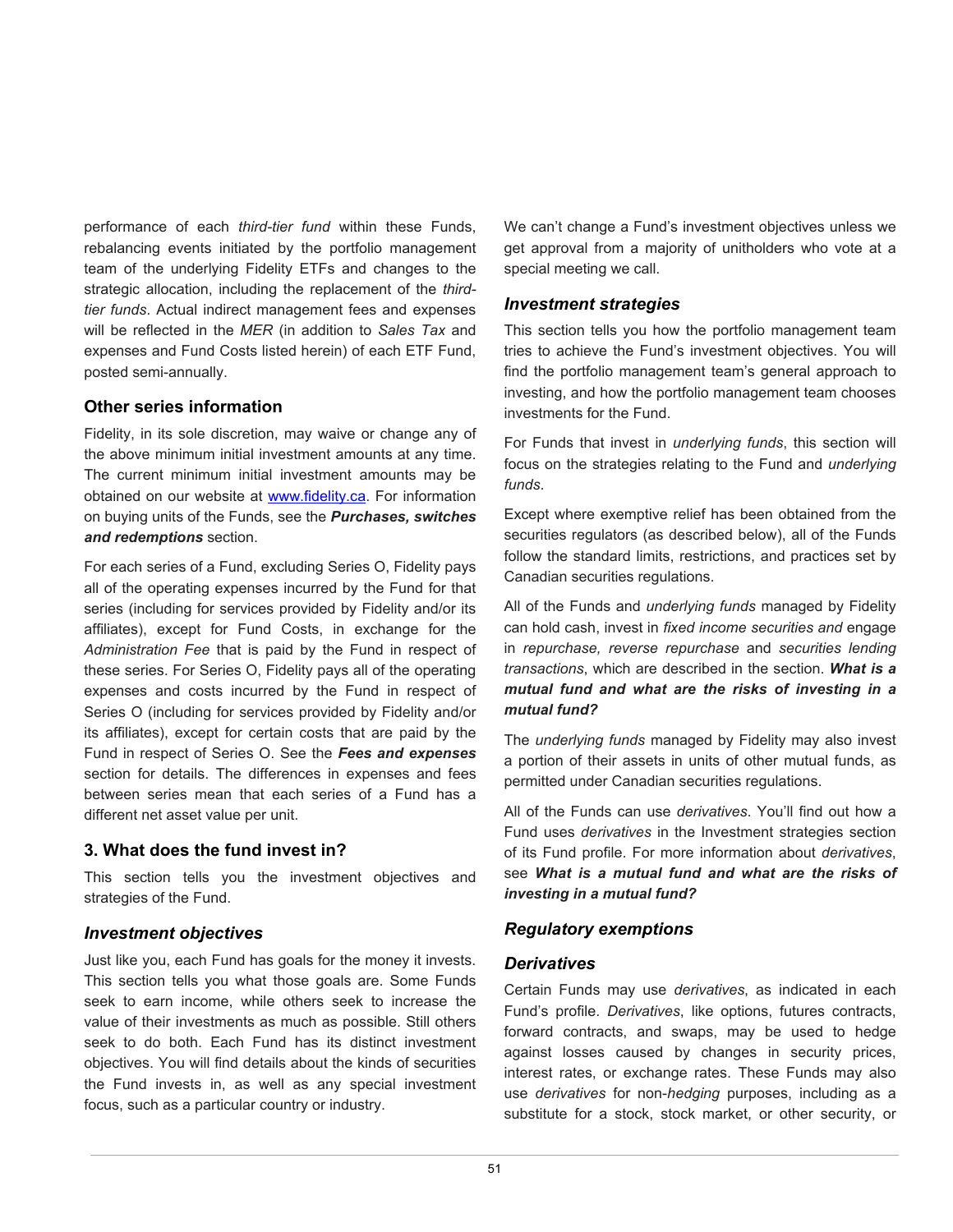performance of each *third-tier fund* within these Funds, rebalancing events initiated by the portfolio management team of the underlying Fidelity ETFs and changes to the strategic allocation, including the replacement of the *thirdtier funds*. Actual indirect management fees and expenses will be reflected in the *MER* (in addition to *Sales Tax* and expenses and Fund Costs listed herein) of each ETF Fund, posted semi-annually.

#### **Other series information**

Fidelity, in its sole discretion, may waive or change any of the above minimum initial investment amounts at any time. The current minimum initial investment amounts may be obtained on our website at [www.fidelity.ca.](http://www.fidelity.ca/) For information on buying units of the Funds, see the *Purchases, switches and redemptions* section.

For each series of a Fund, excluding Series O, Fidelity pays all of the operating expenses incurred by the Fund for that series (including for services provided by Fidelity and/or its affiliates), except for Fund Costs, in exchange for the *Administration Fee* that is paid by the Fund in respect of these series. For Series O, Fidelity pays all of the operating expenses and costs incurred by the Fund in respect of Series O (including for services provided by Fidelity and/or its affiliates), except for certain costs that are paid by the Fund in respect of Series O. See the *Fees and expenses* section for details. The differences in expenses and fees between series mean that each series of a Fund has a different net asset value per unit.

#### **3. What does the fund invest in?**

This section tells you the investment objectives and strategies of the Fund.

#### *Investment objectives*

Just like you, each Fund has goals for the money it invests. This section tells you what those goals are. Some Funds seek to earn income, while others seek to increase the value of their investments as much as possible. Still others seek to do both. Each Fund has its distinct investment objectives. You will find details about the kinds of securities the Fund invests in, as well as any special investment focus, such as a particular country or industry.

We can't change a Fund's investment objectives unless we get approval from a majority of unitholders who vote at a special meeting we call.

#### *Investment strategies*

This section tells you how the portfolio management team tries to achieve the Fund's investment objectives. You will find the portfolio management team's general approach to investing, and how the portfolio management team chooses investments for the Fund.

For Funds that invest in *underlying funds*, this section will focus on the strategies relating to the Fund and *underlying funds*.

Except where exemptive relief has been obtained from the securities regulators (as described below), all of the Funds follow the standard limits, restrictions, and practices set by Canadian securities regulations.

All of the Funds and *underlying funds* managed by Fidelity can hold cash, invest in *fixed income securities and* engage in *repurchase, reverse repurchase* and *securities lending transactions*, which are described in the section. *What is a mutual fund and what are the risks of investing in a mutual fund?*

The *underlying funds* managed by Fidelity may also invest a portion of their assets in units of other mutual funds, as permitted under Canadian securities regulations.

All of the Funds can use *derivatives*. You'll find out how a Fund uses *derivatives* in the Investment strategies section of its Fund profile. For more information about *derivatives*, see *What is a mutual fund and what are the risks of investing in a mutual fund?*

#### *Regulatory exemptions*

#### *Derivatives*

Certain Funds may use *derivatives*, as indicated in each Fund's profile. *Derivatives*, like options, futures contracts, forward contracts, and swaps, may be used to hedge against losses caused by changes in security prices, interest rates, or exchange rates. These Funds may also use *derivatives* for non-*hedging* purposes, including as a substitute for a stock, stock market, or other security, or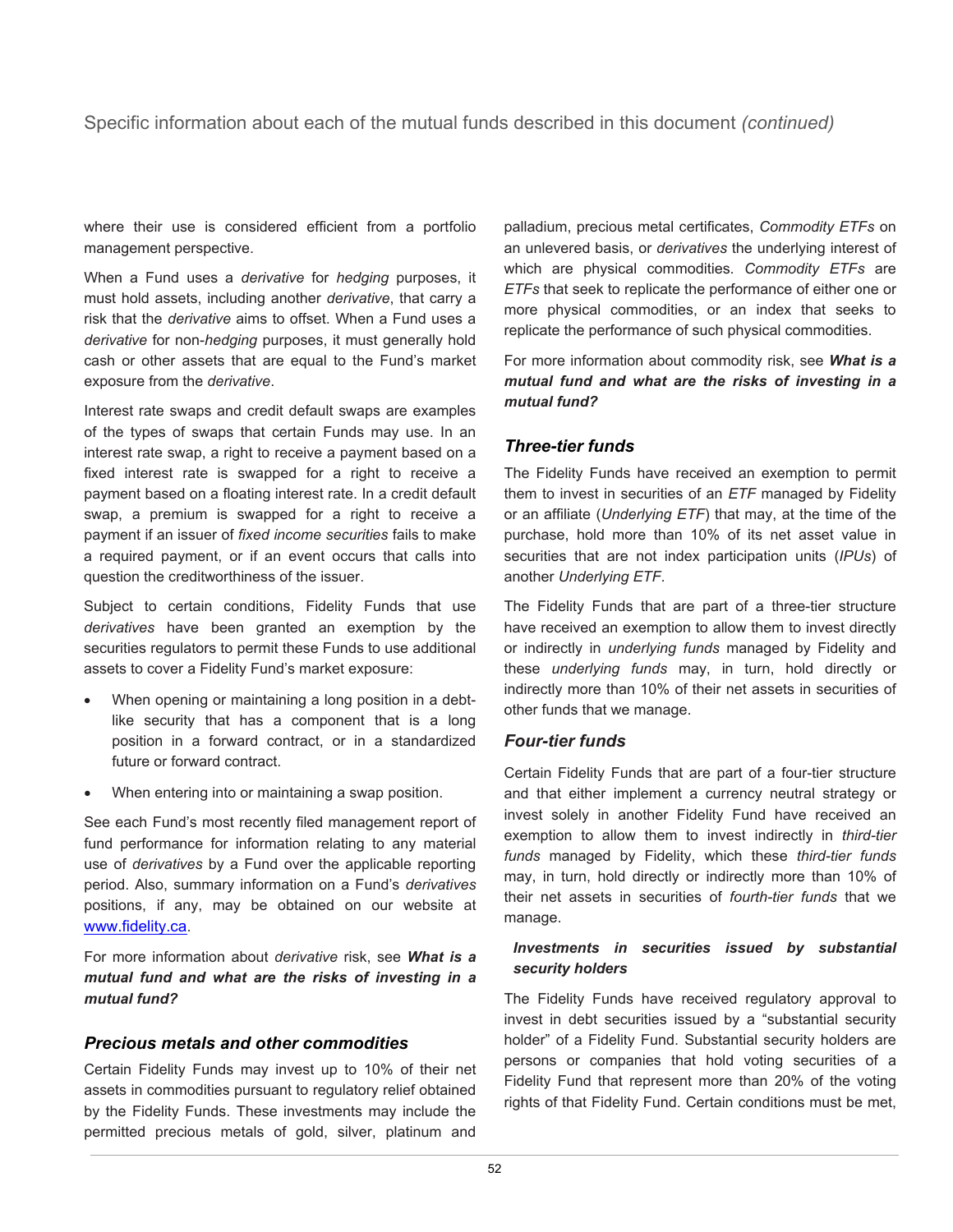### Specific information about each of the mutual funds described in this document *(continued)*

where their use is considered efficient from a portfolio management perspective.

When a Fund uses a *derivative* for *hedging* purposes, it must hold assets, including another *derivative*, that carry a risk that the *derivative* aims to offset. When a Fund uses a *derivative* for non-*hedging* purposes, it must generally hold cash or other assets that are equal to the Fund's market exposure from the *derivative*.

Interest rate swaps and credit default swaps are examples of the types of swaps that certain Funds may use. In an interest rate swap, a right to receive a payment based on a fixed interest rate is swapped for a right to receive a payment based on a floating interest rate. In a credit default swap, a premium is swapped for a right to receive a payment if an issuer of *fixed income securities* fails to make a required payment, or if an event occurs that calls into question the creditworthiness of the issuer.

Subject to certain conditions, Fidelity Funds that use *derivatives* have been granted an exemption by the securities regulators to permit these Funds to use additional assets to cover a Fidelity Fund's market exposure:

- When opening or maintaining a long position in a debtlike security that has a component that is a long position in a forward contract, or in a standardized future or forward contract.
- When entering into or maintaining a swap position.

See each Fund's most recently filed management report of fund performance for information relating to any material use of *derivatives* by a Fund over the applicable reporting period. Also, summary information on a Fund's *derivatives* positions, if any, may be obtained on our website at [www.fidelity.ca.](http://www.fidelity.ca/)

For more information about *derivative* risk, see *What is a mutual fund and what are the risks of investing in a mutual fund?*

#### *Precious metals and other commodities*

Certain Fidelity Funds may invest up to 10% of their net assets in commodities pursuant to regulatory relief obtained by the Fidelity Funds. These investments may include the permitted precious metals of gold, silver, platinum and

palladium, precious metal certificates, *Commodity ETFs* on an unlevered basis, or *derivatives* the underlying interest of which are physical commodities. *Commodity ETFs* are *ETFs* that seek to replicate the performance of either one or more physical commodities, or an index that seeks to replicate the performance of such physical commodities.

For more information about commodity risk, see *What is a mutual fund and what are the risks of investing in a mutual fund?*

### *Three-tier funds*

The Fidelity Funds have received an exemption to permit them to invest in securities of an *ETF* managed by Fidelity or an affiliate (*Underlying ETF*) that may, at the time of the purchase, hold more than 10% of its net asset value in securities that are not index participation units (*IPUs*) of another *Underlying ETF*.

The Fidelity Funds that are part of a three-tier structure have received an exemption to allow them to invest directly or indirectly in *underlying funds* managed by Fidelity and these *underlying funds* may, in turn, hold directly or indirectly more than 10% of their net assets in securities of other funds that we manage.

#### *Four-tier funds*

Certain Fidelity Funds that are part of a four-tier structure and that either implement a currency neutral strategy or invest solely in another Fidelity Fund have received an exemption to allow them to invest indirectly in *third-tier funds* managed by Fidelity, which these *third-tier funds* may, in turn, hold directly or indirectly more than 10% of their net assets in securities of *fourth-tier funds* that we manage.

#### *Investments in securities issued by substantial security holders*

The Fidelity Funds have received regulatory approval to invest in debt securities issued by a "substantial security holder" of a Fidelity Fund. Substantial security holders are persons or companies that hold voting securities of a Fidelity Fund that represent more than 20% of the voting rights of that Fidelity Fund. Certain conditions must be met,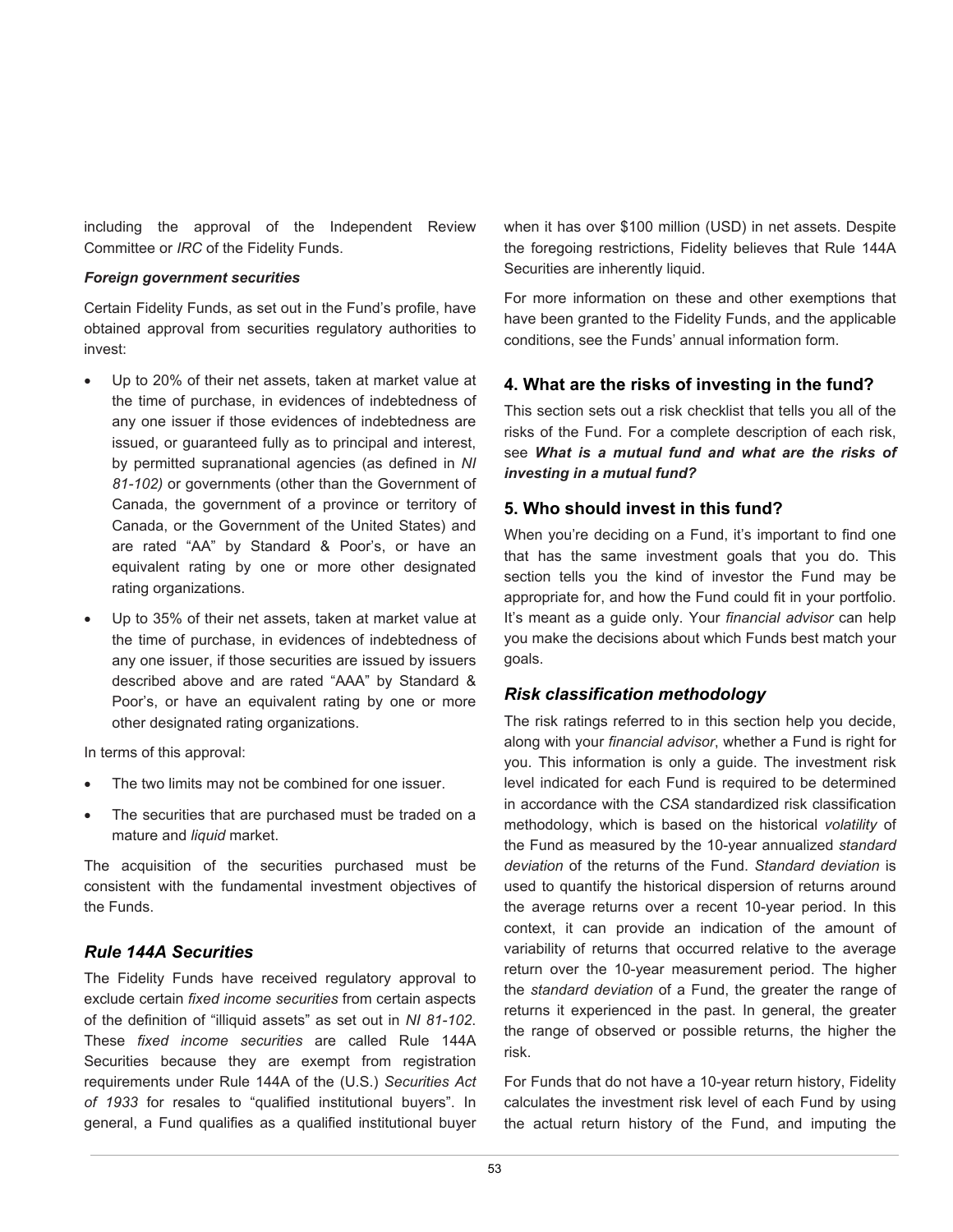including the approval of the Independent Review Committee or *IRC* of the Fidelity Funds.

#### *Foreign government securities*

Certain Fidelity Funds, as set out in the Fund's profile, have obtained approval from securities regulatory authorities to invest:

- Up to 20% of their net assets, taken at market value at the time of purchase, in evidences of indebtedness of any one issuer if those evidences of indebtedness are issued, or guaranteed fully as to principal and interest, by permitted supranational agencies (as defined in *NI 81-102)* or governments (other than the Government of Canada, the government of a province or territory of Canada, or the Government of the United States) and are rated "AA" by Standard & Poor's, or have an equivalent rating by one or more other designated rating organizations.
- Up to 35% of their net assets, taken at market value at the time of purchase, in evidences of indebtedness of any one issuer, if those securities are issued by issuers described above and are rated "AAA" by Standard & Poor's, or have an equivalent rating by one or more other designated rating organizations.

In terms of this approval:

- The two limits may not be combined for one issuer.
- The securities that are purchased must be traded on a mature and *liquid* market.

The acquisition of the securities purchased must be consistent with the fundamental investment objectives of the Funds.

#### *Rule 144A Securities*

The Fidelity Funds have received regulatory approval to exclude certain *fixed income securities* from certain aspects of the definition of "illiquid assets" as set out in *NI 81-102*. These *fixed income securities* are called Rule 144A Securities because they are exempt from registration requirements under Rule 144A of the (U.S.) *Securities Act of 1933* for resales to "qualified institutional buyers". In general, a Fund qualifies as a qualified institutional buyer when it has over \$100 million (USD) in net assets. Despite the foregoing restrictions, Fidelity believes that Rule 144A Securities are inherently liquid.

For more information on these and other exemptions that have been granted to the Fidelity Funds, and the applicable conditions, see the Funds' annual information form.

#### **4. What are the risks of investing in the fund?**

This section sets out a risk checklist that tells you all of the risks of the Fund. For a complete description of each risk, see *What is a mutual fund and what are the risks of investing in a mutual fund?*

#### **5. Who should invest in this fund?**

When you're deciding on a Fund, it's important to find one that has the same investment goals that you do. This section tells you the kind of investor the Fund may be appropriate for, and how the Fund could fit in your portfolio. It's meant as a guide only. Your *financial advisor* can help you make the decisions about which Funds best match your goals.

#### *Risk classification methodology*

The risk ratings referred to in this section help you decide, along with your *financial advisor*, whether a Fund is right for you. This information is only a guide. The investment risk level indicated for each Fund is required to be determined in accordance with the *CSA* standardized risk classification methodology, which is based on the historical *volatility* of the Fund as measured by the 10-year annualized *standard deviation* of the returns of the Fund. *Standard deviation* is used to quantify the historical dispersion of returns around the average returns over a recent 10-year period. In this context, it can provide an indication of the amount of variability of returns that occurred relative to the average return over the 10-year measurement period. The higher the *standard deviation* of a Fund, the greater the range of returns it experienced in the past. In general, the greater the range of observed or possible returns, the higher the risk.

For Funds that do not have a 10-year return history, Fidelity calculates the investment risk level of each Fund by using the actual return history of the Fund, and imputing the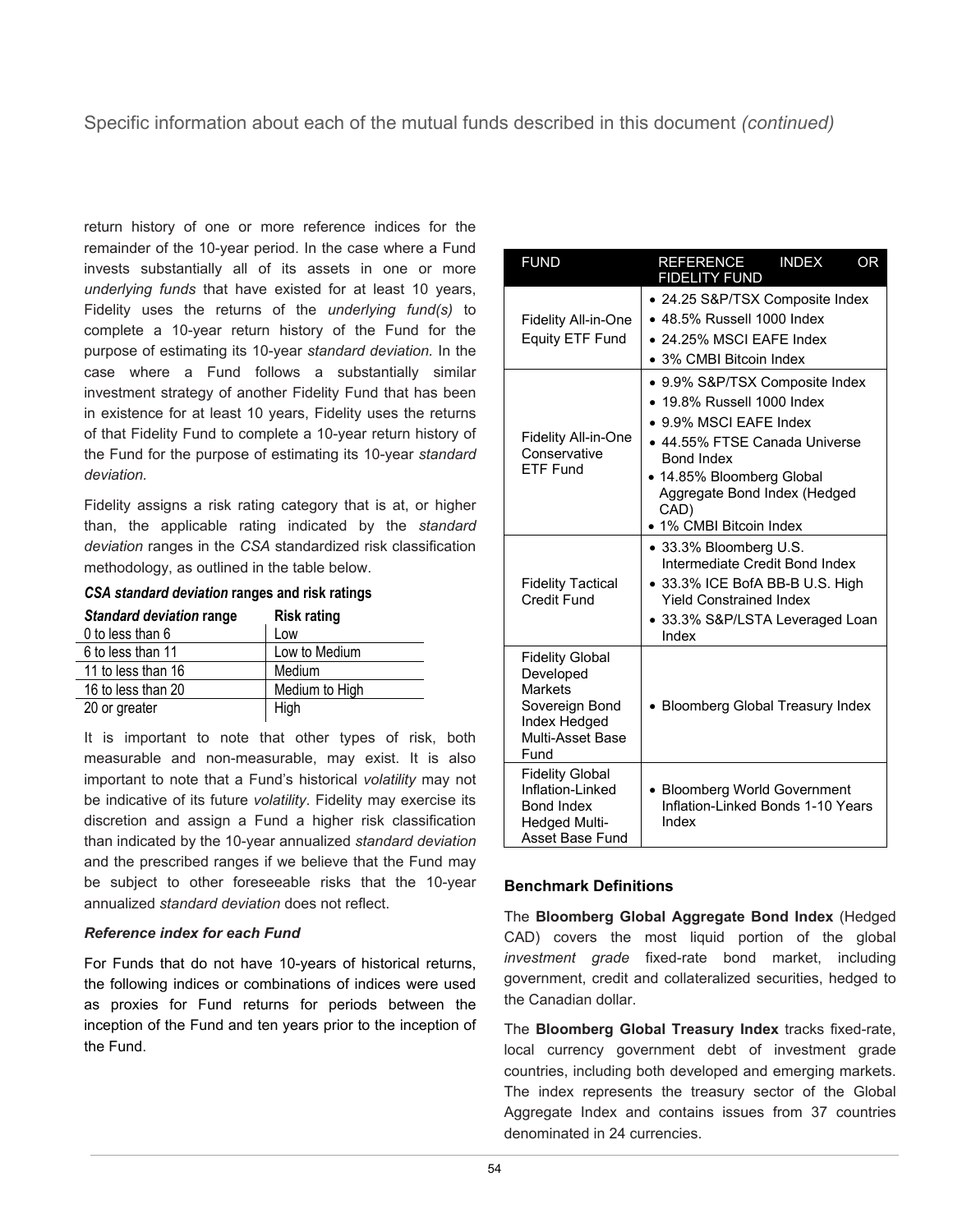### Specific information about each of the mutual funds described in this document *(continued)*

return history of one or more reference indices for the remainder of the 10-year period. In the case where a Fund invests substantially all of its assets in one or more *underlying funds* that have existed for at least 10 years, Fidelity uses the returns of the *underlying fund(s)* to complete a 10-year return history of the Fund for the purpose of estimating its 10-year *standard deviation.* In the case where a Fund follows a substantially similar investment strategy of another Fidelity Fund that has been in existence for at least 10 years, Fidelity uses the returns of that Fidelity Fund to complete a 10-year return history of the Fund for the purpose of estimating its 10-year *standard deviation.*

Fidelity assigns a risk rating category that is at, or higher than, the applicable rating indicated by the *standard deviation* ranges in the *CSA* standardized risk classification methodology, as outlined in the table below.

*CSA standard deviation* **ranges and risk ratings**

| <b>Standard deviation range</b> | <b>Risk rating</b> |
|---------------------------------|--------------------|
| 0 to less than 6                | Low                |
| 6 to less than 11               | Low to Medium      |
| 11 to less than 16              | Medium             |
| 16 to less than 20              | Medium to High     |
| 20 or greater                   | High               |

It is important to note that other types of risk, both measurable and non-measurable, may exist. It is also important to note that a Fund's historical *volatility* may not be indicative of its future *volatility*. Fidelity may exercise its discretion and assign a Fund a higher risk classification than indicated by the 10-year annualized *standard deviation*  and the prescribed ranges if we believe that the Fund may be subject to other foreseeable risks that the 10-year annualized *standard deviation* does not reflect.

#### *Reference index for each Fund*

For Funds that do not have 10-years of historical returns, the following indices or combinations of indices were used as proxies for Fund returns for periods between the inception of the Fund and ten years prior to the inception of the Fund.

| <b>FUND</b>                                                                                                         | <b>INDEX</b><br>REFERENCE<br><b>OR</b><br><b>FIDELITY FUND</b>                                                                                                                                                                               |
|---------------------------------------------------------------------------------------------------------------------|----------------------------------------------------------------------------------------------------------------------------------------------------------------------------------------------------------------------------------------------|
| Fidelity All-in-One<br>Equity ETF Fund                                                                              | • 24.25 S&P/TSX Composite Index<br>$\bullet$ 48.5% Russell 1000 Index<br>• 24.25% MSCI EAFE Index<br>• 3% CMBI Bitcoin Index                                                                                                                 |
| Fidelity All-in-One<br>Conservative<br>FTF Fund                                                                     | • 9.9% S&P/TSX Composite Index<br>• 19.8% Russell 1000 Index<br>• 9.9% MSCI EAFE Index<br>• 44.55% FTSE Canada Universe<br><b>Bond Index</b><br>• 14.85% Bloomberg Global<br>Aggregate Bond Index (Hedged<br>CAD)<br>• 1% CMBI Bitcoin Index |
| <b>Fidelity Tactical</b><br>Credit Fund                                                                             | • 33.3% Bloomberg U.S.<br>Intermediate Credit Bond Index<br>• 33.3% ICE BofA BB-B U.S. High<br><b>Yield Constrained Index</b><br>• 33.3% S&P/LSTA Leveraged Loan<br>Index                                                                    |
| <b>Fidelity Global</b><br>Developed<br><b>Markets</b><br>Sovereign Bond<br>Index Hedged<br>Multi-Asset Base<br>Fund | • Bloomberg Global Treasury Index                                                                                                                                                                                                            |
| <b>Fidelity Global</b><br>Inflation-Linked<br><b>Bond Index</b><br><b>Hedged Multi-</b><br>Asset Base Fund          | • Bloomberg World Government<br>Inflation-Linked Bonds 1-10 Years<br>Index                                                                                                                                                                   |

#### **Benchmark Definitions**

The **Bloomberg Global Aggregate Bond Index** (Hedged CAD) covers the most liquid portion of the global *investment grade* fixed-rate bond market, including government, credit and collateralized securities, hedged to the Canadian dollar.

The **Bloomberg Global Treasury Index** tracks fixed-rate, local currency government debt of investment grade countries, including both developed and emerging markets. The index represents the treasury sector of the Global Aggregate Index and contains issues from 37 countries denominated in 24 currencies.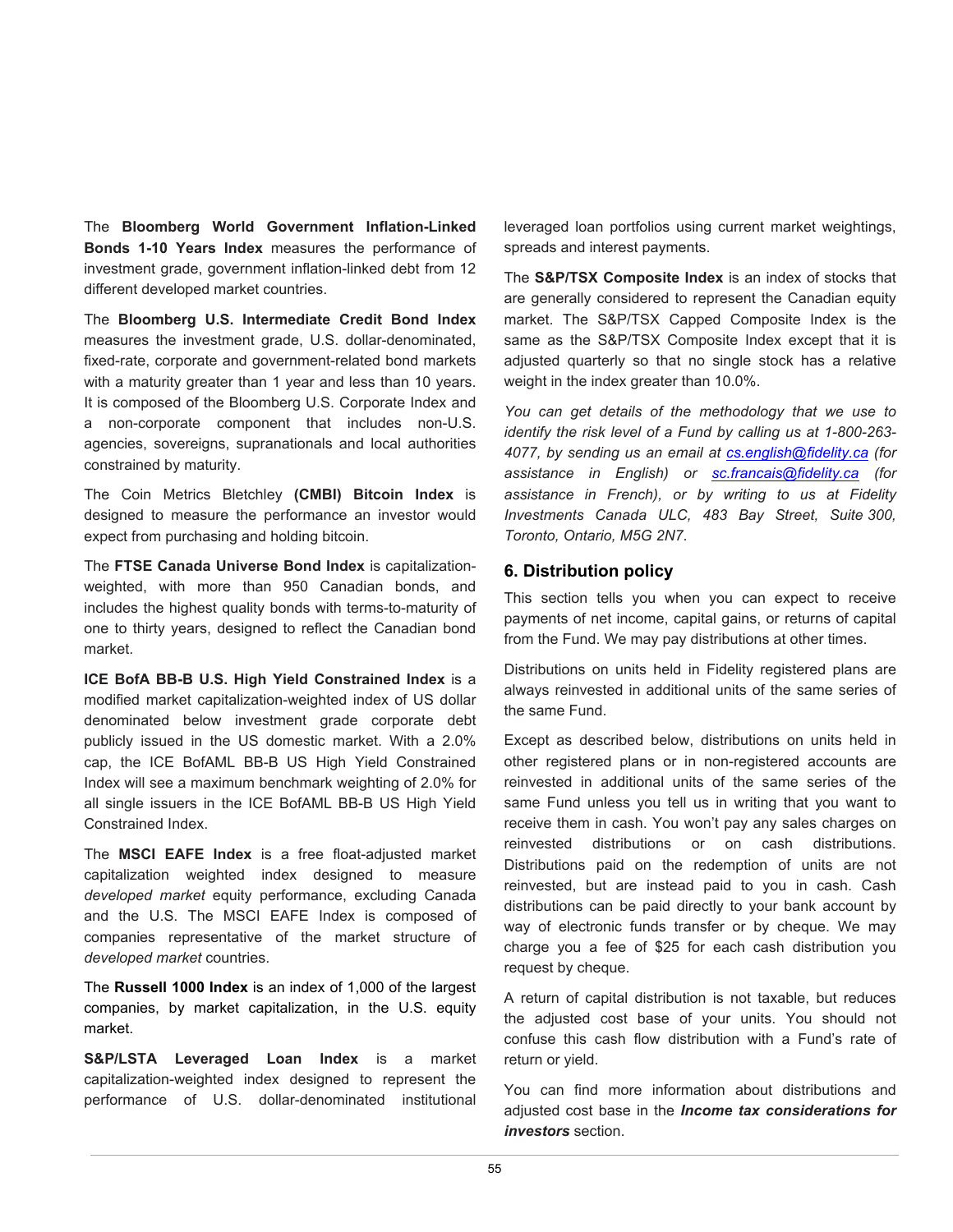The **Bloomberg World Government Inflation-Linked Bonds 1-10 Years Index** measures the performance of investment grade, government inflation-linked debt from 12 different developed market countries.

The **Bloomberg U.S. Intermediate Credit Bond Index** measures the investment grade, U.S. dollar-denominated, fixed-rate, corporate and government-related bond markets with a maturity greater than 1 year and less than 10 years. It is composed of the Bloomberg U.S. Corporate Index and a non-corporate component that includes non-U.S. agencies, sovereigns, supranationals and local authorities constrained by maturity.

The Coin Metrics Bletchley **(CMBI) Bitcoin Index** is designed to measure the performance an investor would expect from purchasing and holding bitcoin.

The **FTSE Canada Universe Bond Index** is capitalizationweighted, with more than 950 Canadian bonds, and includes the highest quality bonds with terms-to-maturity of one to thirty years, designed to reflect the Canadian bond market.

**ICE BofA BB-B U.S. High Yield Constrained Index** is a modified market capitalization-weighted index of US dollar denominated below investment grade corporate debt publicly issued in the US domestic market. With a 2.0% cap, the ICE BofAML BB-B US High Yield Constrained Index will see a maximum benchmark weighting of 2.0% for all single issuers in the ICE BofAML BB-B US High Yield Constrained Index.

The **MSCI EAFE Index** is a free float-adjusted market capitalization weighted index designed to measure *developed market* equity performance, excluding Canada and the U.S. The MSCI EAFE Index is composed of companies representative of the market structure of *developed market* countries.

The **Russell 1000 Index** is an index of 1,000 of the largest companies, by market capitalization, in the U.S. equity market.

**S&P/LSTA Leveraged Loan Index** is a market capitalization-weighted index designed to represent the performance of U.S. dollar-denominated institutional

leveraged loan portfolios using current market weightings, spreads and interest payments.

The **S&P/TSX Composite Index** is an index of stocks that are generally considered to represent the Canadian equity market. The S&P/TSX Capped Composite Index is the same as the S&P/TSX Composite Index except that it is adjusted quarterly so that no single stock has a relative weight in the index greater than 10.0%.

*You can get details of the methodology that we use to identify the risk level of a Fund by calling us at 1-800-263- 4077, by sending us an email at [cs.english@fidelity.ca](mailto:cs.english@fidelity.ca) (for assistance in English) or [sc.francais@fidelity.ca](mailto:sc.francais@fidelity.ca) (for assistance in French), or by writing to us at Fidelity Investments Canada ULC, 483 Bay Street, Suite 300, Toronto, Ontario, M5G 2N7*.

#### **6. Distribution policy**

This section tells you when you can expect to receive payments of net income, capital gains, or returns of capital from the Fund. We may pay distributions at other times.

Distributions on units held in Fidelity registered plans are always reinvested in additional units of the same series of the same Fund.

Except as described below, distributions on units held in other registered plans or in non-registered accounts are reinvested in additional units of the same series of the same Fund unless you tell us in writing that you want to receive them in cash. You won't pay any sales charges on reinvested distributions or on cash distributions. Distributions paid on the redemption of units are not reinvested, but are instead paid to you in cash. Cash distributions can be paid directly to your bank account by way of electronic funds transfer or by cheque. We may charge you a fee of \$25 for each cash distribution you request by cheque.

A return of capital distribution is not taxable, but reduces the adjusted cost base of your units. You should not confuse this cash flow distribution with a Fund's rate of return or yield.

You can find more information about distributions and adjusted cost base in the *Income tax considerations for investors* section.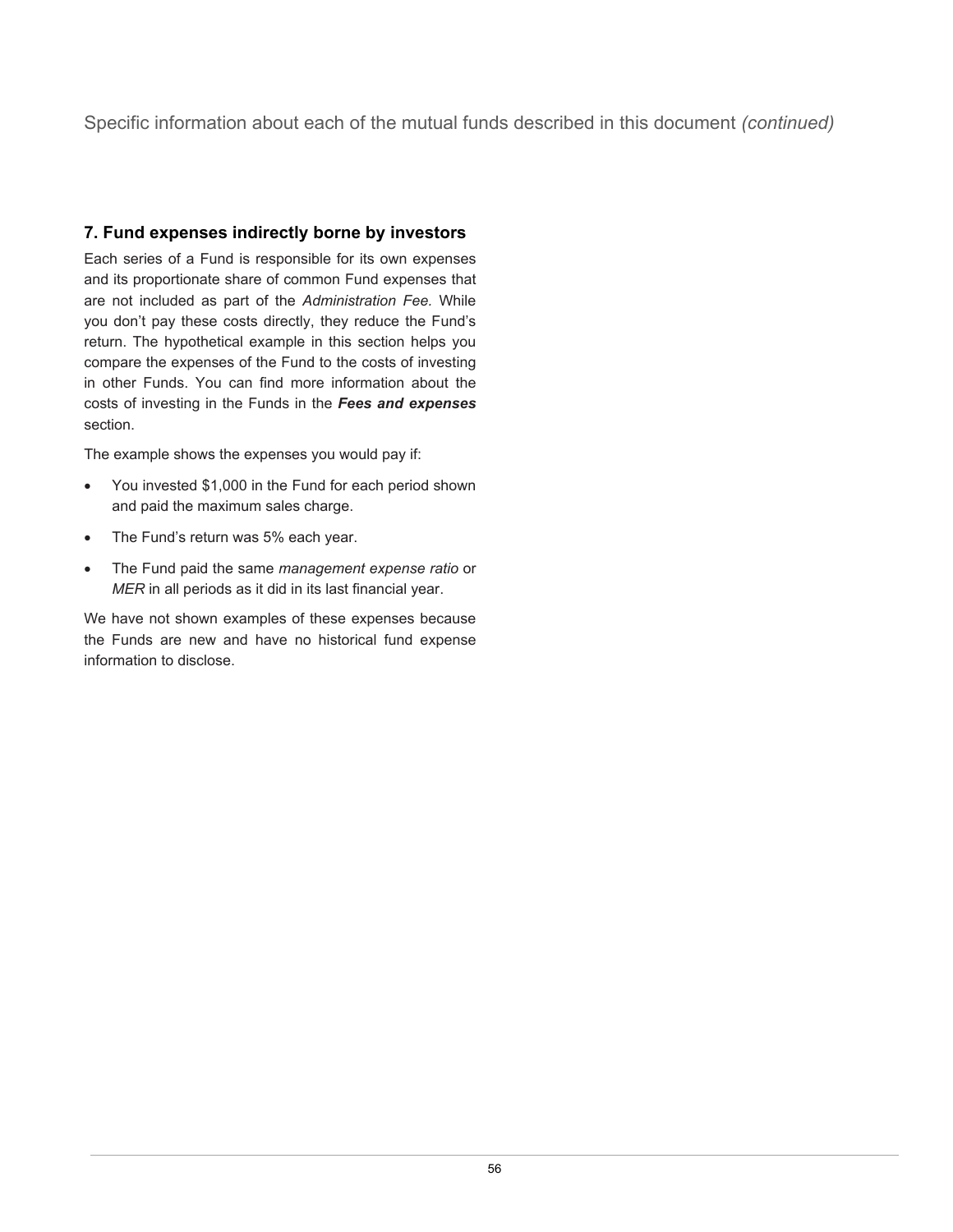Specific information about each of the mutual funds described in this document *(continued)*

## **7. Fund expenses indirectly borne by investors**

Each series of a Fund is responsible for its own expenses and its proportionate share of common Fund expenses that are not included as part of the *Administration Fee.* While you don't pay these costs directly, they reduce the Fund's return. The hypothetical example in this section helps you compare the expenses of the Fund to the costs of investing in other Funds. You can find more information about the costs of investing in the Funds in the *Fees and expenses* section.

The example shows the expenses you would pay if:

- You invested \$1,000 in the Fund for each period shown and paid the maximum sales charge.
- The Fund's return was 5% each year.
- The Fund paid the same *management expense ratio* or *MER* in all periods as it did in its last financial year.

We have not shown examples of these expenses because the Funds are new and have no historical fund expense information to disclose.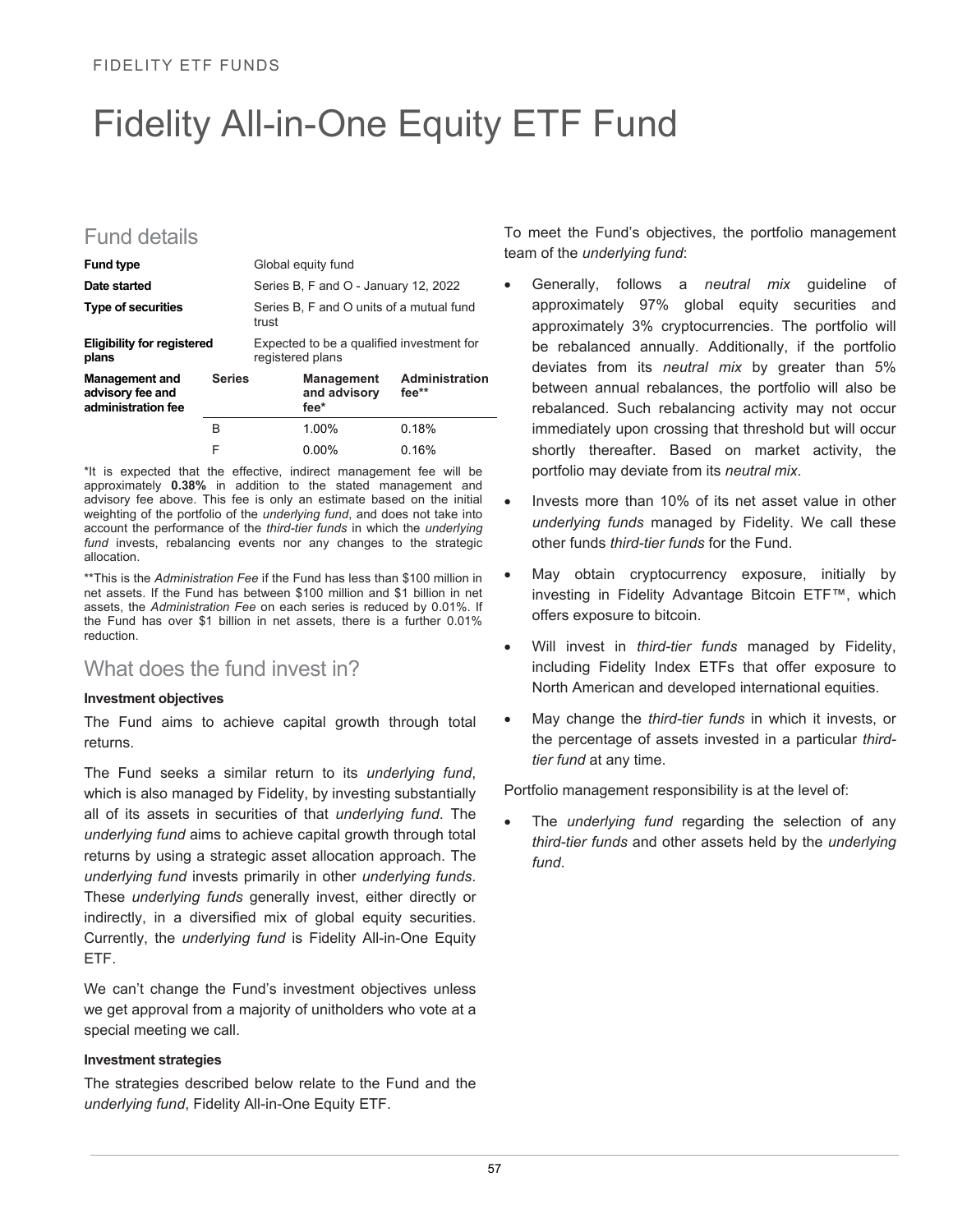# Fidelity All-in-One Equity ETF Fund

## Fund details

| <b>Fund type</b>                                                                 |  |                                                   | Global equity fund                                            |                                           |  |  |
|----------------------------------------------------------------------------------|--|---------------------------------------------------|---------------------------------------------------------------|-------------------------------------------|--|--|
| Date started                                                                     |  |                                                   | Series B, F and O - January 12, 2022                          |                                           |  |  |
| <b>Type of securities</b>                                                        |  | Series B, F and O units of a mutual fund<br>trust |                                                               |                                           |  |  |
| <b>Eligibility for registered</b><br>plans                                       |  |                                                   | Expected to be a qualified investment for<br>registered plans |                                           |  |  |
| <b>Series</b><br><b>Management and</b><br>advisory fee and<br>administration fee |  |                                                   | and advisory<br>fee*                                          | <b>Management Administration</b><br>fee** |  |  |
|                                                                                  |  |                                                   | 1.00%                                                         | 0.18%                                     |  |  |
|                                                                                  |  |                                                   | በ በበ%                                                         | በ 16%                                     |  |  |

\*It is expected that the effective, indirect management fee will be approximately **0.38%** in addition to the stated management and advisory fee above. This fee is only an estimate based on the initial weighting of the portfolio of the *underlying fund*, and does not take into account the performance of the *third-tier funds* in which the *underlying*  fund invests, rebalancing events nor any changes to the strategic allocation.

\*\*This is the *Administration Fee* if the Fund has less than \$100 million in net assets. If the Fund has between \$100 million and \$1 billion in net assets, the *Administration Fee* on each series is reduced by 0.01%. If the Fund has over \$1 billion in net assets, there is a further 0.01% reduction.

## What does the fund invest in?

#### **Investment objectives**

The Fund aims to achieve capital growth through total returns.

The Fund seeks a similar return to its *underlying fund*, which is also managed by Fidelity, by investing substantially all of its assets in securities of that *underlying fund*. The *underlying fund* aims to achieve capital growth through total returns by using a strategic asset allocation approach. The *underlying fund* invests primarily in other *underlying funds*. These *underlying funds* generally invest, either directly or indirectly, in a diversified mix of global equity securities. Currently, the *underlying fund* is Fidelity All-in-One Equity ETF.

We can't change the Fund's investment objectives unless we get approval from a majority of unitholders who vote at a special meeting we call.

#### **Investment strategies**

The strategies described below relate to the Fund and the *underlying fund*, Fidelity All-in-One Equity ETF.

To meet the Fund's objectives, the portfolio management team of the *underlying fund*:

- Generally, follows a *neutral mix* guideline of approximately 97% global equity securities and approximately 3% cryptocurrencies. The portfolio will be rebalanced annually. Additionally, if the portfolio deviates from its *neutral mix* by greater than 5% between annual rebalances, the portfolio will also be rebalanced. Such rebalancing activity may not occur immediately upon crossing that threshold but will occur shortly thereafter. Based on market activity, the portfolio may deviate from its *neutral mix*.
- Invests more than 10% of its net asset value in other *underlying funds* managed by Fidelity. We call these other funds *third-tier funds* for the Fund.
- May obtain cryptocurrency exposure, initially by investing in Fidelity Advantage Bitcoin ETF™, which offers exposure to bitcoin.
- Will invest in *third-tier funds* managed by Fidelity, including Fidelity Index ETFs that offer exposure to North American and developed international equities.
- May change the *third-tier funds* in which it invests, or the percentage of assets invested in a particular *thirdtier fund* at any time.

Portfolio management responsibility is at the level of:

The *underlying fund* regarding the selection of any *third-tier funds* and other assets held by the *underlying fund*.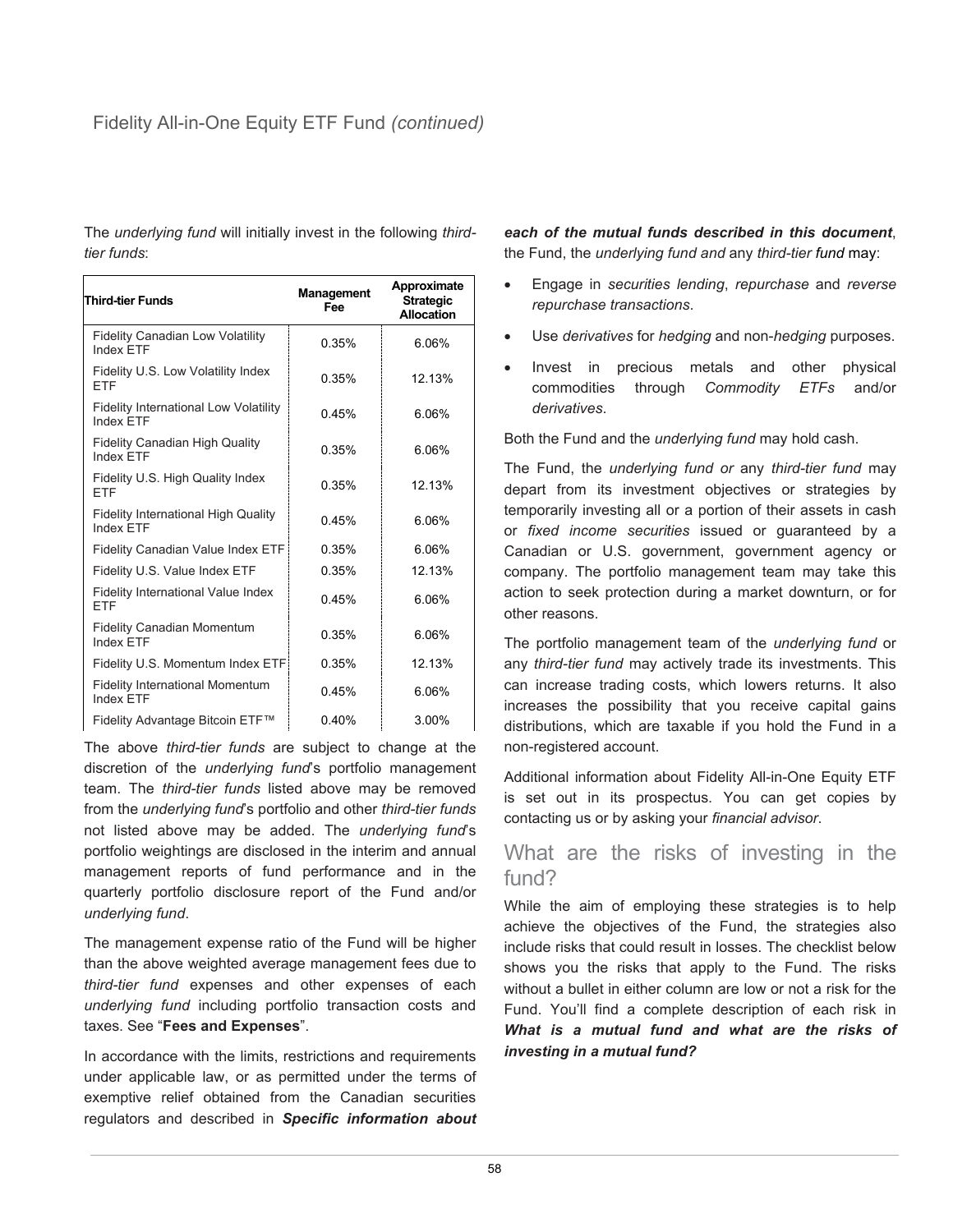The *underlying fund* will initially invest in the following *thirdtier funds*:

| <b>Third-tier Funds</b>                                          | Management<br>Fee | Approximate<br><b>Strategic</b><br>Allocation |
|------------------------------------------------------------------|-------------------|-----------------------------------------------|
| Fidelity Canadian Low Volatility<br><b>Index FTF</b>             | 0.35%             | 6.06%                                         |
| Fidelity U.S. Low Volatility Index<br><b>ETF</b>                 | 0.35%             | 12 13%                                        |
| <b>Fidelity International Low Volatility</b><br><b>Index ETF</b> | 0.45%             | 6.06%                                         |
| <b>Fidelity Canadian High Quality</b><br>Index FTF               | 0.35%             | 6.06%                                         |
| Fidelity U.S. High Quality Index<br><b>FTF</b>                   | 0.35%             | 12.13%                                        |
| <b>Fidelity International High Quality</b><br><b>Index FTF</b>   | 0.45%             | 6.06%                                         |
| Fidelity Canadian Value Index ETF                                | 0.35%             | 6.06%                                         |
| Fidelity U.S. Value Index ETF                                    | 0.35%             | 12.13%                                        |
| Fidelity International Value Index<br>FTF                        | 0.45%             | 6.06%                                         |
| <b>Fidelity Canadian Momentum</b><br><b>Index FTF</b>            | 0.35%             | 6.06%                                         |
| Fidelity U.S. Momentum Index ETF                                 | 0.35%             | 12.13%                                        |
| <b>Fidelity International Momentum</b><br><b>Index FTF</b>       | 0.45%             | 6.06%                                         |
| Fidelity Advantage Bitcoin ETF™                                  | 0.40%             | 3.00%                                         |

The above *third-tier funds* are subject to change at the discretion of the *underlying fund*'s portfolio management team. The *third-tier funds* listed above may be removed from the *underlying fund*'s portfolio and other *third-tier funds* not listed above may be added. The *underlying fund*'s portfolio weightings are disclosed in the interim and annual management reports of fund performance and in the quarterly portfolio disclosure report of the Fund and/or *underlying fund*.

The management expense ratio of the Fund will be higher than the above weighted average management fees due to *third-tier fund* expenses and other expenses of each *underlying fund* including portfolio transaction costs and taxes. See "**Fees and Expenses**".

In accordance with the limits, restrictions and requirements under applicable law, or as permitted under the terms of exemptive relief obtained from the Canadian securities regulators and described in *Specific information about*  *each of the mutual funds described in this document*, the Fund, the *underlying fund and* any *third-tier fund* may:

- Engage in *securities lending*, *repurchase* and *reverse repurchase transactions*.
- Use *derivatives* for *hedging* and non-*hedging* purposes.
- Invest in precious metals and other physical commodities through *Commodity ETFs* and/or *derivatives*.

Both the Fund and the *underlying fund* may hold cash.

The Fund, the *underlying fund or* any *third-tier fund* may depart from its investment objectives or strategies by temporarily investing all or a portion of their assets in cash or *fixed income securities* issued or guaranteed by a Canadian or U.S. government, government agency or company. The portfolio management team may take this action to seek protection during a market downturn, or for other reasons.

The portfolio management team of the *underlying fund* or any *third-tier fund* may actively trade its investments. This can increase trading costs, which lowers returns. It also increases the possibility that you receive capital gains distributions, which are taxable if you hold the Fund in a non-registered account.

Additional information about Fidelity All-in-One Equity ETF is set out in its prospectus. You can get copies by contacting us or by asking your *financial advisor*.

## What are the risks of investing in the fund?

While the aim of employing these strategies is to help achieve the objectives of the Fund, the strategies also include risks that could result in losses. The checklist below shows you the risks that apply to the Fund. The risks without a bullet in either column are low or not a risk for the Fund. You'll find a complete description of each risk in *What is a mutual fund and what are the risks of investing in a mutual fund?*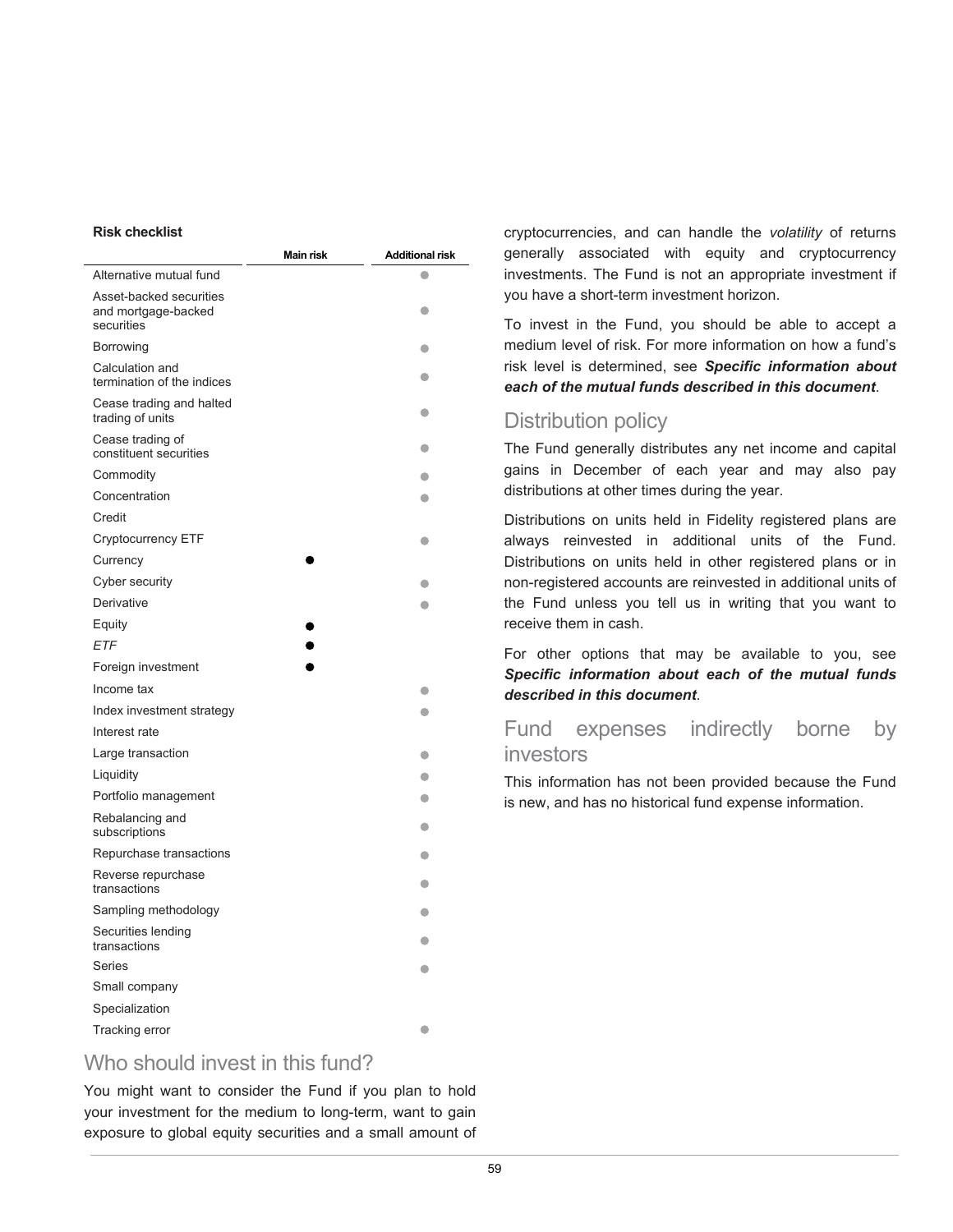#### **Risk checklist**

|                                                              | <b>Main risk</b> | <b>Additional risk</b> |
|--------------------------------------------------------------|------------------|------------------------|
| Alternative mutual fund                                      |                  | a                      |
| Asset-backed securities<br>and mortgage-backed<br>securities |                  | 0                      |
| Borrowing                                                    |                  | 0                      |
| Calculation and<br>termination of the indices                |                  | О                      |
| Cease trading and halted<br>trading of units                 |                  | O                      |
| Cease trading of<br>constituent securities                   |                  | 0                      |
| Commodity                                                    |                  |                        |
| Concentration                                                |                  |                        |
| Credit                                                       |                  |                        |
| Cryptocurrency ETF                                           |                  | c                      |
| Currency                                                     |                  |                        |
| Cyber security                                               |                  | a                      |
| Derivative                                                   |                  | a                      |
| Equity                                                       |                  |                        |
| <b>ETF</b>                                                   |                  |                        |
| Foreign investment                                           |                  |                        |
| Income tax                                                   |                  |                        |
| Index investment strategy                                    |                  |                        |
| Interest rate                                                |                  |                        |
| Large transaction                                            |                  | О                      |
| Liquidity                                                    |                  | C                      |
| Portfolio management                                         |                  | c                      |
| Rebalancing and<br>subscriptions                             |                  | $\bullet$              |
| Repurchase transactions                                      |                  | O                      |
| Reverse repurchase<br>transactions                           |                  | $\bullet$              |
| Sampling methodology                                         |                  | G                      |
| Securities lending<br>transactions                           |                  | a                      |
| <b>Series</b>                                                |                  | a                      |
| Small company                                                |                  |                        |
| Specialization                                               |                  |                        |
| Tracking error                                               |                  | $\bullet$              |

## Who should invest in this fund?

You might want to consider the Fund if you plan to hold your investment for the medium to long-term, want to gain exposure to global equity securities and a small amount of

cryptocurrencies, and can handle the *volatility* of returns generally associated with equity and cryptocurrency investments. The Fund is not an appropriate investment if you have a short-term investment horizon.

To invest in the Fund, you should be able to accept a medium level of risk. For more information on how a fund's risk level is determined, see *Specific information about each of the mutual funds described in this document*.

## Distribution policy

The Fund generally distributes any net income and capital gains in December of each year and may also pay distributions at other times during the year.

Distributions on units held in Fidelity registered plans are always reinvested in additional units of the Fund. Distributions on units held in other registered plans or in non-registered accounts are reinvested in additional units of the Fund unless you tell us in writing that you want to receive them in cash.

For other options that may be available to you, see *Specific information about each of the mutual funds described in this document*.

## Fund expenses indirectly borne by investors

This information has not been provided because the Fund is new, and has no historical fund expense information.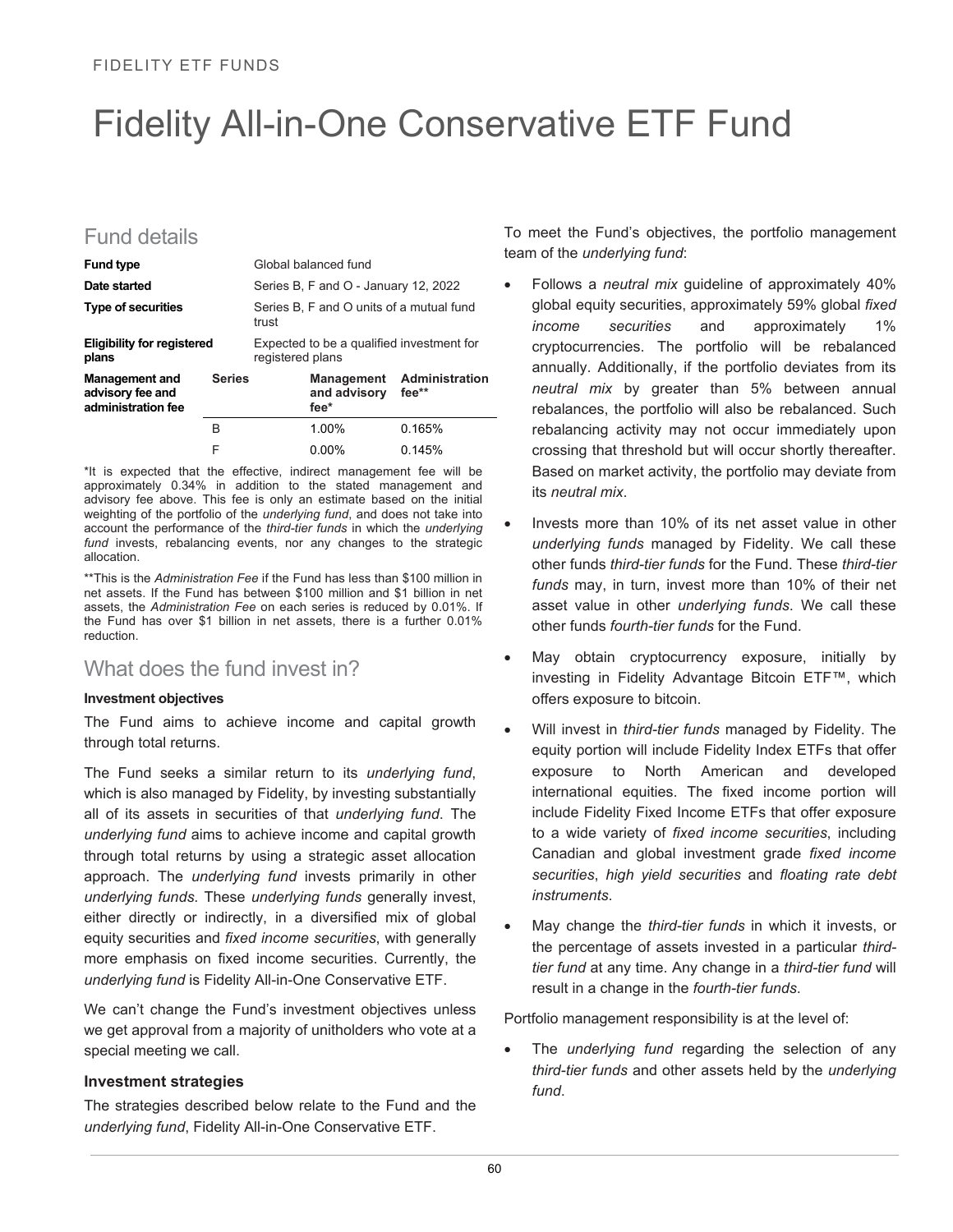## Fidelity All-in-One Conservative ETF Fund

## Fund details

| <b>Fund type</b>                                                                 |   |                                                               | Global balanced fund                 |                                  |
|----------------------------------------------------------------------------------|---|---------------------------------------------------------------|--------------------------------------|----------------------------------|
| Date started                                                                     |   |                                                               | Series B, F and O - January 12, 2022 |                                  |
| <b>Type of securities</b>                                                        |   | Series B, F and O units of a mutual fund<br>trust             |                                      |                                  |
| <b>Eligibility for registered</b><br>plans                                       |   | Expected to be a qualified investment for<br>registered plans |                                      |                                  |
| <b>Series</b><br><b>Management and</b><br>advisory fee and<br>administration fee |   |                                                               | and advisory fee**<br>fee*           | <b>Management</b> Administration |
|                                                                                  | R |                                                               | 1.00%                                | 0.165%                           |
|                                                                                  |   |                                                               | በ በበ%                                | 0.145%                           |

\*It is expected that the effective, indirect management fee will be approximately 0.34% in addition to the stated management and advisory fee above. This fee is only an estimate based on the initial weighting of the portfolio of the *underlying fund*, and does not take into account the performance of the *third-tier funds* in which the *underlying*  fund invests, rebalancing events, nor any changes to the strategic allocation.

\*\*This is the *Administration Fee* if the Fund has less than \$100 million in net assets. If the Fund has between \$100 million and \$1 billion in net assets, the *Administration Fee* on each series is reduced by 0.01%. If the Fund has over \$1 billion in net assets, there is a further 0.01% reduction.

## What does the fund invest in?

#### **Investment objectives**

The Fund aims to achieve income and capital growth through total returns.

The Fund seeks a similar return to its *underlying fund*, which is also managed by Fidelity, by investing substantially all of its assets in securities of that *underlying fund*. The *underlying fund* aims to achieve income and capital growth through total returns by using a strategic asset allocation approach. The *underlying fund* invests primarily in other *underlying funds*. These *underlying funds* generally invest, either directly or indirectly, in a diversified mix of global equity securities and *fixed income securities*, with generally more emphasis on fixed income securities. Currently, the *underlying fund* is Fidelity All-in-One Conservative ETF.

We can't change the Fund's investment objectives unless we get approval from a majority of unitholders who vote at a special meeting we call.

#### **Investment strategies**

The strategies described below relate to the Fund and the *underlying fund*, Fidelity All-in-One Conservative ETF.

To meet the Fund's objectives, the portfolio management team of the *underlying fund*:

- Follows a *neutral mix* guideline of approximately 40% global equity securities, approximately 59% global *fixed income securities* and approximately 1% cryptocurrencies. The portfolio will be rebalanced annually. Additionally, if the portfolio deviates from its *neutral mix* by greater than 5% between annual rebalances, the portfolio will also be rebalanced. Such rebalancing activity may not occur immediately upon crossing that threshold but will occur shortly thereafter. Based on market activity, the portfolio may deviate from its *neutral mix*.
- Invests more than 10% of its net asset value in other *underlying funds* managed by Fidelity. We call these other funds *third-tier funds* for the Fund. These *third-tier funds* may, in turn, invest more than 10% of their net asset value in other *underlying funds*. We call these other funds *fourth-tier funds* for the Fund.
- May obtain cryptocurrency exposure, initially by investing in Fidelity Advantage Bitcoin ETF™, which offers exposure to bitcoin.
- Will invest in *third-tier funds* managed by Fidelity. The equity portion will include Fidelity Index ETFs that offer exposure to North American and developed international equities. The fixed income portion will include Fidelity Fixed Income ETFs that offer exposure to a wide variety of *fixed income securities*, including Canadian and global investment grade *fixed income securities*, *high yield securities* and *floating rate debt instruments*.
- May change the *third-tier funds* in which it invests, or the percentage of assets invested in a particular *thirdtier fund* at any time. Any change in a *third-tier fund* will result in a change in the *fourth-tier funds*.

Portfolio management responsibility is at the level of:

The *underlying fund* regarding the selection of any *third-tier funds* and other assets held by the *underlying fund*.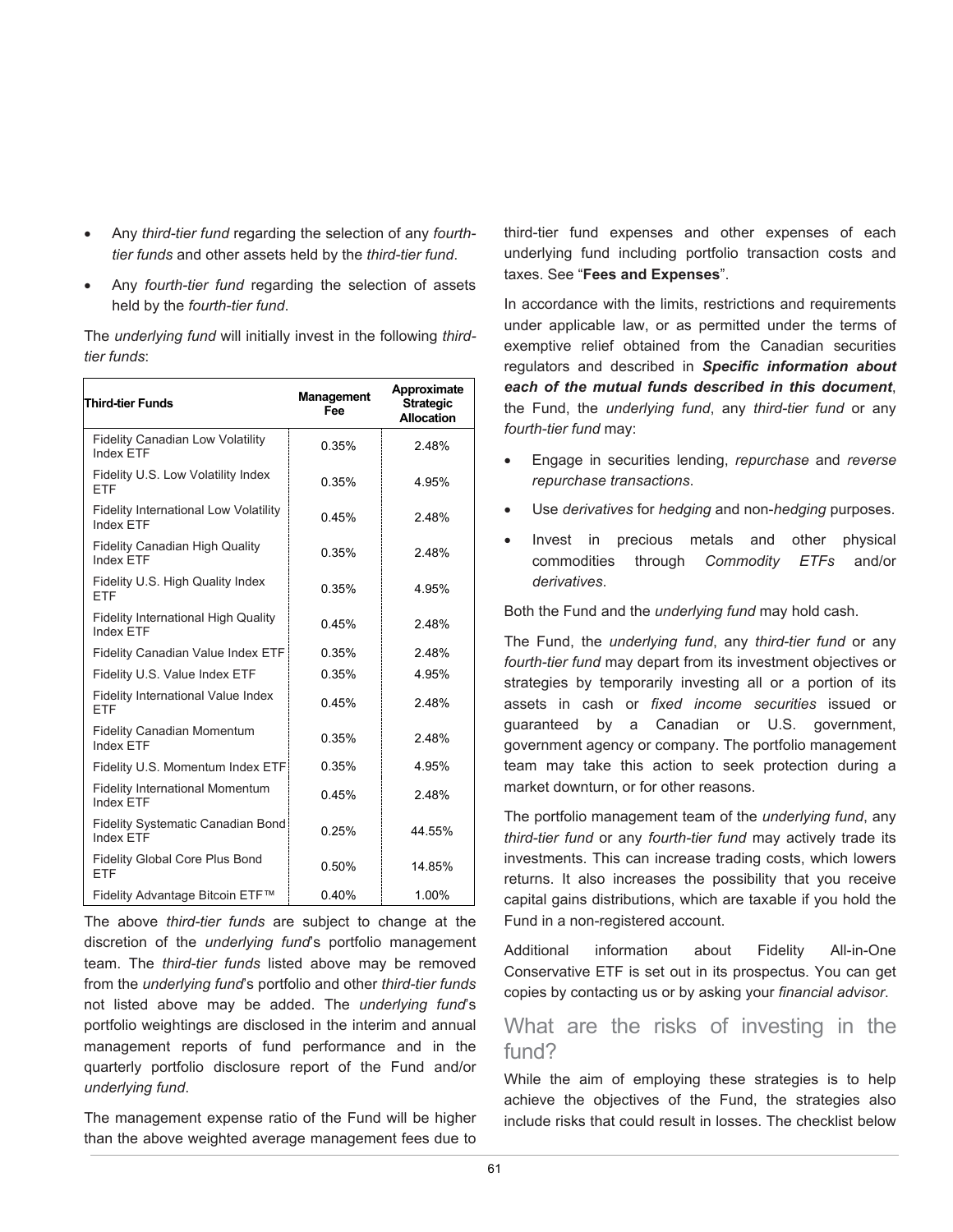- Any *third-tier fund* regarding the selection of any *fourthtier funds* and other assets held by the *third-tier fund*.
- Any *fourth-tier fund* regarding the selection of assets held by the *fourth-tier fund*.

The *underlying fund* will initially invest in the following *thirdtier funds*:

| <b>Third-tier Funds</b>                                          | <b>Management</b><br>Fee | Approximate<br><b>Strategic</b><br><b>Allocation</b> |
|------------------------------------------------------------------|--------------------------|------------------------------------------------------|
| <b>Fidelity Canadian Low Volatility</b><br><b>Index FTF</b>      | 0.35%                    | 2.48%                                                |
| Fidelity U.S. Low Volatility Index<br>ETF                        | 0.35%                    | 4.95%                                                |
| <b>Fidelity International Low Volatility</b><br><b>Index FTF</b> | 0.45%                    | 2.48%                                                |
| <b>Fidelity Canadian High Quality</b><br>Index ETF               | 0.35%                    | 2.48%                                                |
| Fidelity U.S. High Quality Index<br>FTF                          | 0.35%                    | 4 95%                                                |
| <b>Fidelity International High Quality</b><br>Index FTF          | 0.45%                    | 2.48%                                                |
| Fidelity Canadian Value Index ETF                                | 0.35%                    | 2.48%                                                |
| Fidelity U.S. Value Index ETF                                    | 0.35%                    | 4.95%                                                |
| Fidelity International Value Index<br>FTF                        | 0.45%                    | 248%                                                 |
| <b>Fidelity Canadian Momentum</b><br>Index ETF                   | 0.35%                    | 248%                                                 |
| Fidelity U.S. Momentum Index ETF                                 | 0.35%                    | 4.95%                                                |
| <b>Fidelity International Momentum</b><br><b>Index ETF</b>       | 0.45%                    | 2.48%                                                |
| Fidelity Systematic Canadian Bond<br><b>Index FTF</b>            | 0.25%                    | 44.55%                                               |
| <b>Fidelity Global Core Plus Bond</b><br><b>ETF</b>              | 0.50%                    | 14.85%                                               |
| Fidelity Advantage Bitcoin ETF™                                  | 0.40%                    | 1.00%                                                |

The above *third-tier funds* are subject to change at the discretion of the *underlying fund*'s portfolio management team. The *third-tier funds* listed above may be removed from the *underlying fund*'s portfolio and other *third-tier funds* not listed above may be added. The *underlying fund*'s portfolio weightings are disclosed in the interim and annual management reports of fund performance and in the quarterly portfolio disclosure report of the Fund and/or *underlying fund*.

The management expense ratio of the Fund will be higher than the above weighted average management fees due to third-tier fund expenses and other expenses of each underlying fund including portfolio transaction costs and taxes. See "**Fees and Expenses**".

In accordance with the limits, restrictions and requirements under applicable law, or as permitted under the terms of exemptive relief obtained from the Canadian securities regulators and described in *Specific information about each of the mutual funds described in this document*, the Fund, the *underlying fund*, any *third-tier fund* or any *fourth-tier fund* may:

- Engage in securities lending, *repurchase* and *reverse repurchase transactions*.
- Use *derivatives* for *hedging* and non-*hedging* purposes.
- Invest in precious metals and other physical commodities through *Commodity ETFs* and/or *derivatives*.

Both the Fund and the *underlying fund* may hold cash.

The Fund, the *underlying fund*, any *third-tier fund* or any *fourth-tier fund* may depart from its investment objectives or strategies by temporarily investing all or a portion of its assets in cash or *fixed income securities* issued or guaranteed by a Canadian or U.S. government, government agency or company. The portfolio management team may take this action to seek protection during a market downturn, or for other reasons.

The portfolio management team of the *underlying fund*, any *third-tier fund* or any *fourth-tier fund* may actively trade its investments. This can increase trading costs, which lowers returns. It also increases the possibility that you receive capital gains distributions, which are taxable if you hold the Fund in a non-registered account.

Additional information about Fidelity All-in-One Conservative ETF is set out in its prospectus. You can get copies by contacting us or by asking your *financial advisor*.

## What are the risks of investing in the fund?

While the aim of employing these strategies is to help achieve the objectives of the Fund, the strategies also include risks that could result in losses. The checklist below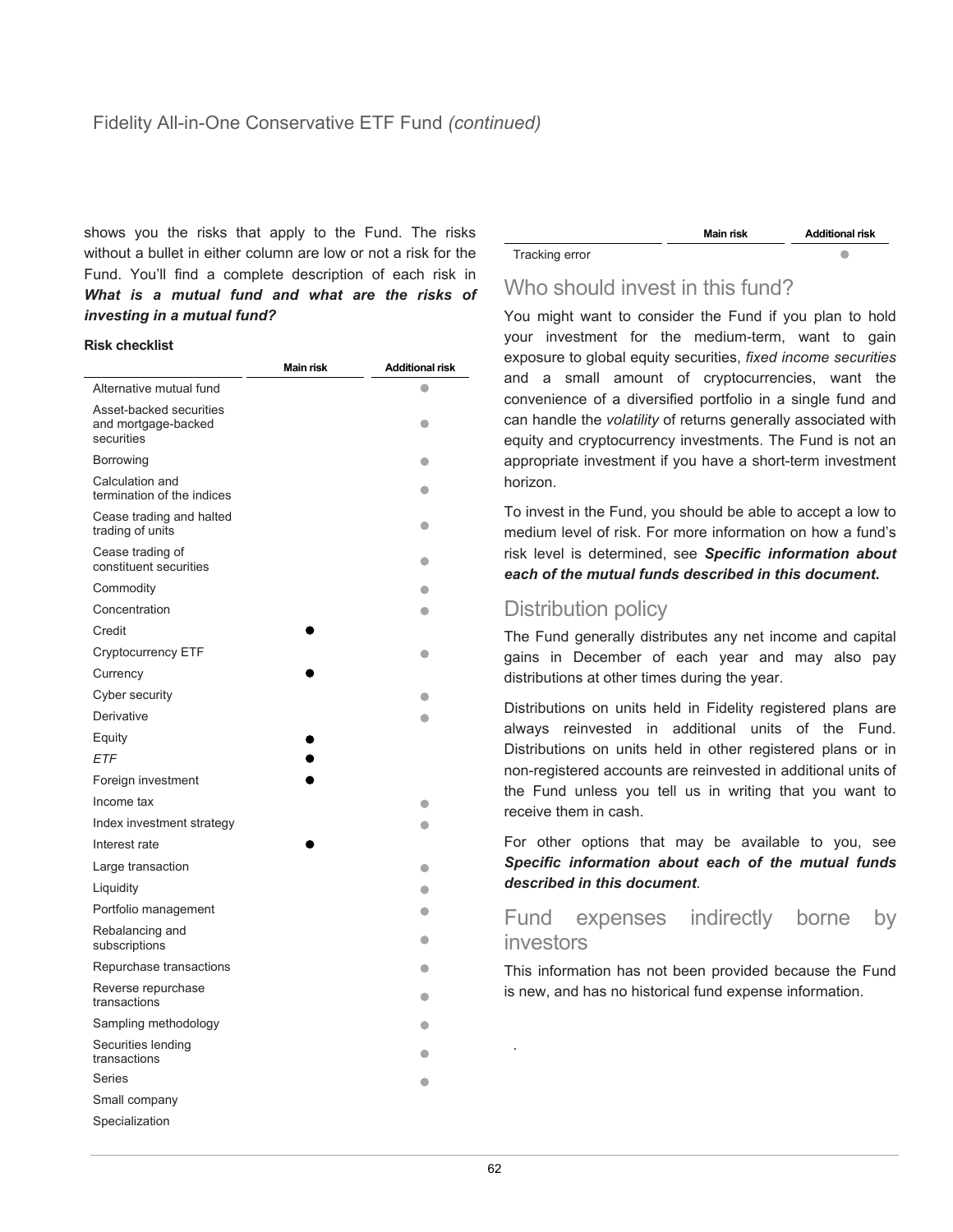shows you the risks that apply to the Fund. The risks without a bullet in either column are low or not a risk for the Fund. You'll find a complete description of each risk in *What is a mutual fund and what are the risks of investing in a mutual fund?*

#### **Risk checklist**

|                                                              | <b>Main risk</b> | <b>Additional risk</b> |
|--------------------------------------------------------------|------------------|------------------------|
| Alternative mutual fund                                      |                  | a                      |
| Asset-backed securities<br>and mortgage-backed<br>securities |                  |                        |
| Borrowing                                                    |                  |                        |
| Calculation and<br>termination of the indices                |                  | $\bullet$              |
| Cease trading and halted<br>trading of units                 |                  | c                      |
| Cease trading of<br>constituent securities                   |                  | a                      |
| Commodity                                                    |                  |                        |
| Concentration                                                |                  |                        |
| Credit                                                       |                  |                        |
| Cryptocurrency ETF                                           |                  | O                      |
| Currency                                                     |                  |                        |
| Cyber security                                               |                  |                        |
| Derivative                                                   |                  | æ                      |
| Equity                                                       |                  |                        |
| ETF                                                          |                  |                        |
| Foreign investment                                           |                  |                        |
| Income tax                                                   |                  |                        |
| Index investment strategy                                    |                  |                        |
| Interest rate                                                |                  |                        |
| Large transaction                                            |                  | a                      |
| Liquidity                                                    |                  | O                      |
| Portfolio management                                         |                  | a                      |
| Rebalancing and<br>subscriptions                             |                  | 0                      |
| Repurchase transactions                                      |                  | a                      |
| Reverse repurchase<br>transactions                           |                  | a                      |
| Sampling methodology                                         |                  | c                      |
| Securities lending<br>transactions                           |                  | a                      |
| Series                                                       |                  | a                      |
| Small company                                                |                  |                        |
| Specialization                                               |                  |                        |

|                | Main risk | <b>Additional risk</b> |
|----------------|-----------|------------------------|
| Tracking error |           |                        |
|                |           |                        |

## Who should invest in this fund?

You might want to consider the Fund if you plan to hold your investment for the medium-term, want to gain exposure to global equity securities, *fixed income securities* and a small amount of cryptocurrencies, want the convenience of a diversified portfolio in a single fund and can handle the *volatility* of returns generally associated with equity and cryptocurrency investments. The Fund is not an appropriate investment if you have a short-term investment horizon.

To invest in the Fund, you should be able to accept a low to medium level of risk. For more information on how a fund's risk level is determined, see *Specific information about each of the mutual funds described in this document***.**

## Distribution policy

The Fund generally distributes any net income and capital gains in December of each year and may also pay distributions at other times during the year.

Distributions on units held in Fidelity registered plans are always reinvested in additional units of the Fund. Distributions on units held in other registered plans or in non-registered accounts are reinvested in additional units of the Fund unless you tell us in writing that you want to receive them in cash.

For other options that may be available to you, see *Specific information about each of the mutual funds described in this document*.

## Fund expenses indirectly borne by investors

This information has not been provided because the Fund is new, and has no historical fund expense information.

.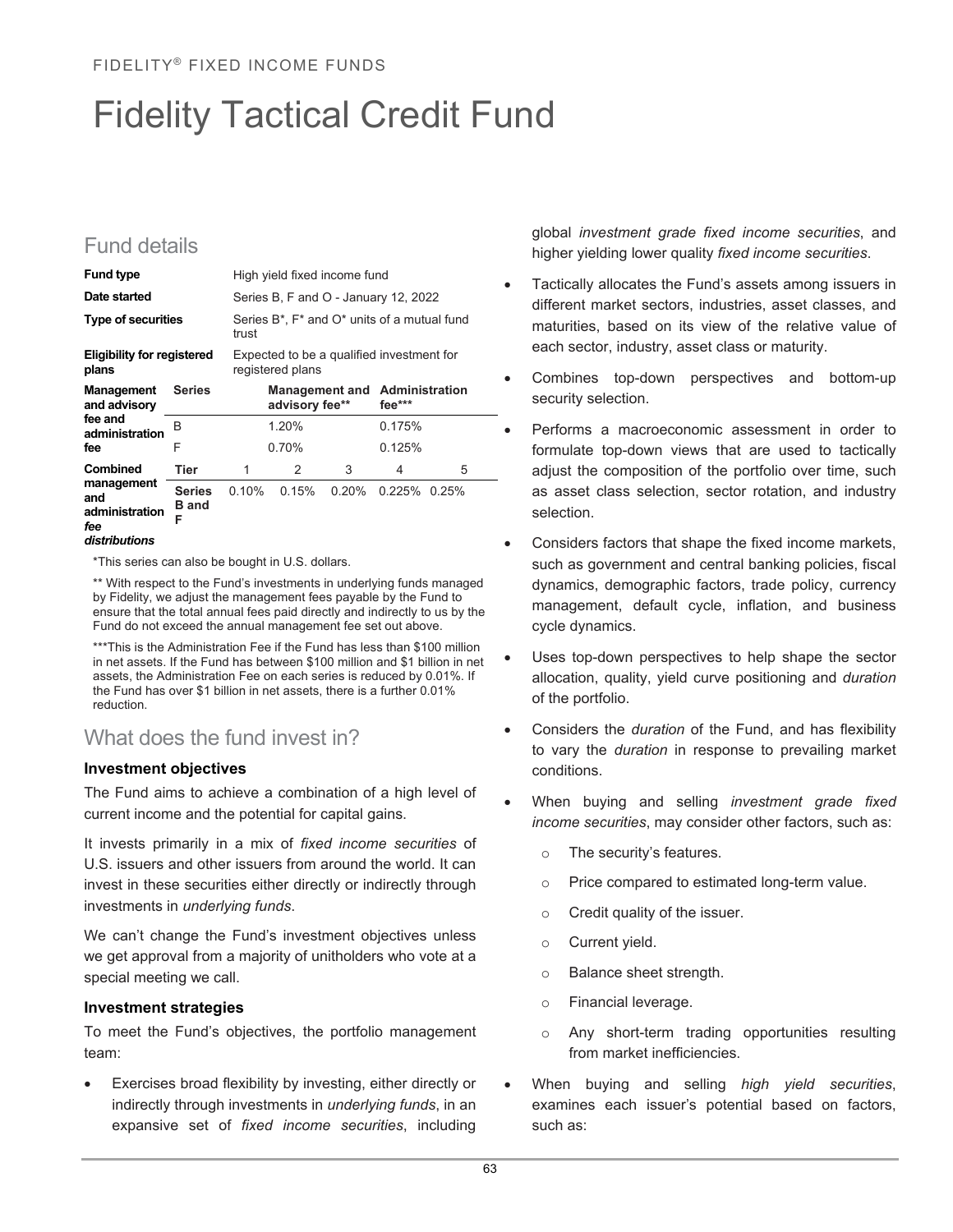## Fidelity Tactical Credit Fund

## Fund details

| <b>Fund type</b>                           |                   |                                                                                                        | High yield fixed income fund |   |                                                     |   |  |
|--------------------------------------------|-------------------|--------------------------------------------------------------------------------------------------------|------------------------------|---|-----------------------------------------------------|---|--|
| Date started                               |                   | Series B, F and O - January 12, 2022<br>Series $B^*$ , $F^*$ and $O^*$ units of a mutual fund<br>trust |                              |   |                                                     |   |  |
| <b>Type of securities</b>                  |                   |                                                                                                        |                              |   |                                                     |   |  |
| <b>Eligibility for registered</b><br>plans |                   |                                                                                                        | registered plans             |   | Expected to be a qualified investment for           |   |  |
| <b>Management</b> Series<br>and advisory   |                   |                                                                                                        | advisory fee**               |   | <b>Management and Administration</b><br>$fee^{***}$ |   |  |
| fee and<br>administration                  | R                 |                                                                                                        | 120%                         |   | 0.175%                                              |   |  |
| fee                                        | F                 |                                                                                                        | 0.70%                        |   | 0.125%                                              |   |  |
| <b>Combined</b>                            | Tier              | 1                                                                                                      | 2                            | 3 | 4                                                   | 5 |  |
| management<br>and<br>administration        | <b>B</b> and<br>F | Series 0.10% 0.15% 0.20% 0.225% 0.25%                                                                  |                              |   |                                                     |   |  |
| fee                                        |                   |                                                                                                        |                              |   |                                                     |   |  |

\*This series can also be bought in U.S. dollars.

\*\* With respect to the Fund's investments in underlying funds managed by Fidelity, we adjust the management fees payable by the Fund to ensure that the total annual fees paid directly and indirectly to us by the Fund do not exceed the annual management fee set out above.

\*\*\*This is the Administration Fee if the Fund has less than \$100 million in net assets. If the Fund has between \$100 million and \$1 billion in net assets, the Administration Fee on each series is reduced by 0.01%. If the Fund has over \$1 billion in net assets, there is a further 0.01% reduction.

## What does the fund invest in?

#### **Investment objectives**

The Fund aims to achieve a combination of a high level of current income and the potential for capital gains.

It invests primarily in a mix of *fixed income securities* of U.S. issuers and other issuers from around the world. It can invest in these securities either directly or indirectly through investments in *underlying funds*.

We can't change the Fund's investment objectives unless we get approval from a majority of unitholders who vote at a special meeting we call.

#### **Investment strategies**

To meet the Fund's objectives, the portfolio management team:

Exercises broad flexibility by investing, either directly or indirectly through investments in *underlying funds*, in an expansive set of *fixed income securities*, including

global *investment grade fixed income securities*, and higher yielding lower quality *fixed income securities*.

- Tactically allocates the Fund's assets among issuers in different market sectors, industries, asset classes, and maturities, based on its view of the relative value of each sector, industry, asset class or maturity.
- Combines top-down perspectives and bottom-up security selection.
- Performs a macroeconomic assessment in order to formulate top-down views that are used to tactically adjust the composition of the portfolio over time, such as asset class selection, sector rotation, and industry selection.
- Considers factors that shape the fixed income markets, such as government and central banking policies, fiscal dynamics, demographic factors, trade policy, currency management, default cycle, inflation, and business cycle dynamics.
- Uses top-down perspectives to help shape the sector allocation, quality, yield curve positioning and *duration* of the portfolio.
- Considers the *duration* of the Fund, and has flexibility to vary the *duration* in response to prevailing market conditions.
- When buying and selling *investment grade fixed income securities*, may consider other factors, such as:
	- o The security's features.
	- o Price compared to estimated long-term value.
	- o Credit quality of the issuer.
	- o Current yield.
	- o Balance sheet strength.
	- o Financial leverage.
	- o Any short-term trading opportunities resulting from market inefficiencies.
- When buying and selling *high yield securities*, examines each issuer's potential based on factors, such as: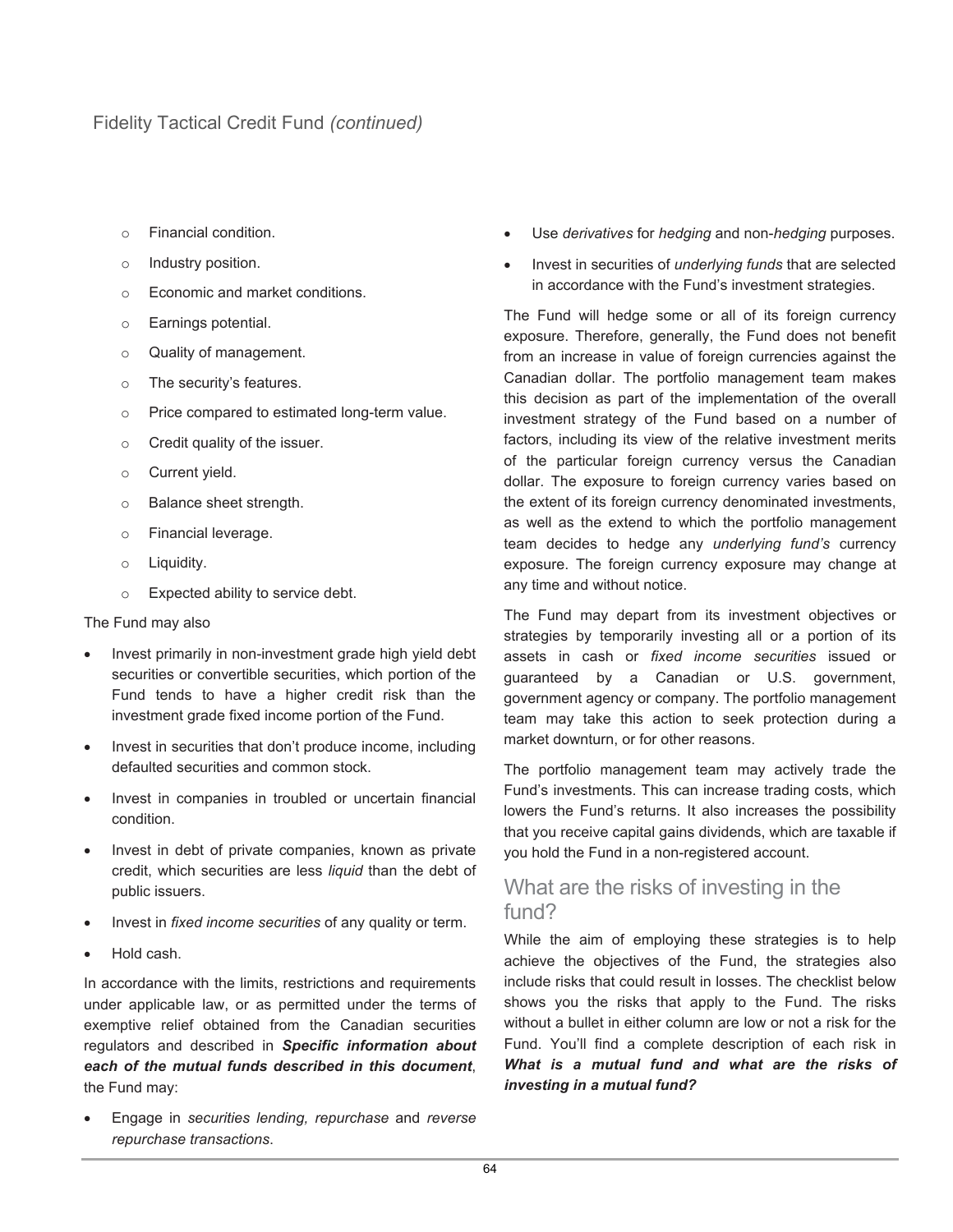- o Financial condition.
- o Industry position.
- o Economic and market conditions.
- o Earnings potential.
- o Quality of management.
- o The security's features.
- o Price compared to estimated long-term value.
- o Credit quality of the issuer.
- o Current yield.
- o Balance sheet strength.
- o Financial leverage.
- o Liquidity.
- o Expected ability to service debt.

#### The Fund may also

- Invest primarily in non-investment grade high yield debt securities or convertible securities, which portion of the Fund tends to have a higher credit risk than the investment grade fixed income portion of the Fund.
- Invest in securities that don't produce income, including defaulted securities and common stock.
- Invest in companies in troubled or uncertain financial condition.
- Invest in debt of private companies, known as private credit, which securities are less *liquid* than the debt of public issuers.
- Invest in *fixed income securities* of any quality or term.
- Hold cash.

In accordance with the limits, restrictions and requirements under applicable law, or as permitted under the terms of exemptive relief obtained from the Canadian securities regulators and described in *Specific information about each of the mutual funds described in this document*, the Fund may:

• Engage in *securities lending, repurchase* and *reverse repurchase transactions*.

- Use *derivatives* for *hedging* and non-*hedging* purposes.
- Invest in securities of *underlying funds* that are selected in accordance with the Fund's investment strategies.

The Fund will hedge some or all of its foreign currency exposure. Therefore, generally, the Fund does not benefit from an increase in value of foreign currencies against the Canadian dollar. The portfolio management team makes this decision as part of the implementation of the overall investment strategy of the Fund based on a number of factors, including its view of the relative investment merits of the particular foreign currency versus the Canadian dollar. The exposure to foreign currency varies based on the extent of its foreign currency denominated investments, as well as the extend to which the portfolio management team decides to hedge any *underlying fund's* currency exposure. The foreign currency exposure may change at any time and without notice.

The Fund may depart from its investment objectives or strategies by temporarily investing all or a portion of its assets in cash or *fixed income securities* issued or guaranteed by a Canadian or U.S. government, government agency or company. The portfolio management team may take this action to seek protection during a market downturn, or for other reasons.

The portfolio management team may actively trade the Fund's investments. This can increase trading costs, which lowers the Fund's returns. It also increases the possibility that you receive capital gains dividends, which are taxable if you hold the Fund in a non-registered account.

## What are the risks of investing in the fund?

While the aim of employing these strategies is to help achieve the objectives of the Fund, the strategies also include risks that could result in losses. The checklist below shows you the risks that apply to the Fund. The risks without a bullet in either column are low or not a risk for the Fund. You'll find a complete description of each risk in *What is a mutual fund and what are the risks of investing in a mutual fund?*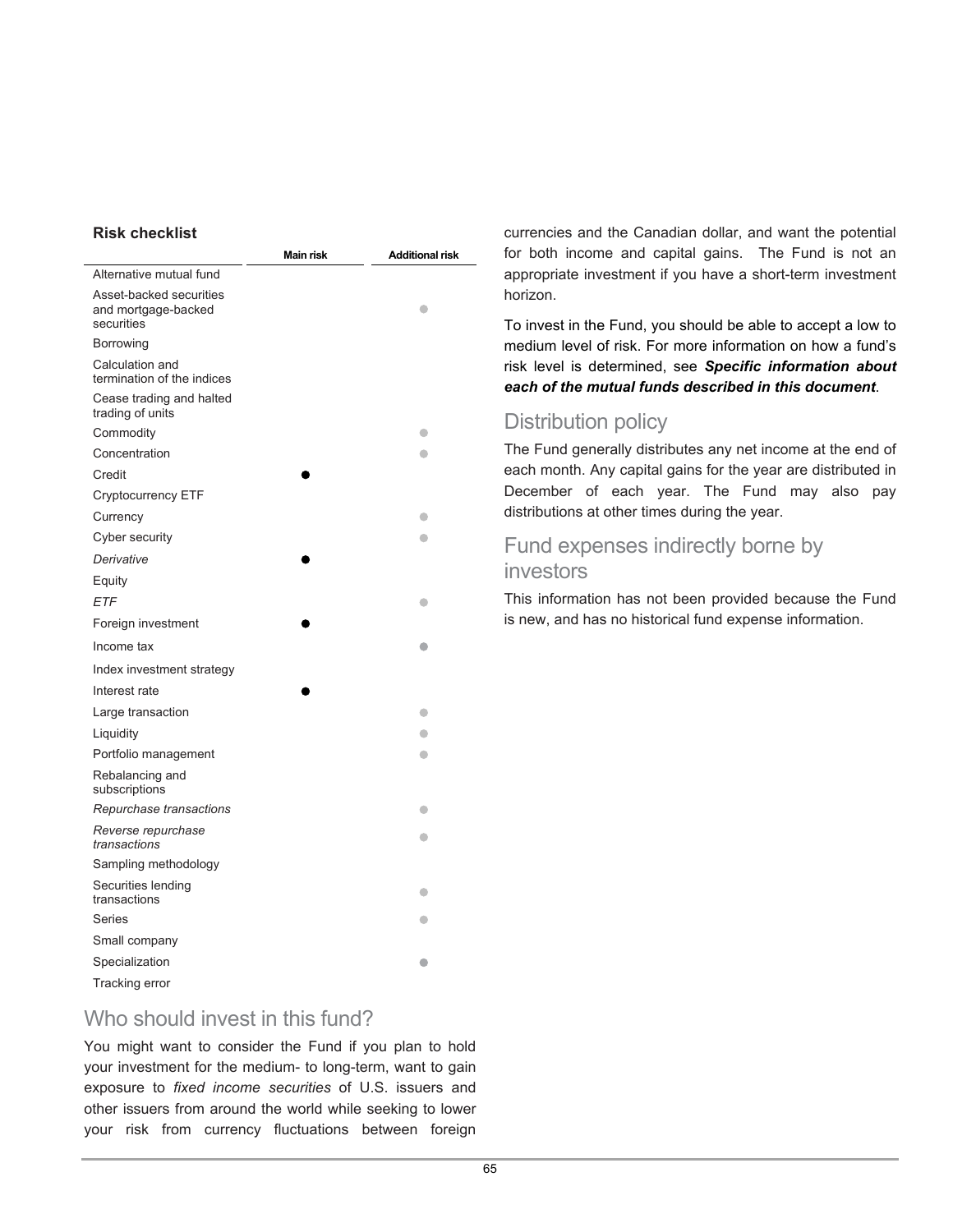#### **Risk checklist**

|                                                              | Main risk | <b>Additional risk</b> |
|--------------------------------------------------------------|-----------|------------------------|
| Alternative mutual fund                                      |           |                        |
| Asset-backed securities<br>and mortgage-backed<br>securities |           |                        |
| Borrowing                                                    |           |                        |
| Calculation and<br>termination of the indices                |           |                        |
| Cease trading and halted<br>trading of units                 |           |                        |
| Commodity                                                    |           |                        |
| Concentration                                                |           |                        |
| Credit                                                       |           |                        |
| <b>Cryptocurrency ETF</b>                                    |           |                        |
| Currency                                                     |           |                        |
| Cyber security                                               |           |                        |
| Derivative                                                   |           |                        |
| Equity                                                       |           |                        |
| ETF                                                          |           |                        |
| Foreign investment                                           |           |                        |
| Income tax                                                   |           |                        |
| Index investment strategy                                    |           |                        |
| Interest rate                                                |           |                        |
| Large transaction                                            |           |                        |
| Liquidity                                                    |           |                        |
| Portfolio management                                         |           |                        |
| Rebalancing and<br>subscriptions                             |           |                        |
| Repurchase transactions                                      |           | o                      |
| Reverse repurchase<br>transactions                           |           |                        |
| Sampling methodology                                         |           |                        |
| Securities lending<br>transactions                           |           |                        |
| Series                                                       |           |                        |
| Small company                                                |           |                        |
| Specialization                                               |           |                        |
| Tracking error                                               |           |                        |

Who should invest in this fund?

You might want to consider the Fund if you plan to hold your investment for the medium- to long-term, want to gain exposure to *fixed income securities* of U.S. issuers and other issuers from around the world while seeking to lower your risk from currency fluctuations between foreign

currencies and the Canadian dollar, and want the potential for both income and capital gains. The Fund is not an appropriate investment if you have a short-term investment horizon.

To invest in the Fund, you should be able to accept a low to medium level of risk. For more information on how a fund's risk level is determined, see *Specific information about each of the mutual funds described in this document*.

## Distribution policy

The Fund generally distributes any net income at the end of each month. Any capital gains for the year are distributed in December of each year. The Fund may also pay distributions at other times during the year.

## Fund expenses indirectly borne by investors

This information has not been provided because the Fund is new, and has no historical fund expense information.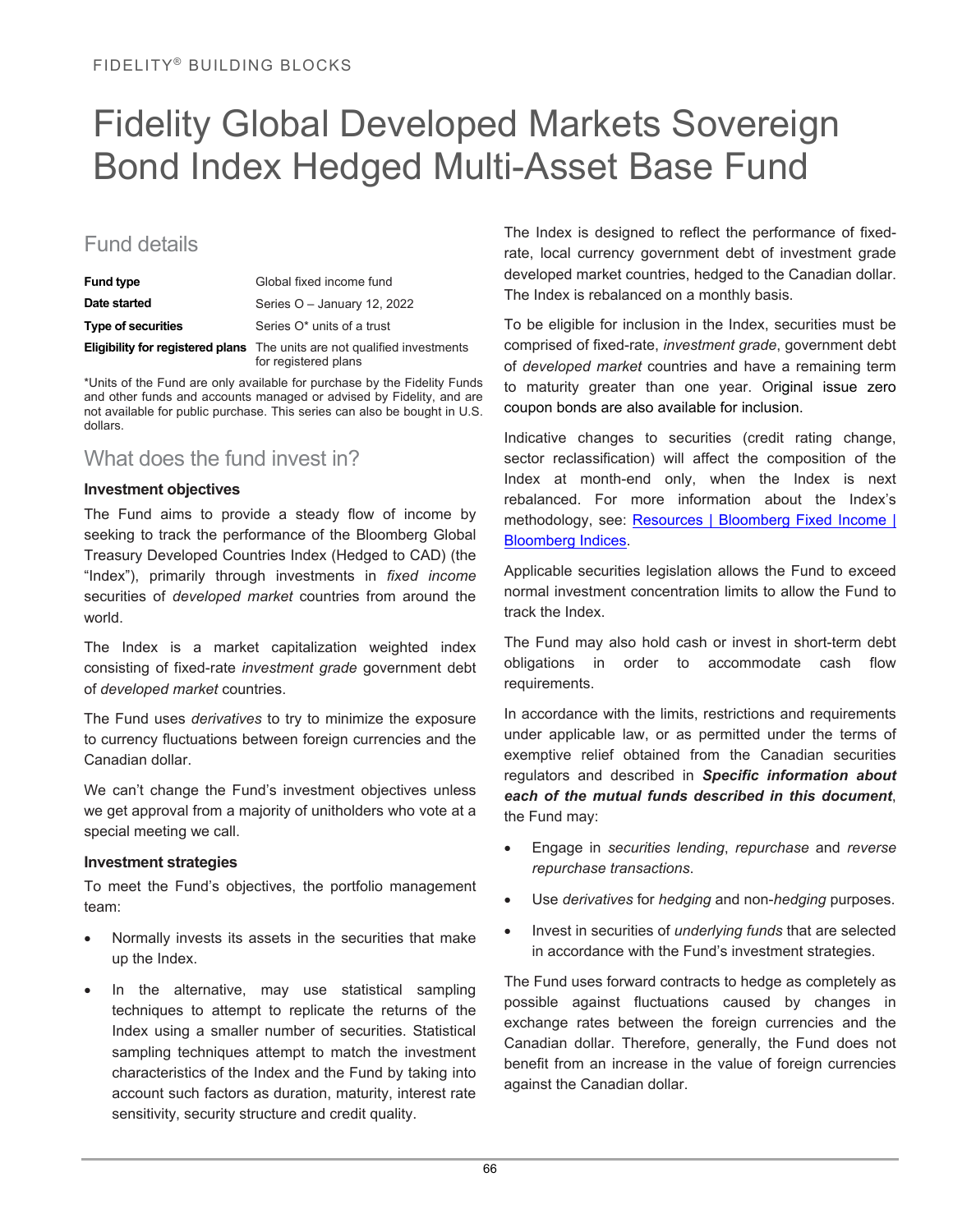## Fidelity Global Developed Markets Sovereign Bond Index Hedged Multi-Asset Base Fund

## Fund details

| <b>Fund type</b>          | Global fixed income fund                                                                                |
|---------------------------|---------------------------------------------------------------------------------------------------------|
| Date started              | Series O - January 12, 2022                                                                             |
| <b>Type of securities</b> | Series O* units of a trust                                                                              |
|                           | <b>Eligibility for registered plans</b> The units are not qualified investments<br>for registered plans |

\*Units of the Fund are only available for purchase by the Fidelity Funds and other funds and accounts managed or advised by Fidelity, and are not available for public purchase. This series can also be bought in U.S. dollars.

## What does the fund invest in?

#### **Investment objectives**

The Fund aims to provide a steady flow of income by seeking to track the performance of the Bloomberg Global Treasury Developed Countries Index (Hedged to CAD) (the "Index"), primarily through investments in *fixed income*  securities of *developed market* countries from around the world.

The Index is a market capitalization weighted index consisting of fixed-rate *investment grade* government debt of *developed market* countries.

The Fund uses *derivatives* to try to minimize the exposure to currency fluctuations between foreign currencies and the Canadian dollar.

We can't change the Fund's investment objectives unless we get approval from a majority of unitholders who vote at a special meeting we call.

#### **Investment strategies**

To meet the Fund's objectives, the portfolio management team:

- Normally invests its assets in the securities that make up the Index.
- In the alternative, may use statistical sampling techniques to attempt to replicate the returns of the Index using a smaller number of securities. Statistical sampling techniques attempt to match the investment characteristics of the Index and the Fund by taking into account such factors as duration, maturity, interest rate sensitivity, security structure and credit quality.

The Index is designed to reflect the performance of fixedrate, local currency government debt of investment grade developed market countries, hedged to the Canadian dollar. The Index is rebalanced on a monthly basis.

To be eligible for inclusion in the Index, securities must be comprised of fixed-rate, *investment grade*, government debt of *developed market* countries and have a remaining term to maturity greater than one year. Original issue zero coupon bonds are also available for inclusion.

Indicative changes to securities (credit rating change, sector reclassification) will affect the composition of the Index at month-end only, when the Index is next rebalanced. For more information about the Index's methodology, see: Resources | Bloomberg Fixed Income | [Bloomberg Indices.](https://www.bloomberg.com/professional/product/indices/bloomberg-fixed-income-indices-fact-sheets-publications/?mpam-page=28465&tactic-page=438170)

Applicable securities legislation allows the Fund to exceed normal investment concentration limits to allow the Fund to track the Index.

The Fund may also hold cash or invest in short-term debt obligations in order to accommodate cash flow requirements.

In accordance with the limits, restrictions and requirements under applicable law, or as permitted under the terms of exemptive relief obtained from the Canadian securities regulators and described in *Specific information about each of the mutual funds described in this document*, the Fund may:

- Engage in *securities lending*, *repurchase* and *reverse repurchase transactions*.
- Use *derivatives* for *hedging* and non-*hedging* purposes.
- Invest in securities of *underlying funds* that are selected in accordance with the Fund's investment strategies.

The Fund uses forward contracts to hedge as completely as possible against fluctuations caused by changes in exchange rates between the foreign currencies and the Canadian dollar. Therefore, generally, the Fund does not benefit from an increase in the value of foreign currencies against the Canadian dollar.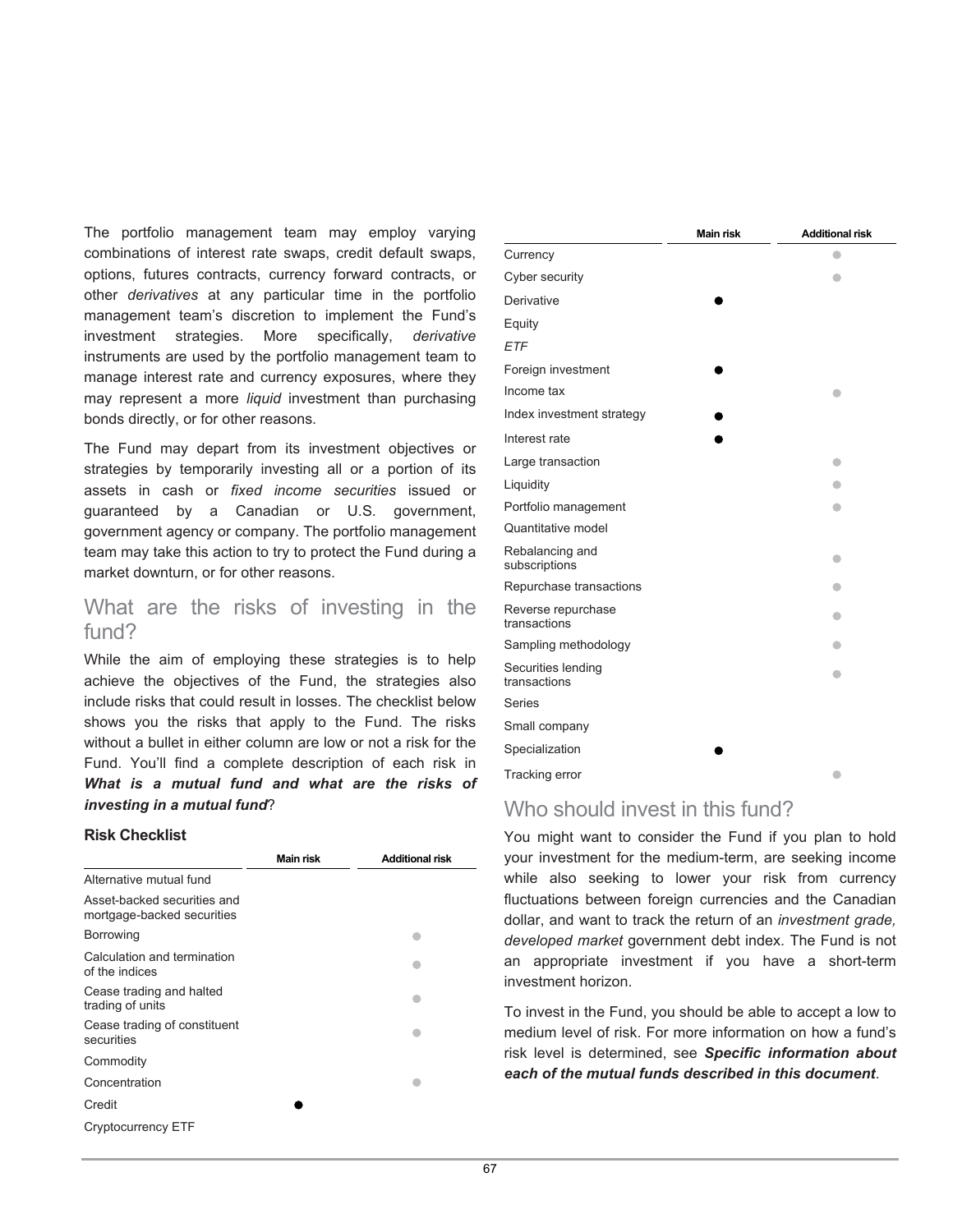The portfolio management team may employ varying combinations of interest rate swaps, credit default swaps, options, futures contracts, currency forward contracts, or other *derivatives* at any particular time in the portfolio management team's discretion to implement the Fund's investment strategies. More specifically, *derivative* instruments are used by the portfolio management team to manage interest rate and currency exposures, where they may represent a more *liquid* investment than purchasing bonds directly, or for other reasons.

The Fund may depart from its investment objectives or strategies by temporarily investing all or a portion of its assets in cash or *fixed income securities* issued or guaranteed by a Canadian or U.S. government, government agency or company. The portfolio management team may take this action to try to protect the Fund during a market downturn, or for other reasons.

## What are the risks of investing in the fund?

While the aim of employing these strategies is to help achieve the objectives of the Fund, the strategies also include risks that could result in losses. The checklist below shows you the risks that apply to the Fund. The risks without a bullet in either column are low or not a risk for the Fund. You'll find a complete description of each risk in *What is a mutual fund and what are the risks of investing in a mutual fund*?

#### **Risk Checklist**

|                                                           | <b>Main risk</b> | <b>Additional risk</b> |
|-----------------------------------------------------------|------------------|------------------------|
| Alternative mutual fund                                   |                  |                        |
| Asset-backed securities and<br>mortgage-backed securities |                  |                        |
| <b>Borrowing</b>                                          |                  |                        |
| Calculation and termination<br>of the indices             |                  |                        |
| Cease trading and halted<br>trading of units              |                  |                        |
| Cease trading of constituent<br>securities                |                  |                        |
| Commodity                                                 |                  |                        |
| Concentration                                             |                  |                        |
| Credit                                                    |                  |                        |
| Cryptocurrency ETF                                        |                  |                        |

|                                    | <b>Main risk</b> | <b>Additional risk</b> |
|------------------------------------|------------------|------------------------|
| Currency                           |                  |                        |
| Cyber security                     |                  |                        |
| Derivative                         |                  |                        |
| Equity                             |                  |                        |
| ETF                                |                  |                        |
| Foreign investment                 |                  |                        |
| Income tax                         |                  |                        |
| Index investment strategy          |                  |                        |
| Interest rate                      |                  |                        |
| Large transaction                  |                  |                        |
| Liquidity                          |                  |                        |
| Portfolio management               |                  |                        |
| Quantitative model                 |                  |                        |
| Rebalancing and<br>subscriptions   |                  |                        |
| Repurchase transactions            |                  |                        |
| Reverse repurchase<br>transactions |                  |                        |
| Sampling methodology               |                  |                        |
| Securities lending<br>transactions |                  |                        |
| <b>Series</b>                      |                  |                        |
| Small company                      |                  |                        |
| Specialization                     |                  |                        |
| Tracking error                     |                  |                        |

## Who should invest in this fund?

You might want to consider the Fund if you plan to hold your investment for the medium-term, are seeking income while also seeking to lower your risk from currency fluctuations between foreign currencies and the Canadian dollar, and want to track the return of an *investment grade, developed market* government debt index. The Fund is not an appropriate investment if you have a short-term investment horizon.

To invest in the Fund, you should be able to accept a low to medium level of risk. For more information on how a fund's risk level is determined, see *Specific information about each of the mutual funds described in this document*.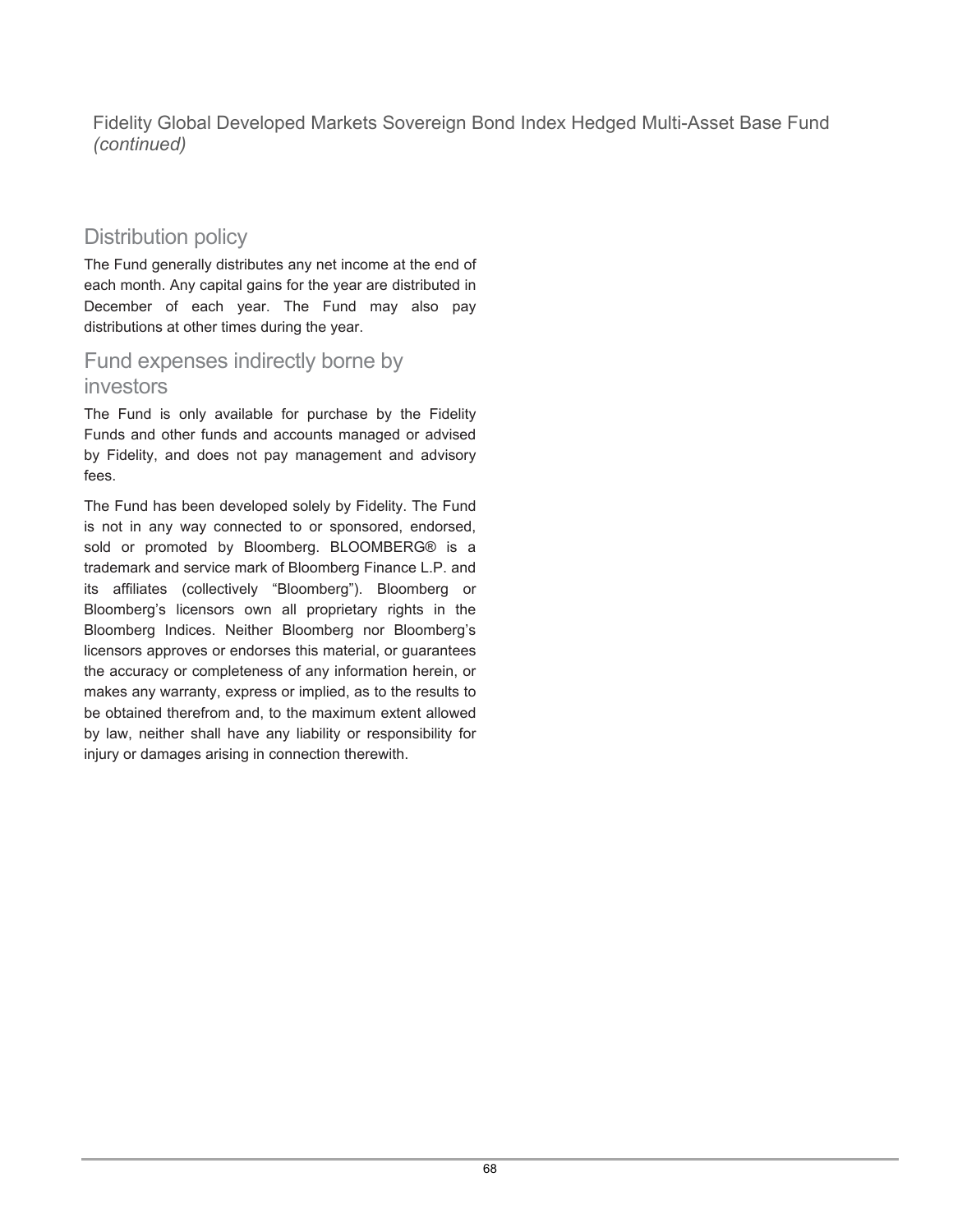Fidelity Global Developed Markets Sovereign Bond Index Hedged Multi-Asset Base Fund *(continued)*

## Distribution policy

The Fund generally distributes any net income at the end of each month. Any capital gains for the year are distributed in December of each year. The Fund may also pay distributions at other times during the year.

## Fund expenses indirectly borne by investors

The Fund is only available for purchase by the Fidelity Funds and other funds and accounts managed or advised by Fidelity, and does not pay management and advisory fees.

The Fund has been developed solely by Fidelity. The Fund is not in any way connected to or sponsored, endorsed, sold or promoted by Bloomberg. BLOOMBERG® is a trademark and service mark of Bloomberg Finance L.P. and its affiliates (collectively "Bloomberg"). Bloomberg or Bloomberg's licensors own all proprietary rights in the Bloomberg Indices. Neither Bloomberg nor Bloomberg's licensors approves or endorses this material, or guarantees the accuracy or completeness of any information herein, or makes any warranty, express or implied, as to the results to be obtained therefrom and, to the maximum extent allowed by law, neither shall have any liability or responsibility for injury or damages arising in connection therewith.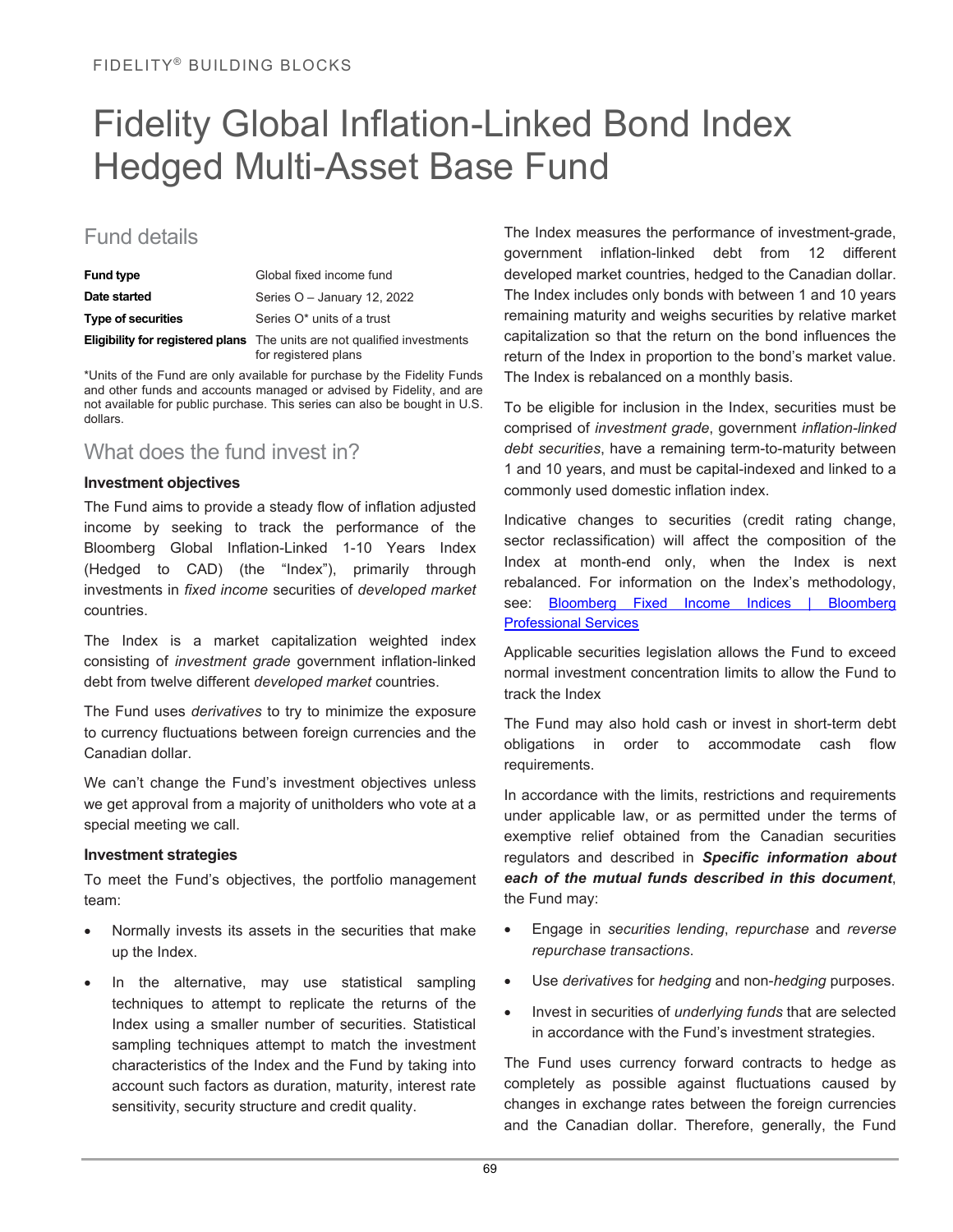## Fidelity Global Inflation-Linked Bond Index Hedged Multi-Asset Base Fund

## Fund details

| <b>Fund type</b>          | Global fixed income fund                                                                                |
|---------------------------|---------------------------------------------------------------------------------------------------------|
| Date started              | Series $O -$ January 12, 2022                                                                           |
| <b>Type of securities</b> | Series O* units of a trust                                                                              |
|                           | <b>Eligibility for registered plans</b> The units are not qualified investments<br>for registered plans |

\*Units of the Fund are only available for purchase by the Fidelity Funds and other funds and accounts managed or advised by Fidelity, and are not available for public purchase. This series can also be bought in U.S. dollars.

## What does the fund invest in?

#### **Investment objectives**

The Fund aims to provide a steady flow of inflation adjusted income by seeking to track the performance of the Bloomberg Global Inflation-Linked 1-10 Years Index (Hedged to CAD) (the "Index"), primarily through investments in *fixed income* securities of *developed market* countries.

The Index is a market capitalization weighted index consisting of *investment grade* government inflation-linked debt from twelve different *developed market* countries.

The Fund uses *derivatives* to try to minimize the exposure to currency fluctuations between foreign currencies and the Canadian dollar.

We can't change the Fund's investment objectives unless we get approval from a majority of unitholders who vote at a special meeting we call.

#### **Investment strategies**

To meet the Fund's objectives, the portfolio management team:

- Normally invests its assets in the securities that make up the Index.
- In the alternative, may use statistical sampling techniques to attempt to replicate the returns of the Index using a smaller number of securities. Statistical sampling techniques attempt to match the investment characteristics of the Index and the Fund by taking into account such factors as duration, maturity, interest rate sensitivity, security structure and credit quality.

The Index measures the performance of investment-grade, government inflation-linked debt from 12 different developed market countries, hedged to the Canadian dollar. The Index includes only bonds with between 1 and 10 years remaining maturity and weighs securities by relative market capitalization so that the return on the bond influences the return of the Index in proportion to the bond's market value. The Index is rebalanced on a monthly basis.

To be eligible for inclusion in the Index, securities must be comprised of *investment grade*, government *inflation-linked debt securities*, have a remaining term-to-maturity between 1 and 10 years, and must be capital-indexed and linked to a commonly used domestic inflation index.

Indicative changes to securities (credit rating change, sector reclassification) will affect the composition of the Index at month-end only, when the Index is next rebalanced. For information on the Index's methodology, see: Bloomberg Fixed Income Indices | Bloomberg [Professional Services](https://www.bloomberg.com/professional/product/indices/bloomberg-fixed-income-indices/#/)

Applicable securities legislation allows the Fund to exceed normal investment concentration limits to allow the Fund to track the Index

The Fund may also hold cash or invest in short-term debt obligations in order to accommodate cash flow requirements.

In accordance with the limits, restrictions and requirements under applicable law, or as permitted under the terms of exemptive relief obtained from the Canadian securities regulators and described in *Specific information about each of the mutual funds described in this document*, the Fund may:

- Engage in *securities lending*, *repurchase* and *reverse repurchase transactions*.
- Use *derivatives* for *hedging* and non-*hedging* purposes.
- Invest in securities of *underlying funds* that are selected in accordance with the Fund's investment strategies.

The Fund uses currency forward contracts to hedge as completely as possible against fluctuations caused by changes in exchange rates between the foreign currencies and the Canadian dollar. Therefore, generally, the Fund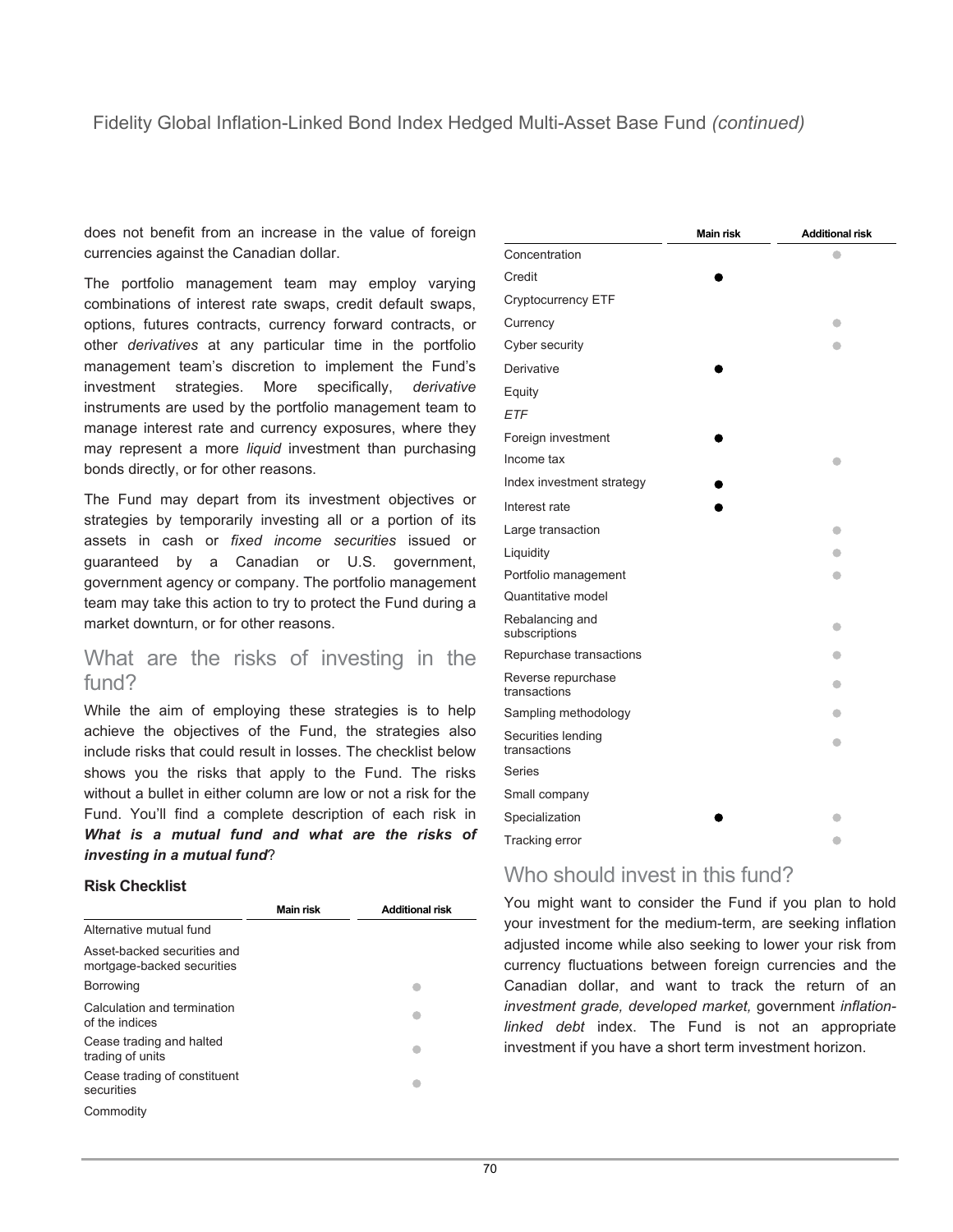does not benefit from an increase in the value of foreign currencies against the Canadian dollar.

The portfolio management team may employ varying combinations of interest rate swaps, credit default swaps, options, futures contracts, currency forward contracts, or other *derivatives* at any particular time in the portfolio management team's discretion to implement the Fund's investment strategies. More specifically, *derivative* instruments are used by the portfolio management team to manage interest rate and currency exposures, where they may represent a more *liquid* investment than purchasing bonds directly, or for other reasons.

The Fund may depart from its investment objectives or strategies by temporarily investing all or a portion of its assets in cash or *fixed income securities* issued or guaranteed by a Canadian or U.S. government, government agency or company. The portfolio management team may take this action to try to protect the Fund during a market downturn, or for other reasons.

## What are the risks of investing in the fund?

While the aim of employing these strategies is to help achieve the objectives of the Fund, the strategies also include risks that could result in losses. The checklist below shows you the risks that apply to the Fund. The risks without a bullet in either column are low or not a risk for the Fund. You'll find a complete description of each risk in *What is a mutual fund and what are the risks of investing in a mutual fund*?

#### **Risk Checklist**

|                                                           | Main risk | <b>Additional risk</b> |
|-----------------------------------------------------------|-----------|------------------------|
| Alternative mutual fund                                   |           |                        |
| Asset-backed securities and<br>mortgage-backed securities |           |                        |
| <b>Borrowing</b>                                          |           |                        |
| Calculation and termination<br>of the indices             |           |                        |
| Cease trading and halted<br>trading of units              |           |                        |
| Cease trading of constituent<br>securities                |           |                        |
| Commodity                                                 |           |                        |

|                                    | <b>Main risk</b> | <b>Additional risk</b> |
|------------------------------------|------------------|------------------------|
| Concentration                      |                  |                        |
| Credit                             |                  |                        |
| Cryptocurrency ETF                 |                  |                        |
| Currency                           |                  |                        |
| Cyber security                     |                  |                        |
| Derivative                         |                  |                        |
| Equity                             |                  |                        |
| <b>ETF</b>                         |                  |                        |
| Foreign investment                 |                  |                        |
| Income tax                         |                  |                        |
| Index investment strategy          |                  |                        |
| Interest rate                      |                  |                        |
| Large transaction                  |                  |                        |
| Liquidity                          |                  |                        |
| Portfolio management               |                  |                        |
| Quantitative model                 |                  |                        |
| Rebalancing and<br>subscriptions   |                  |                        |
| Repurchase transactions            |                  |                        |
| Reverse repurchase<br>transactions |                  |                        |
| Sampling methodology               |                  |                        |
| Securities lending<br>transactions |                  | ۰                      |
| <b>Series</b>                      |                  |                        |
| Small company                      |                  |                        |
| Specialization                     |                  |                        |
| Tracking error                     |                  | $\bullet$              |

## Who should invest in this fund?

You might want to consider the Fund if you plan to hold your investment for the medium-term, are seeking inflation adjusted income while also seeking to lower your risk from currency fluctuations between foreign currencies and the Canadian dollar, and want to track the return of an *investment grade, developed market,* government *inflationlinked debt* index. The Fund is not an appropriate investment if you have a short term investment horizon.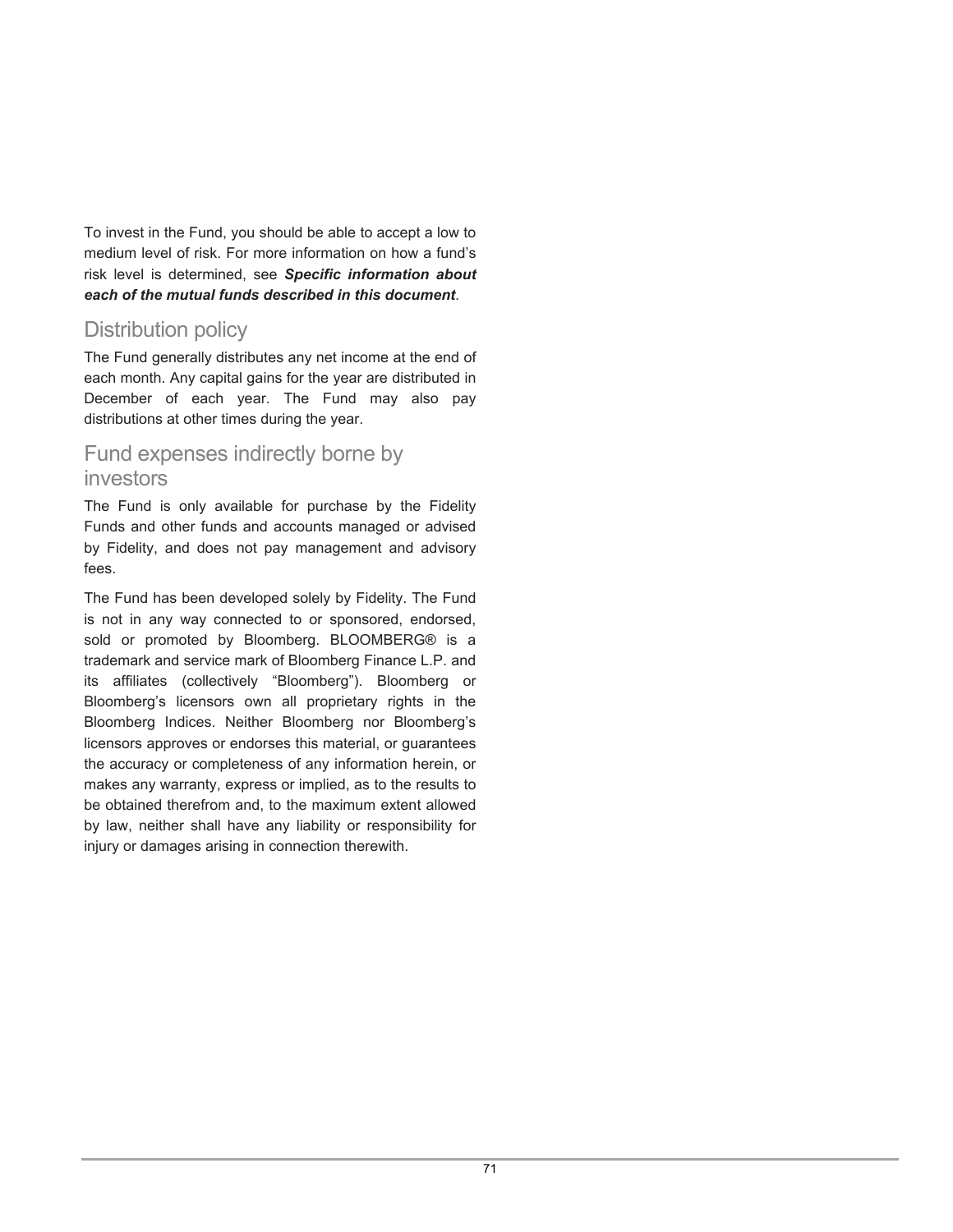To invest in the Fund, you should be able to accept a low to medium level of risk. For more information on how a fund's risk level is determined, see *Specific information about each of the mutual funds described in this document*.

## Distribution policy

The Fund generally distributes any net income at the end of each month. Any capital gains for the year are distributed in December of each year. The Fund may also pay distributions at other times during the year.

## Fund expenses indirectly borne by investors

The Fund is only available for purchase by the Fidelity Funds and other funds and accounts managed or advised by Fidelity, and does not pay management and advisory fees.

The Fund has been developed solely by Fidelity. The Fund is not in any way connected to or sponsored, endorsed, sold or promoted by Bloomberg. BLOOMBERG® is a trademark and service mark of Bloomberg Finance L.P. and its affiliates (collectively "Bloomberg"). Bloomberg or Bloomberg's licensors own all proprietary rights in the Bloomberg Indices. Neither Bloomberg nor Bloomberg's licensors approves or endorses this material, or guarantees the accuracy or completeness of any information herein, or makes any warranty, express or implied, as to the results to be obtained therefrom and, to the maximum extent allowed by law, neither shall have any liability or responsibility for injury or damages arising in connection therewith.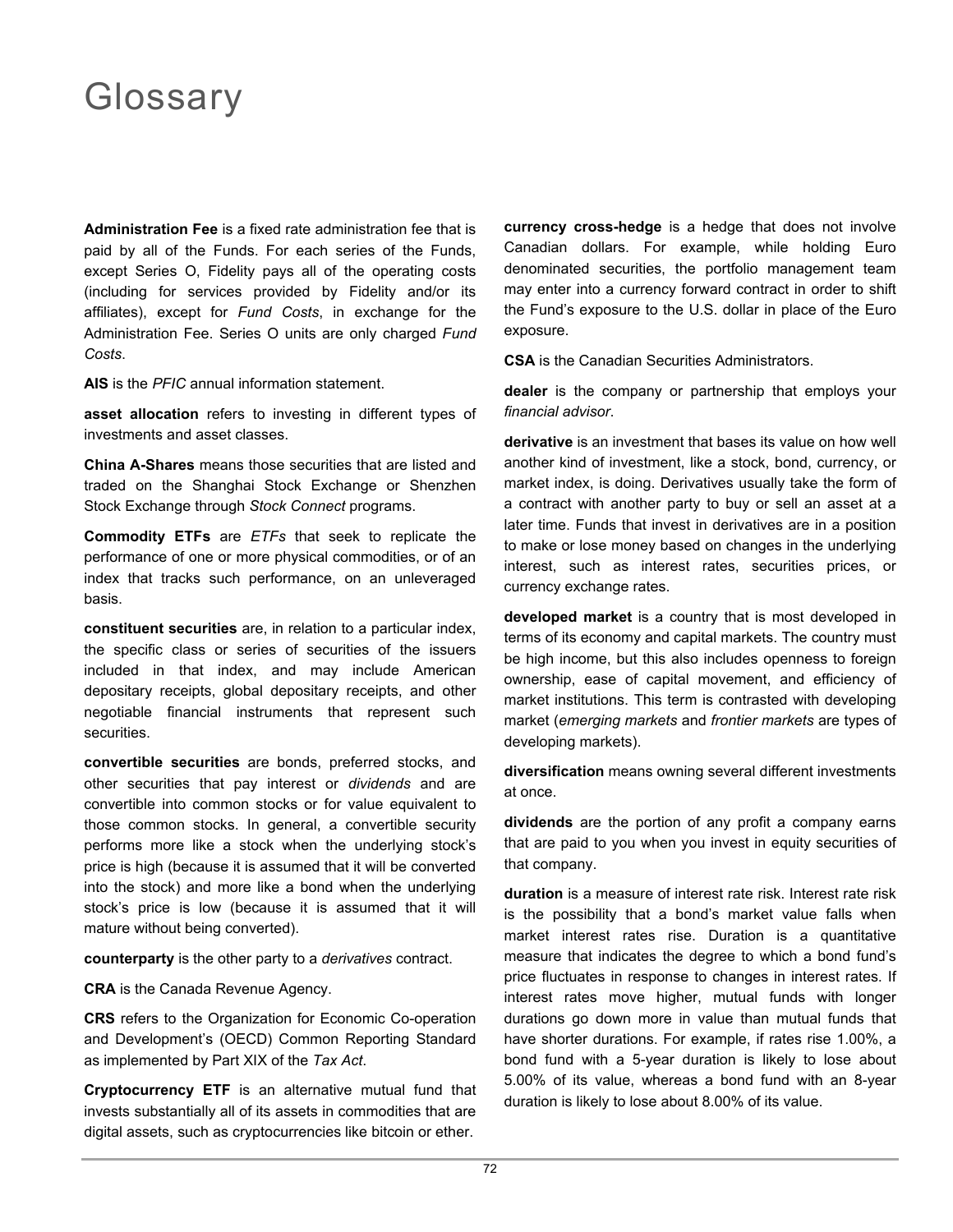## Glossary

**Administration Fee** is a fixed rate administration fee that is paid by all of the Funds. For each series of the Funds, except Series O, Fidelity pays all of the operating costs (including for services provided by Fidelity and/or its affiliates), except for *Fund Costs*, in exchange for the Administration Fee. Series O units are only charged *Fund Costs*.

**AIS** is the *PFIC* annual information statement.

**asset allocation** refers to investing in different types of investments and asset classes.

**China A-Shares** means those securities that are listed and traded on the Shanghai Stock Exchange or Shenzhen Stock Exchange through *Stock Connect* programs.

**Commodity ETFs** are *ETFs* that seek to replicate the performance of one or more physical commodities, or of an index that tracks such performance, on an unleveraged basis.

**constituent securities** are, in relation to a particular index, the specific class or series of securities of the issuers included in that index, and may include American depositary receipts, global depositary receipts, and other negotiable financial instruments that represent such securities.

**convertible securities** are bonds, preferred stocks, and other securities that pay interest or *dividends* and are convertible into common stocks or for value equivalent to those common stocks. In general, a convertible security performs more like a stock when the underlying stock's price is high (because it is assumed that it will be converted into the stock) and more like a bond when the underlying stock's price is low (because it is assumed that it will mature without being converted).

**counterparty** is the other party to a *derivatives* contract.

**CRA** is the Canada Revenue Agency.

**CRS** refers to the Organization for Economic Co-operation and Development's (OECD) Common Reporting Standard as implemented by Part XIX of the *Tax Act*.

**Cryptocurrency ETF** is an alternative mutual fund that invests substantially all of its assets in commodities that are digital assets, such as cryptocurrencies like bitcoin or ether.

**currency cross-hedge** is a hedge that does not involve Canadian dollars. For example, while holding Euro denominated securities, the portfolio management team may enter into a currency forward contract in order to shift the Fund's exposure to the U.S. dollar in place of the Euro exposure.

**CSA** is the Canadian Securities Administrators.

**dealer** is the company or partnership that employs your *financial advisor*.

**derivative** is an investment that bases its value on how well another kind of investment, like a stock, bond, currency, or market index, is doing. Derivatives usually take the form of a contract with another party to buy or sell an asset at a later time. Funds that invest in derivatives are in a position to make or lose money based on changes in the underlying interest, such as interest rates, securities prices, or currency exchange rates.

**developed market** is a country that is most developed in terms of its economy and capital markets. The country must be high income, but this also includes openness to foreign ownership, ease of capital movement, and efficiency of market institutions. This term is contrasted with developing market (*emerging markets* and *frontier markets* are types of developing markets).

**diversification** means owning several different investments at once.

**dividends** are the portion of any profit a company earns that are paid to you when you invest in equity securities of that company.

**duration** is a measure of interest rate risk. Interest rate risk is the possibility that a bond's market value falls when market interest rates rise. Duration is a quantitative measure that indicates the degree to which a bond fund's price fluctuates in response to changes in interest rates. If interest rates move higher, mutual funds with longer durations go down more in value than mutual funds that have shorter durations. For example, if rates rise 1.00%, a bond fund with a 5-year duration is likely to lose about 5.00% of its value, whereas a bond fund with an 8-year duration is likely to lose about 8.00% of its value.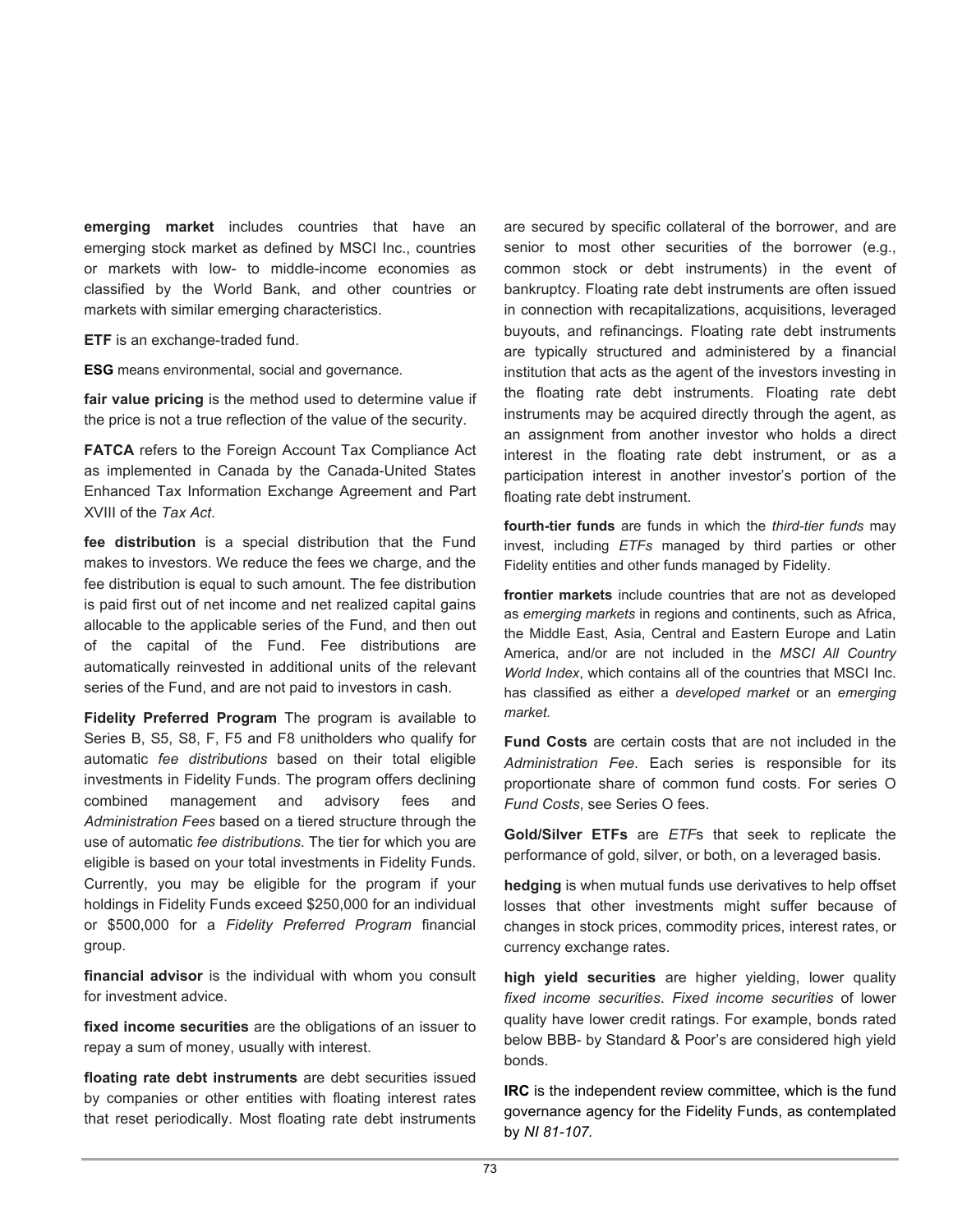**emerging market** includes countries that have an emerging stock market as defined by MSCI Inc., countries or markets with low- to middle-income economies as classified by the World Bank, and other countries or markets with similar emerging characteristics.

**ETF** is an exchange-traded fund.

**ESG** means environmental, social and governance.

**fair value pricing** is the method used to determine value if the price is not a true reflection of the value of the security.

**FATCA** refers to the Foreign Account Tax Compliance Act as implemented in Canada by the Canada-United States Enhanced Tax Information Exchange Agreement and Part XVIII of the *Tax Act*.

**fee distribution** is a special distribution that the Fund makes to investors. We reduce the fees we charge, and the fee distribution is equal to such amount. The fee distribution is paid first out of net income and net realized capital gains allocable to the applicable series of the Fund, and then out of the capital of the Fund. Fee distributions are automatically reinvested in additional units of the relevant series of the Fund, and are not paid to investors in cash.

**Fidelity Preferred Program** The program is available to Series B, S5, S8, F, F5 and F8 unitholders who qualify for automatic *fee distributions* based on their total eligible investments in Fidelity Funds. The program offers declining combined management and advisory fees and *Administration Fees* based on a tiered structure through the use of automatic *fee distributions*. The tier for which you are eligible is based on your total investments in Fidelity Funds. Currently, you may be eligible for the program if your holdings in Fidelity Funds exceed \$250,000 for an individual or \$500,000 for a *Fidelity Preferred Program* financial group.

**financial advisor** is the individual with whom you consult for investment advice.

**fixed income securities** are the obligations of an issuer to repay a sum of money, usually with interest.

**floating rate debt instruments** are debt securities issued by companies or other entities with floating interest rates that reset periodically. Most floating rate debt instruments are secured by specific collateral of the borrower, and are senior to most other securities of the borrower (e.g., common stock or debt instruments) in the event of bankruptcy. Floating rate debt instruments are often issued in connection with recapitalizations, acquisitions, leveraged buyouts, and refinancings. Floating rate debt instruments are typically structured and administered by a financial institution that acts as the agent of the investors investing in the floating rate debt instruments. Floating rate debt instruments may be acquired directly through the agent, as an assignment from another investor who holds a direct interest in the floating rate debt instrument, or as a participation interest in another investor's portion of the floating rate debt instrument.

**fourth-tier funds** are funds in which the *third-tier funds* may invest, including *ETFs* managed by third parties or other Fidelity entities and other funds managed by Fidelity.

**frontier markets** include countries that are not as developed as *emerging markets* in regions and continents, such as Africa, the Middle East, Asia, Central and Eastern Europe and Latin America, and/or are not included in the *MSCI All Country World Index*, which contains all of the countries that MSCI Inc. has classified as either a *developed market* or an *emerging market.*

**Fund Costs** are certain costs that are not included in the *Administration Fee*. Each series is responsible for its proportionate share of common fund costs. For series O *Fund Costs*, see Series O fees.

**Gold/Silver ETFs** are *ETF*s that seek to replicate the performance of gold, silver, or both, on a leveraged basis.

**hedging** is when mutual funds use derivatives to help offset losses that other investments might suffer because of changes in stock prices, commodity prices, interest rates, or currency exchange rates.

**high yield securities** are higher yielding, lower quality *fixed income securities*. *Fixed income securities* of lower quality have lower credit ratings. For example, bonds rated below BBB- by Standard & Poor's are considered high yield bonds.

**IRC** is the independent review committee, which is the fund governance agency for the Fidelity Funds, as contemplated by *NI 81-107.*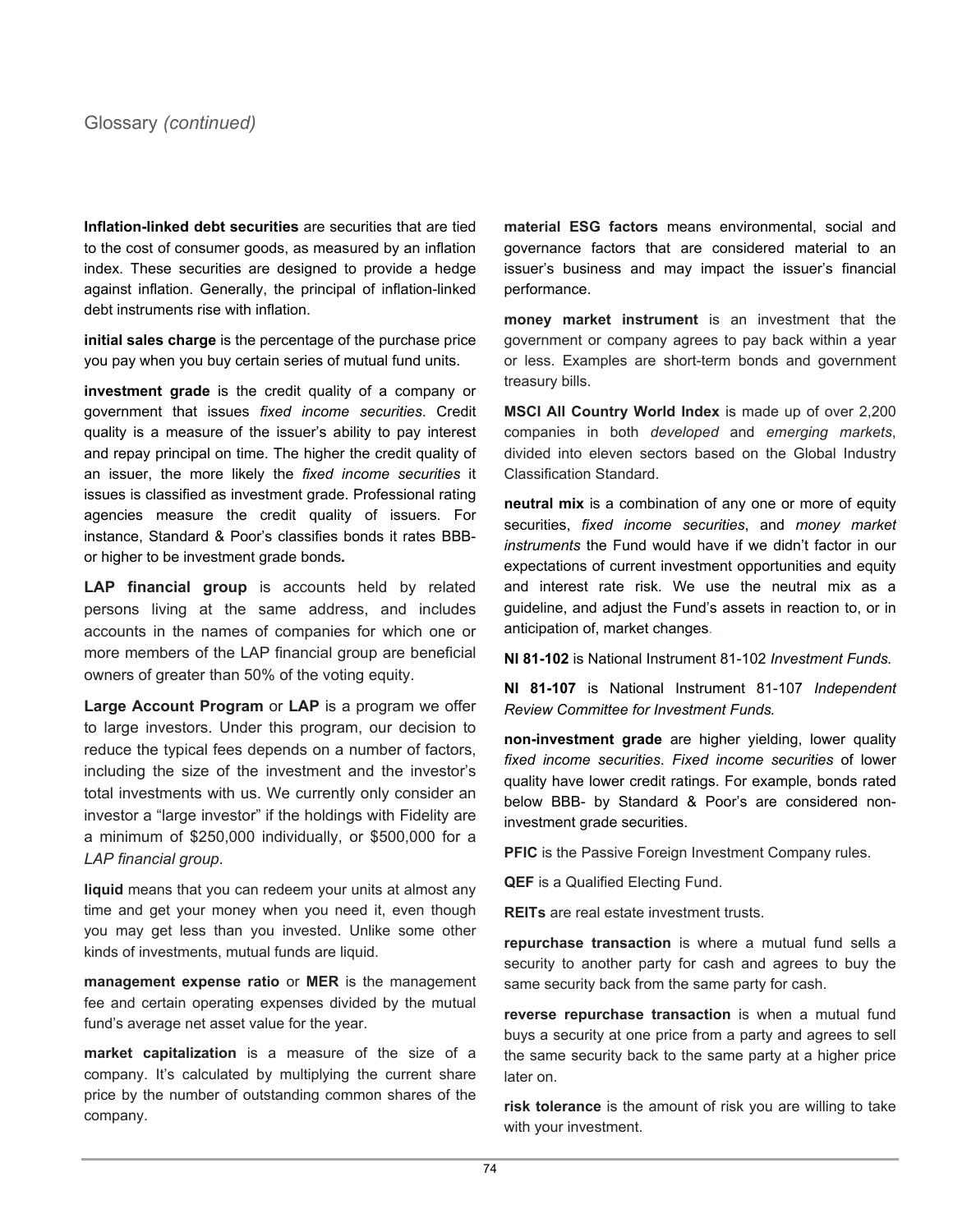**Inflation-linked debt securities** are securities that are tied to the cost of consumer goods, as measured by an inflation index. These securities are designed to provide a hedge against inflation. Generally, the principal of inflation-linked debt instruments rise with inflation.

**initial sales charge** is the percentage of the purchase price you pay when you buy certain series of mutual fund units.

**investment grade** is the credit quality of a company or government that issues *fixed income securities*. Credit quality is a measure of the issuer's ability to pay interest and repay principal on time. The higher the credit quality of an issuer, the more likely the *fixed income securities* it issues is classified as investment grade. Professional rating agencies measure the credit quality of issuers. For instance, Standard & Poor's classifies bonds it rates BBBor higher to be investment grade bonds**.**

**LAP financial group** is accounts held by related persons living at the same address, and includes accounts in the names of companies for which one or more members of the LAP financial group are beneficial owners of greater than 50% of the voting equity.

**Large Account Program** or **LAP** is a program we offer to large investors. Under this program, our decision to reduce the typical fees depends on a number of factors, including the size of the investment and the investor's total investments with us. We currently only consider an investor a "large investor" if the holdings with Fidelity are a minimum of \$250,000 individually, or \$500,000 for a *LAP financial group*.

**liquid** means that you can redeem your units at almost any time and get your money when you need it, even though you may get less than you invested. Unlike some other kinds of investments, mutual funds are liquid.

**management expense ratio** or **MER** is the management fee and certain operating expenses divided by the mutual fund's average net asset value for the year.

**market capitalization** is a measure of the size of a company. It's calculated by multiplying the current share price by the number of outstanding common shares of the company.

**material ESG factors** means environmental, social and governance factors that are considered material to an issuer's business and may impact the issuer's financial performance.

**money market instrument** is an investment that the government or company agrees to pay back within a year or less. Examples are short-term bonds and government treasury bills.

**MSCI All Country World Index** is made up of over 2,200 companies in both *developed* and *emerging markets*, divided into eleven sectors based on the Global Industry Classification Standard.

**neutral mix** is a combination of any one or more of equity securities, *fixed income securities*, and *money market instruments* the Fund would have if we didn't factor in our expectations of current investment opportunities and equity and interest rate risk. We use the neutral mix as a guideline, and adjust the Fund's assets in reaction to, or in anticipation of, market changes.

**NI 81-102** is National Instrument 81-102 *Investment Funds.*

**NI 81-107** is National Instrument 81-107 *Independent Review Committee for Investment Funds.*

**non-investment grade** are higher yielding, lower quality *fixed income securities*. *Fixed income securities* of lower quality have lower credit ratings. For example, bonds rated below BBB- by Standard & Poor's are considered noninvestment grade securities.

**PFIC** is the Passive Foreign Investment Company rules.

**QEF** is a Qualified Electing Fund.

**REITs** are real estate investment trusts.

**repurchase transaction** is where a mutual fund sells a security to another party for cash and agrees to buy the same security back from the same party for cash.

**reverse repurchase transaction** is when a mutual fund buys a security at one price from a party and agrees to sell the same security back to the same party at a higher price later on.

**risk tolerance** is the amount of risk you are willing to take with your investment.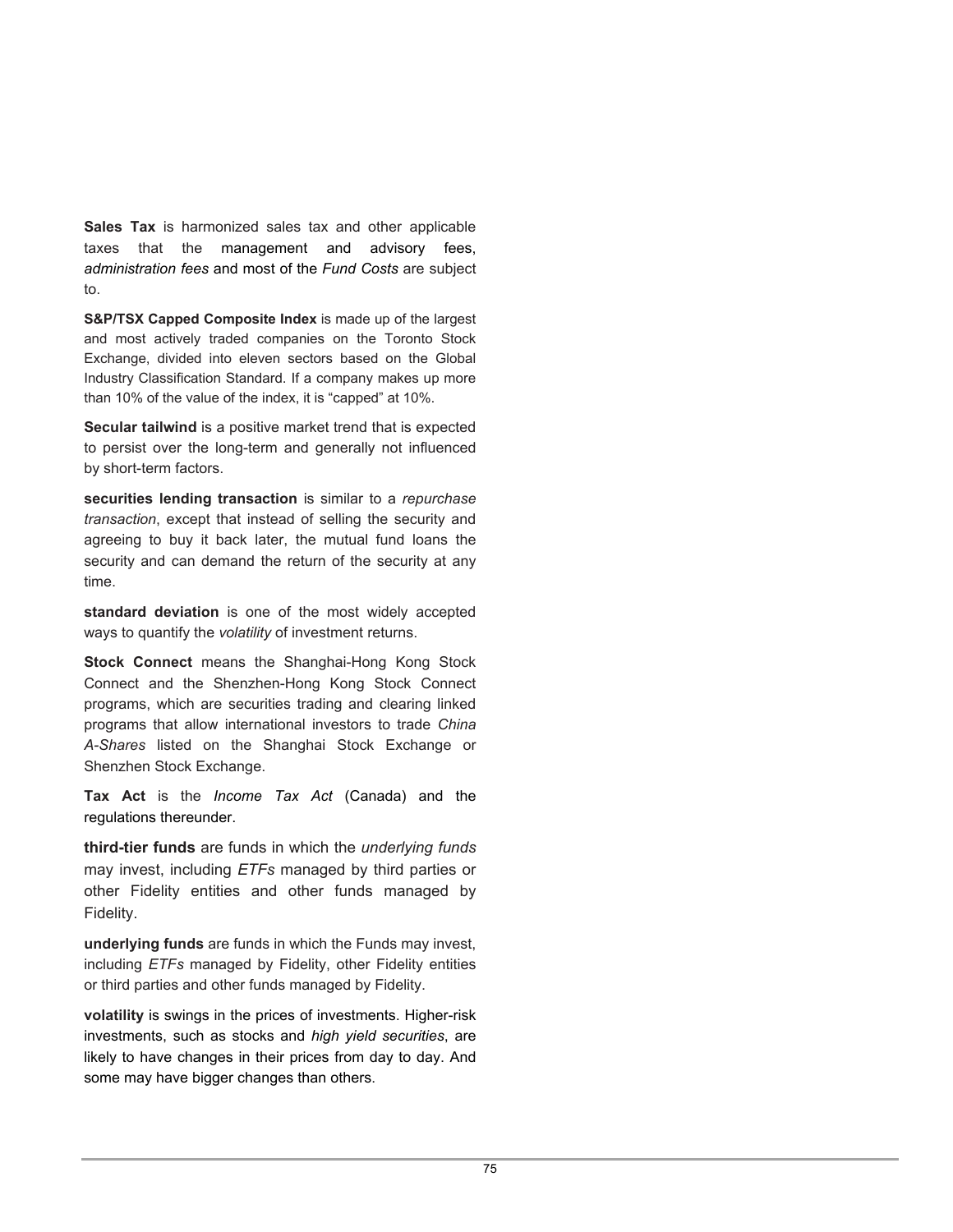**Sales Tax** is harmonized sales tax and other applicable taxes that the management and advisory fees, *administration fees* and most of the *Fund Costs* are subject to.

**S&P/TSX Capped Composite Index** is made up of the largest and most actively traded companies on the Toronto Stock Exchange, divided into eleven sectors based on the Global Industry Classification Standard. If a company makes up more than 10% of the value of the index, it is "capped" at 10%.

**Secular tailwind** is a positive market trend that is expected to persist over the long-term and generally not influenced by short-term factors.

**securities lending transaction** is similar to a *repurchase transaction*, except that instead of selling the security and agreeing to buy it back later, the mutual fund loans the security and can demand the return of the security at any time.

**standard deviation** is one of the most widely accepted ways to quantify the *volatility* of investment returns.

**Stock Connect** means the Shanghai-Hong Kong Stock Connect and the Shenzhen-Hong Kong Stock Connect programs, which are securities trading and clearing linked programs that allow international investors to trade *China A-Shares* listed on the Shanghai Stock Exchange or Shenzhen Stock Exchange.

**Tax Act** is the *Income Tax Act* (Canada) and the regulations thereunder.

**third-tier funds** are funds in which the *underlying funds*  may invest, including *ETFs* managed by third parties or other Fidelity entities and other funds managed by Fidelity.

**underlying funds** are funds in which the Funds may invest, including *ETFs* managed by Fidelity, other Fidelity entities or third parties and other funds managed by Fidelity.

**volatility** is swings in the prices of investments. Higher-risk investments, such as stocks and *high yield securities*, are likely to have changes in their prices from day to day. And some may have bigger changes than others.